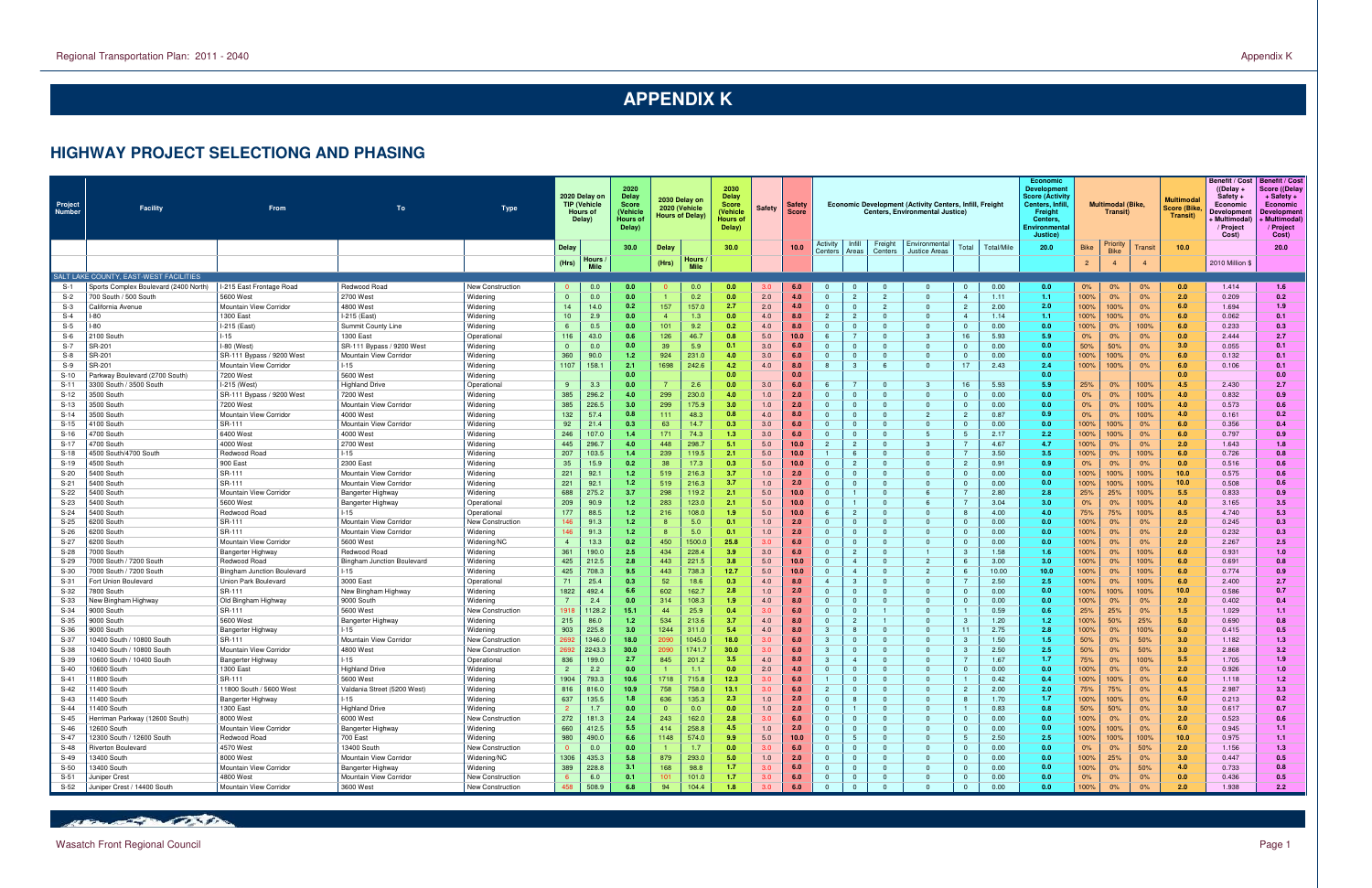### **HIGHWAY PROJECT SELECTIONG AND PHASING**

| Infill<br>Freight   Environmental<br>Activity<br>Priority<br>Total/Mile<br>30.0<br>Total<br>20.0<br>10.0<br>20.0<br><b>Delay</b><br>Delay<br>30.0<br>10.0<br><b>Bike</b><br>Transit<br><b>Bike</b><br>Centers<br>Centers<br>Areas<br><b>Justice Areas</b><br>Hours<br>Hours<br>(Hrs)<br>$\overline{2}$<br>(Hrs)<br>2010 Million \$<br><b>Mile</b><br><b>Mile</b><br>SALT LAKE COUNTY, EAST-WEST FACILITIES<br>I-215 East Frontage Road<br>0.00<br>$S-1$<br>Sports Complex Boulevard (2400 North)<br>Redwood Road<br>New Construction<br>0.0<br>0.0<br>0.0<br>0.0<br>6.0<br>0.0<br>0%<br>0%<br>0.0<br>1.414<br>1.6<br>3.C<br>$\Omega$<br>$\Omega$<br>$\mathbf{0}$<br>0%<br>0.0<br>0.2<br>2.0<br>2<br>100%<br>0%<br>$S-2$<br>700 South / 500 South<br>5600 West<br>2700 West<br>$\mathbf{0}$<br>0.0<br>0.0<br>4.0<br>$\mathbf{0}$<br>$\overline{2}$<br>$\overline{0}$<br>1.11<br>1.1<br>0%<br>2.0<br>0.209<br>0.2<br>Widening<br>$\overline{4}$<br>14.0<br>0.2<br>157<br>157.0<br>2.7<br>2.0<br>4.0<br>2.00<br>2.0<br>100%<br>6.0<br>1.9<br>$S-3$<br>California Avenue<br>4800 West<br>14<br>$\mathbf{0}$<br>$\overline{0}$<br>$\overline{2}$<br>$\mathbf{0}$<br>$\overline{2}$<br>100%<br>0%<br>1.694<br>Mountain View Corridor<br>Widening<br>$S-4$<br>1300 East<br>I-215 (East)<br>2.9<br>1.3<br>4.0<br>8.0<br>$\overline{2}$<br>$\overline{2}$<br>$\mathbf{0}$<br>1.14<br>100%<br>100%<br>0%<br>6.0<br>0.062<br>0.1<br>-80<br>Widening<br>10<br>0.0<br>0.0<br>1.1 <sub>1</sub><br>$\mathbf{0}$<br>$\overline{a}$<br>$S-5$<br>I-215 (East)<br>0.5<br>101<br>9.2<br>4.0<br>8.0<br>0.00<br>0.3<br>-80<br>Summit County Line<br>Widening<br>0.2<br>$\Omega$<br>$\Omega$<br>$\Omega$<br>$\Omega$<br>0.0<br>100%<br>100%<br>6.0<br>0.233<br>-6<br>0.0<br>- 0<br>0%<br>2.7<br>$-15$<br>$S-6$<br>2100 South<br>1300 East<br>116<br>5.0<br>10.0<br>16<br>5.93<br>5.9<br>0.0<br>2.444<br>Operational<br>43.0<br>0.6<br>126<br>46.7<br>0.8<br>6<br>-3<br>0%<br>0%<br>0%<br>$\Omega$<br>$S-7$<br>-80 (West)<br>5.9<br>3.0<br>$\Omega$<br>0.00<br>0.055<br>0.1<br>SR-201<br>SR-111 Bypass / 9200 West<br>Widening<br>0.0<br>-39<br>6.0<br>$\Omega$<br>$\Omega$<br>0.0<br>50%<br>50%<br>0%<br>3.0<br>$\Omega$<br>0.0<br>0.1<br>$\Omega$<br>$\Omega$<br>$S-8$<br>360<br>231.0<br>SR-201<br>90.0<br>924<br>3.0<br>$\Omega$<br>$\mathbf{0}$<br>0.00<br>0.0<br>0%<br>0.132<br>0.1<br>SR-111 Bypass / 9200 West<br>Mountain View Corridor<br>Widening<br>1.2<br>6.0<br>$\mathbf{0}$<br>100%<br>100%<br>6.0<br>4.0<br>6.0<br>$S-9$<br>SR-201<br>1107<br>158.1<br>2.1<br>1698<br>242.6<br>4.2<br>4.0<br>8.0<br>8<br>$\mathbf{3}$<br>$\Omega$<br>17<br>2.43<br>2.4<br>100%<br>0%<br>0.106<br>0.1<br>Mountain View Corridor<br>$-15$<br>Widening<br>- 6<br>100%<br>Parkway Boulevard (2700 South)<br>7200 West<br>5600 West<br>Widening<br>0.0<br>0.0<br>$S-10$<br>0.0<br>0.0<br>0.0<br>0.0<br>2.6<br>I-215 (West)<br>3.3<br>3.0<br>16<br>5.93<br>100%<br>$S-11$<br>3300 South / 3500 South<br>Highland Drive<br>-9<br>0.0<br>6.0<br>6<br>3<br>5.9<br>25%<br>0%<br>4.5<br>2.430<br>2.7<br>Operationa<br>0.0<br>- 0<br>0.9<br>3500 South<br>SR-111 Bypass / 9200 West<br>385<br>296.2<br>4.0<br>299<br>230.0<br>4.0<br>2.0<br>$\overline{0}$<br>$\mathbf{0}$<br>0.00<br>0.0<br>4.0<br>0.832<br>$S-12$<br>7200 West<br>Widening<br>1.0<br>$\mathbf{0}$<br>$\overline{0}$<br>0%<br>100%<br>$\Omega$<br>0%<br>175.9<br>385<br>226.5<br>299<br>2.0<br>$\mathbf{0}$<br>$\Omega$<br>$\mathbf{0}$<br>0.00<br>0.0<br>100%<br>0.573<br>0.6<br>$S-13$<br>3500 South<br>7200 West<br>Mountain View Corridor<br>Widening<br>3.0<br>3.0<br>1.0<br>0%<br>4.0<br>$\Omega$<br>$\Omega$<br>0%<br>132<br>57.4<br>0.87<br>3500 South<br>0.8<br>111<br>48.3<br>4.0<br>8.0<br>$\Omega$<br>$\overline{2}$<br>0.9<br>100%<br>0.161<br>0.2<br>$S-14$<br>Mountain View Corridor<br>4000 West<br>Widening<br>0.8<br>$\mathbf{0}$<br>$\Omega$<br>0%<br>0%<br>4.0<br>SR-111<br>92<br>0.0<br>0.4<br>21.4<br>0.3<br>63<br>14.7<br>0.3<br>3.0<br>6.0<br>$\mathbf{0}$<br>$\overline{0}$<br>0.00<br>100%<br>100%<br>6.0<br>0.356<br>$S-15$<br>1100 South<br>Widening<br>$\Omega$<br>$\Omega$<br>0%<br>Mountain View Corridor<br>$\Omega$<br>4700 South<br>6400 West<br>4000 West<br>246<br>107.0<br>17 <sup>1</sup><br>74.3<br>3.0<br>6.0<br>$\Omega$<br>5<br>5<br>2.17<br>2.2<br>100%<br>6.0<br>0.797<br>0.9<br>$S-16$<br>Widening<br>1.3<br>$\mathbf{0}$<br>$\overline{\mathbf{0}}$<br>100%<br>0%<br>1.4<br>4000 West<br>2700 West<br>445<br>296.7<br>298.7<br>5.0<br>$\overline{2}$<br>4.67<br>4.7<br>100%<br>$S-17$<br>4700 South<br>Widening<br>4.0<br>448<br>5.1<br>10.0<br>$\overline{2}$<br>-3<br>0%<br>0%<br>2.0<br>1.643<br>1.8<br>$\Omega$<br>0.8<br>207<br>103.5<br>239<br>2.1<br>5.0<br>10.0<br>3.50<br>3.5<br>100%<br>6.0<br>0.726<br>$S-18$<br>4500 South/4700 South<br>Redwood Road<br>-15<br>Widening<br>1.4<br>119.5<br>6<br>$\Omega$<br>100%<br>- 0<br>0%<br>900 East<br>2300 East<br>35<br>38<br>17.3<br>5.0<br>$\Omega$<br>$\overline{2}$<br>0.91<br>0.9<br>0%<br>0.6<br>$S-19$<br>4500 South<br>Widening<br>15.9<br>0.2<br>0.3<br>10.0<br>$\Omega$<br>$\overline{2}$<br>0%<br>0%<br>0.0<br>0.516<br>$\Omega$<br>221<br>92.1<br>216.3<br>$S-20$<br>SR-111<br>519<br>1.0<br>$\Omega$<br>$\Omega$<br>$\Omega$<br>0.00<br>100%<br>100%<br>100%<br>10.0 <sub>1</sub><br>0.575<br>0.6<br>5400 South<br>Mountain View Corridor<br>1.2<br>3.7<br>2.0<br>0.0<br>Widening<br>$\Omega$<br>- 0<br>SR-111<br>221<br>92.1<br>216.3<br>10.0 <sub>1</sub><br>$S-21$<br>1.2<br>519<br>3.7<br>1.0<br>2.0<br>$\Omega$<br>$\mathbf{0}$<br>0.00<br>0.0<br>100%<br>100%<br>100%<br>0.508<br>0.6<br>5400 South<br>Mountain View Corridor<br>Widening<br>$\Omega$<br>$\Omega$<br>$\Omega$<br>$S-22$<br>688<br>275.2<br>3.7<br>298<br>119.2<br>5.0<br>$\mathbf{0}$<br>6<br>2.80<br>2.8<br>25%<br>25%<br>100%<br>5.5<br>0.833<br>5400 South<br>Mountain View Corridor<br>Widening<br>2.1<br>10.0<br>$\Omega$<br>0.9<br>Bangerter Highway<br>5600 West<br>209<br>90.9<br>5.0<br>3.04<br>$S-23$<br>5400 South<br>1.2<br>283<br>123.0<br>2.1<br>10.0<br>$\mathbf{0}$<br>$\Omega$<br>3.0<br>0%<br>100%<br>4.0<br>3.165<br>3.5<br>Bangerter Highway<br>Operational<br>-6<br>0%<br>177<br>88.5<br>1.2<br>216<br>108.0<br>10.0<br>$6\phantom{1}6$<br>$\overline{2}$<br>4.0<br>8.5<br>4.740<br>5.3<br>S-24<br>5400 South<br>Redwood Road<br>$-15$<br>1.9<br>5.0<br>$\Omega$<br>4.00<br>75%<br>75%<br>100%<br>Operational<br>$\Omega$<br>-8<br>SR-111<br>91.3<br>5.0<br>1.0<br>2.0<br>$\Omega$<br>0.00<br>0.245<br>0.3<br>$S-25$<br>6200 South<br>Mountain View Corridor<br>New Construction<br>146<br>1.2<br>$\Omega$<br>$\Omega$<br>$\Omega$<br>$\Omega$<br>0.0<br>100%<br>0%<br>0%<br>2.0<br>0.1<br>SR-111<br>$S-26$<br>6200 South<br>91.3<br>1.2<br>5.0<br>1.0<br>2.0<br>$\mathbf{0}$<br>$\Omega$<br>$\mathbf{0}$<br>0.00<br>0.0<br>100%<br>2.0<br>0.232<br>0.3<br>Widening<br>0.1<br>0%<br>0%<br>Mountain View Corridor<br>$\Omega$<br>- 0<br>1500.0<br>0.0<br>2.0<br>2.5<br>$S-27$<br>6200 South<br>5600 West<br>13.3<br>0.2<br>450<br>25.8<br>3.0<br>6.0<br>$\Omega$<br>$\mathbf{0}$<br>0.00<br>100%<br>0%<br>2.267<br>Mountain View Corridor<br>Widening/NC<br>$\Omega$<br>$\overline{\mathbf{0}}$<br>$\Omega$<br>0%<br>361<br>$S-28$<br>'000 South<br>190.0<br>2.5<br>228.4<br>3.0<br>$\mathbf{0}$<br>$\overline{2}$<br>1.58<br>1.6<br>100%<br>100%<br>6.0<br>0.931<br>1.0<br>Redwood Road<br>Widening<br>434<br>3.9<br>6.0<br>$\overline{0}$<br>$\mathbf{1}$<br>-3<br>0%<br>Bangerter Highway<br>425<br>212.5<br>221.5<br>5.0<br>$\overline{2}$<br>3.00<br>0.8<br>S-29<br>'000 South / 7200 South<br>Redwood Road<br><b>Bingham Junction Boulevard</b><br>Widening<br>2.8<br>443<br>3.8<br>10.0<br>$\Omega$<br>$\overline{4}$<br>$\Omega$<br>-6<br>3.0<br>100%<br>0%<br>100%<br>6.0<br>0.691<br>12.7<br>10.0<br>0.9<br>425<br>708.3<br>738.3<br>5.0<br>10.0<br>$\overline{2}$<br>10.00<br>100%<br>100%<br>6.0<br>0.774<br>$S-30$<br>7000 South / 7200 South<br><b>Bingham Junction Boulevard</b><br>$-15$<br>Widening<br>9.5<br>443<br>$\mathbf{0}$<br>$\overline{4}$<br>0%<br>$\Omega$<br>2.7<br>$S-31$<br>25.4<br>52<br>18.6<br>4.0<br>$\mathbf{3}$<br>2.50<br>2.5<br>Fort Union Boulevard<br>Union Park Boulevard<br>3000 East<br>Operational<br>71<br>0.3<br>0.3<br>8.0<br>$\Omega$<br>100%<br>0%<br>100%<br>6.0<br>2.400<br>$\Omega$<br>SR-111<br>1822<br>162.7<br>$S-32$<br>7800 South<br>492.4<br>602<br>2.8<br>1.0<br>$\Omega$<br>$\Omega$<br>0.00<br>0.0<br>100%<br>100%<br>100%<br>10.0 <sub>1</sub><br>0.586<br>0.7<br>New Bingham Highway<br>Widening<br>6.6<br>2.0<br>$\Omega$<br>$\Omega$<br>$\Omega$<br>108.3<br>$S-33$<br>2.4<br>314<br>8.0<br>$\Omega$<br>$\Omega$<br>$\mathbf{0}$<br>0.00<br>0.0<br>100%<br>2.0<br>0.402<br>0.4<br>Old Bingham Highway<br>9000 South<br>0.0<br>1.9<br>4.0<br>$\Omega$<br>0%<br>0%<br>New Bingham Highway<br>Widening<br>- 0<br>SR-111<br>$S-34$<br>9000 South<br>5600 West<br>1918<br>1128.2<br>25.9<br>3.0<br>$\Omega$<br>$\mathbf{0}$<br>0.59<br>0.6<br>25%<br>25%<br>0%<br>1.029<br>New Construction<br>15.1<br>44<br>0.4<br>6.0<br>$\mathbf{0}$<br>1.5<br>1.1<br>215<br>86.0<br>534<br>213.6<br>4.0<br>$\mathbf{0}$<br>$\overline{2}$<br>25%<br>$S-35$<br>9000 South<br>5600 West<br>Widening<br>3.7<br>8.0<br>$\mathbf{0}$<br>-3<br>1.20<br>1.2<br>100%<br>50%<br>5.0<br>0.690<br>0.8<br>Bangerter Highway<br>1.2<br>0.5<br>$-15$<br>903<br>225.8<br>3.0<br>311.0<br>8.0<br>2.75<br>2.8<br>6.0<br>S-36<br>9000 South<br>Bangerter Highway<br>Widening<br>1244<br>5.4<br>4.0<br>3<br>-8<br>$\Omega$<br>$\mathbf{0}$<br>11<br>100%<br>0%<br>100%<br>0.415<br>1346.0<br>18.0<br>1045.0<br>18.0<br>3<br>1.50<br>50%<br>$S-37$<br>0400 South / 10800 South<br>SR-111<br>Mountain View Corridor<br>New Construction<br>2090<br>6.0<br>$\Omega$<br>$\Omega$<br>1.5<br>50%<br>3.0<br>1.182<br>1.3<br>3.C<br>$\Omega$<br>0%<br>269<br>2.50<br>$S-38$<br>2243.<br>2090<br>1741.<br>3.0<br>6.0<br>$\Omega$<br>2.5<br>50%<br>2.868<br>3.2<br>0400 South / 10800 South<br>4800 West<br>30.0<br>30.0<br>$\Omega$<br>$\mathbf{0}$<br>50%<br>3.0<br>Mountain View Corridor<br>New Construction<br>0%<br>836<br>1.9<br>$-15$<br>199.0<br>2.7<br>845<br>201.2<br>4.0<br>3<br>1.67<br>1.7<br>75%<br>100%<br>5.5<br>1.705<br>S-39<br>0600 South / 10400 South<br>3.5<br>8.0<br>$\overline{4}$<br>$\Omega$<br>0%<br>Bangerter Highway<br>Operational<br>$S-40$<br>1300 East<br>$\overline{2}$<br>2.2<br>1.1<br>2.0<br>4.0<br>$\mathbf{0}$<br>$\overline{0}$<br>$\Omega$<br>$\mathbf{0}$<br>0.00<br>0.0<br>00%<br>0%<br>2.0<br>0.926<br>1.0<br>10600 South<br><b>Highland Drive</b><br>Widening<br>0.0<br>0.0<br>$\overline{\mathbf{0}}$<br>0%<br>1904<br>$S-41$<br>SR-111<br>11800 South<br>5600 West<br>Widening<br>793.3<br>10.6<br>1718<br>715.8<br>10.9<br>0.42<br>000<br>0 <sup>0</sup><br>1.118<br>1.2 <sub>1</sub><br>$\Omega$<br>0.4<br>י טטו<br>6.0<br>816<br>816.0<br>758<br>758.0<br>3.3<br>$S-42$<br>11400 South<br>11800 South / 5600 West<br>Valdania Street (5200 West)<br>10.9<br>13.1<br>3.0<br>2.00<br>2.0<br>75%<br>75%<br>4.5<br>2.987<br>Widening<br>$\overline{2}$<br>$\Omega$<br>$\Omega$<br>$\Omega$<br>$\overline{2}$<br>0%<br>$S-43$<br>637<br>135.5<br>636<br>135.3<br>1.0<br>1.7<br>100%<br>100%<br>0%<br>11400 South<br>$-15$<br>1.8<br>2.3<br>2.0<br>$\Omega$<br>8<br>$\overline{0}$<br>1.70<br>6.0<br>0.213<br>0.2<br>Bangerter Highway<br>Widening<br>$S-44$<br>1300 East<br><b>Highland Drive</b><br>$\Omega$<br>0.83<br>0.8<br>50%<br>50%<br>0%<br>3.0<br>0.617<br>0.7<br>11400 South<br>Widening<br>1.7<br>0.0<br>0.0<br>1.0<br>2.0<br>$\Omega$<br>0.0<br>272<br>181.3<br>162.0<br>2.0<br>$S-45$<br>Herriman Parkway (12600 South)<br>8000 West<br>6000 West<br>New Construction<br>2.4<br>2.8<br>6.0<br>$\overline{0}$<br>$\overline{0}$<br>0.00<br>0.0<br>0%<br>0%<br>0.523<br>0.6<br>243<br>3.0<br>100%<br>$\Omega$<br>- 0<br>660<br>Mountain View Corridor<br>412.5<br>258.8<br>$\Omega$<br>$\overline{0}$<br>$\mathbf{0}$<br>0.00<br>100%<br>100%<br>0%<br>6.0<br>0.945<br>S-46<br>12600 South<br>Bangerter Highway<br>Widening<br>5.5<br>4.5<br>1.0<br>2.0<br>$\Omega$<br>0.0<br>1.1<br>414<br>980<br>574.0<br>5 <sub>5</sub><br>S-47<br>Redwood Road<br>700 East<br>490.0<br>1148<br>5.0<br>2.50<br>100%<br>100%<br>10.0<br>12300 South / 12600 South<br>Widening<br>6.6<br>9.9<br>10.0<br>$\Omega$<br>$\Omega$<br>$\mathbf{0}$<br>2.5<br>100%<br>0.975<br>1.1<br>4570 West<br>13400 South<br>New Construction<br>0.0<br>0.0<br>0.0<br>6.0<br>$\overline{0}$<br>$\Omega$<br>0.00<br>0.0<br>50%<br>2.0<br>1.3<br>S-48<br>Riverton Boulevard<br>1.7<br>$\Omega$<br>0%<br>1.156<br>3.0<br>- 0<br>$\Omega$<br>0%<br>1306<br>293.0<br>$S-49$<br>13400 South<br>8000 West<br>435.3<br>879<br>1.0<br>$\overline{0}$<br>0.00<br>25%<br>3.0<br>0.447<br>0.5<br>Mountain View Corridor<br>Widening/NC<br>5.8<br>5.0<br>2.0<br>$\Omega$<br>$\mathbf{0}$<br>0.0<br>100%<br>0%<br>$\Omega$<br>$\Omega$<br>389<br>228.8<br>50%<br>$S-50$<br>98.8<br>1.7<br>$\overline{0}$<br>0.00<br>0.0<br>100%<br>4.0<br>0.733<br>0.8<br>13400 South<br>Mountain View Corridor<br>Widening<br>3.1<br>168<br>6.0<br>$\mathbf{0}$<br>$\mathbf{0}$<br>0%<br>Bangerter Highway<br>3.0<br>$\Omega$<br>101.0<br>0.0<br>4800 West<br>6.0<br>1.7<br>6.0<br>$\overline{0}$<br>$\overline{0}$<br>0.00<br>0.0<br>0%<br>0.436<br>0.5<br>S-51<br>Mountain View Corridor<br>New Construction<br>0.1<br>101<br>3.0<br>$\mathbf{0}$<br>$\overline{0}$<br>0%<br>0%<br>Juniper Crest<br>$\mathbf{0}$ | Project<br>Number | <b>Facility</b>             | From                   | To        | <b>Type</b>      |     | 2020 Delay on<br><b>TIP (Vehicle</b><br><b>Hours of</b><br>Delay) | 2020<br>Delay<br><b>Score</b><br>(Vehicle<br>Hours of<br>Delay) | 2030 Delay on<br>2020 (Vehicle<br><b>Hours of Delay</b> | 2030<br>Delay<br>Score<br>(Vehicle<br><b>Hours of</b><br>Delay) | Safety | <b>Safety</b><br><b>Score</b> |          |                |          | <b>Economic Development (Activity Centers, Infill, Freight</b><br><b>Centers, Environmental Justice)</b> |                  | <b>Economic</b><br><b>Development</b><br><b>Score (Activity</b><br>Centers, Infill<br><b>Freight</b><br><b>Centers</b><br>Environmenta<br>Justice) |      | Multimodal (Bike,<br>Transit) |    | <b>Multimoda</b><br>Score (Bike<br>Transit) | <b>Benefit / Cost</b><br>$($ (Delay +<br>Safety -<br>Economic<br>Developmer<br>Multimodal<br>/ Project<br>Cost) | <b>Benefit / Cost</b><br>Score ((Delay<br>+ Safety +<br>Economic<br>Developmen<br>- Multimodal)<br>/ Project<br>Cost) |
|--------------------------------------------------------------------------------------------------------------------------------------------------------------------------------------------------------------------------------------------------------------------------------------------------------------------------------------------------------------------------------------------------------------------------------------------------------------------------------------------------------------------------------------------------------------------------------------------------------------------------------------------------------------------------------------------------------------------------------------------------------------------------------------------------------------------------------------------------------------------------------------------------------------------------------------------------------------------------------------------------------------------------------------------------------------------------------------------------------------------------------------------------------------------------------------------------------------------------------------------------------------------------------------------------------------------------------------------------------------------------------------------------------------------------------------------------------------------------------------------------------------------------------------------------------------------------------------------------------------------------------------------------------------------------------------------------------------------------------------------------------------------------------------------------------------------------------------------------------------------------------------------------------------------------------------------------------------------------------------------------------------------------------------------------------------------------------------------------------------------------------------------------------------------------------------------------------------------------------------------------------------------------------------------------------------------------------------------------------------------------------------------------------------------------------------------------------------------------------------------------------------------------------------------------------------------------------------------------------------------------------------------------------------------------------------------------------------------------------------------------------------------------------------------------------------------------------------------------------------------------------------------------------------------------------------------------------------------------------------------------------------------------------------------------------------------------------------------------------------------------------------------------------------------------------------------------------------------------------------------------------------------------------------------------------------------------------------------------------------------------------------------------------------------------------------------------------------------------------------------------------------------------------------------------------------------------------------------------------------------------------------------------------------------------------------------------------------------------------------------------------------------------------------------------------------------------------------------------------------------------------------------------------------------------------------------------------------------------------------------------------------------------------------------------------------------------------------------------------------------------------------------------------------------------------------------------------------------------------------------------------------------------------------------------------------------------------------------------------------------------------------------------------------------------------------------------------------------------------------------------------------------------------------------------------------------------------------------------------------------------------------------------------------------------------------------------------------------------------------------------------------------------------------------------------------------------------------------------------------------------------------------------------------------------------------------------------------------------------------------------------------------------------------------------------------------------------------------------------------------------------------------------------------------------------------------------------------------------------------------------------------------------------------------------------------------------------------------------------------------------------------------------------------------------------------------------------------------------------------------------------------------------------------------------------------------------------------------------------------------------------------------------------------------------------------------------------------------------------------------------------------------------------------------------------------------------------------------------------------------------------------------------------------------------------------------------------------------------------------------------------------------------------------------------------------------------------------------------------------------------------------------------------------------------------------------------------------------------------------------------------------------------------------------------------------------------------------------------------------------------------------------------------------------------------------------------------------------------------------------------------------------------------------------------------------------------------------------------------------------------------------------------------------------------------------------------------------------------------------------------------------------------------------------------------------------------------------------------------------------------------------------------------------------------------------------------------------------------------------------------------------------------------------------------------------------------------------------------------------------------------------------------------------------------------------------------------------------------------------------------------------------------------------------------------------------------------------------------------------------------------------------------------------------------------------------------------------------------------------------------------------------------------------------------------------------------------------------------------------------------------------------------------------------------------------------------------------------------------------------------------------------------------------------------------------------------------------------------------------------------------------------------------------------------------------------------------------------------------------------------------------------------------------------------------------------------------------------------------------------------------------------------------------------------------------------------------------------------------------------------------------------------------------------------------------------------------------------------------------------------------------------------------------------------------------------------------------------------------------------------------------------------------------------------------------------------------------------------------------------------------------------------------------------------------------------------------------------------------------------------------------------------------------------------------------------------------------------------------------------------------------------------------------------------------------------------------------------------------------------------------------------------------------------------------------------------------------------------------------------------------------------------------------------------------------------------------------------------------------------------------------------------------------------------------------------------------------------------------------------------------------------------------------------------------------------------------------------------------------------------------------------------------------------------------------------------------------------------------------------------------------------------------------------------------------------------------------------------------------------------------------------------------------------------------------------------------------------------------------------------------------------------------------------------------------------------------------------------------------------------------------------------------------------------------------------------------------------------------------------------------------------------------------------------------------------------------------------------------------------------------------------------------------------------------------------------------------------------------------------------------------------------------------------------------------------------------------------------------------------------------------------------------------------------------------------------------------------------------------------------------------------------------------------------------------------------------------------------------------------------------------------------------------------------------------------------------------------------------------------------------------------------------------------------------------------------------------------------------------------------------------------------------------------------------------------------------------------------------------------------------------------------------------------------------------------------------------------------------------------------------------------------------------------------------------------------------------------------------------------------------------------------------------------------------------------------------------------------------------------------------------------------------------------------------------------------------------------------------------------------------------------------------------------------------------------------------------------------------------------------------------------------------------------------------------------------------------------------------------------------------------------------------------------------------------------------------------------------------------------------------------------------------------------------------------------------------------------------------------------------------------------------------------------------------------------------------------------------------------------------------------------------------------------------------------------------------------------------------------------------------------------------------------------------------------------------------------------------------------------------------------------------------------------------------------------------------------------------------------------------------------------------------------------------------------------------------------------------------------------------------------------------------------------------------------------------------------------------------------------------------------------------------------------------------------------------------------------------------------------------------------------------------------------------------------------------------------------------------------------------------------------------------------------------------------------------------------------------------------------------------------------------------------------------------------------------------------------------------------------------------------------------------------------------------------------------------------------------------------------------------------------------------------------------------------------------|-------------------|-----------------------------|------------------------|-----------|------------------|-----|-------------------------------------------------------------------|-----------------------------------------------------------------|---------------------------------------------------------|-----------------------------------------------------------------|--------|-------------------------------|----------|----------------|----------|----------------------------------------------------------------------------------------------------------|------------------|----------------------------------------------------------------------------------------------------------------------------------------------------|------|-------------------------------|----|---------------------------------------------|-----------------------------------------------------------------------------------------------------------------|-----------------------------------------------------------------------------------------------------------------------|
|                                                                                                                                                                                                                                                                                                                                                                                                                                                                                                                                                                                                                                                                                                                                                                                                                                                                                                                                                                                                                                                                                                                                                                                                                                                                                                                                                                                                                                                                                                                                                                                                                                                                                                                                                                                                                                                                                                                                                                                                                                                                                                                                                                                                                                                                                                                                                                                                                                                                                                                                                                                                                                                                                                                                                                                                                                                                                                                                                                                                                                                                                                                                                                                                                                                                                                                                                                                                                                                                                                                                                                                                                                                                                                                                                                                                                                                                                                                                                                                                                                                                                                                                                                                                                                                                                                                                                                                                                                                                                                                                                                                                                                                                                                                                                                                                                                                                                                                                                                                                                                                                                                                                                                                                                                                                                                                                                                                                                                                                                                                                                                                                                                                                                                                                                                                                                                                                                                                                                                                                                                                                                                                                                                                                                                                                                                                                                                                                                                                                                                                                                                                                                                                                                                                                                                                                                                                                                                                                                                                                                                                                                                                                                                                                                                                                                                                                                                                                                                                                                                                                                                                                                                                                                                                                                                                                                                                                                                                                                                                                                                                                                                                                                                                                                                                                                                                                                                                                                                                                                                                                                                                                                                                                                                                                                                                                                                                                                                                                                                                                                                                                                                                                                                                                                                                                                                                                                                                                                                                                                                                                                                                                                                                                                                                                                                                                                                                                                                                                                                                                                                                                                                                                                                                                                                                                                                                                                                                                                                                                                                                                                                                                                                                                                                                                                                                                                                                                                                                                                                                                                                                                                                                                                                                                                                                                                                                                                                                                                                                                                                                                                                                                                                                                                                                                                                                                                                                                                                                                                                                                                                                                                                                                                                                                                                                                                                                                                                                                                                                                                                                                                                                                                                                                                                                                                                                                                                                                                                                                                                                                                                                                                                                                                                                                                                                                                                                                                                                                                                                                                                                                                                          |                   |                             |                        |           |                  |     |                                                                   |                                                                 |                                                         |                                                                 |        |                               |          |                |          |                                                                                                          |                  |                                                                                                                                                    |      |                               |    |                                             |                                                                                                                 |                                                                                                                       |
|                                                                                                                                                                                                                                                                                                                                                                                                                                                                                                                                                                                                                                                                                                                                                                                                                                                                                                                                                                                                                                                                                                                                                                                                                                                                                                                                                                                                                                                                                                                                                                                                                                                                                                                                                                                                                                                                                                                                                                                                                                                                                                                                                                                                                                                                                                                                                                                                                                                                                                                                                                                                                                                                                                                                                                                                                                                                                                                                                                                                                                                                                                                                                                                                                                                                                                                                                                                                                                                                                                                                                                                                                                                                                                                                                                                                                                                                                                                                                                                                                                                                                                                                                                                                                                                                                                                                                                                                                                                                                                                                                                                                                                                                                                                                                                                                                                                                                                                                                                                                                                                                                                                                                                                                                                                                                                                                                                                                                                                                                                                                                                                                                                                                                                                                                                                                                                                                                                                                                                                                                                                                                                                                                                                                                                                                                                                                                                                                                                                                                                                                                                                                                                                                                                                                                                                                                                                                                                                                                                                                                                                                                                                                                                                                                                                                                                                                                                                                                                                                                                                                                                                                                                                                                                                                                                                                                                                                                                                                                                                                                                                                                                                                                                                                                                                                                                                                                                                                                                                                                                                                                                                                                                                                                                                                                                                                                                                                                                                                                                                                                                                                                                                                                                                                                                                                                                                                                                                                                                                                                                                                                                                                                                                                                                                                                                                                                                                                                                                                                                                                                                                                                                                                                                                                                                                                                                                                                                                                                                                                                                                                                                                                                                                                                                                                                                                                                                                                                                                                                                                                                                                                                                                                                                                                                                                                                                                                                                                                                                                                                                                                                                                                                                                                                                                                                                                                                                                                                                                                                                                                                                                                                                                                                                                                                                                                                                                                                                                                                                                                                                                                                                                                                                                                                                                                                                                                                                                                                                                                                                                                                                                                                                                                                                                                                                                                                                                                                                                                                                                                                                                                                                          |                   |                             |                        |           |                  |     |                                                                   |                                                                 |                                                         |                                                                 |        |                               |          |                |          |                                                                                                          |                  |                                                                                                                                                    |      |                               |    |                                             |                                                                                                                 |                                                                                                                       |
|                                                                                                                                                                                                                                                                                                                                                                                                                                                                                                                                                                                                                                                                                                                                                                                                                                                                                                                                                                                                                                                                                                                                                                                                                                                                                                                                                                                                                                                                                                                                                                                                                                                                                                                                                                                                                                                                                                                                                                                                                                                                                                                                                                                                                                                                                                                                                                                                                                                                                                                                                                                                                                                                                                                                                                                                                                                                                                                                                                                                                                                                                                                                                                                                                                                                                                                                                                                                                                                                                                                                                                                                                                                                                                                                                                                                                                                                                                                                                                                                                                                                                                                                                                                                                                                                                                                                                                                                                                                                                                                                                                                                                                                                                                                                                                                                                                                                                                                                                                                                                                                                                                                                                                                                                                                                                                                                                                                                                                                                                                                                                                                                                                                                                                                                                                                                                                                                                                                                                                                                                                                                                                                                                                                                                                                                                                                                                                                                                                                                                                                                                                                                                                                                                                                                                                                                                                                                                                                                                                                                                                                                                                                                                                                                                                                                                                                                                                                                                                                                                                                                                                                                                                                                                                                                                                                                                                                                                                                                                                                                                                                                                                                                                                                                                                                                                                                                                                                                                                                                                                                                                                                                                                                                                                                                                                                                                                                                                                                                                                                                                                                                                                                                                                                                                                                                                                                                                                                                                                                                                                                                                                                                                                                                                                                                                                                                                                                                                                                                                                                                                                                                                                                                                                                                                                                                                                                                                                                                                                                                                                                                                                                                                                                                                                                                                                                                                                                                                                                                                                                                                                                                                                                                                                                                                                                                                                                                                                                                                                                                                                                                                                                                                                                                                                                                                                                                                                                                                                                                                                                                                                                                                                                                                                                                                                                                                                                                                                                                                                                                                                                                                                                                                                                                                                                                                                                                                                                                                                                                                                                                                                                                                                                                                                                                                                                                                                                                                                                                                                                                                                                                                                          |                   |                             |                        |           |                  |     |                                                                   |                                                                 |                                                         |                                                                 |        |                               |          |                |          |                                                                                                          |                  |                                                                                                                                                    |      |                               |    |                                             |                                                                                                                 |                                                                                                                       |
|                                                                                                                                                                                                                                                                                                                                                                                                                                                                                                                                                                                                                                                                                                                                                                                                                                                                                                                                                                                                                                                                                                                                                                                                                                                                                                                                                                                                                                                                                                                                                                                                                                                                                                                                                                                                                                                                                                                                                                                                                                                                                                                                                                                                                                                                                                                                                                                                                                                                                                                                                                                                                                                                                                                                                                                                                                                                                                                                                                                                                                                                                                                                                                                                                                                                                                                                                                                                                                                                                                                                                                                                                                                                                                                                                                                                                                                                                                                                                                                                                                                                                                                                                                                                                                                                                                                                                                                                                                                                                                                                                                                                                                                                                                                                                                                                                                                                                                                                                                                                                                                                                                                                                                                                                                                                                                                                                                                                                                                                                                                                                                                                                                                                                                                                                                                                                                                                                                                                                                                                                                                                                                                                                                                                                                                                                                                                                                                                                                                                                                                                                                                                                                                                                                                                                                                                                                                                                                                                                                                                                                                                                                                                                                                                                                                                                                                                                                                                                                                                                                                                                                                                                                                                                                                                                                                                                                                                                                                                                                                                                                                                                                                                                                                                                                                                                                                                                                                                                                                                                                                                                                                                                                                                                                                                                                                                                                                                                                                                                                                                                                                                                                                                                                                                                                                                                                                                                                                                                                                                                                                                                                                                                                                                                                                                                                                                                                                                                                                                                                                                                                                                                                                                                                                                                                                                                                                                                                                                                                                                                                                                                                                                                                                                                                                                                                                                                                                                                                                                                                                                                                                                                                                                                                                                                                                                                                                                                                                                                                                                                                                                                                                                                                                                                                                                                                                                                                                                                                                                                                                                                                                                                                                                                                                                                                                                                                                                                                                                                                                                                                                                                                                                                                                                                                                                                                                                                                                                                                                                                                                                                                                                                                                                                                                                                                                                                                                                                                                                                                                                                                                                                                          |                   |                             |                        |           |                  |     |                                                                   |                                                                 |                                                         |                                                                 |        |                               |          |                |          |                                                                                                          |                  |                                                                                                                                                    |      |                               |    |                                             |                                                                                                                 |                                                                                                                       |
|                                                                                                                                                                                                                                                                                                                                                                                                                                                                                                                                                                                                                                                                                                                                                                                                                                                                                                                                                                                                                                                                                                                                                                                                                                                                                                                                                                                                                                                                                                                                                                                                                                                                                                                                                                                                                                                                                                                                                                                                                                                                                                                                                                                                                                                                                                                                                                                                                                                                                                                                                                                                                                                                                                                                                                                                                                                                                                                                                                                                                                                                                                                                                                                                                                                                                                                                                                                                                                                                                                                                                                                                                                                                                                                                                                                                                                                                                                                                                                                                                                                                                                                                                                                                                                                                                                                                                                                                                                                                                                                                                                                                                                                                                                                                                                                                                                                                                                                                                                                                                                                                                                                                                                                                                                                                                                                                                                                                                                                                                                                                                                                                                                                                                                                                                                                                                                                                                                                                                                                                                                                                                                                                                                                                                                                                                                                                                                                                                                                                                                                                                                                                                                                                                                                                                                                                                                                                                                                                                                                                                                                                                                                                                                                                                                                                                                                                                                                                                                                                                                                                                                                                                                                                                                                                                                                                                                                                                                                                                                                                                                                                                                                                                                                                                                                                                                                                                                                                                                                                                                                                                                                                                                                                                                                                                                                                                                                                                                                                                                                                                                                                                                                                                                                                                                                                                                                                                                                                                                                                                                                                                                                                                                                                                                                                                                                                                                                                                                                                                                                                                                                                                                                                                                                                                                                                                                                                                                                                                                                                                                                                                                                                                                                                                                                                                                                                                                                                                                                                                                                                                                                                                                                                                                                                                                                                                                                                                                                                                                                                                                                                                                                                                                                                                                                                                                                                                                                                                                                                                                                                                                                                                                                                                                                                                                                                                                                                                                                                                                                                                                                                                                                                                                                                                                                                                                                                                                                                                                                                                                                                                                                                                                                                                                                                                                                                                                                                                                                                                                                                                                                                                                          |                   |                             |                        |           |                  |     |                                                                   |                                                                 |                                                         |                                                                 |        |                               |          |                |          |                                                                                                          |                  |                                                                                                                                                    |      |                               |    |                                             |                                                                                                                 |                                                                                                                       |
|                                                                                                                                                                                                                                                                                                                                                                                                                                                                                                                                                                                                                                                                                                                                                                                                                                                                                                                                                                                                                                                                                                                                                                                                                                                                                                                                                                                                                                                                                                                                                                                                                                                                                                                                                                                                                                                                                                                                                                                                                                                                                                                                                                                                                                                                                                                                                                                                                                                                                                                                                                                                                                                                                                                                                                                                                                                                                                                                                                                                                                                                                                                                                                                                                                                                                                                                                                                                                                                                                                                                                                                                                                                                                                                                                                                                                                                                                                                                                                                                                                                                                                                                                                                                                                                                                                                                                                                                                                                                                                                                                                                                                                                                                                                                                                                                                                                                                                                                                                                                                                                                                                                                                                                                                                                                                                                                                                                                                                                                                                                                                                                                                                                                                                                                                                                                                                                                                                                                                                                                                                                                                                                                                                                                                                                                                                                                                                                                                                                                                                                                                                                                                                                                                                                                                                                                                                                                                                                                                                                                                                                                                                                                                                                                                                                                                                                                                                                                                                                                                                                                                                                                                                                                                                                                                                                                                                                                                                                                                                                                                                                                                                                                                                                                                                                                                                                                                                                                                                                                                                                                                                                                                                                                                                                                                                                                                                                                                                                                                                                                                                                                                                                                                                                                                                                                                                                                                                                                                                                                                                                                                                                                                                                                                                                                                                                                                                                                                                                                                                                                                                                                                                                                                                                                                                                                                                                                                                                                                                                                                                                                                                                                                                                                                                                                                                                                                                                                                                                                                                                                                                                                                                                                                                                                                                                                                                                                                                                                                                                                                                                                                                                                                                                                                                                                                                                                                                                                                                                                                                                                                                                                                                                                                                                                                                                                                                                                                                                                                                                                                                                                                                                                                                                                                                                                                                                                                                                                                                                                                                                                                                                                                                                                                                                                                                                                                                                                                                                                                                                                                                                                                                          |                   |                             |                        |           |                  |     |                                                                   |                                                                 |                                                         |                                                                 |        |                               |          |                |          |                                                                                                          |                  |                                                                                                                                                    |      |                               |    |                                             |                                                                                                                 |                                                                                                                       |
|                                                                                                                                                                                                                                                                                                                                                                                                                                                                                                                                                                                                                                                                                                                                                                                                                                                                                                                                                                                                                                                                                                                                                                                                                                                                                                                                                                                                                                                                                                                                                                                                                                                                                                                                                                                                                                                                                                                                                                                                                                                                                                                                                                                                                                                                                                                                                                                                                                                                                                                                                                                                                                                                                                                                                                                                                                                                                                                                                                                                                                                                                                                                                                                                                                                                                                                                                                                                                                                                                                                                                                                                                                                                                                                                                                                                                                                                                                                                                                                                                                                                                                                                                                                                                                                                                                                                                                                                                                                                                                                                                                                                                                                                                                                                                                                                                                                                                                                                                                                                                                                                                                                                                                                                                                                                                                                                                                                                                                                                                                                                                                                                                                                                                                                                                                                                                                                                                                                                                                                                                                                                                                                                                                                                                                                                                                                                                                                                                                                                                                                                                                                                                                                                                                                                                                                                                                                                                                                                                                                                                                                                                                                                                                                                                                                                                                                                                                                                                                                                                                                                                                                                                                                                                                                                                                                                                                                                                                                                                                                                                                                                                                                                                                                                                                                                                                                                                                                                                                                                                                                                                                                                                                                                                                                                                                                                                                                                                                                                                                                                                                                                                                                                                                                                                                                                                                                                                                                                                                                                                                                                                                                                                                                                                                                                                                                                                                                                                                                                                                                                                                                                                                                                                                                                                                                                                                                                                                                                                                                                                                                                                                                                                                                                                                                                                                                                                                                                                                                                                                                                                                                                                                                                                                                                                                                                                                                                                                                                                                                                                                                                                                                                                                                                                                                                                                                                                                                                                                                                                                                                                                                                                                                                                                                                                                                                                                                                                                                                                                                                                                                                                                                                                                                                                                                                                                                                                                                                                                                                                                                                                                                                                                                                                                                                                                                                                                                                                                                                                                                                                                                                                                          |                   |                             |                        |           |                  |     |                                                                   |                                                                 |                                                         |                                                                 |        |                               |          |                |          |                                                                                                          |                  |                                                                                                                                                    |      |                               |    |                                             |                                                                                                                 |                                                                                                                       |
|                                                                                                                                                                                                                                                                                                                                                                                                                                                                                                                                                                                                                                                                                                                                                                                                                                                                                                                                                                                                                                                                                                                                                                                                                                                                                                                                                                                                                                                                                                                                                                                                                                                                                                                                                                                                                                                                                                                                                                                                                                                                                                                                                                                                                                                                                                                                                                                                                                                                                                                                                                                                                                                                                                                                                                                                                                                                                                                                                                                                                                                                                                                                                                                                                                                                                                                                                                                                                                                                                                                                                                                                                                                                                                                                                                                                                                                                                                                                                                                                                                                                                                                                                                                                                                                                                                                                                                                                                                                                                                                                                                                                                                                                                                                                                                                                                                                                                                                                                                                                                                                                                                                                                                                                                                                                                                                                                                                                                                                                                                                                                                                                                                                                                                                                                                                                                                                                                                                                                                                                                                                                                                                                                                                                                                                                                                                                                                                                                                                                                                                                                                                                                                                                                                                                                                                                                                                                                                                                                                                                                                                                                                                                                                                                                                                                                                                                                                                                                                                                                                                                                                                                                                                                                                                                                                                                                                                                                                                                                                                                                                                                                                                                                                                                                                                                                                                                                                                                                                                                                                                                                                                                                                                                                                                                                                                                                                                                                                                                                                                                                                                                                                                                                                                                                                                                                                                                                                                                                                                                                                                                                                                                                                                                                                                                                                                                                                                                                                                                                                                                                                                                                                                                                                                                                                                                                                                                                                                                                                                                                                                                                                                                                                                                                                                                                                                                                                                                                                                                                                                                                                                                                                                                                                                                                                                                                                                                                                                                                                                                                                                                                                                                                                                                                                                                                                                                                                                                                                                                                                                                                                                                                                                                                                                                                                                                                                                                                                                                                                                                                                                                                                                                                                                                                                                                                                                                                                                                                                                                                                                                                                                                                                                                                                                                                                                                                                                                                                                                                                                                                                                                                                          |                   |                             |                        |           |                  |     |                                                                   |                                                                 |                                                         |                                                                 |        |                               |          |                |          |                                                                                                          |                  |                                                                                                                                                    |      |                               |    |                                             |                                                                                                                 |                                                                                                                       |
|                                                                                                                                                                                                                                                                                                                                                                                                                                                                                                                                                                                                                                                                                                                                                                                                                                                                                                                                                                                                                                                                                                                                                                                                                                                                                                                                                                                                                                                                                                                                                                                                                                                                                                                                                                                                                                                                                                                                                                                                                                                                                                                                                                                                                                                                                                                                                                                                                                                                                                                                                                                                                                                                                                                                                                                                                                                                                                                                                                                                                                                                                                                                                                                                                                                                                                                                                                                                                                                                                                                                                                                                                                                                                                                                                                                                                                                                                                                                                                                                                                                                                                                                                                                                                                                                                                                                                                                                                                                                                                                                                                                                                                                                                                                                                                                                                                                                                                                                                                                                                                                                                                                                                                                                                                                                                                                                                                                                                                                                                                                                                                                                                                                                                                                                                                                                                                                                                                                                                                                                                                                                                                                                                                                                                                                                                                                                                                                                                                                                                                                                                                                                                                                                                                                                                                                                                                                                                                                                                                                                                                                                                                                                                                                                                                                                                                                                                                                                                                                                                                                                                                                                                                                                                                                                                                                                                                                                                                                                                                                                                                                                                                                                                                                                                                                                                                                                                                                                                                                                                                                                                                                                                                                                                                                                                                                                                                                                                                                                                                                                                                                                                                                                                                                                                                                                                                                                                                                                                                                                                                                                                                                                                                                                                                                                                                                                                                                                                                                                                                                                                                                                                                                                                                                                                                                                                                                                                                                                                                                                                                                                                                                                                                                                                                                                                                                                                                                                                                                                                                                                                                                                                                                                                                                                                                                                                                                                                                                                                                                                                                                                                                                                                                                                                                                                                                                                                                                                                                                                                                                                                                                                                                                                                                                                                                                                                                                                                                                                                                                                                                                                                                                                                                                                                                                                                                                                                                                                                                                                                                                                                                                                                                                                                                                                                                                                                                                                                                                                                                                                                                                                                                          |                   |                             |                        |           |                  |     |                                                                   |                                                                 |                                                         |                                                                 |        |                               |          |                |          |                                                                                                          |                  |                                                                                                                                                    |      |                               |    |                                             |                                                                                                                 |                                                                                                                       |
|                                                                                                                                                                                                                                                                                                                                                                                                                                                                                                                                                                                                                                                                                                                                                                                                                                                                                                                                                                                                                                                                                                                                                                                                                                                                                                                                                                                                                                                                                                                                                                                                                                                                                                                                                                                                                                                                                                                                                                                                                                                                                                                                                                                                                                                                                                                                                                                                                                                                                                                                                                                                                                                                                                                                                                                                                                                                                                                                                                                                                                                                                                                                                                                                                                                                                                                                                                                                                                                                                                                                                                                                                                                                                                                                                                                                                                                                                                                                                                                                                                                                                                                                                                                                                                                                                                                                                                                                                                                                                                                                                                                                                                                                                                                                                                                                                                                                                                                                                                                                                                                                                                                                                                                                                                                                                                                                                                                                                                                                                                                                                                                                                                                                                                                                                                                                                                                                                                                                                                                                                                                                                                                                                                                                                                                                                                                                                                                                                                                                                                                                                                                                                                                                                                                                                                                                                                                                                                                                                                                                                                                                                                                                                                                                                                                                                                                                                                                                                                                                                                                                                                                                                                                                                                                                                                                                                                                                                                                                                                                                                                                                                                                                                                                                                                                                                                                                                                                                                                                                                                                                                                                                                                                                                                                                                                                                                                                                                                                                                                                                                                                                                                                                                                                                                                                                                                                                                                                                                                                                                                                                                                                                                                                                                                                                                                                                                                                                                                                                                                                                                                                                                                                                                                                                                                                                                                                                                                                                                                                                                                                                                                                                                                                                                                                                                                                                                                                                                                                                                                                                                                                                                                                                                                                                                                                                                                                                                                                                                                                                                                                                                                                                                                                                                                                                                                                                                                                                                                                                                                                                                                                                                                                                                                                                                                                                                                                                                                                                                                                                                                                                                                                                                                                                                                                                                                                                                                                                                                                                                                                                                                                                                                                                                                                                                                                                                                                                                                                                                                                                                                                                                                          |                   |                             |                        |           |                  |     |                                                                   |                                                                 |                                                         |                                                                 |        |                               |          |                |          |                                                                                                          |                  |                                                                                                                                                    |      |                               |    |                                             |                                                                                                                 |                                                                                                                       |
|                                                                                                                                                                                                                                                                                                                                                                                                                                                                                                                                                                                                                                                                                                                                                                                                                                                                                                                                                                                                                                                                                                                                                                                                                                                                                                                                                                                                                                                                                                                                                                                                                                                                                                                                                                                                                                                                                                                                                                                                                                                                                                                                                                                                                                                                                                                                                                                                                                                                                                                                                                                                                                                                                                                                                                                                                                                                                                                                                                                                                                                                                                                                                                                                                                                                                                                                                                                                                                                                                                                                                                                                                                                                                                                                                                                                                                                                                                                                                                                                                                                                                                                                                                                                                                                                                                                                                                                                                                                                                                                                                                                                                                                                                                                                                                                                                                                                                                                                                                                                                                                                                                                                                                                                                                                                                                                                                                                                                                                                                                                                                                                                                                                                                                                                                                                                                                                                                                                                                                                                                                                                                                                                                                                                                                                                                                                                                                                                                                                                                                                                                                                                                                                                                                                                                                                                                                                                                                                                                                                                                                                                                                                                                                                                                                                                                                                                                                                                                                                                                                                                                                                                                                                                                                                                                                                                                                                                                                                                                                                                                                                                                                                                                                                                                                                                                                                                                                                                                                                                                                                                                                                                                                                                                                                                                                                                                                                                                                                                                                                                                                                                                                                                                                                                                                                                                                                                                                                                                                                                                                                                                                                                                                                                                                                                                                                                                                                                                                                                                                                                                                                                                                                                                                                                                                                                                                                                                                                                                                                                                                                                                                                                                                                                                                                                                                                                                                                                                                                                                                                                                                                                                                                                                                                                                                                                                                                                                                                                                                                                                                                                                                                                                                                                                                                                                                                                                                                                                                                                                                                                                                                                                                                                                                                                                                                                                                                                                                                                                                                                                                                                                                                                                                                                                                                                                                                                                                                                                                                                                                                                                                                                                                                                                                                                                                                                                                                                                                                                                                                                                                                                                                          |                   |                             |                        |           |                  |     |                                                                   |                                                                 |                                                         |                                                                 |        |                               |          |                |          |                                                                                                          |                  |                                                                                                                                                    |      |                               |    |                                             |                                                                                                                 |                                                                                                                       |
|                                                                                                                                                                                                                                                                                                                                                                                                                                                                                                                                                                                                                                                                                                                                                                                                                                                                                                                                                                                                                                                                                                                                                                                                                                                                                                                                                                                                                                                                                                                                                                                                                                                                                                                                                                                                                                                                                                                                                                                                                                                                                                                                                                                                                                                                                                                                                                                                                                                                                                                                                                                                                                                                                                                                                                                                                                                                                                                                                                                                                                                                                                                                                                                                                                                                                                                                                                                                                                                                                                                                                                                                                                                                                                                                                                                                                                                                                                                                                                                                                                                                                                                                                                                                                                                                                                                                                                                                                                                                                                                                                                                                                                                                                                                                                                                                                                                                                                                                                                                                                                                                                                                                                                                                                                                                                                                                                                                                                                                                                                                                                                                                                                                                                                                                                                                                                                                                                                                                                                                                                                                                                                                                                                                                                                                                                                                                                                                                                                                                                                                                                                                                                                                                                                                                                                                                                                                                                                                                                                                                                                                                                                                                                                                                                                                                                                                                                                                                                                                                                                                                                                                                                                                                                                                                                                                                                                                                                                                                                                                                                                                                                                                                                                                                                                                                                                                                                                                                                                                                                                                                                                                                                                                                                                                                                                                                                                                                                                                                                                                                                                                                                                                                                                                                                                                                                                                                                                                                                                                                                                                                                                                                                                                                                                                                                                                                                                                                                                                                                                                                                                                                                                                                                                                                                                                                                                                                                                                                                                                                                                                                                                                                                                                                                                                                                                                                                                                                                                                                                                                                                                                                                                                                                                                                                                                                                                                                                                                                                                                                                                                                                                                                                                                                                                                                                                                                                                                                                                                                                                                                                                                                                                                                                                                                                                                                                                                                                                                                                                                                                                                                                                                                                                                                                                                                                                                                                                                                                                                                                                                                                                                                                                                                                                                                                                                                                                                                                                                                                                                                                                                                                                          |                   |                             |                        |           |                  |     |                                                                   |                                                                 |                                                         |                                                                 |        |                               |          |                |          |                                                                                                          |                  |                                                                                                                                                    |      |                               |    |                                             |                                                                                                                 |                                                                                                                       |
|                                                                                                                                                                                                                                                                                                                                                                                                                                                                                                                                                                                                                                                                                                                                                                                                                                                                                                                                                                                                                                                                                                                                                                                                                                                                                                                                                                                                                                                                                                                                                                                                                                                                                                                                                                                                                                                                                                                                                                                                                                                                                                                                                                                                                                                                                                                                                                                                                                                                                                                                                                                                                                                                                                                                                                                                                                                                                                                                                                                                                                                                                                                                                                                                                                                                                                                                                                                                                                                                                                                                                                                                                                                                                                                                                                                                                                                                                                                                                                                                                                                                                                                                                                                                                                                                                                                                                                                                                                                                                                                                                                                                                                                                                                                                                                                                                                                                                                                                                                                                                                                                                                                                                                                                                                                                                                                                                                                                                                                                                                                                                                                                                                                                                                                                                                                                                                                                                                                                                                                                                                                                                                                                                                                                                                                                                                                                                                                                                                                                                                                                                                                                                                                                                                                                                                                                                                                                                                                                                                                                                                                                                                                                                                                                                                                                                                                                                                                                                                                                                                                                                                                                                                                                                                                                                                                                                                                                                                                                                                                                                                                                                                                                                                                                                                                                                                                                                                                                                                                                                                                                                                                                                                                                                                                                                                                                                                                                                                                                                                                                                                                                                                                                                                                                                                                                                                                                                                                                                                                                                                                                                                                                                                                                                                                                                                                                                                                                                                                                                                                                                                                                                                                                                                                                                                                                                                                                                                                                                                                                                                                                                                                                                                                                                                                                                                                                                                                                                                                                                                                                                                                                                                                                                                                                                                                                                                                                                                                                                                                                                                                                                                                                                                                                                                                                                                                                                                                                                                                                                                                                                                                                                                                                                                                                                                                                                                                                                                                                                                                                                                                                                                                                                                                                                                                                                                                                                                                                                                                                                                                                                                                                                                                                                                                                                                                                                                                                                                                                                                                                                                                                                                          |                   |                             |                        |           |                  |     |                                                                   |                                                                 |                                                         |                                                                 |        |                               |          |                |          |                                                                                                          |                  |                                                                                                                                                    |      |                               |    |                                             |                                                                                                                 |                                                                                                                       |
|                                                                                                                                                                                                                                                                                                                                                                                                                                                                                                                                                                                                                                                                                                                                                                                                                                                                                                                                                                                                                                                                                                                                                                                                                                                                                                                                                                                                                                                                                                                                                                                                                                                                                                                                                                                                                                                                                                                                                                                                                                                                                                                                                                                                                                                                                                                                                                                                                                                                                                                                                                                                                                                                                                                                                                                                                                                                                                                                                                                                                                                                                                                                                                                                                                                                                                                                                                                                                                                                                                                                                                                                                                                                                                                                                                                                                                                                                                                                                                                                                                                                                                                                                                                                                                                                                                                                                                                                                                                                                                                                                                                                                                                                                                                                                                                                                                                                                                                                                                                                                                                                                                                                                                                                                                                                                                                                                                                                                                                                                                                                                                                                                                                                                                                                                                                                                                                                                                                                                                                                                                                                                                                                                                                                                                                                                                                                                                                                                                                                                                                                                                                                                                                                                                                                                                                                                                                                                                                                                                                                                                                                                                                                                                                                                                                                                                                                                                                                                                                                                                                                                                                                                                                                                                                                                                                                                                                                                                                                                                                                                                                                                                                                                                                                                                                                                                                                                                                                                                                                                                                                                                                                                                                                                                                                                                                                                                                                                                                                                                                                                                                                                                                                                                                                                                                                                                                                                                                                                                                                                                                                                                                                                                                                                                                                                                                                                                                                                                                                                                                                                                                                                                                                                                                                                                                                                                                                                                                                                                                                                                                                                                                                                                                                                                                                                                                                                                                                                                                                                                                                                                                                                                                                                                                                                                                                                                                                                                                                                                                                                                                                                                                                                                                                                                                                                                                                                                                                                                                                                                                                                                                                                                                                                                                                                                                                                                                                                                                                                                                                                                                                                                                                                                                                                                                                                                                                                                                                                                                                                                                                                                                                                                                                                                                                                                                                                                                                                                                                                                                                                                                                                                          |                   |                             |                        |           |                  |     |                                                                   |                                                                 |                                                         |                                                                 |        |                               |          |                |          |                                                                                                          |                  |                                                                                                                                                    |      |                               |    |                                             |                                                                                                                 |                                                                                                                       |
|                                                                                                                                                                                                                                                                                                                                                                                                                                                                                                                                                                                                                                                                                                                                                                                                                                                                                                                                                                                                                                                                                                                                                                                                                                                                                                                                                                                                                                                                                                                                                                                                                                                                                                                                                                                                                                                                                                                                                                                                                                                                                                                                                                                                                                                                                                                                                                                                                                                                                                                                                                                                                                                                                                                                                                                                                                                                                                                                                                                                                                                                                                                                                                                                                                                                                                                                                                                                                                                                                                                                                                                                                                                                                                                                                                                                                                                                                                                                                                                                                                                                                                                                                                                                                                                                                                                                                                                                                                                                                                                                                                                                                                                                                                                                                                                                                                                                                                                                                                                                                                                                                                                                                                                                                                                                                                                                                                                                                                                                                                                                                                                                                                                                                                                                                                                                                                                                                                                                                                                                                                                                                                                                                                                                                                                                                                                                                                                                                                                                                                                                                                                                                                                                                                                                                                                                                                                                                                                                                                                                                                                                                                                                                                                                                                                                                                                                                                                                                                                                                                                                                                                                                                                                                                                                                                                                                                                                                                                                                                                                                                                                                                                                                                                                                                                                                                                                                                                                                                                                                                                                                                                                                                                                                                                                                                                                                                                                                                                                                                                                                                                                                                                                                                                                                                                                                                                                                                                                                                                                                                                                                                                                                                                                                                                                                                                                                                                                                                                                                                                                                                                                                                                                                                                                                                                                                                                                                                                                                                                                                                                                                                                                                                                                                                                                                                                                                                                                                                                                                                                                                                                                                                                                                                                                                                                                                                                                                                                                                                                                                                                                                                                                                                                                                                                                                                                                                                                                                                                                                                                                                                                                                                                                                                                                                                                                                                                                                                                                                                                                                                                                                                                                                                                                                                                                                                                                                                                                                                                                                                                                                                                                                                                                                                                                                                                                                                                                                                                                                                                                                                                                                                          |                   |                             |                        |           |                  |     |                                                                   |                                                                 |                                                         |                                                                 |        |                               |          |                |          |                                                                                                          |                  |                                                                                                                                                    |      |                               |    |                                             |                                                                                                                 |                                                                                                                       |
|                                                                                                                                                                                                                                                                                                                                                                                                                                                                                                                                                                                                                                                                                                                                                                                                                                                                                                                                                                                                                                                                                                                                                                                                                                                                                                                                                                                                                                                                                                                                                                                                                                                                                                                                                                                                                                                                                                                                                                                                                                                                                                                                                                                                                                                                                                                                                                                                                                                                                                                                                                                                                                                                                                                                                                                                                                                                                                                                                                                                                                                                                                                                                                                                                                                                                                                                                                                                                                                                                                                                                                                                                                                                                                                                                                                                                                                                                                                                                                                                                                                                                                                                                                                                                                                                                                                                                                                                                                                                                                                                                                                                                                                                                                                                                                                                                                                                                                                                                                                                                                                                                                                                                                                                                                                                                                                                                                                                                                                                                                                                                                                                                                                                                                                                                                                                                                                                                                                                                                                                                                                                                                                                                                                                                                                                                                                                                                                                                                                                                                                                                                                                                                                                                                                                                                                                                                                                                                                                                                                                                                                                                                                                                                                                                                                                                                                                                                                                                                                                                                                                                                                                                                                                                                                                                                                                                                                                                                                                                                                                                                                                                                                                                                                                                                                                                                                                                                                                                                                                                                                                                                                                                                                                                                                                                                                                                                                                                                                                                                                                                                                                                                                                                                                                                                                                                                                                                                                                                                                                                                                                                                                                                                                                                                                                                                                                                                                                                                                                                                                                                                                                                                                                                                                                                                                                                                                                                                                                                                                                                                                                                                                                                                                                                                                                                                                                                                                                                                                                                                                                                                                                                                                                                                                                                                                                                                                                                                                                                                                                                                                                                                                                                                                                                                                                                                                                                                                                                                                                                                                                                                                                                                                                                                                                                                                                                                                                                                                                                                                                                                                                                                                                                                                                                                                                                                                                                                                                                                                                                                                                                                                                                                                                                                                                                                                                                                                                                                                                                                                                                                                                                                          |                   |                             |                        |           |                  |     |                                                                   |                                                                 |                                                         |                                                                 |        |                               |          |                |          |                                                                                                          |                  |                                                                                                                                                    |      |                               |    |                                             |                                                                                                                 |                                                                                                                       |
|                                                                                                                                                                                                                                                                                                                                                                                                                                                                                                                                                                                                                                                                                                                                                                                                                                                                                                                                                                                                                                                                                                                                                                                                                                                                                                                                                                                                                                                                                                                                                                                                                                                                                                                                                                                                                                                                                                                                                                                                                                                                                                                                                                                                                                                                                                                                                                                                                                                                                                                                                                                                                                                                                                                                                                                                                                                                                                                                                                                                                                                                                                                                                                                                                                                                                                                                                                                                                                                                                                                                                                                                                                                                                                                                                                                                                                                                                                                                                                                                                                                                                                                                                                                                                                                                                                                                                                                                                                                                                                                                                                                                                                                                                                                                                                                                                                                                                                                                                                                                                                                                                                                                                                                                                                                                                                                                                                                                                                                                                                                                                                                                                                                                                                                                                                                                                                                                                                                                                                                                                                                                                                                                                                                                                                                                                                                                                                                                                                                                                                                                                                                                                                                                                                                                                                                                                                                                                                                                                                                                                                                                                                                                                                                                                                                                                                                                                                                                                                                                                                                                                                                                                                                                                                                                                                                                                                                                                                                                                                                                                                                                                                                                                                                                                                                                                                                                                                                                                                                                                                                                                                                                                                                                                                                                                                                                                                                                                                                                                                                                                                                                                                                                                                                                                                                                                                                                                                                                                                                                                                                                                                                                                                                                                                                                                                                                                                                                                                                                                                                                                                                                                                                                                                                                                                                                                                                                                                                                                                                                                                                                                                                                                                                                                                                                                                                                                                                                                                                                                                                                                                                                                                                                                                                                                                                                                                                                                                                                                                                                                                                                                                                                                                                                                                                                                                                                                                                                                                                                                                                                                                                                                                                                                                                                                                                                                                                                                                                                                                                                                                                                                                                                                                                                                                                                                                                                                                                                                                                                                                                                                                                                                                                                                                                                                                                                                                                                                                                                                                                                                                                                                                          |                   |                             |                        |           |                  |     |                                                                   |                                                                 |                                                         |                                                                 |        |                               |          |                |          |                                                                                                          |                  |                                                                                                                                                    |      |                               |    |                                             |                                                                                                                 |                                                                                                                       |
|                                                                                                                                                                                                                                                                                                                                                                                                                                                                                                                                                                                                                                                                                                                                                                                                                                                                                                                                                                                                                                                                                                                                                                                                                                                                                                                                                                                                                                                                                                                                                                                                                                                                                                                                                                                                                                                                                                                                                                                                                                                                                                                                                                                                                                                                                                                                                                                                                                                                                                                                                                                                                                                                                                                                                                                                                                                                                                                                                                                                                                                                                                                                                                                                                                                                                                                                                                                                                                                                                                                                                                                                                                                                                                                                                                                                                                                                                                                                                                                                                                                                                                                                                                                                                                                                                                                                                                                                                                                                                                                                                                                                                                                                                                                                                                                                                                                                                                                                                                                                                                                                                                                                                                                                                                                                                                                                                                                                                                                                                                                                                                                                                                                                                                                                                                                                                                                                                                                                                                                                                                                                                                                                                                                                                                                                                                                                                                                                                                                                                                                                                                                                                                                                                                                                                                                                                                                                                                                                                                                                                                                                                                                                                                                                                                                                                                                                                                                                                                                                                                                                                                                                                                                                                                                                                                                                                                                                                                                                                                                                                                                                                                                                                                                                                                                                                                                                                                                                                                                                                                                                                                                                                                                                                                                                                                                                                                                                                                                                                                                                                                                                                                                                                                                                                                                                                                                                                                                                                                                                                                                                                                                                                                                                                                                                                                                                                                                                                                                                                                                                                                                                                                                                                                                                                                                                                                                                                                                                                                                                                                                                                                                                                                                                                                                                                                                                                                                                                                                                                                                                                                                                                                                                                                                                                                                                                                                                                                                                                                                                                                                                                                                                                                                                                                                                                                                                                                                                                                                                                                                                                                                                                                                                                                                                                                                                                                                                                                                                                                                                                                                                                                                                                                                                                                                                                                                                                                                                                                                                                                                                                                                                                                                                                                                                                                                                                                                                                                                                                                                                                                                                                                          |                   |                             |                        |           |                  |     |                                                                   |                                                                 |                                                         |                                                                 |        |                               |          |                |          |                                                                                                          |                  |                                                                                                                                                    |      |                               |    |                                             |                                                                                                                 |                                                                                                                       |
|                                                                                                                                                                                                                                                                                                                                                                                                                                                                                                                                                                                                                                                                                                                                                                                                                                                                                                                                                                                                                                                                                                                                                                                                                                                                                                                                                                                                                                                                                                                                                                                                                                                                                                                                                                                                                                                                                                                                                                                                                                                                                                                                                                                                                                                                                                                                                                                                                                                                                                                                                                                                                                                                                                                                                                                                                                                                                                                                                                                                                                                                                                                                                                                                                                                                                                                                                                                                                                                                                                                                                                                                                                                                                                                                                                                                                                                                                                                                                                                                                                                                                                                                                                                                                                                                                                                                                                                                                                                                                                                                                                                                                                                                                                                                                                                                                                                                                                                                                                                                                                                                                                                                                                                                                                                                                                                                                                                                                                                                                                                                                                                                                                                                                                                                                                                                                                                                                                                                                                                                                                                                                                                                                                                                                                                                                                                                                                                                                                                                                                                                                                                                                                                                                                                                                                                                                                                                                                                                                                                                                                                                                                                                                                                                                                                                                                                                                                                                                                                                                                                                                                                                                                                                                                                                                                                                                                                                                                                                                                                                                                                                                                                                                                                                                                                                                                                                                                                                                                                                                                                                                                                                                                                                                                                                                                                                                                                                                                                                                                                                                                                                                                                                                                                                                                                                                                                                                                                                                                                                                                                                                                                                                                                                                                                                                                                                                                                                                                                                                                                                                                                                                                                                                                                                                                                                                                                                                                                                                                                                                                                                                                                                                                                                                                                                                                                                                                                                                                                                                                                                                                                                                                                                                                                                                                                                                                                                                                                                                                                                                                                                                                                                                                                                                                                                                                                                                                                                                                                                                                                                                                                                                                                                                                                                                                                                                                                                                                                                                                                                                                                                                                                                                                                                                                                                                                                                                                                                                                                                                                                                                                                                                                                                                                                                                                                                                                                                                                                                                                                                                                                                                                          |                   |                             |                        |           |                  |     |                                                                   |                                                                 |                                                         |                                                                 |        |                               |          |                |          |                                                                                                          |                  |                                                                                                                                                    |      |                               |    |                                             |                                                                                                                 |                                                                                                                       |
|                                                                                                                                                                                                                                                                                                                                                                                                                                                                                                                                                                                                                                                                                                                                                                                                                                                                                                                                                                                                                                                                                                                                                                                                                                                                                                                                                                                                                                                                                                                                                                                                                                                                                                                                                                                                                                                                                                                                                                                                                                                                                                                                                                                                                                                                                                                                                                                                                                                                                                                                                                                                                                                                                                                                                                                                                                                                                                                                                                                                                                                                                                                                                                                                                                                                                                                                                                                                                                                                                                                                                                                                                                                                                                                                                                                                                                                                                                                                                                                                                                                                                                                                                                                                                                                                                                                                                                                                                                                                                                                                                                                                                                                                                                                                                                                                                                                                                                                                                                                                                                                                                                                                                                                                                                                                                                                                                                                                                                                                                                                                                                                                                                                                                                                                                                                                                                                                                                                                                                                                                                                                                                                                                                                                                                                                                                                                                                                                                                                                                                                                                                                                                                                                                                                                                                                                                                                                                                                                                                                                                                                                                                                                                                                                                                                                                                                                                                                                                                                                                                                                                                                                                                                                                                                                                                                                                                                                                                                                                                                                                                                                                                                                                                                                                                                                                                                                                                                                                                                                                                                                                                                                                                                                                                                                                                                                                                                                                                                                                                                                                                                                                                                                                                                                                                                                                                                                                                                                                                                                                                                                                                                                                                                                                                                                                                                                                                                                                                                                                                                                                                                                                                                                                                                                                                                                                                                                                                                                                                                                                                                                                                                                                                                                                                                                                                                                                                                                                                                                                                                                                                                                                                                                                                                                                                                                                                                                                                                                                                                                                                                                                                                                                                                                                                                                                                                                                                                                                                                                                                                                                                                                                                                                                                                                                                                                                                                                                                                                                                                                                                                                                                                                                                                                                                                                                                                                                                                                                                                                                                                                                                                                                                                                                                                                                                                                                                                                                                                                                                                                                                                                                                          |                   |                             |                        |           |                  |     |                                                                   |                                                                 |                                                         |                                                                 |        |                               |          |                |          |                                                                                                          |                  |                                                                                                                                                    |      |                               |    |                                             |                                                                                                                 |                                                                                                                       |
|                                                                                                                                                                                                                                                                                                                                                                                                                                                                                                                                                                                                                                                                                                                                                                                                                                                                                                                                                                                                                                                                                                                                                                                                                                                                                                                                                                                                                                                                                                                                                                                                                                                                                                                                                                                                                                                                                                                                                                                                                                                                                                                                                                                                                                                                                                                                                                                                                                                                                                                                                                                                                                                                                                                                                                                                                                                                                                                                                                                                                                                                                                                                                                                                                                                                                                                                                                                                                                                                                                                                                                                                                                                                                                                                                                                                                                                                                                                                                                                                                                                                                                                                                                                                                                                                                                                                                                                                                                                                                                                                                                                                                                                                                                                                                                                                                                                                                                                                                                                                                                                                                                                                                                                                                                                                                                                                                                                                                                                                                                                                                                                                                                                                                                                                                                                                                                                                                                                                                                                                                                                                                                                                                                                                                                                                                                                                                                                                                                                                                                                                                                                                                                                                                                                                                                                                                                                                                                                                                                                                                                                                                                                                                                                                                                                                                                                                                                                                                                                                                                                                                                                                                                                                                                                                                                                                                                                                                                                                                                                                                                                                                                                                                                                                                                                                                                                                                                                                                                                                                                                                                                                                                                                                                                                                                                                                                                                                                                                                                                                                                                                                                                                                                                                                                                                                                                                                                                                                                                                                                                                                                                                                                                                                                                                                                                                                                                                                                                                                                                                                                                                                                                                                                                                                                                                                                                                                                                                                                                                                                                                                                                                                                                                                                                                                                                                                                                                                                                                                                                                                                                                                                                                                                                                                                                                                                                                                                                                                                                                                                                                                                                                                                                                                                                                                                                                                                                                                                                                                                                                                                                                                                                                                                                                                                                                                                                                                                                                                                                                                                                                                                                                                                                                                                                                                                                                                                                                                                                                                                                                                                                                                                                                                                                                                                                                                                                                                                                                                                                                                                                                                                                          |                   |                             |                        |           |                  |     |                                                                   |                                                                 |                                                         |                                                                 |        |                               |          |                |          |                                                                                                          |                  |                                                                                                                                                    |      |                               |    |                                             |                                                                                                                 |                                                                                                                       |
|                                                                                                                                                                                                                                                                                                                                                                                                                                                                                                                                                                                                                                                                                                                                                                                                                                                                                                                                                                                                                                                                                                                                                                                                                                                                                                                                                                                                                                                                                                                                                                                                                                                                                                                                                                                                                                                                                                                                                                                                                                                                                                                                                                                                                                                                                                                                                                                                                                                                                                                                                                                                                                                                                                                                                                                                                                                                                                                                                                                                                                                                                                                                                                                                                                                                                                                                                                                                                                                                                                                                                                                                                                                                                                                                                                                                                                                                                                                                                                                                                                                                                                                                                                                                                                                                                                                                                                                                                                                                                                                                                                                                                                                                                                                                                                                                                                                                                                                                                                                                                                                                                                                                                                                                                                                                                                                                                                                                                                                                                                                                                                                                                                                                                                                                                                                                                                                                                                                                                                                                                                                                                                                                                                                                                                                                                                                                                                                                                                                                                                                                                                                                                                                                                                                                                                                                                                                                                                                                                                                                                                                                                                                                                                                                                                                                                                                                                                                                                                                                                                                                                                                                                                                                                                                                                                                                                                                                                                                                                                                                                                                                                                                                                                                                                                                                                                                                                                                                                                                                                                                                                                                                                                                                                                                                                                                                                                                                                                                                                                                                                                                                                                                                                                                                                                                                                                                                                                                                                                                                                                                                                                                                                                                                                                                                                                                                                                                                                                                                                                                                                                                                                                                                                                                                                                                                                                                                                                                                                                                                                                                                                                                                                                                                                                                                                                                                                                                                                                                                                                                                                                                                                                                                                                                                                                                                                                                                                                                                                                                                                                                                                                                                                                                                                                                                                                                                                                                                                                                                                                                                                                                                                                                                                                                                                                                                                                                                                                                                                                                                                                                                                                                                                                                                                                                                                                                                                                                                                                                                                                                                                                                                                                                                                                                                                                                                                                                                                                                                                                                                                                                                                                          |                   |                             |                        |           |                  |     |                                                                   |                                                                 |                                                         |                                                                 |        |                               |          |                |          |                                                                                                          |                  |                                                                                                                                                    |      |                               |    |                                             |                                                                                                                 |                                                                                                                       |
|                                                                                                                                                                                                                                                                                                                                                                                                                                                                                                                                                                                                                                                                                                                                                                                                                                                                                                                                                                                                                                                                                                                                                                                                                                                                                                                                                                                                                                                                                                                                                                                                                                                                                                                                                                                                                                                                                                                                                                                                                                                                                                                                                                                                                                                                                                                                                                                                                                                                                                                                                                                                                                                                                                                                                                                                                                                                                                                                                                                                                                                                                                                                                                                                                                                                                                                                                                                                                                                                                                                                                                                                                                                                                                                                                                                                                                                                                                                                                                                                                                                                                                                                                                                                                                                                                                                                                                                                                                                                                                                                                                                                                                                                                                                                                                                                                                                                                                                                                                                                                                                                                                                                                                                                                                                                                                                                                                                                                                                                                                                                                                                                                                                                                                                                                                                                                                                                                                                                                                                                                                                                                                                                                                                                                                                                                                                                                                                                                                                                                                                                                                                                                                                                                                                                                                                                                                                                                                                                                                                                                                                                                                                                                                                                                                                                                                                                                                                                                                                                                                                                                                                                                                                                                                                                                                                                                                                                                                                                                                                                                                                                                                                                                                                                                                                                                                                                                                                                                                                                                                                                                                                                                                                                                                                                                                                                                                                                                                                                                                                                                                                                                                                                                                                                                                                                                                                                                                                                                                                                                                                                                                                                                                                                                                                                                                                                                                                                                                                                                                                                                                                                                                                                                                                                                                                                                                                                                                                                                                                                                                                                                                                                                                                                                                                                                                                                                                                                                                                                                                                                                                                                                                                                                                                                                                                                                                                                                                                                                                                                                                                                                                                                                                                                                                                                                                                                                                                                                                                                                                                                                                                                                                                                                                                                                                                                                                                                                                                                                                                                                                                                                                                                                                                                                                                                                                                                                                                                                                                                                                                                                                                                                                                                                                                                                                                                                                                                                                                                                                                                                                                                                                          |                   |                             |                        |           |                  |     |                                                                   |                                                                 |                                                         |                                                                 |        |                               |          |                |          |                                                                                                          |                  |                                                                                                                                                    |      |                               |    |                                             |                                                                                                                 |                                                                                                                       |
|                                                                                                                                                                                                                                                                                                                                                                                                                                                                                                                                                                                                                                                                                                                                                                                                                                                                                                                                                                                                                                                                                                                                                                                                                                                                                                                                                                                                                                                                                                                                                                                                                                                                                                                                                                                                                                                                                                                                                                                                                                                                                                                                                                                                                                                                                                                                                                                                                                                                                                                                                                                                                                                                                                                                                                                                                                                                                                                                                                                                                                                                                                                                                                                                                                                                                                                                                                                                                                                                                                                                                                                                                                                                                                                                                                                                                                                                                                                                                                                                                                                                                                                                                                                                                                                                                                                                                                                                                                                                                                                                                                                                                                                                                                                                                                                                                                                                                                                                                                                                                                                                                                                                                                                                                                                                                                                                                                                                                                                                                                                                                                                                                                                                                                                                                                                                                                                                                                                                                                                                                                                                                                                                                                                                                                                                                                                                                                                                                                                                                                                                                                                                                                                                                                                                                                                                                                                                                                                                                                                                                                                                                                                                                                                                                                                                                                                                                                                                                                                                                                                                                                                                                                                                                                                                                                                                                                                                                                                                                                                                                                                                                                                                                                                                                                                                                                                                                                                                                                                                                                                                                                                                                                                                                                                                                                                                                                                                                                                                                                                                                                                                                                                                                                                                                                                                                                                                                                                                                                                                                                                                                                                                                                                                                                                                                                                                                                                                                                                                                                                                                                                                                                                                                                                                                                                                                                                                                                                                                                                                                                                                                                                                                                                                                                                                                                                                                                                                                                                                                                                                                                                                                                                                                                                                                                                                                                                                                                                                                                                                                                                                                                                                                                                                                                                                                                                                                                                                                                                                                                                                                                                                                                                                                                                                                                                                                                                                                                                                                                                                                                                                                                                                                                                                                                                                                                                                                                                                                                                                                                                                                                                                                                                                                                                                                                                                                                                                                                                                                                                                                                                                                                          |                   |                             |                        |           |                  |     |                                                                   |                                                                 |                                                         |                                                                 |        |                               |          |                |          |                                                                                                          |                  |                                                                                                                                                    |      |                               |    |                                             |                                                                                                                 |                                                                                                                       |
|                                                                                                                                                                                                                                                                                                                                                                                                                                                                                                                                                                                                                                                                                                                                                                                                                                                                                                                                                                                                                                                                                                                                                                                                                                                                                                                                                                                                                                                                                                                                                                                                                                                                                                                                                                                                                                                                                                                                                                                                                                                                                                                                                                                                                                                                                                                                                                                                                                                                                                                                                                                                                                                                                                                                                                                                                                                                                                                                                                                                                                                                                                                                                                                                                                                                                                                                                                                                                                                                                                                                                                                                                                                                                                                                                                                                                                                                                                                                                                                                                                                                                                                                                                                                                                                                                                                                                                                                                                                                                                                                                                                                                                                                                                                                                                                                                                                                                                                                                                                                                                                                                                                                                                                                                                                                                                                                                                                                                                                                                                                                                                                                                                                                                                                                                                                                                                                                                                                                                                                                                                                                                                                                                                                                                                                                                                                                                                                                                                                                                                                                                                                                                                                                                                                                                                                                                                                                                                                                                                                                                                                                                                                                                                                                                                                                                                                                                                                                                                                                                                                                                                                                                                                                                                                                                                                                                                                                                                                                                                                                                                                                                                                                                                                                                                                                                                                                                                                                                                                                                                                                                                                                                                                                                                                                                                                                                                                                                                                                                                                                                                                                                                                                                                                                                                                                                                                                                                                                                                                                                                                                                                                                                                                                                                                                                                                                                                                                                                                                                                                                                                                                                                                                                                                                                                                                                                                                                                                                                                                                                                                                                                                                                                                                                                                                                                                                                                                                                                                                                                                                                                                                                                                                                                                                                                                                                                                                                                                                                                                                                                                                                                                                                                                                                                                                                                                                                                                                                                                                                                                                                                                                                                                                                                                                                                                                                                                                                                                                                                                                                                                                                                                                                                                                                                                                                                                                                                                                                                                                                                                                                                                                                                                                                                                                                                                                                                                                                                                                                                                                                                                                                                          |                   |                             |                        |           |                  |     |                                                                   |                                                                 |                                                         |                                                                 |        |                               |          |                |          |                                                                                                          |                  |                                                                                                                                                    |      |                               |    |                                             |                                                                                                                 |                                                                                                                       |
|                                                                                                                                                                                                                                                                                                                                                                                                                                                                                                                                                                                                                                                                                                                                                                                                                                                                                                                                                                                                                                                                                                                                                                                                                                                                                                                                                                                                                                                                                                                                                                                                                                                                                                                                                                                                                                                                                                                                                                                                                                                                                                                                                                                                                                                                                                                                                                                                                                                                                                                                                                                                                                                                                                                                                                                                                                                                                                                                                                                                                                                                                                                                                                                                                                                                                                                                                                                                                                                                                                                                                                                                                                                                                                                                                                                                                                                                                                                                                                                                                                                                                                                                                                                                                                                                                                                                                                                                                                                                                                                                                                                                                                                                                                                                                                                                                                                                                                                                                                                                                                                                                                                                                                                                                                                                                                                                                                                                                                                                                                                                                                                                                                                                                                                                                                                                                                                                                                                                                                                                                                                                                                                                                                                                                                                                                                                                                                                                                                                                                                                                                                                                                                                                                                                                                                                                                                                                                                                                                                                                                                                                                                                                                                                                                                                                                                                                                                                                                                                                                                                                                                                                                                                                                                                                                                                                                                                                                                                                                                                                                                                                                                                                                                                                                                                                                                                                                                                                                                                                                                                                                                                                                                                                                                                                                                                                                                                                                                                                                                                                                                                                                                                                                                                                                                                                                                                                                                                                                                                                                                                                                                                                                                                                                                                                                                                                                                                                                                                                                                                                                                                                                                                                                                                                                                                                                                                                                                                                                                                                                                                                                                                                                                                                                                                                                                                                                                                                                                                                                                                                                                                                                                                                                                                                                                                                                                                                                                                                                                                                                                                                                                                                                                                                                                                                                                                                                                                                                                                                                                                                                                                                                                                                                                                                                                                                                                                                                                                                                                                                                                                                                                                                                                                                                                                                                                                                                                                                                                                                                                                                                                                                                                                                                                                                                                                                                                                                                                                                                                                                                                                                                                          |                   |                             |                        |           |                  |     |                                                                   |                                                                 |                                                         |                                                                 |        |                               |          |                |          |                                                                                                          |                  |                                                                                                                                                    |      |                               |    |                                             |                                                                                                                 |                                                                                                                       |
|                                                                                                                                                                                                                                                                                                                                                                                                                                                                                                                                                                                                                                                                                                                                                                                                                                                                                                                                                                                                                                                                                                                                                                                                                                                                                                                                                                                                                                                                                                                                                                                                                                                                                                                                                                                                                                                                                                                                                                                                                                                                                                                                                                                                                                                                                                                                                                                                                                                                                                                                                                                                                                                                                                                                                                                                                                                                                                                                                                                                                                                                                                                                                                                                                                                                                                                                                                                                                                                                                                                                                                                                                                                                                                                                                                                                                                                                                                                                                                                                                                                                                                                                                                                                                                                                                                                                                                                                                                                                                                                                                                                                                                                                                                                                                                                                                                                                                                                                                                                                                                                                                                                                                                                                                                                                                                                                                                                                                                                                                                                                                                                                                                                                                                                                                                                                                                                                                                                                                                                                                                                                                                                                                                                                                                                                                                                                                                                                                                                                                                                                                                                                                                                                                                                                                                                                                                                                                                                                                                                                                                                                                                                                                                                                                                                                                                                                                                                                                                                                                                                                                                                                                                                                                                                                                                                                                                                                                                                                                                                                                                                                                                                                                                                                                                                                                                                                                                                                                                                                                                                                                                                                                                                                                                                                                                                                                                                                                                                                                                                                                                                                                                                                                                                                                                                                                                                                                                                                                                                                                                                                                                                                                                                                                                                                                                                                                                                                                                                                                                                                                                                                                                                                                                                                                                                                                                                                                                                                                                                                                                                                                                                                                                                                                                                                                                                                                                                                                                                                                                                                                                                                                                                                                                                                                                                                                                                                                                                                                                                                                                                                                                                                                                                                                                                                                                                                                                                                                                                                                                                                                                                                                                                                                                                                                                                                                                                                                                                                                                                                                                                                                                                                                                                                                                                                                                                                                                                                                                                                                                                                                                                                                                                                                                                                                                                                                                                                                                                                                                                                                                                                                                          |                   |                             |                        |           |                  |     |                                                                   |                                                                 |                                                         |                                                                 |        |                               |          |                |          |                                                                                                          |                  |                                                                                                                                                    |      |                               |    |                                             |                                                                                                                 |                                                                                                                       |
|                                                                                                                                                                                                                                                                                                                                                                                                                                                                                                                                                                                                                                                                                                                                                                                                                                                                                                                                                                                                                                                                                                                                                                                                                                                                                                                                                                                                                                                                                                                                                                                                                                                                                                                                                                                                                                                                                                                                                                                                                                                                                                                                                                                                                                                                                                                                                                                                                                                                                                                                                                                                                                                                                                                                                                                                                                                                                                                                                                                                                                                                                                                                                                                                                                                                                                                                                                                                                                                                                                                                                                                                                                                                                                                                                                                                                                                                                                                                                                                                                                                                                                                                                                                                                                                                                                                                                                                                                                                                                                                                                                                                                                                                                                                                                                                                                                                                                                                                                                                                                                                                                                                                                                                                                                                                                                                                                                                                                                                                                                                                                                                                                                                                                                                                                                                                                                                                                                                                                                                                                                                                                                                                                                                                                                                                                                                                                                                                                                                                                                                                                                                                                                                                                                                                                                                                                                                                                                                                                                                                                                                                                                                                                                                                                                                                                                                                                                                                                                                                                                                                                                                                                                                                                                                                                                                                                                                                                                                                                                                                                                                                                                                                                                                                                                                                                                                                                                                                                                                                                                                                                                                                                                                                                                                                                                                                                                                                                                                                                                                                                                                                                                                                                                                                                                                                                                                                                                                                                                                                                                                                                                                                                                                                                                                                                                                                                                                                                                                                                                                                                                                                                                                                                                                                                                                                                                                                                                                                                                                                                                                                                                                                                                                                                                                                                                                                                                                                                                                                                                                                                                                                                                                                                                                                                                                                                                                                                                                                                                                                                                                                                                                                                                                                                                                                                                                                                                                                                                                                                                                                                                                                                                                                                                                                                                                                                                                                                                                                                                                                                                                                                                                                                                                                                                                                                                                                                                                                                                                                                                                                                                                                                                                                                                                                                                                                                                                                                                                                                                                                                                                                                                          |                   |                             |                        |           |                  |     |                                                                   |                                                                 |                                                         |                                                                 |        |                               |          |                |          |                                                                                                          |                  |                                                                                                                                                    |      |                               |    |                                             |                                                                                                                 |                                                                                                                       |
|                                                                                                                                                                                                                                                                                                                                                                                                                                                                                                                                                                                                                                                                                                                                                                                                                                                                                                                                                                                                                                                                                                                                                                                                                                                                                                                                                                                                                                                                                                                                                                                                                                                                                                                                                                                                                                                                                                                                                                                                                                                                                                                                                                                                                                                                                                                                                                                                                                                                                                                                                                                                                                                                                                                                                                                                                                                                                                                                                                                                                                                                                                                                                                                                                                                                                                                                                                                                                                                                                                                                                                                                                                                                                                                                                                                                                                                                                                                                                                                                                                                                                                                                                                                                                                                                                                                                                                                                                                                                                                                                                                                                                                                                                                                                                                                                                                                                                                                                                                                                                                                                                                                                                                                                                                                                                                                                                                                                                                                                                                                                                                                                                                                                                                                                                                                                                                                                                                                                                                                                                                                                                                                                                                                                                                                                                                                                                                                                                                                                                                                                                                                                                                                                                                                                                                                                                                                                                                                                                                                                                                                                                                                                                                                                                                                                                                                                                                                                                                                                                                                                                                                                                                                                                                                                                                                                                                                                                                                                                                                                                                                                                                                                                                                                                                                                                                                                                                                                                                                                                                                                                                                                                                                                                                                                                                                                                                                                                                                                                                                                                                                                                                                                                                                                                                                                                                                                                                                                                                                                                                                                                                                                                                                                                                                                                                                                                                                                                                                                                                                                                                                                                                                                                                                                                                                                                                                                                                                                                                                                                                                                                                                                                                                                                                                                                                                                                                                                                                                                                                                                                                                                                                                                                                                                                                                                                                                                                                                                                                                                                                                                                                                                                                                                                                                                                                                                                                                                                                                                                                                                                                                                                                                                                                                                                                                                                                                                                                                                                                                                                                                                                                                                                                                                                                                                                                                                                                                                                                                                                                                                                                                                                                                                                                                                                                                                                                                                                                                                                                                                                                                                                                          |                   |                             |                        |           |                  |     |                                                                   |                                                                 |                                                         |                                                                 |        |                               |          |                |          |                                                                                                          |                  |                                                                                                                                                    |      |                               |    |                                             |                                                                                                                 |                                                                                                                       |
|                                                                                                                                                                                                                                                                                                                                                                                                                                                                                                                                                                                                                                                                                                                                                                                                                                                                                                                                                                                                                                                                                                                                                                                                                                                                                                                                                                                                                                                                                                                                                                                                                                                                                                                                                                                                                                                                                                                                                                                                                                                                                                                                                                                                                                                                                                                                                                                                                                                                                                                                                                                                                                                                                                                                                                                                                                                                                                                                                                                                                                                                                                                                                                                                                                                                                                                                                                                                                                                                                                                                                                                                                                                                                                                                                                                                                                                                                                                                                                                                                                                                                                                                                                                                                                                                                                                                                                                                                                                                                                                                                                                                                                                                                                                                                                                                                                                                                                                                                                                                                                                                                                                                                                                                                                                                                                                                                                                                                                                                                                                                                                                                                                                                                                                                                                                                                                                                                                                                                                                                                                                                                                                                                                                                                                                                                                                                                                                                                                                                                                                                                                                                                                                                                                                                                                                                                                                                                                                                                                                                                                                                                                                                                                                                                                                                                                                                                                                                                                                                                                                                                                                                                                                                                                                                                                                                                                                                                                                                                                                                                                                                                                                                                                                                                                                                                                                                                                                                                                                                                                                                                                                                                                                                                                                                                                                                                                                                                                                                                                                                                                                                                                                                                                                                                                                                                                                                                                                                                                                                                                                                                                                                                                                                                                                                                                                                                                                                                                                                                                                                                                                                                                                                                                                                                                                                                                                                                                                                                                                                                                                                                                                                                                                                                                                                                                                                                                                                                                                                                                                                                                                                                                                                                                                                                                                                                                                                                                                                                                                                                                                                                                                                                                                                                                                                                                                                                                                                                                                                                                                                                                                                                                                                                                                                                                                                                                                                                                                                                                                                                                                                                                                                                                                                                                                                                                                                                                                                                                                                                                                                                                                                                                                                                                                                                                                                                                                                                                                                                                                                                                                                                                          |                   |                             |                        |           |                  |     |                                                                   |                                                                 |                                                         |                                                                 |        |                               |          |                |          |                                                                                                          |                  |                                                                                                                                                    |      |                               |    |                                             |                                                                                                                 |                                                                                                                       |
|                                                                                                                                                                                                                                                                                                                                                                                                                                                                                                                                                                                                                                                                                                                                                                                                                                                                                                                                                                                                                                                                                                                                                                                                                                                                                                                                                                                                                                                                                                                                                                                                                                                                                                                                                                                                                                                                                                                                                                                                                                                                                                                                                                                                                                                                                                                                                                                                                                                                                                                                                                                                                                                                                                                                                                                                                                                                                                                                                                                                                                                                                                                                                                                                                                                                                                                                                                                                                                                                                                                                                                                                                                                                                                                                                                                                                                                                                                                                                                                                                                                                                                                                                                                                                                                                                                                                                                                                                                                                                                                                                                                                                                                                                                                                                                                                                                                                                                                                                                                                                                                                                                                                                                                                                                                                                                                                                                                                                                                                                                                                                                                                                                                                                                                                                                                                                                                                                                                                                                                                                                                                                                                                                                                                                                                                                                                                                                                                                                                                                                                                                                                                                                                                                                                                                                                                                                                                                                                                                                                                                                                                                                                                                                                                                                                                                                                                                                                                                                                                                                                                                                                                                                                                                                                                                                                                                                                                                                                                                                                                                                                                                                                                                                                                                                                                                                                                                                                                                                                                                                                                                                                                                                                                                                                                                                                                                                                                                                                                                                                                                                                                                                                                                                                                                                                                                                                                                                                                                                                                                                                                                                                                                                                                                                                                                                                                                                                                                                                                                                                                                                                                                                                                                                                                                                                                                                                                                                                                                                                                                                                                                                                                                                                                                                                                                                                                                                                                                                                                                                                                                                                                                                                                                                                                                                                                                                                                                                                                                                                                                                                                                                                                                                                                                                                                                                                                                                                                                                                                                                                                                                                                                                                                                                                                                                                                                                                                                                                                                                                                                                                                                                                                                                                                                                                                                                                                                                                                                                                                                                                                                                                                                                                                                                                                                                                                                                                                                                                                                                                                                                                                                                          |                   |                             |                        |           |                  |     |                                                                   |                                                                 |                                                         |                                                                 |        |                               |          |                |          |                                                                                                          |                  |                                                                                                                                                    |      |                               |    |                                             |                                                                                                                 |                                                                                                                       |
|                                                                                                                                                                                                                                                                                                                                                                                                                                                                                                                                                                                                                                                                                                                                                                                                                                                                                                                                                                                                                                                                                                                                                                                                                                                                                                                                                                                                                                                                                                                                                                                                                                                                                                                                                                                                                                                                                                                                                                                                                                                                                                                                                                                                                                                                                                                                                                                                                                                                                                                                                                                                                                                                                                                                                                                                                                                                                                                                                                                                                                                                                                                                                                                                                                                                                                                                                                                                                                                                                                                                                                                                                                                                                                                                                                                                                                                                                                                                                                                                                                                                                                                                                                                                                                                                                                                                                                                                                                                                                                                                                                                                                                                                                                                                                                                                                                                                                                                                                                                                                                                                                                                                                                                                                                                                                                                                                                                                                                                                                                                                                                                                                                                                                                                                                                                                                                                                                                                                                                                                                                                                                                                                                                                                                                                                                                                                                                                                                                                                                                                                                                                                                                                                                                                                                                                                                                                                                                                                                                                                                                                                                                                                                                                                                                                                                                                                                                                                                                                                                                                                                                                                                                                                                                                                                                                                                                                                                                                                                                                                                                                                                                                                                                                                                                                                                                                                                                                                                                                                                                                                                                                                                                                                                                                                                                                                                                                                                                                                                                                                                                                                                                                                                                                                                                                                                                                                                                                                                                                                                                                                                                                                                                                                                                                                                                                                                                                                                                                                                                                                                                                                                                                                                                                                                                                                                                                                                                                                                                                                                                                                                                                                                                                                                                                                                                                                                                                                                                                                                                                                                                                                                                                                                                                                                                                                                                                                                                                                                                                                                                                                                                                                                                                                                                                                                                                                                                                                                                                                                                                                                                                                                                                                                                                                                                                                                                                                                                                                                                                                                                                                                                                                                                                                                                                                                                                                                                                                                                                                                                                                                                                                                                                                                                                                                                                                                                                                                                                                                                                                                                                                                                          |                   |                             |                        |           |                  |     |                                                                   |                                                                 |                                                         |                                                                 |        |                               |          |                |          |                                                                                                          |                  |                                                                                                                                                    |      |                               |    |                                             |                                                                                                                 |                                                                                                                       |
|                                                                                                                                                                                                                                                                                                                                                                                                                                                                                                                                                                                                                                                                                                                                                                                                                                                                                                                                                                                                                                                                                                                                                                                                                                                                                                                                                                                                                                                                                                                                                                                                                                                                                                                                                                                                                                                                                                                                                                                                                                                                                                                                                                                                                                                                                                                                                                                                                                                                                                                                                                                                                                                                                                                                                                                                                                                                                                                                                                                                                                                                                                                                                                                                                                                                                                                                                                                                                                                                                                                                                                                                                                                                                                                                                                                                                                                                                                                                                                                                                                                                                                                                                                                                                                                                                                                                                                                                                                                                                                                                                                                                                                                                                                                                                                                                                                                                                                                                                                                                                                                                                                                                                                                                                                                                                                                                                                                                                                                                                                                                                                                                                                                                                                                                                                                                                                                                                                                                                                                                                                                                                                                                                                                                                                                                                                                                                                                                                                                                                                                                                                                                                                                                                                                                                                                                                                                                                                                                                                                                                                                                                                                                                                                                                                                                                                                                                                                                                                                                                                                                                                                                                                                                                                                                                                                                                                                                                                                                                                                                                                                                                                                                                                                                                                                                                                                                                                                                                                                                                                                                                                                                                                                                                                                                                                                                                                                                                                                                                                                                                                                                                                                                                                                                                                                                                                                                                                                                                                                                                                                                                                                                                                                                                                                                                                                                                                                                                                                                                                                                                                                                                                                                                                                                                                                                                                                                                                                                                                                                                                                                                                                                                                                                                                                                                                                                                                                                                                                                                                                                                                                                                                                                                                                                                                                                                                                                                                                                                                                                                                                                                                                                                                                                                                                                                                                                                                                                                                                                                                                                                                                                                                                                                                                                                                                                                                                                                                                                                                                                                                                                                                                                                                                                                                                                                                                                                                                                                                                                                                                                                                                                                                                                                                                                                                                                                                                                                                                                                                                                                                                                                                          |                   |                             |                        |           |                  |     |                                                                   |                                                                 |                                                         |                                                                 |        |                               |          |                |          |                                                                                                          |                  |                                                                                                                                                    |      |                               |    |                                             |                                                                                                                 |                                                                                                                       |
|                                                                                                                                                                                                                                                                                                                                                                                                                                                                                                                                                                                                                                                                                                                                                                                                                                                                                                                                                                                                                                                                                                                                                                                                                                                                                                                                                                                                                                                                                                                                                                                                                                                                                                                                                                                                                                                                                                                                                                                                                                                                                                                                                                                                                                                                                                                                                                                                                                                                                                                                                                                                                                                                                                                                                                                                                                                                                                                                                                                                                                                                                                                                                                                                                                                                                                                                                                                                                                                                                                                                                                                                                                                                                                                                                                                                                                                                                                                                                                                                                                                                                                                                                                                                                                                                                                                                                                                                                                                                                                                                                                                                                                                                                                                                                                                                                                                                                                                                                                                                                                                                                                                                                                                                                                                                                                                                                                                                                                                                                                                                                                                                                                                                                                                                                                                                                                                                                                                                                                                                                                                                                                                                                                                                                                                                                                                                                                                                                                                                                                                                                                                                                                                                                                                                                                                                                                                                                                                                                                                                                                                                                                                                                                                                                                                                                                                                                                                                                                                                                                                                                                                                                                                                                                                                                                                                                                                                                                                                                                                                                                                                                                                                                                                                                                                                                                                                                                                                                                                                                                                                                                                                                                                                                                                                                                                                                                                                                                                                                                                                                                                                                                                                                                                                                                                                                                                                                                                                                                                                                                                                                                                                                                                                                                                                                                                                                                                                                                                                                                                                                                                                                                                                                                                                                                                                                                                                                                                                                                                                                                                                                                                                                                                                                                                                                                                                                                                                                                                                                                                                                                                                                                                                                                                                                                                                                                                                                                                                                                                                                                                                                                                                                                                                                                                                                                                                                                                                                                                                                                                                                                                                                                                                                                                                                                                                                                                                                                                                                                                                                                                                                                                                                                                                                                                                                                                                                                                                                                                                                                                                                                                                                                                                                                                                                                                                                                                                                                                                                                                                                                                                                                          |                   |                             |                        |           |                  |     |                                                                   |                                                                 |                                                         |                                                                 |        |                               |          |                |          |                                                                                                          |                  |                                                                                                                                                    |      |                               |    |                                             |                                                                                                                 |                                                                                                                       |
|                                                                                                                                                                                                                                                                                                                                                                                                                                                                                                                                                                                                                                                                                                                                                                                                                                                                                                                                                                                                                                                                                                                                                                                                                                                                                                                                                                                                                                                                                                                                                                                                                                                                                                                                                                                                                                                                                                                                                                                                                                                                                                                                                                                                                                                                                                                                                                                                                                                                                                                                                                                                                                                                                                                                                                                                                                                                                                                                                                                                                                                                                                                                                                                                                                                                                                                                                                                                                                                                                                                                                                                                                                                                                                                                                                                                                                                                                                                                                                                                                                                                                                                                                                                                                                                                                                                                                                                                                                                                                                                                                                                                                                                                                                                                                                                                                                                                                                                                                                                                                                                                                                                                                                                                                                                                                                                                                                                                                                                                                                                                                                                                                                                                                                                                                                                                                                                                                                                                                                                                                                                                                                                                                                                                                                                                                                                                                                                                                                                                                                                                                                                                                                                                                                                                                                                                                                                                                                                                                                                                                                                                                                                                                                                                                                                                                                                                                                                                                                                                                                                                                                                                                                                                                                                                                                                                                                                                                                                                                                                                                                                                                                                                                                                                                                                                                                                                                                                                                                                                                                                                                                                                                                                                                                                                                                                                                                                                                                                                                                                                                                                                                                                                                                                                                                                                                                                                                                                                                                                                                                                                                                                                                                                                                                                                                                                                                                                                                                                                                                                                                                                                                                                                                                                                                                                                                                                                                                                                                                                                                                                                                                                                                                                                                                                                                                                                                                                                                                                                                                                                                                                                                                                                                                                                                                                                                                                                                                                                                                                                                                                                                                                                                                                                                                                                                                                                                                                                                                                                                                                                                                                                                                                                                                                                                                                                                                                                                                                                                                                                                                                                                                                                                                                                                                                                                                                                                                                                                                                                                                                                                                                                                                                                                                                                                                                                                                                                                                                                                                                                                                                                                                          |                   |                             |                        |           |                  |     |                                                                   |                                                                 |                                                         |                                                                 |        |                               |          |                |          |                                                                                                          |                  |                                                                                                                                                    |      |                               |    |                                             |                                                                                                                 |                                                                                                                       |
|                                                                                                                                                                                                                                                                                                                                                                                                                                                                                                                                                                                                                                                                                                                                                                                                                                                                                                                                                                                                                                                                                                                                                                                                                                                                                                                                                                                                                                                                                                                                                                                                                                                                                                                                                                                                                                                                                                                                                                                                                                                                                                                                                                                                                                                                                                                                                                                                                                                                                                                                                                                                                                                                                                                                                                                                                                                                                                                                                                                                                                                                                                                                                                                                                                                                                                                                                                                                                                                                                                                                                                                                                                                                                                                                                                                                                                                                                                                                                                                                                                                                                                                                                                                                                                                                                                                                                                                                                                                                                                                                                                                                                                                                                                                                                                                                                                                                                                                                                                                                                                                                                                                                                                                                                                                                                                                                                                                                                                                                                                                                                                                                                                                                                                                                                                                                                                                                                                                                                                                                                                                                                                                                                                                                                                                                                                                                                                                                                                                                                                                                                                                                                                                                                                                                                                                                                                                                                                                                                                                                                                                                                                                                                                                                                                                                                                                                                                                                                                                                                                                                                                                                                                                                                                                                                                                                                                                                                                                                                                                                                                                                                                                                                                                                                                                                                                                                                                                                                                                                                                                                                                                                                                                                                                                                                                                                                                                                                                                                                                                                                                                                                                                                                                                                                                                                                                                                                                                                                                                                                                                                                                                                                                                                                                                                                                                                                                                                                                                                                                                                                                                                                                                                                                                                                                                                                                                                                                                                                                                                                                                                                                                                                                                                                                                                                                                                                                                                                                                                                                                                                                                                                                                                                                                                                                                                                                                                                                                                                                                                                                                                                                                                                                                                                                                                                                                                                                                                                                                                                                                                                                                                                                                                                                                                                                                                                                                                                                                                                                                                                                                                                                                                                                                                                                                                                                                                                                                                                                                                                                                                                                                                                                                                                                                                                                                                                                                                                                                                                                                                                                                                                                          |                   |                             |                        |           |                  |     |                                                                   |                                                                 |                                                         |                                                                 |        |                               |          |                |          |                                                                                                          |                  |                                                                                                                                                    |      |                               |    |                                             |                                                                                                                 |                                                                                                                       |
|                                                                                                                                                                                                                                                                                                                                                                                                                                                                                                                                                                                                                                                                                                                                                                                                                                                                                                                                                                                                                                                                                                                                                                                                                                                                                                                                                                                                                                                                                                                                                                                                                                                                                                                                                                                                                                                                                                                                                                                                                                                                                                                                                                                                                                                                                                                                                                                                                                                                                                                                                                                                                                                                                                                                                                                                                                                                                                                                                                                                                                                                                                                                                                                                                                                                                                                                                                                                                                                                                                                                                                                                                                                                                                                                                                                                                                                                                                                                                                                                                                                                                                                                                                                                                                                                                                                                                                                                                                                                                                                                                                                                                                                                                                                                                                                                                                                                                                                                                                                                                                                                                                                                                                                                                                                                                                                                                                                                                                                                                                                                                                                                                                                                                                                                                                                                                                                                                                                                                                                                                                                                                                                                                                                                                                                                                                                                                                                                                                                                                                                                                                                                                                                                                                                                                                                                                                                                                                                                                                                                                                                                                                                                                                                                                                                                                                                                                                                                                                                                                                                                                                                                                                                                                                                                                                                                                                                                                                                                                                                                                                                                                                                                                                                                                                                                                                                                                                                                                                                                                                                                                                                                                                                                                                                                                                                                                                                                                                                                                                                                                                                                                                                                                                                                                                                                                                                                                                                                                                                                                                                                                                                                                                                                                                                                                                                                                                                                                                                                                                                                                                                                                                                                                                                                                                                                                                                                                                                                                                                                                                                                                                                                                                                                                                                                                                                                                                                                                                                                                                                                                                                                                                                                                                                                                                                                                                                                                                                                                                                                                                                                                                                                                                                                                                                                                                                                                                                                                                                                                                                                                                                                                                                                                                                                                                                                                                                                                                                                                                                                                                                                                                                                                                                                                                                                                                                                                                                                                                                                                                                                                                                                                                                                                                                                                                                                                                                                                                                                                                                                                                                                                                          |                   |                             |                        |           |                  |     |                                                                   |                                                                 |                                                         |                                                                 |        |                               |          |                |          |                                                                                                          |                  |                                                                                                                                                    |      |                               |    |                                             |                                                                                                                 |                                                                                                                       |
|                                                                                                                                                                                                                                                                                                                                                                                                                                                                                                                                                                                                                                                                                                                                                                                                                                                                                                                                                                                                                                                                                                                                                                                                                                                                                                                                                                                                                                                                                                                                                                                                                                                                                                                                                                                                                                                                                                                                                                                                                                                                                                                                                                                                                                                                                                                                                                                                                                                                                                                                                                                                                                                                                                                                                                                                                                                                                                                                                                                                                                                                                                                                                                                                                                                                                                                                                                                                                                                                                                                                                                                                                                                                                                                                                                                                                                                                                                                                                                                                                                                                                                                                                                                                                                                                                                                                                                                                                                                                                                                                                                                                                                                                                                                                                                                                                                                                                                                                                                                                                                                                                                                                                                                                                                                                                                                                                                                                                                                                                                                                                                                                                                                                                                                                                                                                                                                                                                                                                                                                                                                                                                                                                                                                                                                                                                                                                                                                                                                                                                                                                                                                                                                                                                                                                                                                                                                                                                                                                                                                                                                                                                                                                                                                                                                                                                                                                                                                                                                                                                                                                                                                                                                                                                                                                                                                                                                                                                                                                                                                                                                                                                                                                                                                                                                                                                                                                                                                                                                                                                                                                                                                                                                                                                                                                                                                                                                                                                                                                                                                                                                                                                                                                                                                                                                                                                                                                                                                                                                                                                                                                                                                                                                                                                                                                                                                                                                                                                                                                                                                                                                                                                                                                                                                                                                                                                                                                                                                                                                                                                                                                                                                                                                                                                                                                                                                                                                                                                                                                                                                                                                                                                                                                                                                                                                                                                                                                                                                                                                                                                                                                                                                                                                                                                                                                                                                                                                                                                                                                                                                                                                                                                                                                                                                                                                                                                                                                                                                                                                                                                                                                                                                                                                                                                                                                                                                                                                                                                                                                                                                                                                                                                                                                                                                                                                                                                                                                                                                                                                                                                                                                                          |                   |                             |                        |           |                  |     |                                                                   |                                                                 |                                                         |                                                                 |        |                               |          |                |          |                                                                                                          |                  |                                                                                                                                                    |      |                               |    |                                             |                                                                                                                 |                                                                                                                       |
|                                                                                                                                                                                                                                                                                                                                                                                                                                                                                                                                                                                                                                                                                                                                                                                                                                                                                                                                                                                                                                                                                                                                                                                                                                                                                                                                                                                                                                                                                                                                                                                                                                                                                                                                                                                                                                                                                                                                                                                                                                                                                                                                                                                                                                                                                                                                                                                                                                                                                                                                                                                                                                                                                                                                                                                                                                                                                                                                                                                                                                                                                                                                                                                                                                                                                                                                                                                                                                                                                                                                                                                                                                                                                                                                                                                                                                                                                                                                                                                                                                                                                                                                                                                                                                                                                                                                                                                                                                                                                                                                                                                                                                                                                                                                                                                                                                                                                                                                                                                                                                                                                                                                                                                                                                                                                                                                                                                                                                                                                                                                                                                                                                                                                                                                                                                                                                                                                                                                                                                                                                                                                                                                                                                                                                                                                                                                                                                                                                                                                                                                                                                                                                                                                                                                                                                                                                                                                                                                                                                                                                                                                                                                                                                                                                                                                                                                                                                                                                                                                                                                                                                                                                                                                                                                                                                                                                                                                                                                                                                                                                                                                                                                                                                                                                                                                                                                                                                                                                                                                                                                                                                                                                                                                                                                                                                                                                                                                                                                                                                                                                                                                                                                                                                                                                                                                                                                                                                                                                                                                                                                                                                                                                                                                                                                                                                                                                                                                                                                                                                                                                                                                                                                                                                                                                                                                                                                                                                                                                                                                                                                                                                                                                                                                                                                                                                                                                                                                                                                                                                                                                                                                                                                                                                                                                                                                                                                                                                                                                                                                                                                                                                                                                                                                                                                                                                                                                                                                                                                                                                                                                                                                                                                                                                                                                                                                                                                                                                                                                                                                                                                                                                                                                                                                                                                                                                                                                                                                                                                                                                                                                                                                                                                                                                                                                                                                                                                                                                                                                                                                                                                                                          |                   |                             |                        |           |                  |     |                                                                   |                                                                 |                                                         |                                                                 |        |                               |          |                |          |                                                                                                          |                  |                                                                                                                                                    |      |                               |    |                                             |                                                                                                                 |                                                                                                                       |
|                                                                                                                                                                                                                                                                                                                                                                                                                                                                                                                                                                                                                                                                                                                                                                                                                                                                                                                                                                                                                                                                                                                                                                                                                                                                                                                                                                                                                                                                                                                                                                                                                                                                                                                                                                                                                                                                                                                                                                                                                                                                                                                                                                                                                                                                                                                                                                                                                                                                                                                                                                                                                                                                                                                                                                                                                                                                                                                                                                                                                                                                                                                                                                                                                                                                                                                                                                                                                                                                                                                                                                                                                                                                                                                                                                                                                                                                                                                                                                                                                                                                                                                                                                                                                                                                                                                                                                                                                                                                                                                                                                                                                                                                                                                                                                                                                                                                                                                                                                                                                                                                                                                                                                                                                                                                                                                                                                                                                                                                                                                                                                                                                                                                                                                                                                                                                                                                                                                                                                                                                                                                                                                                                                                                                                                                                                                                                                                                                                                                                                                                                                                                                                                                                                                                                                                                                                                                                                                                                                                                                                                                                                                                                                                                                                                                                                                                                                                                                                                                                                                                                                                                                                                                                                                                                                                                                                                                                                                                                                                                                                                                                                                                                                                                                                                                                                                                                                                                                                                                                                                                                                                                                                                                                                                                                                                                                                                                                                                                                                                                                                                                                                                                                                                                                                                                                                                                                                                                                                                                                                                                                                                                                                                                                                                                                                                                                                                                                                                                                                                                                                                                                                                                                                                                                                                                                                                                                                                                                                                                                                                                                                                                                                                                                                                                                                                                                                                                                                                                                                                                                                                                                                                                                                                                                                                                                                                                                                                                                                                                                                                                                                                                                                                                                                                                                                                                                                                                                                                                                                                                                                                                                                                                                                                                                                                                                                                                                                                                                                                                                                                                                                                                                                                                                                                                                                                                                                                                                                                                                                                                                                                                                                                                                                                                                                                                                                                                                                                                                                                                                                                                                                          |                   |                             |                        |           |                  |     |                                                                   |                                                                 |                                                         |                                                                 |        |                               |          |                |          |                                                                                                          |                  |                                                                                                                                                    |      |                               |    |                                             |                                                                                                                 |                                                                                                                       |
|                                                                                                                                                                                                                                                                                                                                                                                                                                                                                                                                                                                                                                                                                                                                                                                                                                                                                                                                                                                                                                                                                                                                                                                                                                                                                                                                                                                                                                                                                                                                                                                                                                                                                                                                                                                                                                                                                                                                                                                                                                                                                                                                                                                                                                                                                                                                                                                                                                                                                                                                                                                                                                                                                                                                                                                                                                                                                                                                                                                                                                                                                                                                                                                                                                                                                                                                                                                                                                                                                                                                                                                                                                                                                                                                                                                                                                                                                                                                                                                                                                                                                                                                                                                                                                                                                                                                                                                                                                                                                                                                                                                                                                                                                                                                                                                                                                                                                                                                                                                                                                                                                                                                                                                                                                                                                                                                                                                                                                                                                                                                                                                                                                                                                                                                                                                                                                                                                                                                                                                                                                                                                                                                                                                                                                                                                                                                                                                                                                                                                                                                                                                                                                                                                                                                                                                                                                                                                                                                                                                                                                                                                                                                                                                                                                                                                                                                                                                                                                                                                                                                                                                                                                                                                                                                                                                                                                                                                                                                                                                                                                                                                                                                                                                                                                                                                                                                                                                                                                                                                                                                                                                                                                                                                                                                                                                                                                                                                                                                                                                                                                                                                                                                                                                                                                                                                                                                                                                                                                                                                                                                                                                                                                                                                                                                                                                                                                                                                                                                                                                                                                                                                                                                                                                                                                                                                                                                                                                                                                                                                                                                                                                                                                                                                                                                                                                                                                                                                                                                                                                                                                                                                                                                                                                                                                                                                                                                                                                                                                                                                                                                                                                                                                                                                                                                                                                                                                                                                                                                                                                                                                                                                                                                                                                                                                                                                                                                                                                                                                                                                                                                                                                                                                                                                                                                                                                                                                                                                                                                                                                                                                                                                                                                                                                                                                                                                                                                                                                                                                                                                                                                                                          |                   |                             |                        |           |                  |     |                                                                   |                                                                 |                                                         |                                                                 |        |                               |          |                |          |                                                                                                          |                  |                                                                                                                                                    |      |                               |    |                                             |                                                                                                                 |                                                                                                                       |
|                                                                                                                                                                                                                                                                                                                                                                                                                                                                                                                                                                                                                                                                                                                                                                                                                                                                                                                                                                                                                                                                                                                                                                                                                                                                                                                                                                                                                                                                                                                                                                                                                                                                                                                                                                                                                                                                                                                                                                                                                                                                                                                                                                                                                                                                                                                                                                                                                                                                                                                                                                                                                                                                                                                                                                                                                                                                                                                                                                                                                                                                                                                                                                                                                                                                                                                                                                                                                                                                                                                                                                                                                                                                                                                                                                                                                                                                                                                                                                                                                                                                                                                                                                                                                                                                                                                                                                                                                                                                                                                                                                                                                                                                                                                                                                                                                                                                                                                                                                                                                                                                                                                                                                                                                                                                                                                                                                                                                                                                                                                                                                                                                                                                                                                                                                                                                                                                                                                                                                                                                                                                                                                                                                                                                                                                                                                                                                                                                                                                                                                                                                                                                                                                                                                                                                                                                                                                                                                                                                                                                                                                                                                                                                                                                                                                                                                                                                                                                                                                                                                                                                                                                                                                                                                                                                                                                                                                                                                                                                                                                                                                                                                                                                                                                                                                                                                                                                                                                                                                                                                                                                                                                                                                                                                                                                                                                                                                                                                                                                                                                                                                                                                                                                                                                                                                                                                                                                                                                                                                                                                                                                                                                                                                                                                                                                                                                                                                                                                                                                                                                                                                                                                                                                                                                                                                                                                                                                                                                                                                                                                                                                                                                                                                                                                                                                                                                                                                                                                                                                                                                                                                                                                                                                                                                                                                                                                                                                                                                                                                                                                                                                                                                                                                                                                                                                                                                                                                                                                                                                                                                                                                                                                                                                                                                                                                                                                                                                                                                                                                                                                                                                                                                                                                                                                                                                                                                                                                                                                                                                                                                                                                                                                                                                                                                                                                                                                                                                                                                                                                                                                                                                          |                   |                             |                        |           |                  |     |                                                                   |                                                                 |                                                         |                                                                 |        |                               |          |                |          |                                                                                                          |                  |                                                                                                                                                    |      |                               |    |                                             |                                                                                                                 |                                                                                                                       |
|                                                                                                                                                                                                                                                                                                                                                                                                                                                                                                                                                                                                                                                                                                                                                                                                                                                                                                                                                                                                                                                                                                                                                                                                                                                                                                                                                                                                                                                                                                                                                                                                                                                                                                                                                                                                                                                                                                                                                                                                                                                                                                                                                                                                                                                                                                                                                                                                                                                                                                                                                                                                                                                                                                                                                                                                                                                                                                                                                                                                                                                                                                                                                                                                                                                                                                                                                                                                                                                                                                                                                                                                                                                                                                                                                                                                                                                                                                                                                                                                                                                                                                                                                                                                                                                                                                                                                                                                                                                                                                                                                                                                                                                                                                                                                                                                                                                                                                                                                                                                                                                                                                                                                                                                                                                                                                                                                                                                                                                                                                                                                                                                                                                                                                                                                                                                                                                                                                                                                                                                                                                                                                                                                                                                                                                                                                                                                                                                                                                                                                                                                                                                                                                                                                                                                                                                                                                                                                                                                                                                                                                                                                                                                                                                                                                                                                                                                                                                                                                                                                                                                                                                                                                                                                                                                                                                                                                                                                                                                                                                                                                                                                                                                                                                                                                                                                                                                                                                                                                                                                                                                                                                                                                                                                                                                                                                                                                                                                                                                                                                                                                                                                                                                                                                                                                                                                                                                                                                                                                                                                                                                                                                                                                                                                                                                                                                                                                                                                                                                                                                                                                                                                                                                                                                                                                                                                                                                                                                                                                                                                                                                                                                                                                                                                                                                                                                                                                                                                                                                                                                                                                                                                                                                                                                                                                                                                                                                                                                                                                                                                                                                                                                                                                                                                                                                                                                                                                                                                                                                                                                                                                                                                                                                                                                                                                                                                                                                                                                                                                                                                                                                                                                                                                                                                                                                                                                                                                                                                                                                                                                                                                                                                                                                                                                                                                                                                                                                                                                                                                                                                                                                                          |                   |                             |                        |           |                  |     |                                                                   |                                                                 |                                                         |                                                                 |        |                               |          |                |          |                                                                                                          |                  |                                                                                                                                                    |      |                               |    |                                             |                                                                                                                 |                                                                                                                       |
|                                                                                                                                                                                                                                                                                                                                                                                                                                                                                                                                                                                                                                                                                                                                                                                                                                                                                                                                                                                                                                                                                                                                                                                                                                                                                                                                                                                                                                                                                                                                                                                                                                                                                                                                                                                                                                                                                                                                                                                                                                                                                                                                                                                                                                                                                                                                                                                                                                                                                                                                                                                                                                                                                                                                                                                                                                                                                                                                                                                                                                                                                                                                                                                                                                                                                                                                                                                                                                                                                                                                                                                                                                                                                                                                                                                                                                                                                                                                                                                                                                                                                                                                                                                                                                                                                                                                                                                                                                                                                                                                                                                                                                                                                                                                                                                                                                                                                                                                                                                                                                                                                                                                                                                                                                                                                                                                                                                                                                                                                                                                                                                                                                                                                                                                                                                                                                                                                                                                                                                                                                                                                                                                                                                                                                                                                                                                                                                                                                                                                                                                                                                                                                                                                                                                                                                                                                                                                                                                                                                                                                                                                                                                                                                                                                                                                                                                                                                                                                                                                                                                                                                                                                                                                                                                                                                                                                                                                                                                                                                                                                                                                                                                                                                                                                                                                                                                                                                                                                                                                                                                                                                                                                                                                                                                                                                                                                                                                                                                                                                                                                                                                                                                                                                                                                                                                                                                                                                                                                                                                                                                                                                                                                                                                                                                                                                                                                                                                                                                                                                                                                                                                                                                                                                                                                                                                                                                                                                                                                                                                                                                                                                                                                                                                                                                                                                                                                                                                                                                                                                                                                                                                                                                                                                                                                                                                                                                                                                                                                                                                                                                                                                                                                                                                                                                                                                                                                                                                                                                                                                                                                                                                                                                                                                                                                                                                                                                                                                                                                                                                                                                                                                                                                                                                                                                                                                                                                                                                                                                                                                                                                                                                                                                                                                                                                                                                                                                                                                                                                                                                                                                                                          |                   |                             |                        |           |                  |     |                                                                   |                                                                 |                                                         |                                                                 |        |                               |          |                |          |                                                                                                          |                  |                                                                                                                                                    |      |                               |    |                                             |                                                                                                                 |                                                                                                                       |
|                                                                                                                                                                                                                                                                                                                                                                                                                                                                                                                                                                                                                                                                                                                                                                                                                                                                                                                                                                                                                                                                                                                                                                                                                                                                                                                                                                                                                                                                                                                                                                                                                                                                                                                                                                                                                                                                                                                                                                                                                                                                                                                                                                                                                                                                                                                                                                                                                                                                                                                                                                                                                                                                                                                                                                                                                                                                                                                                                                                                                                                                                                                                                                                                                                                                                                                                                                                                                                                                                                                                                                                                                                                                                                                                                                                                                                                                                                                                                                                                                                                                                                                                                                                                                                                                                                                                                                                                                                                                                                                                                                                                                                                                                                                                                                                                                                                                                                                                                                                                                                                                                                                                                                                                                                                                                                                                                                                                                                                                                                                                                                                                                                                                                                                                                                                                                                                                                                                                                                                                                                                                                                                                                                                                                                                                                                                                                                                                                                                                                                                                                                                                                                                                                                                                                                                                                                                                                                                                                                                                                                                                                                                                                                                                                                                                                                                                                                                                                                                                                                                                                                                                                                                                                                                                                                                                                                                                                                                                                                                                                                                                                                                                                                                                                                                                                                                                                                                                                                                                                                                                                                                                                                                                                                                                                                                                                                                                                                                                                                                                                                                                                                                                                                                                                                                                                                                                                                                                                                                                                                                                                                                                                                                                                                                                                                                                                                                                                                                                                                                                                                                                                                                                                                                                                                                                                                                                                                                                                                                                                                                                                                                                                                                                                                                                                                                                                                                                                                                                                                                                                                                                                                                                                                                                                                                                                                                                                                                                                                                                                                                                                                                                                                                                                                                                                                                                                                                                                                                                                                                                                                                                                                                                                                                                                                                                                                                                                                                                                                                                                                                                                                                                                                                                                                                                                                                                                                                                                                                                                                                                                                                                                                                                                                                                                                                                                                                                                                                                                                                                                                                                                                          |                   |                             |                        |           |                  |     |                                                                   |                                                                 |                                                         |                                                                 |        |                               |          |                |          |                                                                                                          |                  |                                                                                                                                                    |      |                               |    |                                             |                                                                                                                 |                                                                                                                       |
|                                                                                                                                                                                                                                                                                                                                                                                                                                                                                                                                                                                                                                                                                                                                                                                                                                                                                                                                                                                                                                                                                                                                                                                                                                                                                                                                                                                                                                                                                                                                                                                                                                                                                                                                                                                                                                                                                                                                                                                                                                                                                                                                                                                                                                                                                                                                                                                                                                                                                                                                                                                                                                                                                                                                                                                                                                                                                                                                                                                                                                                                                                                                                                                                                                                                                                                                                                                                                                                                                                                                                                                                                                                                                                                                                                                                                                                                                                                                                                                                                                                                                                                                                                                                                                                                                                                                                                                                                                                                                                                                                                                                                                                                                                                                                                                                                                                                                                                                                                                                                                                                                                                                                                                                                                                                                                                                                                                                                                                                                                                                                                                                                                                                                                                                                                                                                                                                                                                                                                                                                                                                                                                                                                                                                                                                                                                                                                                                                                                                                                                                                                                                                                                                                                                                                                                                                                                                                                                                                                                                                                                                                                                                                                                                                                                                                                                                                                                                                                                                                                                                                                                                                                                                                                                                                                                                                                                                                                                                                                                                                                                                                                                                                                                                                                                                                                                                                                                                                                                                                                                                                                                                                                                                                                                                                                                                                                                                                                                                                                                                                                                                                                                                                                                                                                                                                                                                                                                                                                                                                                                                                                                                                                                                                                                                                                                                                                                                                                                                                                                                                                                                                                                                                                                                                                                                                                                                                                                                                                                                                                                                                                                                                                                                                                                                                                                                                                                                                                                                                                                                                                                                                                                                                                                                                                                                                                                                                                                                                                                                                                                                                                                                                                                                                                                                                                                                                                                                                                                                                                                                                                                                                                                                                                                                                                                                                                                                                                                                                                                                                                                                                                                                                                                                                                                                                                                                                                                                                                                                                                                                                                                                                                                                                                                                                                                                                                                                                                                                                                                                                                                                                                          |                   |                             |                        |           |                  |     |                                                                   |                                                                 |                                                         |                                                                 |        |                               |          |                |          |                                                                                                          |                  |                                                                                                                                                    |      |                               |    |                                             |                                                                                                                 |                                                                                                                       |
|                                                                                                                                                                                                                                                                                                                                                                                                                                                                                                                                                                                                                                                                                                                                                                                                                                                                                                                                                                                                                                                                                                                                                                                                                                                                                                                                                                                                                                                                                                                                                                                                                                                                                                                                                                                                                                                                                                                                                                                                                                                                                                                                                                                                                                                                                                                                                                                                                                                                                                                                                                                                                                                                                                                                                                                                                                                                                                                                                                                                                                                                                                                                                                                                                                                                                                                                                                                                                                                                                                                                                                                                                                                                                                                                                                                                                                                                                                                                                                                                                                                                                                                                                                                                                                                                                                                                                                                                                                                                                                                                                                                                                                                                                                                                                                                                                                                                                                                                                                                                                                                                                                                                                                                                                                                                                                                                                                                                                                                                                                                                                                                                                                                                                                                                                                                                                                                                                                                                                                                                                                                                                                                                                                                                                                                                                                                                                                                                                                                                                                                                                                                                                                                                                                                                                                                                                                                                                                                                                                                                                                                                                                                                                                                                                                                                                                                                                                                                                                                                                                                                                                                                                                                                                                                                                                                                                                                                                                                                                                                                                                                                                                                                                                                                                                                                                                                                                                                                                                                                                                                                                                                                                                                                                                                                                                                                                                                                                                                                                                                                                                                                                                                                                                                                                                                                                                                                                                                                                                                                                                                                                                                                                                                                                                                                                                                                                                                                                                                                                                                                                                                                                                                                                                                                                                                                                                                                                                                                                                                                                                                                                                                                                                                                                                                                                                                                                                                                                                                                                                                                                                                                                                                                                                                                                                                                                                                                                                                                                                                                                                                                                                                                                                                                                                                                                                                                                                                                                                                                                                                                                                                                                                                                                                                                                                                                                                                                                                                                                                                                                                                                                                                                                                                                                                                                                                                                                                                                                                                                                                                                                                                                                                                                                                                                                                                                                                                                                                                                                                                                                                                                                                          |                   |                             |                        |           |                  |     |                                                                   |                                                                 |                                                         |                                                                 |        |                               |          |                |          |                                                                                                          |                  |                                                                                                                                                    |      |                               |    |                                             |                                                                                                                 |                                                                                                                       |
|                                                                                                                                                                                                                                                                                                                                                                                                                                                                                                                                                                                                                                                                                                                                                                                                                                                                                                                                                                                                                                                                                                                                                                                                                                                                                                                                                                                                                                                                                                                                                                                                                                                                                                                                                                                                                                                                                                                                                                                                                                                                                                                                                                                                                                                                                                                                                                                                                                                                                                                                                                                                                                                                                                                                                                                                                                                                                                                                                                                                                                                                                                                                                                                                                                                                                                                                                                                                                                                                                                                                                                                                                                                                                                                                                                                                                                                                                                                                                                                                                                                                                                                                                                                                                                                                                                                                                                                                                                                                                                                                                                                                                                                                                                                                                                                                                                                                                                                                                                                                                                                                                                                                                                                                                                                                                                                                                                                                                                                                                                                                                                                                                                                                                                                                                                                                                                                                                                                                                                                                                                                                                                                                                                                                                                                                                                                                                                                                                                                                                                                                                                                                                                                                                                                                                                                                                                                                                                                                                                                                                                                                                                                                                                                                                                                                                                                                                                                                                                                                                                                                                                                                                                                                                                                                                                                                                                                                                                                                                                                                                                                                                                                                                                                                                                                                                                                                                                                                                                                                                                                                                                                                                                                                                                                                                                                                                                                                                                                                                                                                                                                                                                                                                                                                                                                                                                                                                                                                                                                                                                                                                                                                                                                                                                                                                                                                                                                                                                                                                                                                                                                                                                                                                                                                                                                                                                                                                                                                                                                                                                                                                                                                                                                                                                                                                                                                                                                                                                                                                                                                                                                                                                                                                                                                                                                                                                                                                                                                                                                                                                                                                                                                                                                                                                                                                                                                                                                                                                                                                                                                                                                                                                                                                                                                                                                                                                                                                                                                                                                                                                                                                                                                                                                                                                                                                                                                                                                                                                                                                                                                                                                                                                                                                                                                                                                                                                                                                                                                                                                                                                                                                                          |                   |                             |                        |           |                  |     |                                                                   |                                                                 |                                                         |                                                                 |        |                               |          |                |          |                                                                                                          |                  |                                                                                                                                                    |      |                               |    |                                             |                                                                                                                 |                                                                                                                       |
|                                                                                                                                                                                                                                                                                                                                                                                                                                                                                                                                                                                                                                                                                                                                                                                                                                                                                                                                                                                                                                                                                                                                                                                                                                                                                                                                                                                                                                                                                                                                                                                                                                                                                                                                                                                                                                                                                                                                                                                                                                                                                                                                                                                                                                                                                                                                                                                                                                                                                                                                                                                                                                                                                                                                                                                                                                                                                                                                                                                                                                                                                                                                                                                                                                                                                                                                                                                                                                                                                                                                                                                                                                                                                                                                                                                                                                                                                                                                                                                                                                                                                                                                                                                                                                                                                                                                                                                                                                                                                                                                                                                                                                                                                                                                                                                                                                                                                                                                                                                                                                                                                                                                                                                                                                                                                                                                                                                                                                                                                                                                                                                                                                                                                                                                                                                                                                                                                                                                                                                                                                                                                                                                                                                                                                                                                                                                                                                                                                                                                                                                                                                                                                                                                                                                                                                                                                                                                                                                                                                                                                                                                                                                                                                                                                                                                                                                                                                                                                                                                                                                                                                                                                                                                                                                                                                                                                                                                                                                                                                                                                                                                                                                                                                                                                                                                                                                                                                                                                                                                                                                                                                                                                                                                                                                                                                                                                                                                                                                                                                                                                                                                                                                                                                                                                                                                                                                                                                                                                                                                                                                                                                                                                                                                                                                                                                                                                                                                                                                                                                                                                                                                                                                                                                                                                                                                                                                                                                                                                                                                                                                                                                                                                                                                                                                                                                                                                                                                                                                                                                                                                                                                                                                                                                                                                                                                                                                                                                                                                                                                                                                                                                                                                                                                                                                                                                                                                                                                                                                                                                                                                                                                                                                                                                                                                                                                                                                                                                                                                                                                                                                                                                                                                                                                                                                                                                                                                                                                                                                                                                                                                                                                                                                                                                                                                                                                                                                                                                                                                                                                                                                                                          |                   |                             |                        |           |                  |     |                                                                   |                                                                 |                                                         |                                                                 |        |                               |          |                |          |                                                                                                          |                  |                                                                                                                                                    |      |                               |    |                                             |                                                                                                                 |                                                                                                                       |
|                                                                                                                                                                                                                                                                                                                                                                                                                                                                                                                                                                                                                                                                                                                                                                                                                                                                                                                                                                                                                                                                                                                                                                                                                                                                                                                                                                                                                                                                                                                                                                                                                                                                                                                                                                                                                                                                                                                                                                                                                                                                                                                                                                                                                                                                                                                                                                                                                                                                                                                                                                                                                                                                                                                                                                                                                                                                                                                                                                                                                                                                                                                                                                                                                                                                                                                                                                                                                                                                                                                                                                                                                                                                                                                                                                                                                                                                                                                                                                                                                                                                                                                                                                                                                                                                                                                                                                                                                                                                                                                                                                                                                                                                                                                                                                                                                                                                                                                                                                                                                                                                                                                                                                                                                                                                                                                                                                                                                                                                                                                                                                                                                                                                                                                                                                                                                                                                                                                                                                                                                                                                                                                                                                                                                                                                                                                                                                                                                                                                                                                                                                                                                                                                                                                                                                                                                                                                                                                                                                                                                                                                                                                                                                                                                                                                                                                                                                                                                                                                                                                                                                                                                                                                                                                                                                                                                                                                                                                                                                                                                                                                                                                                                                                                                                                                                                                                                                                                                                                                                                                                                                                                                                                                                                                                                                                                                                                                                                                                                                                                                                                                                                                                                                                                                                                                                                                                                                                                                                                                                                                                                                                                                                                                                                                                                                                                                                                                                                                                                                                                                                                                                                                                                                                                                                                                                                                                                                                                                                                                                                                                                                                                                                                                                                                                                                                                                                                                                                                                                                                                                                                                                                                                                                                                                                                                                                                                                                                                                                                                                                                                                                                                                                                                                                                                                                                                                                                                                                                                                                                                                                                                                                                                                                                                                                                                                                                                                                                                                                                                                                                                                                                                                                                                                                                                                                                                                                                                                                                                                                                                                                                                                                                                                                                                                                                                                                                                                                                                                                                                                                                                                                          |                   |                             |                        |           |                  |     |                                                                   |                                                                 |                                                         |                                                                 |        |                               |          |                |          |                                                                                                          |                  |                                                                                                                                                    |      |                               |    |                                             |                                                                                                                 |                                                                                                                       |
|                                                                                                                                                                                                                                                                                                                                                                                                                                                                                                                                                                                                                                                                                                                                                                                                                                                                                                                                                                                                                                                                                                                                                                                                                                                                                                                                                                                                                                                                                                                                                                                                                                                                                                                                                                                                                                                                                                                                                                                                                                                                                                                                                                                                                                                                                                                                                                                                                                                                                                                                                                                                                                                                                                                                                                                                                                                                                                                                                                                                                                                                                                                                                                                                                                                                                                                                                                                                                                                                                                                                                                                                                                                                                                                                                                                                                                                                                                                                                                                                                                                                                                                                                                                                                                                                                                                                                                                                                                                                                                                                                                                                                                                                                                                                                                                                                                                                                                                                                                                                                                                                                                                                                                                                                                                                                                                                                                                                                                                                                                                                                                                                                                                                                                                                                                                                                                                                                                                                                                                                                                                                                                                                                                                                                                                                                                                                                                                                                                                                                                                                                                                                                                                                                                                                                                                                                                                                                                                                                                                                                                                                                                                                                                                                                                                                                                                                                                                                                                                                                                                                                                                                                                                                                                                                                                                                                                                                                                                                                                                                                                                                                                                                                                                                                                                                                                                                                                                                                                                                                                                                                                                                                                                                                                                                                                                                                                                                                                                                                                                                                                                                                                                                                                                                                                                                                                                                                                                                                                                                                                                                                                                                                                                                                                                                                                                                                                                                                                                                                                                                                                                                                                                                                                                                                                                                                                                                                                                                                                                                                                                                                                                                                                                                                                                                                                                                                                                                                                                                                                                                                                                                                                                                                                                                                                                                                                                                                                                                                                                                                                                                                                                                                                                                                                                                                                                                                                                                                                                                                                                                                                                                                                                                                                                                                                                                                                                                                                                                                                                                                                                                                                                                                                                                                                                                                                                                                                                                                                                                                                                                                                                                                                                                                                                                                                                                                                                                                                                                                                                                                                                                                                          |                   |                             |                        |           |                  |     |                                                                   |                                                                 |                                                         |                                                                 |        |                               |          |                |          |                                                                                                          |                  |                                                                                                                                                    |      |                               |    |                                             |                                                                                                                 |                                                                                                                       |
|                                                                                                                                                                                                                                                                                                                                                                                                                                                                                                                                                                                                                                                                                                                                                                                                                                                                                                                                                                                                                                                                                                                                                                                                                                                                                                                                                                                                                                                                                                                                                                                                                                                                                                                                                                                                                                                                                                                                                                                                                                                                                                                                                                                                                                                                                                                                                                                                                                                                                                                                                                                                                                                                                                                                                                                                                                                                                                                                                                                                                                                                                                                                                                                                                                                                                                                                                                                                                                                                                                                                                                                                                                                                                                                                                                                                                                                                                                                                                                                                                                                                                                                                                                                                                                                                                                                                                                                                                                                                                                                                                                                                                                                                                                                                                                                                                                                                                                                                                                                                                                                                                                                                                                                                                                                                                                                                                                                                                                                                                                                                                                                                                                                                                                                                                                                                                                                                                                                                                                                                                                                                                                                                                                                                                                                                                                                                                                                                                                                                                                                                                                                                                                                                                                                                                                                                                                                                                                                                                                                                                                                                                                                                                                                                                                                                                                                                                                                                                                                                                                                                                                                                                                                                                                                                                                                                                                                                                                                                                                                                                                                                                                                                                                                                                                                                                                                                                                                                                                                                                                                                                                                                                                                                                                                                                                                                                                                                                                                                                                                                                                                                                                                                                                                                                                                                                                                                                                                                                                                                                                                                                                                                                                                                                                                                                                                                                                                                                                                                                                                                                                                                                                                                                                                                                                                                                                                                                                                                                                                                                                                                                                                                                                                                                                                                                                                                                                                                                                                                                                                                                                                                                                                                                                                                                                                                                                                                                                                                                                                                                                                                                                                                                                                                                                                                                                                                                                                                                                                                                                                                                                                                                                                                                                                                                                                                                                                                                                                                                                                                                                                                                                                                                                                                                                                                                                                                                                                                                                                                                                                                                                                                                                                                                                                                                                                                                                                                                                                                                                                                                                                                                                          | $S-52$            | Juniper Crest / 14400 South | Mountain View Corridor | 3600 West | New Construction | 458 | 508.9                                                             | 6.8                                                             | 104.4<br>94                                             | 1.8                                                             | 3.0    | 6.0                           | $\Omega$ | $\overline{0}$ | $\Omega$ | $\overline{0}$                                                                                           | $\Omega$<br>0.00 | 0.0                                                                                                                                                | 100% | 0%                            | 0% | 2.0                                         | 1.938                                                                                                           | 2.2                                                                                                                   |



Wasatch Front Regional Council

# **APPENDIX K**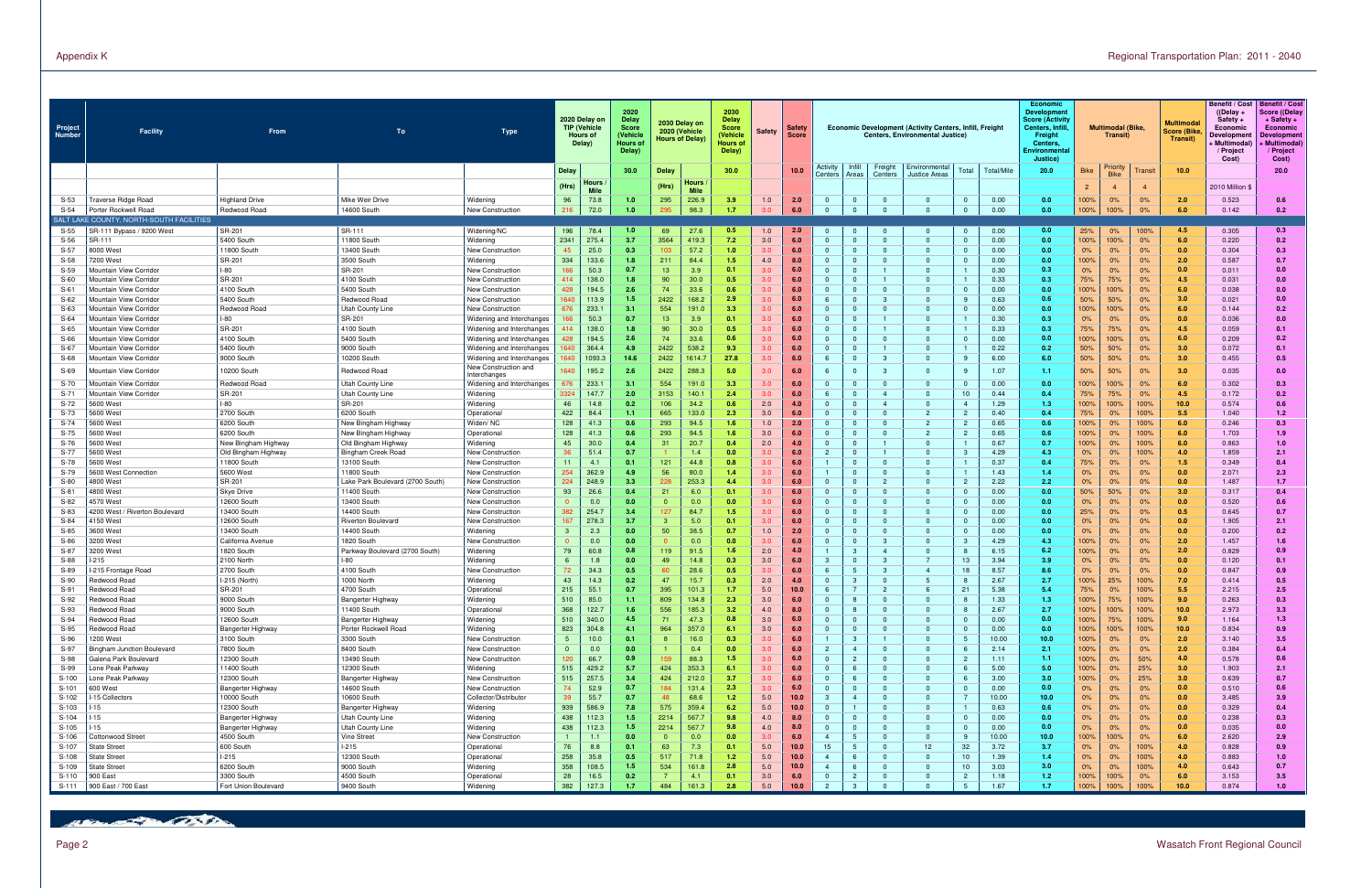| Project<br>Number  | Facility                                                       | From                             | To                                              | Type                                                   |                            | 2020 Delay on<br><b>TIP (Vehicle</b><br>Hours of<br>Delay) | 2020<br>Delay<br><b>Score</b><br>(Vehicle<br>Hours of<br>Delay) |                | 2030 Delay on<br>2020 (Vehicle<br><b>Hours of Delay</b> | 2030<br><b>Delay</b><br><b>Score</b><br>(Vehicle<br>Hours of<br>Delay) | <b>Safety</b>  | <b>Safety</b><br><b>Score</b> |                                  |                                |                                  | Economic Development (Activity Centers, Infill, Freight<br><b>Centers, Environmental Justice)</b> |                      |               | Economic<br><b>Development</b><br><b>Score (Activity</b><br>Centers, Infil<br>Freight<br>Centers.<br>Environmenta<br>Justice) |                | <b>Multimodal (Bike)</b><br>Transit) |                | <b>Multimoda</b><br>Score (Bike<br>Transit) | Benefit / Cost   Benefit / Cost<br>$($ (Delay +<br>Safety +<br>Economic<br>Developmer<br>Multimodal<br>/ Project<br>Cost) | Score ((Delay<br>$+$ Safety $+$<br>Economic<br><b>Developmen</b><br>Multimodal)<br>/ Project<br>Cost) |
|--------------------|----------------------------------------------------------------|----------------------------------|-------------------------------------------------|--------------------------------------------------------|----------------------------|------------------------------------------------------------|-----------------------------------------------------------------|----------------|---------------------------------------------------------|------------------------------------------------------------------------|----------------|-------------------------------|----------------------------------|--------------------------------|----------------------------------|---------------------------------------------------------------------------------------------------|----------------------|---------------|-------------------------------------------------------------------------------------------------------------------------------|----------------|--------------------------------------|----------------|---------------------------------------------|---------------------------------------------------------------------------------------------------------------------------|-------------------------------------------------------------------------------------------------------|
|                    |                                                                |                                  |                                                 |                                                        | <b>Delay</b>               |                                                            | 30.0                                                            | <b>Delay</b>   |                                                         | 30.0                                                                   |                | 10.0                          | Activity<br>Centers              | Infill<br>Areas                | Freight<br>Centers               | Environmental<br><b>Justice Areas</b>                                                             | Total                | Total/Mile    | 20.0                                                                                                                          | <b>Bike</b>    | Priority<br><b>Bike</b>              | Fransit        | 10.0                                        |                                                                                                                           | 20.0                                                                                                  |
|                    |                                                                |                                  |                                                 |                                                        | (Hrs)                      | Hours                                                      |                                                                 | (Hrs)          | <b>Hours</b>                                            |                                                                        |                |                               |                                  |                                |                                  |                                                                                                   |                      |               |                                                                                                                               | $\overline{2}$ |                                      | $\overline{4}$ |                                             | 2010 Million \$                                                                                                           |                                                                                                       |
| $S-53$             | raverse Ridge Road                                             | <b>Highland Drive</b>            | Mike Weir Drive                                 | Widening                                               | 96                         | Mile<br>73.8                                               | 1.0                                                             | 295            | <b>Mile</b><br>226.9                                    | 3.9                                                                    | 1.0            | 2.0                           | $\Omega$                         | $\mathbf{0}$                   | $\overline{0}$                   | $\Omega$                                                                                          |                      | 0.00          | 0.0                                                                                                                           | 100%           | 0%                                   | 0%             | 2.0                                         | 0.523                                                                                                                     | 0.6                                                                                                   |
| $S-54$             | Porter Rockwell Road                                           | Redwood Road                     | 14600 South                                     | New Construction                                       | 216                        | 72.0                                                       | 1.0                                                             | 295            | 98.3                                                    | 1.7                                                                    | 3.0            | 6.0                           | $\Omega$                         | $\Omega$                       | $\mathbf{0}$                     | $\Omega$                                                                                          |                      | 0.00          | 0.0                                                                                                                           | 100%           | 100%                                 | 0%             | 6.0                                         | 0.142                                                                                                                     | 0.2                                                                                                   |
|                    | SALT LAKE COUNTY, NORTH-SOUTH FACILITIES                       |                                  |                                                 |                                                        |                            |                                                            |                                                                 |                |                                                         |                                                                        |                |                               |                                  |                                |                                  |                                                                                                   |                      |               |                                                                                                                               |                |                                      |                |                                             |                                                                                                                           |                                                                                                       |
| $S-55$<br>$S-56$   | SR-111 Bypass / 9200 West<br>SR-111                            | SR-201<br>5400 South             | SR-111<br>1800 South                            | Widening/NC<br>Widening                                | 196<br>2341                | 78.4<br>275.4                                              | 1.0<br>3.7                                                      | 69<br>3564     | 27.6<br>419.3                                           | 0.5<br>7.2                                                             | 1.0<br>3.0     | 2.0<br>6.0                    | $\Omega$                         | $\mathbf{0}$<br>$\Omega$       | $\mathbf{0}$<br>$\Omega$         | റ<br>$\Omega$                                                                                     | $\Omega$<br>$\Omega$ | 0.00<br>0.00  | 0.0<br>0.0                                                                                                                    | 25%<br>100%    | 0%<br>100%                           | 100%<br>0%     | 4.5<br>6.0                                  | 0.305<br>0.220                                                                                                            | 0.3<br>0.2                                                                                            |
| $S-57$             | 3000 West                                                      | 11800 South                      | 13400 South                                     | New Construction                                       | 45                         | 25.0                                                       | 0.3                                                             | 103            | 57.2                                                    | 1.0                                                                    | 3.0            | 6.0                           | $\Omega$                         | $\Omega$                       | $\Omega$                         | റ                                                                                                 |                      | 0.00          | 0.0                                                                                                                           | 0%             | 0%                                   | 0%             | 0.0                                         | 0.304                                                                                                                     | 0.3                                                                                                   |
| $S-58$             | 200 West                                                       | SR-201                           | 3500 South                                      | Widening                                               | 334                        | 133.6                                                      | 1.8                                                             | 211            | 84.4                                                    | 1.5                                                                    | 4.0            | 8.0                           | $\Omega$                         | $\Omega$                       | $\Omega$                         | $\Omega$                                                                                          |                      | 0.00          | 0.0                                                                                                                           | 100%           | 0%                                   | 0%             | 2.0                                         | 0.587                                                                                                                     | 0.7                                                                                                   |
| $S-59$             | Mountain View Corridor                                         | $-80$                            | SR-201                                          | New Construction                                       | 166                        | 50.3                                                       | 0.7                                                             | 13             | 3.9                                                     | 0.1                                                                    | 3.0            | 6.0                           | $\Omega$                         | $\Omega$                       | $\blacksquare$                   | $\Omega$                                                                                          |                      | 0.30          | 0.3                                                                                                                           | 0%             | 0%                                   | 0%             | 0.0                                         | 0.011                                                                                                                     | 0.0                                                                                                   |
| $S-60$<br>$S-61$   | <i><b>Mountain View Corridor</b></i><br>Mountain View Corridor | SR-201<br>4100 South             | 4100 South<br>5400 South                        | New Construction<br>New Construction                   | 414<br>428                 | 138.0<br>194.5                                             | 1.8<br>2.6                                                      | 90<br>74       | 30.0<br>33.6                                            | 0.5<br>0.6                                                             | 3.0<br>3.0     | 6.0<br>6.0                    | $\overline{0}$<br>$\Omega$       | $\mathbf{0}$<br>$\Omega$       | $\overline{1}$<br>$\Omega$       | റ                                                                                                 |                      | 0.33<br>0.00  | 0.3<br>0.0                                                                                                                    | 75%<br>100%    | 75%<br>100%                          | 0%<br>0%       | 4.5<br>6.0                                  | 0.031<br>0.038                                                                                                            | 0.0<br>0.0                                                                                            |
| $S-62$             | <i><b>Mountain View Corridor</b></i>                           | 5400 South                       | Redwood Road                                    | New Construction                                       | 1640                       | 113.9                                                      | 1.5                                                             | 2422           | 168.2                                                   | 2.9                                                                    | 3.0            | 6.0                           | 6                                | $\Omega$                       | -3                               | റ                                                                                                 |                      | 0.63          | 0.6                                                                                                                           | 50%            | 50%                                  | 0%             | 3.0                                         | 0.021                                                                                                                     | 0.0                                                                                                   |
| $S-63$             | lountain View Corridor                                         | Redwood Road                     | Utah County Line                                | New Construction                                       | 676                        | 233.1                                                      | 3.1                                                             | 554            | 191.0                                                   | 3.3                                                                    | 3.0            | 6.0                           | $\Omega$                         | $\Omega$                       | $\Omega$                         | റ                                                                                                 |                      | 0.00          | 0.0                                                                                                                           | 100%           | 100%                                 | 0%             | 6.0                                         | 0.144                                                                                                                     | 0.2                                                                                                   |
| $S-64$             | lountain View Corridor                                         | $-80$                            | SR-201                                          | Widening and Interchanges                              |                            | 50.3                                                       | 0.7                                                             | 13             | 3.9                                                     | 0.1                                                                    | 3.0            | 6.0                           | $\overline{0}$                   | $\Omega$                       |                                  |                                                                                                   |                      | 0.30          | 0.3 <sub>0</sub>                                                                                                              | 0%             | 0%                                   | 0%             | 0.0                                         | 0.036                                                                                                                     | 0.0                                                                                                   |
| $S-65$             | lountain View Corridor                                         | SR-201                           | 4100 South                                      | Widening and Interchanges<br>Widening and Interchanges |                            | 138.0                                                      | 1.8<br>2.6                                                      | 90<br>74       | 30.0<br>33.6                                            | 0.5                                                                    | 3.0<br>3.0     | 6.0                           | $\overline{0}$<br>$\overline{0}$ | $\Omega$<br>$\mathbf{0}$       | $\mathbf{1}$                     | $\Omega$                                                                                          |                      | 0.33          | 0.3<br>0.0                                                                                                                    | 75%            | 75%                                  | 0%             | 4.5                                         | 0.059                                                                                                                     | 0.1<br>0.2                                                                                            |
| $S-66$<br>$S-67$   | iountain View Corridor<br><i><b>Mountain View Corridor</b></i> | 4100 South<br>5400 South         | 5400 South<br>9000 South                        | Widening and Interchanges                              |                            | 194.5<br>364.4                                             | 4.9                                                             | 2422           | 538.2                                                   | 0.6<br>9.3                                                             | 3.0            | 6.0<br>6.0                    | $\overline{0}$                   | $\Omega$                       | $\mathbf{0}$<br>$\blacksquare$   | റ                                                                                                 |                      | 0.00<br>0.22  | 0.2                                                                                                                           | 100%<br>50%    | 100%<br>50%                          | 0%<br>0%       | 6.0<br>3.0                                  | 0.209<br>0.072                                                                                                            | 0.1                                                                                                   |
| $S-68$             | Mountain View Corridor                                         | 9000 South                       | 10200 South                                     | Widening and Interchanges                              | 640                        | 1093.3                                                     | 14.6                                                            | 2422           | 1614.7                                                  | 27.8                                                                   | 3.0            | 6.0                           | 6                                | $\mathbf{0}$                   | -3                               | റ                                                                                                 |                      | 6.00          | 6.0                                                                                                                           | 50%            | 50%                                  | 0%             | 3.0                                         | 0.455                                                                                                                     | 0.5                                                                                                   |
| S-69               | <i><b>Mountain View Corridor</b></i>                           | 10200 South                      | Redwood Road                                    | New Construction and                                   | 640                        | 195.2                                                      | 2.6                                                             | 2422           | 288.3                                                   | -5.0                                                                   | 3.0            | 6.0                           | - 6                              | $\mathbf{0}$                   | $\mathbf{3}$                     | $\Omega$                                                                                          | -9                   | 1.07          | 1.1 <sub>1</sub>                                                                                                              | 50%            | 50%                                  | 0%             | 3.0                                         | 0.035                                                                                                                     | 0.0                                                                                                   |
| $S-70$             | Mountain View Corridor                                         | Redwood Road                     | Utah County Line                                | Interchanges<br>Widening and Interchanges              | 676                        | 233.1                                                      | 3.1                                                             | 554            | 191.0                                                   | 3.3                                                                    | 3.0            | 6.0                           | $\overline{0}$                   | $\mathbf{0}$                   | $\overline{0}$                   | $\Omega$                                                                                          |                      | 0.00          | 0.0                                                                                                                           | 100%           | 100%                                 | 0%             | 6.0                                         | 0.302                                                                                                                     | 0.3                                                                                                   |
| $S-71$             | <i><b>Mountain View Corridor</b></i>                           | SR-201                           | Utah County Line                                | <b>Widening</b>                                        | 3324                       | 147.7                                                      | 2.0                                                             | 3153           | 140.1                                                   | 2.4                                                                    | 3.0            | 6.0                           |                                  | $\Omega$                       | $\overline{4}$                   | റ                                                                                                 | 10                   | 0.44          | 0.4                                                                                                                           | 75%            | 75%                                  | 0%             | 4.5                                         | 0.172                                                                                                                     | 0.2                                                                                                   |
| $S-72$             | 600 West                                                       | $-80$                            | SR-201                                          | <b>Widening</b>                                        | 46                         | 14.8                                                       | 0.2                                                             | 106            | 34.2                                                    | 0.6                                                                    | 2.0            | 4.0                           | $\overline{0}$                   | $\Omega$                       | $\overline{4}$                   | റ                                                                                                 |                      | 1.29          | 1.3                                                                                                                           | 100%           | 100%                                 | 100%           | 10.0                                        | 0.574                                                                                                                     | 0.6                                                                                                   |
| S-73               | 600 West                                                       | 2700 South                       | 6200 South                                      | Operationa                                             | 422                        | 84.4                                                       | 1.1<br>0.6                                                      | 665            | 133.0                                                   | 2.3                                                                    | 3.0<br>1.0     | 6.0<br>2.0                    | $\overline{0}$<br>$\Omega$       | $\Omega$<br>$\Omega$           | $\Omega$                         | $\overline{2}$<br>$\overline{2}$                                                                  |                      | 0.40<br>0.65  | 0.4                                                                                                                           | 75%            | 0%                                   | 100%           | 5.5                                         | 1.040                                                                                                                     | 1.2                                                                                                   |
| $S-74$<br>S-75     | 600 West<br>600 West                                           | 6200 South<br>6200 South         | New Bingham Highway<br>New Bingham Highway      | Widen/NC<br>Operational                                | 128<br>128                 | 41.3<br>41.3                                               | 0.6                                                             | 293<br>293     | 94.5<br>94.5                                            | 1.6<br>1.6                                                             | 3.0            | 6.0                           | $\overline{0}$                   | $\mathbf{0}$                   | $\overline{0}$<br>$\mathbf{0}$   | $\overline{2}$                                                                                    |                      | 0.65          | 0.6<br>0.6                                                                                                                    | 100%<br>100%   | 0%<br>0%                             | 100%<br>100%   | 6.0<br>6.0                                  | 0.246<br>1.703                                                                                                            | 0.3<br>1.9                                                                                            |
| $S-76$             | 600 West                                                       | New Bingham Highway              | Old Bingham Highway                             | Widening                                               | 45                         | 30.0                                                       | 0.4                                                             | 31             | 20.7                                                    | 0.4                                                                    | 2.0            | 4.0                           | $\overline{0}$                   | $\mathbf{0}$                   | $\mathbf{1}$                     | $\Omega$                                                                                          |                      | 0.67          | 0.7                                                                                                                           | 100%           | 0%                                   | 100%           | 6.0                                         | 0.863                                                                                                                     | 1.0                                                                                                   |
| S-77               | 600 West                                                       | Old Bingham Highway              | Bingham Creek Road                              | New Construction                                       | 36                         | 51.4                                                       | 0.7                                                             |                | 1.4                                                     | 0.0                                                                    | 3.0            | 6.0                           | $\overline{2}$                   | $\mathbf{0}$                   | $\blacksquare$                   | റ                                                                                                 |                      | 4.29          | 4.3                                                                                                                           | 0%             | 0%                                   | 100%           | 4.0                                         | 1.859                                                                                                                     | 2.1                                                                                                   |
| $S-78$             | 600 West                                                       | 11800 South                      | 13100 South                                     | New Construction                                       | 11                         | 4.1                                                        | 0.1                                                             | 121            | 44.8                                                    | 0.8                                                                    | 3.0            | 6.0                           |                                  | $\Omega$                       | $\Omega$                         | റ                                                                                                 |                      | 0.37          | 0.4                                                                                                                           | 75%            | 0%                                   | 0%             | 1.5                                         | 0.349                                                                                                                     | 0.4                                                                                                   |
| S-79<br>$S-80$     | 600 West Connection<br>800 West                                | 5600 West<br>SR-201              | 11800 South<br>Lake Park Boulevard (2700 South) | New Construction<br>New Construction                   | 254<br>224                 | 362.9<br>248.9                                             | 4.9<br>3.3                                                      | 56<br>228      | 80.0<br>253.3                                           | 1/<br>4.4                                                              | 3.0<br>3.0     | 6.0<br>6.0                    | $\blacksquare$<br>$\Omega$       | $\Omega$<br>$\Omega$           | $\Omega$<br>$\overline{2}$       | റ<br>$\Omega$                                                                                     | $\overline{2}$       | 1.43<br>2.22  | 1.4<br>2.2                                                                                                                    | 0%<br>0%       | 0%<br>0%                             | 0%<br>0%       | 0.0<br>0.0                                  | 2.071<br>1.487                                                                                                            | 2.3<br>1.7                                                                                            |
| $S-81$             | 4800 West                                                      | <b>Skye Drive</b>                | 11400 South                                     | New Construction                                       | 93                         | 26.6                                                       | 0.4                                                             | 21             | 6.0                                                     | 0.1                                                                    | 3.0            | 6.0                           | $\Omega$                         | $\Omega$                       | $\Omega$                         | $\Omega$                                                                                          |                      | 0.00          | 0.0                                                                                                                           | 50%            | 50%                                  | 0%             | 3.0                                         | 0.317                                                                                                                     | 0.4                                                                                                   |
| S-82               | 1570 West                                                      | 12600 South                      | 13400 South                                     | New Construction                                       | $\mathbf{0}$               | 0.0                                                        | 0.0                                                             | $\overline{0}$ | 0.0                                                     | 0.0                                                                    | 3.0            | 6.0                           | $\overline{0}$                   | $\mathbf{0}$                   | $\overline{0}$                   | $\Omega$                                                                                          |                      | 0.00          | 0.0                                                                                                                           | 0%             | 0%                                   | 0%             | 0.0                                         | 0.520                                                                                                                     | 0.6                                                                                                   |
| $S-83$             | 1200 West / Riverton Boulevard                                 | 13400 South                      | 14400 South                                     | New Construction                                       | 382                        | 254.                                                       | 3.4                                                             | 127            | 84.7                                                    | 1.5                                                                    | 3.0            | 6.0                           | $\Omega$                         | $\Omega$                       | $\Omega$                         | റ                                                                                                 |                      | 0.00          | 0.0                                                                                                                           | 25%            | 0%                                   | 0%             | 0.5                                         | 0.645                                                                                                                     | 0.7                                                                                                   |
| $S-84$             | 150 West                                                       | 12600 South                      | Riverton Boulevard                              | New Construction                                       | 167                        | 278.3                                                      | 3.7                                                             | 3              | 5.0                                                     | 0.1                                                                    | 3.0            | 6.0                           | $\overline{0}$                   | $\mathbf{0}$                   | $\Omega$                         | റ                                                                                                 |                      | 0.00          | 0.0                                                                                                                           | 0%             | 0%                                   | 0%             | 0.0                                         | 1.905                                                                                                                     | 2.1                                                                                                   |
| $S-85$<br>$S-86$   | 8600 West<br>200 West                                          | 13400 South<br>California Avenue | 14400 South<br>1820 South                       | Widening<br>New Construction                           | 3                          | 2.3<br>0.0                                                 | 0.0<br>0.0                                                      | 50             | 38.5<br>0.0                                             | 0.7<br>0.0                                                             | 1.0<br>3.0     | 2.0<br>6.0                    | $\Omega$<br>$\overline{0}$       | $\Omega$<br>$\mathbf{0}$       | $\Omega$<br>-3                   | - 0<br>$\Omega$                                                                                   |                      | 0.00<br>4.29  | 0.0<br>4.3                                                                                                                    | 0%<br>100%     | 0%<br>0%                             | 0%<br>0%       | 0.0<br>2.0                                  | 0.200<br>1.457                                                                                                            | 0.2<br>1.6                                                                                            |
| S-87               | 200 West                                                       | 1820 South                       | Parkway Boulevard (2700 South)                  | Widening                                               | 79                         | 60.8                                                       | 0.8                                                             | 119            | 91.5                                                    | 1.6                                                                    | 2.0            | 4.0                           |                                  | 3                              | $\overline{4}$                   |                                                                                                   |                      | 6.15          | 6.2                                                                                                                           | 100%           | 0%                                   | 0%             | 2.0                                         | 0.829                                                                                                                     | 0.9                                                                                                   |
| $S-88$             | 215                                                            | 2100 North                       | -80                                             | Widening                                               | 6                          | 1.8                                                        | 0.0                                                             | 49             | 14.8                                                    | 0.3                                                                    | 3.0            | 6.0                           | $\mathbf{3}$                     | $\mathbf{0}$                   | -3                               | $\overline{7}$                                                                                    | 13                   | 3.94          | 3.9                                                                                                                           | 0%             | 0%                                   | 0%             | 0.0                                         | 0.120                                                                                                                     | 0.1                                                                                                   |
| S-89               | 215 Frontage Road                                              | 2700 South                       | 4100 South                                      | New Construction                                       | 72                         | 34.3                                                       | 0.5                                                             | 60             | 28.6                                                    | 0.5                                                                    | 3.0            | 6.0                           | 6                                | 5                              | -3                               | $\overline{4}$                                                                                    | 18                   | 8.57          | 8.6                                                                                                                           | 0%             | 0%                                   | 0%             | 0.0                                         | 0.847                                                                                                                     | 0.9                                                                                                   |
| $S-90$             | ledwood Road                                                   | I-215 (North<br>SR-201           | 1000 North                                      | Widening<br>Operational                                | 43<br>215                  | 14.3<br>55.1                                               | 0.2<br>0.7                                                      | 47<br>395      | 15.7<br>101.3                                           | 0.3<br>1.7                                                             | 2.0<br>5.0     | 4.0<br>10.0                   | $\overline{0}$                   | 3                              | $\mathbf{0}$<br>$\overline{2}$   |                                                                                                   | 21                   | 2.67<br>5.38  | 2.7<br>5.4                                                                                                                    | 100%<br>75%    | 25%<br>0%                            | 100%<br>100%   | 7.0<br>5.5                                  | 0.414<br>2.215                                                                                                            | 0.5<br>2.5                                                                                            |
| $S-91$<br>S-92     | Redwood Road<br>Redwood Road                                   | 9000 South                       | 4700 South<br>Bangerter Highway                 | Widening                                               | 510                        | 85.0                                                       | -1.1                                                            | 809            | 134.8                                                   | 2.3                                                                    | 3.0            | 6.0                           |                                  | -8                             | $\mathbf{0}$                     | - 0                                                                                               |                      | 1.33          | 1.3                                                                                                                           | 100%           | 75%                                  | 100%           | 9.0                                         | 0.263                                                                                                                     | 0.3                                                                                                   |
| $S-93$             | edwood Road                                                    | 9000 South                       | 11400 South                                     | Operational                                            | 368                        | 122.7                                                      | 1.6                                                             | 556            | 185.3                                                   | 3.2                                                                    | 4.0            | 8.0                           | $\Omega$                         |                                | $\overline{0}$                   | $\Omega$                                                                                          |                      | 2.67          | 2.7                                                                                                                           | 100%           | 100%                                 | 100%           | 10.0                                        | 2.973                                                                                                                     | 3.3                                                                                                   |
| $S-94$             | Redwood Road                                                   | 12600 South                      | <b>Bangerter Highway</b>                        | Widening                                               | 510                        | 340.0                                                      | 4.5                                                             | 71             | 47.3                                                    | 0.8                                                                    | 3.0            | 6.0                           | $\overline{0}$                   | $\mathbf{0}$                   | $\overline{0}$                   | $\overline{0}$                                                                                    |                      | 0.00          | 0.0                                                                                                                           | 100%           | 75%                                  | 100%           | 9.0                                         | 1.164                                                                                                                     | 1.3                                                                                                   |
| $S-95$             | Redwood Road                                                   | <b>Bangerter Highway</b>         | Porter Rockwell Road                            | Widening                                               | 823                        | 304.8                                                      | 4.1                                                             | 964            | 357.0                                                   | 6.1                                                                    | 3.0            | 6.0                           | $\overline{0}$                   | $\mathbf{0}$                   | $\overline{0}$                   | $\overline{0}$                                                                                    |                      | 0.00          | 0.0                                                                                                                           | 100%           | 100%                                 | 100%           | 10.0                                        | 0.834                                                                                                                     | 0.9                                                                                                   |
| $S-96$<br>S-97     | 1200 West<br><b>Bingham Junction Boulevard</b>                 | 3100 South<br>7800 South         | 3300 South<br>8400 South                        | New Construction<br>New Construction                   | $\sqrt{5}$<br>$\mathbf{0}$ | 10.0<br>0.0                                                | 0.1<br>0.0                                                      |                | 16.0<br>0.4                                             | 0.3<br>0.0                                                             | 3.0<br>3.0     | 6.0<br>6.0                    | $\overline{1}$<br>$\overline{2}$ | 3<br>$\overline{4}$            | $\blacksquare$<br>$\overline{0}$ | $\Omega$<br>$\Omega$                                                                              |                      | 10.00<br>2.14 | 10.0 <sub>1</sub><br>2.1                                                                                                      | 100%<br>100%   | 0%<br>$0\%$                          | 0%<br>0%       | 2.0<br>2.0                                  | 3.140<br>0.384                                                                                                            | 3.5<br>0.4                                                                                            |
| S-98               | Galena Park Boulevard                                          | 12300 South                      | 13490 South                                     | New Construction                                       | 120                        | 66.7                                                       | 0.9                                                             | 159            | 88.3                                                    | 1.5                                                                    | 3.0            | 6.0                           | $\overline{0}$                   | 2                              | $\overline{0}$                   | $\overline{0}$                                                                                    | $\overline{2}$       | 1.11          | $1.1 -$                                                                                                                       | 100%           | 0%                                   | 50%            | 4.0                                         | 0.578                                                                                                                     | 0.6                                                                                                   |
| S-99               | one Peak Parkway                                               | 11400 South                      | 12300 South                                     | Widening                                               | 515                        | 429.2                                                      | 5.7                                                             | 424            | 353.3                                                   | 6.1                                                                    | 3.0            | 6.0                           | $\overline{0}$                   | 6                              | $\overline{0}$                   | $\Omega$                                                                                          |                      | 5.00          | 5.0                                                                                                                           | 100%           | 0%                                   | 25%            | 3.0                                         | 1.903                                                                                                                     | 2.1                                                                                                   |
| $S-100$            | one Peak Parkway                                               | 12300 South                      | Bangerter Highway                               | New Construction                                       | 515                        | 257.5                                                      | 3.4                                                             | 424            | 212.0                                                   | 3.7                                                                    | 3.0            | 6.0                           | $\overline{0}$                   | 6                              | $\overline{0}$                   | $\overline{0}$                                                                                    |                      | 3.00          | 3.0                                                                                                                           | 100%           | 0%                                   | 25%            | 3.0                                         | 0.639                                                                                                                     | 0.7                                                                                                   |
| $S-101$<br>$S-102$ | 600 West<br>15 Collectors                                      | Bangerter Highway<br>10000 South | 14600 South<br>10600 South                      | New Construction<br>Collector/Distributor              | 74<br>39                   | 52.9<br>55.7                                               | 0.7<br>0.7                                                      | 184<br>48      | 131.4<br>68.6                                           | 2.3<br>1.2                                                             | 3.0<br>5.0     | 6.0<br>10.0                   | $\overline{0}$<br>-3             | $\mathbf{0}$<br>$\overline{4}$ | $\overline{0}$<br>$\overline{0}$ | $\overline{0}$<br>$\Omega$                                                                        | $\Omega$             | 0.00<br>10.00 | 0.0<br>10.0                                                                                                                   | 0%<br>0%       | 0%                                   | 0%<br>0%       | 0.0<br>0.0                                  | 0.510<br>3.485                                                                                                            | 0.6<br>3.9                                                                                            |
| $S-103$            | 15                                                             | 12300 South                      | Bangerter Highway                               | Widening                                               | 939                        | 586.9                                                      | 7.8                                                             | 575            | 359.4                                                   | 6.2                                                                    | $5.0\,$        | 10.0                          | $\Omega$                         |                                | $\Omega$                         | $\Omega$                                                                                          |                      | 0.63          | 0.6                                                                                                                           | 0%             | 0%<br>0%                             | 0%             | 0.0                                         | 0.329                                                                                                                     | 0.4                                                                                                   |
| S-104              | 15                                                             | Bangerter Highway                | Utah County Line                                | Widening                                               | 438                        | 112.3                                                      | 1.5                                                             | 2214           | 567.7                                                   | 9.8                                                                    | 4.0            | 8.0                           | $\Omega$                         | $\mathbf{0}$                   | $\overline{0}$                   | $\Omega$                                                                                          | $\Omega$             | 0.00          | 0.0                                                                                                                           | 0%             | 0%                                   | $0\%$          | 0.0                                         | 0.238                                                                                                                     | 0.3                                                                                                   |
| $S-105$            | 15 <sub>1</sub>                                                | Bangerter Highway                | Utah County Line                                | <b>Widening</b>                                        | 438                        | 112.3                                                      | 1.5                                                             | 2214           | 567.7                                                   | 9.8                                                                    | 4.0            | 8.0                           | $\Omega$                         | $\mathbf{0}$                   | $\overline{0}$                   | $\Omega$                                                                                          |                      | 0.00          | 0.0                                                                                                                           | 0%             | 0%                                   | 0%             | 0.0                                         | 0.035                                                                                                                     | 0.0                                                                                                   |
| S-106              | Cottonwood Street                                              | 4500 South                       | Vine Street                                     | New Construction                                       |                            | 1.1                                                        | 0.0                                                             | $\overline{0}$ | 0.0                                                     | 0.0                                                                    | 3.0            | 6.0                           | $\overline{4}$                   | 5                              | $\overline{0}$                   | $\overline{0}$                                                                                    |                      | 10.00         | 10.0 <sub>1</sub>                                                                                                             | 100%           | 100%                                 | 0%             | 6.0                                         | 2.620                                                                                                                     | 2.9                                                                                                   |
| S-107<br>S-108     | State Street<br>State Street                                   | 600 South<br>$1-215$             | $1-215$<br>12300 South                          | Operational<br>Operational                             | 76<br>258                  | 8.8<br>35.8                                                | 0.1<br>0.5                                                      | 63<br>517      | 7.3<br>71.8                                             | 0.1<br>1.2                                                             | $5.0\,$<br>5.0 | 10.0<br>10.0                  | 15<br>$\overline{4}$             | $5^{\circ}$<br>6               | $\overline{0}$<br>$\Omega$       | 12<br>റ                                                                                           | 32<br>10             | 3.72<br>1.39  | 3.7<br>1.4 <sub>1</sub>                                                                                                       | 0%<br>0%       | 0%<br>0%                             | 100%<br>100%   | 4.0<br>4.0                                  | 0.828<br>0.883                                                                                                            | 0.9<br>1.0                                                                                            |
| S-109              | State Street                                                   | 6200 South                       | 9000 South                                      | Widening                                               | 358                        | 108.5                                                      | 1.5                                                             | 534            | 161.8                                                   | 2.8                                                                    | 5.0            | 10.0                          | $\overline{4}$                   | 6                              | $\Omega$                         |                                                                                                   | 10                   | 3.03          | 3.0                                                                                                                           | 0%             | 0%                                   | 100%           | 4.0                                         | 0.643                                                                                                                     | 0.7                                                                                                   |
| S-110              | 900 East                                                       | 3300 South                       | 4500 South                                      | Operational                                            | 28                         | 16.5                                                       | 0.2                                                             |                | 4.1                                                     | 0.1                                                                    | 3.0            | 6.0                           | $\overline{0}$                   | $\overline{2}$                 | $\mathbf{0}$                     | $\Omega$                                                                                          |                      | 1.18          | 1.2                                                                                                                           | 100%           | 100%                                 | 0%             | 6.0                                         | 3.153                                                                                                                     | 3.5                                                                                                   |
| S-111              | 900 East / 700 East                                            | Fort Union Boulevard             | 9400 South                                      | Widening                                               | 382                        | 127.3                                                      | 1.7                                                             | 484            | 161.3                                                   | 2.8                                                                    | 5.0            | 10.0                          | $\overline{2}$                   | 3                              | $\Omega$                         |                                                                                                   |                      | 1.67          | 1.7                                                                                                                           | 100%           | 100%                                 | 100%           | 10.0                                        | 0.874                                                                                                                     | 1.0                                                                                                   |

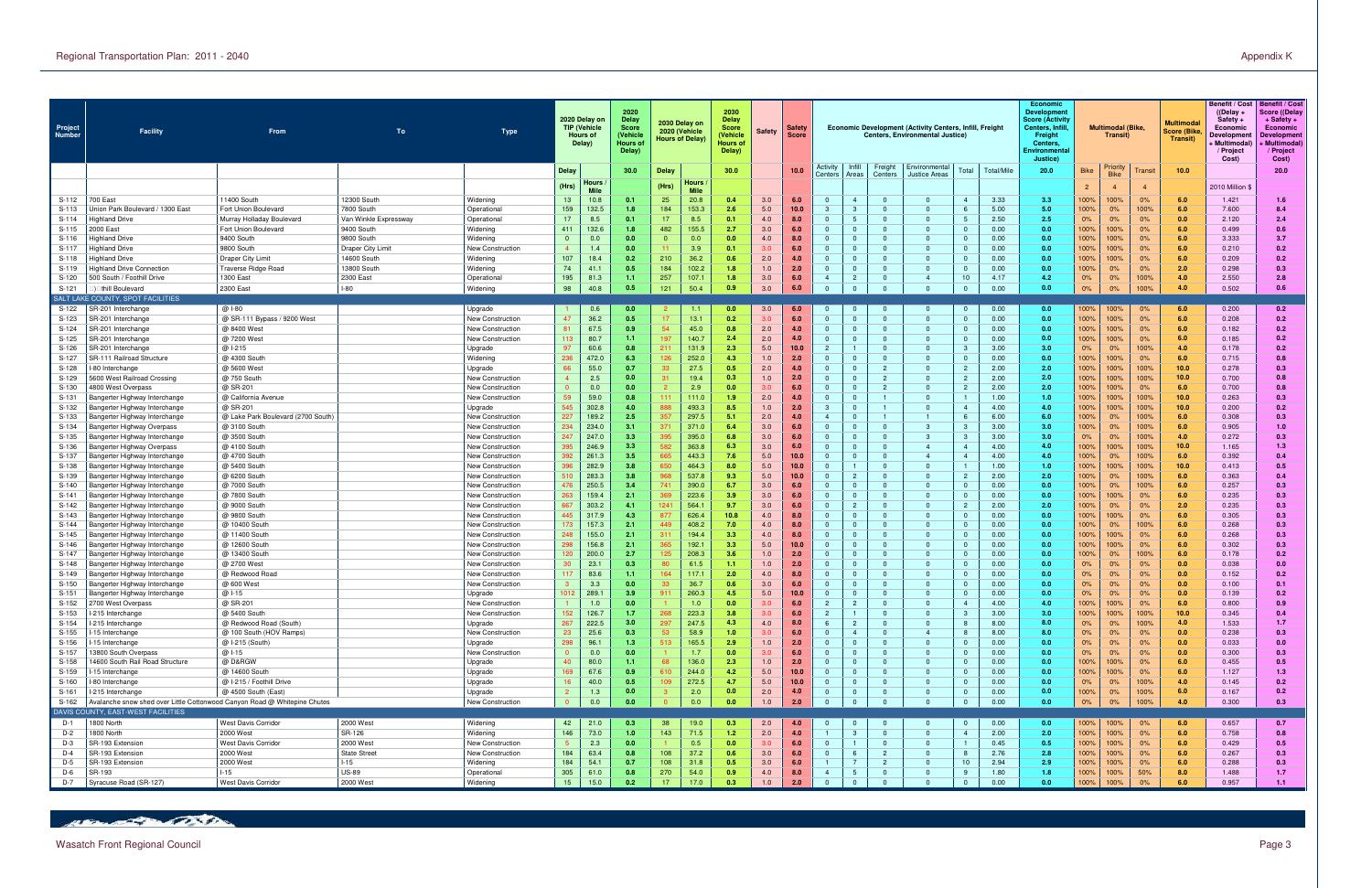| Infill<br>Activity<br>Freight<br>Priority<br>Environmental<br>30.0<br>30.0<br>10.0<br>Total<br>Total/Mile<br>20.0<br>10.0<br><b>Delay</b><br><b>Delay</b><br><b>Bike</b><br>Transit<br><b>Bike</b><br>Centers<br><b>Justice Areas</b><br>Centers<br>Areas<br>Hours<br>Hours<br>(Hrs)<br>(Hrs)<br>2010 Million \$<br>$\overline{2}$<br>-4<br><b>Mile</b><br><b>Mile</b><br>S-112<br>11400 South<br>12300 South<br>13<br>10.8<br>20.8<br>3.0<br>$\overline{0}$<br>3.33<br>100%<br>100%<br>0%<br>700 East<br>Widening<br>0.1<br>25<br>6.0<br>$\overline{0}$<br>3.3<br>6.0<br>1.421<br>0.4<br>$\overline{4}$<br>- 0<br>159<br>132.5<br>184<br>153.3<br>5.0<br>10.0<br>5.00<br>5.0<br>6.0<br>7.600<br>$S-113$<br>Jnion Park Boulevard / 1300 East<br>7800 South<br>1.8<br>2.6<br>3<br>$\mathbf{0}$<br>00%<br>0%<br>100%<br>Fort Union Boulevard<br>Operational<br>$S-114$<br>17<br>8.5<br>17<br>8.5<br>4.0<br>$\overline{0}$<br>$\overline{0}$<br>2.50<br>2.5<br>0%<br>0%<br>0.0<br>2.120<br>Highland Drive<br>Murray Holladay Boulevard<br>Van Winkle Expressway<br>Operationa<br>0.1<br>0.1<br>8.0<br>0%<br>155.5<br>$S-115$<br>Fort Union Boulevard<br>9400 South<br>132.6<br>482<br>3.0<br>$\overline{0}$<br>0.00<br>100%<br>6.0<br>2000 East<br>Widening<br>411<br>1.8<br>2.7<br>6.0<br>$\Omega$<br>$\overline{0}$<br>0.0<br>100%<br>0%<br>0.499<br>$\Omega$<br>9400 South<br>$\mathbf{0}$<br>0.0<br>100%<br>100%<br>0%<br>6.0<br>S-116<br>Highland Drive<br>9800 South<br>Widening<br>0.0<br>0.0<br>0.0<br>0.0<br>4.0<br>$\Omega$<br>0.00<br>3.333<br>$\Omega$<br>8.0<br>$\Omega$<br>3.9<br>0.0<br>6.0<br>S-117<br>9800 South<br>1.4<br>0.0<br>6.0<br>$\Omega$<br>Highland Drive<br>Draper City Limit<br>New Construction<br>0.1<br>3.0<br>$\Omega$<br>$\Omega$<br>0.00<br>100%<br>100%<br>0%<br>0.210<br>107<br>$S-118$<br><b>Draper City Limit</b><br>Widening<br>18.4<br>210<br>36.2<br>2.0<br>$\overline{0}$<br>$\Omega$<br>0.00<br>100%<br>0%<br>6.0<br>14600 South<br>0.0<br>100%<br>0.209<br>Highland Drive<br>0.2<br>0.6<br>74<br>184<br>102.2<br>$\overline{0}$<br>$\overline{0}$<br>0.00<br>100%<br>0%<br>2.0<br>0.298<br>S-119<br>Traverse Ridge Road<br>13800 South<br>Widening<br>41.1<br>1.0<br>2.0<br>$\Omega$<br>0.0<br>0%<br>Highland Drive Connectior<br>0.5<br>1.8<br>$\Omega$<br>195<br>S-120<br>500 South / Foothill Drive<br>1300 East<br>2300 East<br>81.3<br>257<br>107.<br>3.0<br>10<br>4.17<br>4.2<br>0%<br>100%<br>4.0<br>2.550<br>Operationa<br>1.8<br>6.0<br>$\overline{4}$<br>$\Omega$<br>$\overline{4}$<br>0%<br>1.1 <sub>1</sub><br>50.4<br>3.0<br>$\Omega$<br>0.00<br>$S-121$<br>2300 East<br>$I-80$<br>98<br>40.8<br>0.5<br>121<br>0.9<br>6.0<br>$\Omega$<br>$\Omega$<br>0.0<br>0%<br>0%<br>100%<br>4.0<br>0.502<br>Widening<br>thill Boulevard<br>SALT LAKE COUNTY, SPOT FACILITIES<br>0.0<br>6.0<br>0.0<br>S-122<br>@ 1-80<br>0.6<br>0.0<br>3.0<br>0.00<br>100%<br>100%<br>6.0<br>SR-201 Interchange<br>Upgrade<br>1.1<br>$\Omega$<br>$\Omega$<br>$\overline{0}$<br>0%<br>0.200<br>47<br>36.2<br>13.1<br>0.0<br>100%<br>$0\%$<br>S-123<br>SR-201 Interchange<br>@ SR-111 Bypass / 9200 West<br>0.5<br>0.2<br>3.0<br>6.0<br>$\Omega$<br>$\overline{0}$<br>$\Omega$<br>0.00<br>100%<br>6.0<br>0.208<br>New Construction<br>67.5<br>S-124<br>45.0<br>2.0<br>$\overline{0}$<br>$\overline{0}$<br>0.00<br>0.0<br>100%<br>100%<br>0%<br>6.0<br>0.182<br>SR-201 Interchange<br>@ 8400 West<br><b>New Construction</b><br>81<br>0.9<br>0.8<br>4.0<br>$S-125$<br>@ 7200 West<br>80.7<br>197<br>140.7<br>2.0<br>$\overline{0}$<br>$\overline{0}$<br>0.00<br>100%<br>100%<br>0%<br>6.0<br>0.185<br>SR-201 Interchange<br>New Construction<br>113<br>1.1<br>2.4<br>4.0<br>$\Omega$<br>0.0<br>$\Omega$<br>131.9<br>@ I-215<br>97<br>60.6<br>0.8<br>211<br>2.3<br>5.0<br>10.0<br>$\overline{2}$<br>3.00<br>3.0<br>100%<br>4.0<br>S-126<br>Upgrade<br>$\mathbf{0}$<br>-3<br>0%<br>0%<br>0.178<br>SR-201 Interchange<br>$\Omega$<br>0.0<br>6.0<br>$S-127$<br>@ 4300 South<br>Widening<br>236<br>472.0<br>6.3<br>252.0<br>4.3<br>2.0<br>0.00<br>0.715<br>SR-111 Railroad Structure<br>126<br>1.0<br>$\mathbf{0}$<br>$\mathbf{0}$<br>$\overline{\mathbf{0}}$<br>00%<br>100%<br>0%<br>$\Omega$<br>55.0<br>27.5<br>0.7<br>2.0<br>$\mathbf{0}$<br>2.00<br>2.0<br>100%<br>100%<br>10.0<br>0.278<br>S-128<br>@ 5600 West<br>0.5<br>4.0<br>$\mathbf{0}$<br>$\overline{2}$<br>100%<br>-80 Interchange<br>Upgrade<br>-66<br>33<br>$\overline{2}$<br>19.4<br>$\overline{2}$<br>2.00<br>100%<br>10.0<br>0.700<br>S-129<br>@ 750 South<br>2.5<br>1.0<br>2.0<br>$\mathbf{0}$<br>$\overline{2}$<br>$\Omega$<br>2.0<br>100%<br>100%<br>5600 West Railroad Crossing<br>New Construction<br>0.0<br>0.3<br>@ SR-201<br>2.0<br>100%<br>6.0<br>S-130<br>0.0<br>0.0<br>2.9<br>0.0<br>3.0<br>6.0<br>$\overline{0}$<br>$\overline{0}$<br>$\overline{2}$<br>2.00<br>100%<br>0%<br>0.700<br>4800 West Overpass<br>New Construction<br>$S-13$<br>59<br>59.0<br>111<br>111.0<br>2.0<br>$\overline{0}$<br>$\overline{0}$<br>1.00<br>1.0<br>100%<br>100%<br>100%<br>10.0<br>0.263<br>@ California Avenue<br>0.8<br>1.9<br>4.0<br>Bangerter Highway Interchange<br>New Construction<br>302.8<br>$\mathbf{3}$<br>@ SR-201<br>545<br>493.3<br>1.0<br>4.00<br>4.0<br>100%<br>100%<br>100%<br>10.0<br>S-132<br>Upgrade<br>4.0<br>888<br>8.5<br>2.0<br>$\Omega$<br>0.200<br>Bangerter Highway Interchange<br>$\overline{4}$<br>227<br>189.2<br>297.5<br>2.0<br>S-133<br>357<br>6.00<br>6.0<br>6.0<br>@ Lake Park Boulevard (2700 South)<br>2.5<br>5.1<br>4.0<br>$\overline{4}$<br>100%<br>0%<br>100%<br>0.308<br><b>Bangerter Highway Interchange</b><br>New Constructior<br>$\mathbf{1}$<br>-6<br>234<br>234.0<br>371.0<br>3.0<br>3.0<br>6.0<br>@ 3100 South<br>3.1<br>6.0<br>$\mathbf{0}$<br>3.00<br>00%<br>0%<br>100%<br>S-134<br><b>New Construction</b><br>371<br>6.4<br>$\mathbf{3}$<br>0.905<br>Bangerter Highway Overpass<br>-3<br>247<br>247.0<br>395.0<br>$\Omega$<br>S-135<br>3.3<br>395<br>3.0<br>$\mathbf{3}$<br>3.00<br>3.0<br>0%<br>100%<br>4.0<br>0.272<br>@ 3500 South<br>6.8<br>6.0<br>-3<br>Bangerter Highway Interchange<br>New Construction<br>0%<br>S-136<br>@ 4100 South<br>395<br>246.9<br>3.3<br>582<br>363.8<br>3.0<br>$\overline{0}$<br>4.00<br>4.0<br>00%<br>100%<br>100%<br>10.0<br>1.165<br>New Construction<br>6.3<br>6.0<br>$\overline{4}$<br>Bangerter Highway Overpass<br>$\overline{4}$<br>S-137<br>392<br>261.3<br>443.3<br>5.0<br>10.0<br>$\overline{0}$<br>$\overline{4}$<br>4.00<br>100%<br>0%<br>100%<br>6.0<br>0.392<br>@ 4700 South<br>$3.5^{\circ}$<br>665<br>7.6<br>4.0<br>Bangerter Highway Interchange<br>New Construction<br>$\Omega$<br>-4<br>282.9<br>@ 5400 South<br>396<br>3.8<br>464.3<br>5.0<br>$\mathbf{0}$<br>1.00<br>10.0<br>S-138<br>Bangerter Highway Interchange<br>New Construction<br>650<br>8.0<br>10.0<br>$\mathbf{0}$<br>1.0<br>100%<br>100%<br>100%<br>0.413<br>$\Omega$<br>3.8<br>2.0<br>6.0<br>283.3<br>537.8<br>9.3<br>10.0<br>$\mathbf{0}$<br>2.00<br>S-139<br>@ 6200 South<br>510<br>968<br>5.0<br>$\overline{0}$<br>100%<br>0%<br>100%<br>0.363<br>Bangerter Highway Interchange<br>New Constructior<br>$\overline{\mathbf{2}}$<br>250.5<br>390.0<br>476<br>3.0<br>0.00<br>0.0<br>6.0<br>S-140<br>@ 7000 South<br>3.4<br>741<br>6.7<br>6.0<br>$\mathbf{0}$<br>$\mathbf{0}$<br>$\Omega$<br>00%<br>0%<br>100%<br>0.257<br>Bangerter Highway Interchange<br>New Construction<br>$\Omega$<br>263<br>159.4<br>223.6<br>3.0<br>0.0<br>100%<br>$S-141$<br>@ 7800 South<br>2.1<br>369<br>3.9<br>6.0<br>$\mathbf{0}$<br>$\overline{0}$<br>0.00<br>100%<br>0%<br>6.0<br>0.235<br>$\mathbf{0}$<br>Bangerter Highway Interchange<br>New Construction<br>667<br>303.2<br>564.<br>3.0<br>2.0<br>2.0<br>S-142<br>4.1<br>124 <sup>1</sup><br>9.7<br>6.0<br>$\mathbf{0}$<br>$\mathbf{0}$<br>$\overline{2}$<br>2.00<br>100%<br>0%<br>0.235<br>@ 9000 South<br>0%<br>Bangerter Highway Interchange<br>New Construction<br>$\Omega$<br>S-143<br>@ 9800 South<br>445<br>317.9<br>4.3<br>877<br>626.4<br>10.8<br>4.0<br>$\overline{0}$<br>$\overline{0}$<br>0.00<br>0.0<br>100%<br>100%<br>0%<br>6.0<br>0.305<br>8.0<br>$\overline{\mathbf{0}}$<br>New Constructior<br>Bangerter Highway Interchange<br>157.3<br>173<br>408.2<br>4.0<br>$\mathbf{0}$<br>$\overline{0}$<br>0.00<br>0.0<br>100%<br>100%<br>6.0<br>0.268<br>S-144<br>@ 10400 South<br>2.1<br>449<br>7.0<br>8.0<br>$\Omega$<br>0%<br>Bangerter Highway Interchange<br>New Constructior<br>$\Omega$<br>155.0<br>194.4<br>S-145<br>248<br>4.0<br>$\mathbf{0}$<br>0.0<br>100%<br>100%<br>0%<br>6.0<br>@ 11400 South<br><b>New Construction</b><br>2.1<br>311<br>3.3<br>8.0<br>$\Omega$<br>0.00<br>0.268<br><b>Bangerter Highway Interchange</b><br>$\Omega$<br>192.1<br>10.0<br>$\Omega$<br>0.0<br>6.0<br>298<br>156.8<br>2.1<br>3.3<br>5.0<br>100%<br>0%<br>S-146<br>@ 12600 South<br>365<br>$\Omega$<br>$\Omega$<br>0.00<br>100%<br>0.302<br>Bangerter Highway Interchange<br>New Construction<br>$\Omega$<br>200.0<br>208.3<br>S-147<br>@ 13400 South<br>120<br>2.7<br>125<br>3.6<br>1.0<br>$\mathbf{0}$<br>0.00<br>100%<br>0%<br>100%<br>6.0<br>0.178<br>2.0<br>$\mathbf{0}$<br>0.0<br>Bangerter Highway Interchange<br>New Construction<br>S-148<br>23.1<br>61.5<br>$\Omega$<br>$\overline{0}$<br>0.00<br>0.038<br>@ 2700 West<br>1.0<br>2.0<br>0.0<br>0%<br>0%<br>0.0<br>Bangerter Highway Interchange<br>New Constructior<br>0.3<br>0%<br>-1.1<br>S-149<br>83.6<br>117.1<br>4.0<br>$\mathbf{0}$<br>0.00<br>0%<br>0.0<br>0.152<br>@ Redwood Road<br>New Constructior<br>164<br>2.0<br>8.0<br>$\mathbf{0}$<br>0.0<br>0%<br>0%<br>1.1<br>റ<br>Bangerter Highway Interchange<br>36.7<br>S-150<br>3.3<br>3.0<br>$\overline{0}$<br>0.00<br>0%<br>0.0<br>0.100<br>Bangerter Highway Interchange<br>@ 600 West<br>0.0<br>0.6<br>6.0<br>$\mathbf{0}$<br>$\overline{\mathbf{0}}$<br>0.0<br>0%<br>0%<br>New Construction<br>$\Omega$<br>0.0<br>$S-151$<br>3.9 <sub>•</sub><br>0.0<br>@ 1-15<br>289.<br>260.3<br>5.0<br>0.00<br>0%<br>0.139<br>Bangerter Highway Interchange<br>Upgrade<br>$\Omega$<br>0%<br>S-152<br>@ SR-201<br>4.00<br>4.0<br>100%<br>100%<br>0%<br>0.800<br>2700 West Overpass<br><b>New Construction</b><br>1.0<br>0.0<br>1.0<br>0.0<br>3.0<br>6.0<br>$\overline{2}$<br>$\mathbf{0}$<br>6.0<br>$\overline{4}$<br>152<br>S-153<br>126.7<br>268<br>223.3<br>3.0<br>$\overline{2}$<br>3.0<br>100%<br>100%<br>100%<br>10.0<br>-215 Interchange<br>@ 5400 South<br>1.7<br>3.8<br>6.0<br>$\mathbf{0}$<br>$\mathbf{3}$<br>3.00<br>0.345<br>New Construction<br>$\Omega$<br>267<br>222.5<br>297<br>247.5<br>8.0<br>4.0<br>S-154<br>@ Redwood Road (South)<br>3.0<br>4.3<br>4.0<br>8.0<br>$6\overline{6}$<br>$\overline{0}$<br>8.00<br>0%<br>0%<br>100%<br>1.533<br>I-215 Interchange<br>$\overline{2}$<br>Upgrade<br>- 8<br>25.6<br>S-155<br>@ 100 South (HOV Ramps)<br>23<br>58.9<br>$\overline{0}$<br>8.00<br>8.0<br>0.0<br>0.238<br>-15 Interchange<br>New Construction<br>0.3<br>1.0<br>3.0<br>6.0<br>$\overline{4}$<br>0%<br>0%<br>0%<br>$\overline{4}$<br>$\Omega$<br>298<br>96.1<br>165.5<br>S-156<br>@ I-215 (South)<br>Upgrade<br>1.3<br>513<br>2.9<br>1.0<br>$\overline{0}$<br>$\mathbf{0}$<br>0.00<br>0.0<br>0%<br>0.0<br>-15 Interchange<br>2.0<br>0%<br>0%<br>0.033<br>- 0<br>S-157<br>0.0<br>@ 1-15<br>0.0<br>1.7<br>$\Omega$<br>0.00<br>0.0<br>0%<br>0.300<br>13800 South Overpass<br>New Construction<br>0.0<br>0.0<br>3.0<br>6.0<br>$\Omega$<br>0%<br>0%<br>- 0<br>80.0<br>136.0<br>0.0<br>0%<br>6.0<br>S-158<br>14600 South Rail Road Structure<br>@ D&RGW<br>40<br>1.1 <sub>1</sub><br>2.3<br>$\overline{0}$<br>0.00<br>100%<br>Upgrade<br>1.0<br>2.0<br>$\Omega$<br>00%<br>0.455<br>68<br>S-159<br>67.6<br>6.0<br>@ 14600 South<br>169<br>0.9<br>244.0<br>5.0<br>$\Omega$<br>$\Omega$<br>0.00<br>100%<br>100%<br>0%<br>1.127<br>I-15 Interchange<br>Upgrade<br>610<br>4.2<br>10.0<br>0.0<br>272.5<br>S-160<br>@ I-215 / Foothill Drive<br>Upgrade<br>40.0<br>4.7<br>5.0<br>$\overline{0}$<br>$\mathbf{0}$<br>0.00<br>0%<br>100%<br>4.0<br>0.145<br>I-80 Interchange<br>0.5<br>109<br>10.0<br>0.0<br>0%<br>S-161<br>@ 4500 South (East)<br>1.3<br>2.0<br>$\overline{0}$<br>$\overline{0}$<br>0.00<br>100%<br>0%<br>100%<br>6.0<br>0.167<br>I-215 Interchange<br>Upgrade<br>0.0<br>0.0<br>2.0<br>4.0<br>$\mathbf{0}$<br>$\overline{\mathbf{0}}$<br>0.0<br>$\Omega$<br>0.00<br>100%<br>S-162<br>Avalanche snow shed over Little Cottonwood Canyon Road @ Whitepine Chutes<br>New Construction<br>0.0<br>0.0<br>0.0<br>0.0<br>1.0<br>2.0<br>$\overline{0}$<br>$\mathbf{0}$<br>$\Omega$<br>$\Omega$<br>$\overline{0}$<br>0.0<br>0%<br>0%<br>4.0<br>0.300<br>DAVIS COUNTY, EAST-WEST FACILITIES<br>$D-1$<br>1800 North<br>West Davis Corridor<br>$\Omega$ | Project<br><b>Number</b> | <b>Facility</b> | From | To        | Type     |    | 2020 Delay on<br><b>TIP (Vehicle</b><br><b>Hours of</b><br>Delay) | 2020<br><b>Delay</b><br><b>Score</b><br>(Vehicle<br>Hours o<br>Delay) | 2030 Delay on<br>2020 (Vehicle<br><b>Hours of Delay)</b> |      | 2030<br><b>Delay</b><br><b>Score</b><br>Vehicle<br>Hours of<br>Delay) | <b>Safety</b> | Safety<br>Score |                |  | Economic Development (Activity Centers, Infill, Freight<br><b>Centers, Environmental Justice)</b> |                |      | <b>Economic</b><br><b>Developmen</b><br><b>Score (Activity</b><br>Centers, Infil<br>Freight<br><b>Centers</b><br><b>Environmenta</b><br>Justice) |      | <b>Multimodal (Bike</b><br>Transit) |    | <b>Multimodal</b><br>Score (Bike<br>Transit) | <b>Benefit / Cost</b><br>$($ (Delay +<br>Safety $+$<br>Economic<br>Developmen<br>⊦ Multimodal`<br>/ Project<br>Cost) | <b>Benefit / Cost</b><br>Score ((Delay<br>+ Safety +<br>Economic<br><b>Development</b><br>⊦ Multimodal`<br>/ Project<br>Cost) |
|----------------------------------------------------------------------------------------------------------------------------------------------------------------------------------------------------------------------------------------------------------------------------------------------------------------------------------------------------------------------------------------------------------------------------------------------------------------------------------------------------------------------------------------------------------------------------------------------------------------------------------------------------------------------------------------------------------------------------------------------------------------------------------------------------------------------------------------------------------------------------------------------------------------------------------------------------------------------------------------------------------------------------------------------------------------------------------------------------------------------------------------------------------------------------------------------------------------------------------------------------------------------------------------------------------------------------------------------------------------------------------------------------------------------------------------------------------------------------------------------------------------------------------------------------------------------------------------------------------------------------------------------------------------------------------------------------------------------------------------------------------------------------------------------------------------------------------------------------------------------------------------------------------------------------------------------------------------------------------------------------------------------------------------------------------------------------------------------------------------------------------------------------------------------------------------------------------------------------------------------------------------------------------------------------------------------------------------------------------------------------------------------------------------------------------------------------------------------------------------------------------------------------------------------------------------------------------------------------------------------------------------------------------------------------------------------------------------------------------------------------------------------------------------------------------------------------------------------------------------------------------------------------------------------------------------------------------------------------------------------------------------------------------------------------------------------------------------------------------------------------------------------------------------------------------------------------------------------------------------------------------------------------------------------------------------------------------------------------------------------------------------------------------------------------------------------------------------------------------------------------------------------------------------------------------------------------------------------------------------------------------------------------------------------------------------------------------------------------------------------------------------------------------------------------------------------------------------------------------------------------------------------------------------------------------------------------------------------------------------------------------------------------------------------------------------------------------------------------------------------------------------------------------------------------------------------------------------------------------------------------------------------------------------------------------------------------------------------------------------------------------------------------------------------------------------------------------------------------------------------------------------------------------------------------------------------------------------------------------------------------------------------------------------------------------------------------------------------------------------------------------------------------------------------------------------------------------------------------------------------------------------------------------------------------------------------------------------------------------------------------------------------------------------------------------------------------------------------------------------------------------------------------------------------------------------------------------------------------------------------------------------------------------------------------------------------------------------------------------------------------------------------------------------------------------------------------------------------------------------------------------------------------------------------------------------------------------------------------------------------------------------------------------------------------------------------------------------------------------------------------------------------------------------------------------------------------------------------------------------------------------------------------------------------------------------------------------------------------------------------------------------------------------------------------------------------------------------------------------------------------------------------------------------------------------------------------------------------------------------------------------------------------------------------------------------------------------------------------------------------------------------------------------------------------------------------------------------------------------------------------------------------------------------------------------------------------------------------------------------------------------------------------------------------------------------------------------------------------------------------------------------------------------------------------------------------------------------------------------------------------------------------------------------------------------------------------------------------------------------------------------------------------------------------------------------------------------------------------------------------------------------------------------------------------------------------------------------------------------------------------------------------------------------------------------------------------------------------------------------------------------------------------------------------------------------------------------------------------------------------------------------------------------------------------------------------------------------------------------------------------------------------------------------------------------------------------------------------------------------------------------------------------------------------------------------------------------------------------------------------------------------------------------------------------------------------------------------------------------------------------------------------------------------------------------------------------------------------------------------------------------------------------------------------------------------------------------------------------------------------------------------------------------------------------------------------------------------------------------------------------------------------------------------------------------------------------------------------------------------------------------------------------------------------------------------------------------------------------------------------------------------------------------------------------------------------------------------------------------------------------------------------------------------------------------------------------------------------------------------------------------------------------------------------------------------------------------------------------------------------------------------------------------------------------------------------------------------------------------------------------------------------------------------------------------------------------------------------------------------------------------------------------------------------------------------------------------------------------------------------------------------------------------------------------------------------------------------------------------------------------------------------------------------------------------------------------------------------------------------------------------------------------------------------------------------------------------------------------------------------------------------------------------------------------------------------------------------------------------------------------------------------------------------------------------------------------------------------------------------------------------------------------------------------------------------------------------------------------------------------------------------------------------------------------------------------------------------------------------------------------------------------------------------------------------------------------------------------------------------------------------------------------------------------------------------------------------------------------------------------------------------------------------------------------------------------------------------------------------------------------------------------------------------------------------------------------------------------------------------------------------------------------------------------------------------------------------------------------------------------------------------------------------------------------------------------------------------------------------------------------------------------------------------------------------------------------------------------------------------------------------------------------------------------------------------------------------------------------------------------------------------------------------------------------------------------------------------------------------------------------------------------------------------------------------------------------------------------------------------------------------------------------------------------------------------------------------------------------------------------------------------------------------------------------------------------------------------------------------------------------------------------------------------------------------------------------------------------------------------------------------------------------------------------------------------------------------------------------------------------------------------------------------------------------------------------------------------------------------------------------------------------------------------------------------------------------------------------------------------------------------------------------------------------------------------------------------------------------------------------------------------------------------------------------------------------------------------------------------------------------------------------------------------------------------------------------------------------------------------------------------------------------------------------------------------------------------------------------------------------------------------------------|--------------------------|-----------------|------|-----------|----------|----|-------------------------------------------------------------------|-----------------------------------------------------------------------|----------------------------------------------------------|------|-----------------------------------------------------------------------|---------------|-----------------|----------------|--|---------------------------------------------------------------------------------------------------|----------------|------|--------------------------------------------------------------------------------------------------------------------------------------------------|------|-------------------------------------|----|----------------------------------------------|----------------------------------------------------------------------------------------------------------------------|-------------------------------------------------------------------------------------------------------------------------------|
|                                                                                                                                                                                                                                                                                                                                                                                                                                                                                                                                                                                                                                                                                                                                                                                                                                                                                                                                                                                                                                                                                                                                                                                                                                                                                                                                                                                                                                                                                                                                                                                                                                                                                                                                                                                                                                                                                                                                                                                                                                                                                                                                                                                                                                                                                                                                                                                                                                                                                                                                                                                                                                                                                                                                                                                                                                                                                                                                                                                                                                                                                                                                                                                                                                                                                                                                                                                                                                                                                                                                                                                                                                                                                                                                                                                                                                                                                                                                                                                                                                                                                                                                                                                                                                                                                                                                                                                                                                                                                                                                                                                                                                                                                                                                                                                                                                                                                                                                                                                                                                                                                                                                                                                                                                                                                                                                                                                                                                                                                                                                                                                                                                                                                                                                                                                                                                                                                                                                                                                                                                                                                                                                                                                                                                                                                                                                                                                                                                                                                                                                                                                                                                                                                                                                                                                                                                                                                                                                                                                                                                                                                                                                                                                                                                                                                                                                                                                                                                                                                                                                                                                                                                                                                                                                                                                                                                                                                                                                                                                                                                                                                                                                                                                                                                                                                                                                                                                                                                                                                                                                                                                                                                                                                                                                                                                                                                                                                                                                                                                                                                                                                                                                                                                                                                                                                                                                                                                                                                                                                                                                                                                                                                                                                                                                                                                                                                                                                                                                                                                                                                                                                                                                                                                                                                                                                                                                                                                                                                                                                                                                                                                                                                                                                                                                                                                                                                                                                                                                                                                                                                                                                                                                                                                                                                                                                                                                                                                                                                                                                                                                                                                                                                                                                                                                                                                                                                                                                                                                                                                                                                                                                                                                                                                                                                                                                                                                                                                                                                                                                                                                                                                                                                                                                                                                                                            |                          |                 |      |           |          |    |                                                                   |                                                                       |                                                          |      |                                                                       |               |                 |                |  |                                                                                                   |                |      |                                                                                                                                                  |      |                                     |    |                                              |                                                                                                                      | 20.0                                                                                                                          |
|                                                                                                                                                                                                                                                                                                                                                                                                                                                                                                                                                                                                                                                                                                                                                                                                                                                                                                                                                                                                                                                                                                                                                                                                                                                                                                                                                                                                                                                                                                                                                                                                                                                                                                                                                                                                                                                                                                                                                                                                                                                                                                                                                                                                                                                                                                                                                                                                                                                                                                                                                                                                                                                                                                                                                                                                                                                                                                                                                                                                                                                                                                                                                                                                                                                                                                                                                                                                                                                                                                                                                                                                                                                                                                                                                                                                                                                                                                                                                                                                                                                                                                                                                                                                                                                                                                                                                                                                                                                                                                                                                                                                                                                                                                                                                                                                                                                                                                                                                                                                                                                                                                                                                                                                                                                                                                                                                                                                                                                                                                                                                                                                                                                                                                                                                                                                                                                                                                                                                                                                                                                                                                                                                                                                                                                                                                                                                                                                                                                                                                                                                                                                                                                                                                                                                                                                                                                                                                                                                                                                                                                                                                                                                                                                                                                                                                                                                                                                                                                                                                                                                                                                                                                                                                                                                                                                                                                                                                                                                                                                                                                                                                                                                                                                                                                                                                                                                                                                                                                                                                                                                                                                                                                                                                                                                                                                                                                                                                                                                                                                                                                                                                                                                                                                                                                                                                                                                                                                                                                                                                                                                                                                                                                                                                                                                                                                                                                                                                                                                                                                                                                                                                                                                                                                                                                                                                                                                                                                                                                                                                                                                                                                                                                                                                                                                                                                                                                                                                                                                                                                                                                                                                                                                                                                                                                                                                                                                                                                                                                                                                                                                                                                                                                                                                                                                                                                                                                                                                                                                                                                                                                                                                                                                                                                                                                                                                                                                                                                                                                                                                                                                                                                                                                                                                                                                                            |                          |                 |      |           |          |    |                                                                   |                                                                       |                                                          |      |                                                                       |               |                 |                |  |                                                                                                   |                |      |                                                                                                                                                  |      |                                     |    |                                              |                                                                                                                      |                                                                                                                               |
|                                                                                                                                                                                                                                                                                                                                                                                                                                                                                                                                                                                                                                                                                                                                                                                                                                                                                                                                                                                                                                                                                                                                                                                                                                                                                                                                                                                                                                                                                                                                                                                                                                                                                                                                                                                                                                                                                                                                                                                                                                                                                                                                                                                                                                                                                                                                                                                                                                                                                                                                                                                                                                                                                                                                                                                                                                                                                                                                                                                                                                                                                                                                                                                                                                                                                                                                                                                                                                                                                                                                                                                                                                                                                                                                                                                                                                                                                                                                                                                                                                                                                                                                                                                                                                                                                                                                                                                                                                                                                                                                                                                                                                                                                                                                                                                                                                                                                                                                                                                                                                                                                                                                                                                                                                                                                                                                                                                                                                                                                                                                                                                                                                                                                                                                                                                                                                                                                                                                                                                                                                                                                                                                                                                                                                                                                                                                                                                                                                                                                                                                                                                                                                                                                                                                                                                                                                                                                                                                                                                                                                                                                                                                                                                                                                                                                                                                                                                                                                                                                                                                                                                                                                                                                                                                                                                                                                                                                                                                                                                                                                                                                                                                                                                                                                                                                                                                                                                                                                                                                                                                                                                                                                                                                                                                                                                                                                                                                                                                                                                                                                                                                                                                                                                                                                                                                                                                                                                                                                                                                                                                                                                                                                                                                                                                                                                                                                                                                                                                                                                                                                                                                                                                                                                                                                                                                                                                                                                                                                                                                                                                                                                                                                                                                                                                                                                                                                                                                                                                                                                                                                                                                                                                                                                                                                                                                                                                                                                                                                                                                                                                                                                                                                                                                                                                                                                                                                                                                                                                                                                                                                                                                                                                                                                                                                                                                                                                                                                                                                                                                                                                                                                                                                                                                                                                                                            |                          |                 |      |           |          |    |                                                                   |                                                                       |                                                          |      |                                                                       |               |                 |                |  |                                                                                                   |                |      |                                                                                                                                                  |      |                                     |    |                                              |                                                                                                                      | 1.6                                                                                                                           |
|                                                                                                                                                                                                                                                                                                                                                                                                                                                                                                                                                                                                                                                                                                                                                                                                                                                                                                                                                                                                                                                                                                                                                                                                                                                                                                                                                                                                                                                                                                                                                                                                                                                                                                                                                                                                                                                                                                                                                                                                                                                                                                                                                                                                                                                                                                                                                                                                                                                                                                                                                                                                                                                                                                                                                                                                                                                                                                                                                                                                                                                                                                                                                                                                                                                                                                                                                                                                                                                                                                                                                                                                                                                                                                                                                                                                                                                                                                                                                                                                                                                                                                                                                                                                                                                                                                                                                                                                                                                                                                                                                                                                                                                                                                                                                                                                                                                                                                                                                                                                                                                                                                                                                                                                                                                                                                                                                                                                                                                                                                                                                                                                                                                                                                                                                                                                                                                                                                                                                                                                                                                                                                                                                                                                                                                                                                                                                                                                                                                                                                                                                                                                                                                                                                                                                                                                                                                                                                                                                                                                                                                                                                                                                                                                                                                                                                                                                                                                                                                                                                                                                                                                                                                                                                                                                                                                                                                                                                                                                                                                                                                                                                                                                                                                                                                                                                                                                                                                                                                                                                                                                                                                                                                                                                                                                                                                                                                                                                                                                                                                                                                                                                                                                                                                                                                                                                                                                                                                                                                                                                                                                                                                                                                                                                                                                                                                                                                                                                                                                                                                                                                                                                                                                                                                                                                                                                                                                                                                                                                                                                                                                                                                                                                                                                                                                                                                                                                                                                                                                                                                                                                                                                                                                                                                                                                                                                                                                                                                                                                                                                                                                                                                                                                                                                                                                                                                                                                                                                                                                                                                                                                                                                                                                                                                                                                                                                                                                                                                                                                                                                                                                                                                                                                                                                                                                                            |                          |                 |      |           |          |    |                                                                   |                                                                       |                                                          |      |                                                                       |               |                 |                |  |                                                                                                   |                |      |                                                                                                                                                  |      |                                     |    |                                              |                                                                                                                      | 8.4                                                                                                                           |
|                                                                                                                                                                                                                                                                                                                                                                                                                                                                                                                                                                                                                                                                                                                                                                                                                                                                                                                                                                                                                                                                                                                                                                                                                                                                                                                                                                                                                                                                                                                                                                                                                                                                                                                                                                                                                                                                                                                                                                                                                                                                                                                                                                                                                                                                                                                                                                                                                                                                                                                                                                                                                                                                                                                                                                                                                                                                                                                                                                                                                                                                                                                                                                                                                                                                                                                                                                                                                                                                                                                                                                                                                                                                                                                                                                                                                                                                                                                                                                                                                                                                                                                                                                                                                                                                                                                                                                                                                                                                                                                                                                                                                                                                                                                                                                                                                                                                                                                                                                                                                                                                                                                                                                                                                                                                                                                                                                                                                                                                                                                                                                                                                                                                                                                                                                                                                                                                                                                                                                                                                                                                                                                                                                                                                                                                                                                                                                                                                                                                                                                                                                                                                                                                                                                                                                                                                                                                                                                                                                                                                                                                                                                                                                                                                                                                                                                                                                                                                                                                                                                                                                                                                                                                                                                                                                                                                                                                                                                                                                                                                                                                                                                                                                                                                                                                                                                                                                                                                                                                                                                                                                                                                                                                                                                                                                                                                                                                                                                                                                                                                                                                                                                                                                                                                                                                                                                                                                                                                                                                                                                                                                                                                                                                                                                                                                                                                                                                                                                                                                                                                                                                                                                                                                                                                                                                                                                                                                                                                                                                                                                                                                                                                                                                                                                                                                                                                                                                                                                                                                                                                                                                                                                                                                                                                                                                                                                                                                                                                                                                                                                                                                                                                                                                                                                                                                                                                                                                                                                                                                                                                                                                                                                                                                                                                                                                                                                                                                                                                                                                                                                                                                                                                                                                                                                                                                            |                          |                 |      |           |          |    |                                                                   |                                                                       |                                                          |      |                                                                       |               |                 |                |  |                                                                                                   |                |      |                                                                                                                                                  |      |                                     |    |                                              |                                                                                                                      | 2.4                                                                                                                           |
|                                                                                                                                                                                                                                                                                                                                                                                                                                                                                                                                                                                                                                                                                                                                                                                                                                                                                                                                                                                                                                                                                                                                                                                                                                                                                                                                                                                                                                                                                                                                                                                                                                                                                                                                                                                                                                                                                                                                                                                                                                                                                                                                                                                                                                                                                                                                                                                                                                                                                                                                                                                                                                                                                                                                                                                                                                                                                                                                                                                                                                                                                                                                                                                                                                                                                                                                                                                                                                                                                                                                                                                                                                                                                                                                                                                                                                                                                                                                                                                                                                                                                                                                                                                                                                                                                                                                                                                                                                                                                                                                                                                                                                                                                                                                                                                                                                                                                                                                                                                                                                                                                                                                                                                                                                                                                                                                                                                                                                                                                                                                                                                                                                                                                                                                                                                                                                                                                                                                                                                                                                                                                                                                                                                                                                                                                                                                                                                                                                                                                                                                                                                                                                                                                                                                                                                                                                                                                                                                                                                                                                                                                                                                                                                                                                                                                                                                                                                                                                                                                                                                                                                                                                                                                                                                                                                                                                                                                                                                                                                                                                                                                                                                                                                                                                                                                                                                                                                                                                                                                                                                                                                                                                                                                                                                                                                                                                                                                                                                                                                                                                                                                                                                                                                                                                                                                                                                                                                                                                                                                                                                                                                                                                                                                                                                                                                                                                                                                                                                                                                                                                                                                                                                                                                                                                                                                                                                                                                                                                                                                                                                                                                                                                                                                                                                                                                                                                                                                                                                                                                                                                                                                                                                                                                                                                                                                                                                                                                                                                                                                                                                                                                                                                                                                                                                                                                                                                                                                                                                                                                                                                                                                                                                                                                                                                                                                                                                                                                                                                                                                                                                                                                                                                                                                                                                                                            |                          |                 |      |           |          |    |                                                                   |                                                                       |                                                          |      |                                                                       |               |                 |                |  |                                                                                                   |                |      |                                                                                                                                                  |      |                                     |    |                                              |                                                                                                                      | 0.6<br>3.7                                                                                                                    |
|                                                                                                                                                                                                                                                                                                                                                                                                                                                                                                                                                                                                                                                                                                                                                                                                                                                                                                                                                                                                                                                                                                                                                                                                                                                                                                                                                                                                                                                                                                                                                                                                                                                                                                                                                                                                                                                                                                                                                                                                                                                                                                                                                                                                                                                                                                                                                                                                                                                                                                                                                                                                                                                                                                                                                                                                                                                                                                                                                                                                                                                                                                                                                                                                                                                                                                                                                                                                                                                                                                                                                                                                                                                                                                                                                                                                                                                                                                                                                                                                                                                                                                                                                                                                                                                                                                                                                                                                                                                                                                                                                                                                                                                                                                                                                                                                                                                                                                                                                                                                                                                                                                                                                                                                                                                                                                                                                                                                                                                                                                                                                                                                                                                                                                                                                                                                                                                                                                                                                                                                                                                                                                                                                                                                                                                                                                                                                                                                                                                                                                                                                                                                                                                                                                                                                                                                                                                                                                                                                                                                                                                                                                                                                                                                                                                                                                                                                                                                                                                                                                                                                                                                                                                                                                                                                                                                                                                                                                                                                                                                                                                                                                                                                                                                                                                                                                                                                                                                                                                                                                                                                                                                                                                                                                                                                                                                                                                                                                                                                                                                                                                                                                                                                                                                                                                                                                                                                                                                                                                                                                                                                                                                                                                                                                                                                                                                                                                                                                                                                                                                                                                                                                                                                                                                                                                                                                                                                                                                                                                                                                                                                                                                                                                                                                                                                                                                                                                                                                                                                                                                                                                                                                                                                                                                                                                                                                                                                                                                                                                                                                                                                                                                                                                                                                                                                                                                                                                                                                                                                                                                                                                                                                                                                                                                                                                                                                                                                                                                                                                                                                                                                                                                                                                                                                                                                                            |                          |                 |      |           |          |    |                                                                   |                                                                       |                                                          |      |                                                                       |               |                 |                |  |                                                                                                   |                |      |                                                                                                                                                  |      |                                     |    |                                              |                                                                                                                      | 0.2                                                                                                                           |
|                                                                                                                                                                                                                                                                                                                                                                                                                                                                                                                                                                                                                                                                                                                                                                                                                                                                                                                                                                                                                                                                                                                                                                                                                                                                                                                                                                                                                                                                                                                                                                                                                                                                                                                                                                                                                                                                                                                                                                                                                                                                                                                                                                                                                                                                                                                                                                                                                                                                                                                                                                                                                                                                                                                                                                                                                                                                                                                                                                                                                                                                                                                                                                                                                                                                                                                                                                                                                                                                                                                                                                                                                                                                                                                                                                                                                                                                                                                                                                                                                                                                                                                                                                                                                                                                                                                                                                                                                                                                                                                                                                                                                                                                                                                                                                                                                                                                                                                                                                                                                                                                                                                                                                                                                                                                                                                                                                                                                                                                                                                                                                                                                                                                                                                                                                                                                                                                                                                                                                                                                                                                                                                                                                                                                                                                                                                                                                                                                                                                                                                                                                                                                                                                                                                                                                                                                                                                                                                                                                                                                                                                                                                                                                                                                                                                                                                                                                                                                                                                                                                                                                                                                                                                                                                                                                                                                                                                                                                                                                                                                                                                                                                                                                                                                                                                                                                                                                                                                                                                                                                                                                                                                                                                                                                                                                                                                                                                                                                                                                                                                                                                                                                                                                                                                                                                                                                                                                                                                                                                                                                                                                                                                                                                                                                                                                                                                                                                                                                                                                                                                                                                                                                                                                                                                                                                                                                                                                                                                                                                                                                                                                                                                                                                                                                                                                                                                                                                                                                                                                                                                                                                                                                                                                                                                                                                                                                                                                                                                                                                                                                                                                                                                                                                                                                                                                                                                                                                                                                                                                                                                                                                                                                                                                                                                                                                                                                                                                                                                                                                                                                                                                                                                                                                                                                                                                            |                          |                 |      |           |          |    |                                                                   |                                                                       |                                                          |      |                                                                       |               |                 |                |  |                                                                                                   |                |      |                                                                                                                                                  |      |                                     |    |                                              |                                                                                                                      | 0.2                                                                                                                           |
|                                                                                                                                                                                                                                                                                                                                                                                                                                                                                                                                                                                                                                                                                                                                                                                                                                                                                                                                                                                                                                                                                                                                                                                                                                                                                                                                                                                                                                                                                                                                                                                                                                                                                                                                                                                                                                                                                                                                                                                                                                                                                                                                                                                                                                                                                                                                                                                                                                                                                                                                                                                                                                                                                                                                                                                                                                                                                                                                                                                                                                                                                                                                                                                                                                                                                                                                                                                                                                                                                                                                                                                                                                                                                                                                                                                                                                                                                                                                                                                                                                                                                                                                                                                                                                                                                                                                                                                                                                                                                                                                                                                                                                                                                                                                                                                                                                                                                                                                                                                                                                                                                                                                                                                                                                                                                                                                                                                                                                                                                                                                                                                                                                                                                                                                                                                                                                                                                                                                                                                                                                                                                                                                                                                                                                                                                                                                                                                                                                                                                                                                                                                                                                                                                                                                                                                                                                                                                                                                                                                                                                                                                                                                                                                                                                                                                                                                                                                                                                                                                                                                                                                                                                                                                                                                                                                                                                                                                                                                                                                                                                                                                                                                                                                                                                                                                                                                                                                                                                                                                                                                                                                                                                                                                                                                                                                                                                                                                                                                                                                                                                                                                                                                                                                                                                                                                                                                                                                                                                                                                                                                                                                                                                                                                                                                                                                                                                                                                                                                                                                                                                                                                                                                                                                                                                                                                                                                                                                                                                                                                                                                                                                                                                                                                                                                                                                                                                                                                                                                                                                                                                                                                                                                                                                                                                                                                                                                                                                                                                                                                                                                                                                                                                                                                                                                                                                                                                                                                                                                                                                                                                                                                                                                                                                                                                                                                                                                                                                                                                                                                                                                                                                                                                                                                                                                                                            |                          |                 |      |           |          |    |                                                                   |                                                                       |                                                          |      |                                                                       |               |                 |                |  |                                                                                                   |                |      |                                                                                                                                                  |      |                                     |    |                                              |                                                                                                                      | 0.3<br>2.8                                                                                                                    |
|                                                                                                                                                                                                                                                                                                                                                                                                                                                                                                                                                                                                                                                                                                                                                                                                                                                                                                                                                                                                                                                                                                                                                                                                                                                                                                                                                                                                                                                                                                                                                                                                                                                                                                                                                                                                                                                                                                                                                                                                                                                                                                                                                                                                                                                                                                                                                                                                                                                                                                                                                                                                                                                                                                                                                                                                                                                                                                                                                                                                                                                                                                                                                                                                                                                                                                                                                                                                                                                                                                                                                                                                                                                                                                                                                                                                                                                                                                                                                                                                                                                                                                                                                                                                                                                                                                                                                                                                                                                                                                                                                                                                                                                                                                                                                                                                                                                                                                                                                                                                                                                                                                                                                                                                                                                                                                                                                                                                                                                                                                                                                                                                                                                                                                                                                                                                                                                                                                                                                                                                                                                                                                                                                                                                                                                                                                                                                                                                                                                                                                                                                                                                                                                                                                                                                                                                                                                                                                                                                                                                                                                                                                                                                                                                                                                                                                                                                                                                                                                                                                                                                                                                                                                                                                                                                                                                                                                                                                                                                                                                                                                                                                                                                                                                                                                                                                                                                                                                                                                                                                                                                                                                                                                                                                                                                                                                                                                                                                                                                                                                                                                                                                                                                                                                                                                                                                                                                                                                                                                                                                                                                                                                                                                                                                                                                                                                                                                                                                                                                                                                                                                                                                                                                                                                                                                                                                                                                                                                                                                                                                                                                                                                                                                                                                                                                                                                                                                                                                                                                                                                                                                                                                                                                                                                                                                                                                                                                                                                                                                                                                                                                                                                                                                                                                                                                                                                                                                                                                                                                                                                                                                                                                                                                                                                                                                                                                                                                                                                                                                                                                                                                                                                                                                                                                                                                                            |                          |                 |      |           |          |    |                                                                   |                                                                       |                                                          |      |                                                                       |               |                 |                |  |                                                                                                   |                |      |                                                                                                                                                  |      |                                     |    |                                              |                                                                                                                      | 0.6                                                                                                                           |
|                                                                                                                                                                                                                                                                                                                                                                                                                                                                                                                                                                                                                                                                                                                                                                                                                                                                                                                                                                                                                                                                                                                                                                                                                                                                                                                                                                                                                                                                                                                                                                                                                                                                                                                                                                                                                                                                                                                                                                                                                                                                                                                                                                                                                                                                                                                                                                                                                                                                                                                                                                                                                                                                                                                                                                                                                                                                                                                                                                                                                                                                                                                                                                                                                                                                                                                                                                                                                                                                                                                                                                                                                                                                                                                                                                                                                                                                                                                                                                                                                                                                                                                                                                                                                                                                                                                                                                                                                                                                                                                                                                                                                                                                                                                                                                                                                                                                                                                                                                                                                                                                                                                                                                                                                                                                                                                                                                                                                                                                                                                                                                                                                                                                                                                                                                                                                                                                                                                                                                                                                                                                                                                                                                                                                                                                                                                                                                                                                                                                                                                                                                                                                                                                                                                                                                                                                                                                                                                                                                                                                                                                                                                                                                                                                                                                                                                                                                                                                                                                                                                                                                                                                                                                                                                                                                                                                                                                                                                                                                                                                                                                                                                                                                                                                                                                                                                                                                                                                                                                                                                                                                                                                                                                                                                                                                                                                                                                                                                                                                                                                                                                                                                                                                                                                                                                                                                                                                                                                                                                                                                                                                                                                                                                                                                                                                                                                                                                                                                                                                                                                                                                                                                                                                                                                                                                                                                                                                                                                                                                                                                                                                                                                                                                                                                                                                                                                                                                                                                                                                                                                                                                                                                                                                                                                                                                                                                                                                                                                                                                                                                                                                                                                                                                                                                                                                                                                                                                                                                                                                                                                                                                                                                                                                                                                                                                                                                                                                                                                                                                                                                                                                                                                                                                                                                                                                            |                          |                 |      |           |          |    |                                                                   |                                                                       |                                                          |      |                                                                       |               |                 |                |  |                                                                                                   |                |      |                                                                                                                                                  |      |                                     |    |                                              |                                                                                                                      |                                                                                                                               |
|                                                                                                                                                                                                                                                                                                                                                                                                                                                                                                                                                                                                                                                                                                                                                                                                                                                                                                                                                                                                                                                                                                                                                                                                                                                                                                                                                                                                                                                                                                                                                                                                                                                                                                                                                                                                                                                                                                                                                                                                                                                                                                                                                                                                                                                                                                                                                                                                                                                                                                                                                                                                                                                                                                                                                                                                                                                                                                                                                                                                                                                                                                                                                                                                                                                                                                                                                                                                                                                                                                                                                                                                                                                                                                                                                                                                                                                                                                                                                                                                                                                                                                                                                                                                                                                                                                                                                                                                                                                                                                                                                                                                                                                                                                                                                                                                                                                                                                                                                                                                                                                                                                                                                                                                                                                                                                                                                                                                                                                                                                                                                                                                                                                                                                                                                                                                                                                                                                                                                                                                                                                                                                                                                                                                                                                                                                                                                                                                                                                                                                                                                                                                                                                                                                                                                                                                                                                                                                                                                                                                                                                                                                                                                                                                                                                                                                                                                                                                                                                                                                                                                                                                                                                                                                                                                                                                                                                                                                                                                                                                                                                                                                                                                                                                                                                                                                                                                                                                                                                                                                                                                                                                                                                                                                                                                                                                                                                                                                                                                                                                                                                                                                                                                                                                                                                                                                                                                                                                                                                                                                                                                                                                                                                                                                                                                                                                                                                                                                                                                                                                                                                                                                                                                                                                                                                                                                                                                                                                                                                                                                                                                                                                                                                                                                                                                                                                                                                                                                                                                                                                                                                                                                                                                                                                                                                                                                                                                                                                                                                                                                                                                                                                                                                                                                                                                                                                                                                                                                                                                                                                                                                                                                                                                                                                                                                                                                                                                                                                                                                                                                                                                                                                                                                                                                                                                                            |                          |                 |      |           |          |    |                                                                   |                                                                       |                                                          |      |                                                                       |               |                 |                |  |                                                                                                   |                |      |                                                                                                                                                  |      |                                     |    |                                              |                                                                                                                      | 0.2                                                                                                                           |
|                                                                                                                                                                                                                                                                                                                                                                                                                                                                                                                                                                                                                                                                                                                                                                                                                                                                                                                                                                                                                                                                                                                                                                                                                                                                                                                                                                                                                                                                                                                                                                                                                                                                                                                                                                                                                                                                                                                                                                                                                                                                                                                                                                                                                                                                                                                                                                                                                                                                                                                                                                                                                                                                                                                                                                                                                                                                                                                                                                                                                                                                                                                                                                                                                                                                                                                                                                                                                                                                                                                                                                                                                                                                                                                                                                                                                                                                                                                                                                                                                                                                                                                                                                                                                                                                                                                                                                                                                                                                                                                                                                                                                                                                                                                                                                                                                                                                                                                                                                                                                                                                                                                                                                                                                                                                                                                                                                                                                                                                                                                                                                                                                                                                                                                                                                                                                                                                                                                                                                                                                                                                                                                                                                                                                                                                                                                                                                                                                                                                                                                                                                                                                                                                                                                                                                                                                                                                                                                                                                                                                                                                                                                                                                                                                                                                                                                                                                                                                                                                                                                                                                                                                                                                                                                                                                                                                                                                                                                                                                                                                                                                                                                                                                                                                                                                                                                                                                                                                                                                                                                                                                                                                                                                                                                                                                                                                                                                                                                                                                                                                                                                                                                                                                                                                                                                                                                                                                                                                                                                                                                                                                                                                                                                                                                                                                                                                                                                                                                                                                                                                                                                                                                                                                                                                                                                                                                                                                                                                                                                                                                                                                                                                                                                                                                                                                                                                                                                                                                                                                                                                                                                                                                                                                                                                                                                                                                                                                                                                                                                                                                                                                                                                                                                                                                                                                                                                                                                                                                                                                                                                                                                                                                                                                                                                                                                                                                                                                                                                                                                                                                                                                                                                                                                                                                                                                            |                          |                 |      |           |          |    |                                                                   |                                                                       |                                                          |      |                                                                       |               |                 |                |  |                                                                                                   |                |      |                                                                                                                                                  |      |                                     |    |                                              |                                                                                                                      | 0.2                                                                                                                           |
|                                                                                                                                                                                                                                                                                                                                                                                                                                                                                                                                                                                                                                                                                                                                                                                                                                                                                                                                                                                                                                                                                                                                                                                                                                                                                                                                                                                                                                                                                                                                                                                                                                                                                                                                                                                                                                                                                                                                                                                                                                                                                                                                                                                                                                                                                                                                                                                                                                                                                                                                                                                                                                                                                                                                                                                                                                                                                                                                                                                                                                                                                                                                                                                                                                                                                                                                                                                                                                                                                                                                                                                                                                                                                                                                                                                                                                                                                                                                                                                                                                                                                                                                                                                                                                                                                                                                                                                                                                                                                                                                                                                                                                                                                                                                                                                                                                                                                                                                                                                                                                                                                                                                                                                                                                                                                                                                                                                                                                                                                                                                                                                                                                                                                                                                                                                                                                                                                                                                                                                                                                                                                                                                                                                                                                                                                                                                                                                                                                                                                                                                                                                                                                                                                                                                                                                                                                                                                                                                                                                                                                                                                                                                                                                                                                                                                                                                                                                                                                                                                                                                                                                                                                                                                                                                                                                                                                                                                                                                                                                                                                                                                                                                                                                                                                                                                                                                                                                                                                                                                                                                                                                                                                                                                                                                                                                                                                                                                                                                                                                                                                                                                                                                                                                                                                                                                                                                                                                                                                                                                                                                                                                                                                                                                                                                                                                                                                                                                                                                                                                                                                                                                                                                                                                                                                                                                                                                                                                                                                                                                                                                                                                                                                                                                                                                                                                                                                                                                                                                                                                                                                                                                                                                                                                                                                                                                                                                                                                                                                                                                                                                                                                                                                                                                                                                                                                                                                                                                                                                                                                                                                                                                                                                                                                                                                                                                                                                                                                                                                                                                                                                                                                                                                                                                                                                                                            |                          |                 |      |           |          |    |                                                                   |                                                                       |                                                          |      |                                                                       |               |                 |                |  |                                                                                                   |                |      |                                                                                                                                                  |      |                                     |    |                                              |                                                                                                                      | 0.2<br>0.2                                                                                                                    |
|                                                                                                                                                                                                                                                                                                                                                                                                                                                                                                                                                                                                                                                                                                                                                                                                                                                                                                                                                                                                                                                                                                                                                                                                                                                                                                                                                                                                                                                                                                                                                                                                                                                                                                                                                                                                                                                                                                                                                                                                                                                                                                                                                                                                                                                                                                                                                                                                                                                                                                                                                                                                                                                                                                                                                                                                                                                                                                                                                                                                                                                                                                                                                                                                                                                                                                                                                                                                                                                                                                                                                                                                                                                                                                                                                                                                                                                                                                                                                                                                                                                                                                                                                                                                                                                                                                                                                                                                                                                                                                                                                                                                                                                                                                                                                                                                                                                                                                                                                                                                                                                                                                                                                                                                                                                                                                                                                                                                                                                                                                                                                                                                                                                                                                                                                                                                                                                                                                                                                                                                                                                                                                                                                                                                                                                                                                                                                                                                                                                                                                                                                                                                                                                                                                                                                                                                                                                                                                                                                                                                                                                                                                                                                                                                                                                                                                                                                                                                                                                                                                                                                                                                                                                                                                                                                                                                                                                                                                                                                                                                                                                                                                                                                                                                                                                                                                                                                                                                                                                                                                                                                                                                                                                                                                                                                                                                                                                                                                                                                                                                                                                                                                                                                                                                                                                                                                                                                                                                                                                                                                                                                                                                                                                                                                                                                                                                                                                                                                                                                                                                                                                                                                                                                                                                                                                                                                                                                                                                                                                                                                                                                                                                                                                                                                                                                                                                                                                                                                                                                                                                                                                                                                                                                                                                                                                                                                                                                                                                                                                                                                                                                                                                                                                                                                                                                                                                                                                                                                                                                                                                                                                                                                                                                                                                                                                                                                                                                                                                                                                                                                                                                                                                                                                                                                                                                                            |                          |                 |      |           |          |    |                                                                   |                                                                       |                                                          |      |                                                                       |               |                 |                |  |                                                                                                   |                |      |                                                                                                                                                  |      |                                     |    |                                              |                                                                                                                      | 0.2                                                                                                                           |
|                                                                                                                                                                                                                                                                                                                                                                                                                                                                                                                                                                                                                                                                                                                                                                                                                                                                                                                                                                                                                                                                                                                                                                                                                                                                                                                                                                                                                                                                                                                                                                                                                                                                                                                                                                                                                                                                                                                                                                                                                                                                                                                                                                                                                                                                                                                                                                                                                                                                                                                                                                                                                                                                                                                                                                                                                                                                                                                                                                                                                                                                                                                                                                                                                                                                                                                                                                                                                                                                                                                                                                                                                                                                                                                                                                                                                                                                                                                                                                                                                                                                                                                                                                                                                                                                                                                                                                                                                                                                                                                                                                                                                                                                                                                                                                                                                                                                                                                                                                                                                                                                                                                                                                                                                                                                                                                                                                                                                                                                                                                                                                                                                                                                                                                                                                                                                                                                                                                                                                                                                                                                                                                                                                                                                                                                                                                                                                                                                                                                                                                                                                                                                                                                                                                                                                                                                                                                                                                                                                                                                                                                                                                                                                                                                                                                                                                                                                                                                                                                                                                                                                                                                                                                                                                                                                                                                                                                                                                                                                                                                                                                                                                                                                                                                                                                                                                                                                                                                                                                                                                                                                                                                                                                                                                                                                                                                                                                                                                                                                                                                                                                                                                                                                                                                                                                                                                                                                                                                                                                                                                                                                                                                                                                                                                                                                                                                                                                                                                                                                                                                                                                                                                                                                                                                                                                                                                                                                                                                                                                                                                                                                                                                                                                                                                                                                                                                                                                                                                                                                                                                                                                                                                                                                                                                                                                                                                                                                                                                                                                                                                                                                                                                                                                                                                                                                                                                                                                                                                                                                                                                                                                                                                                                                                                                                                                                                                                                                                                                                                                                                                                                                                                                                                                                                                                                                            |                          |                 |      |           |          |    |                                                                   |                                                                       |                                                          |      |                                                                       |               |                 |                |  |                                                                                                   |                |      |                                                                                                                                                  |      |                                     |    |                                              |                                                                                                                      | 0.8                                                                                                                           |
|                                                                                                                                                                                                                                                                                                                                                                                                                                                                                                                                                                                                                                                                                                                                                                                                                                                                                                                                                                                                                                                                                                                                                                                                                                                                                                                                                                                                                                                                                                                                                                                                                                                                                                                                                                                                                                                                                                                                                                                                                                                                                                                                                                                                                                                                                                                                                                                                                                                                                                                                                                                                                                                                                                                                                                                                                                                                                                                                                                                                                                                                                                                                                                                                                                                                                                                                                                                                                                                                                                                                                                                                                                                                                                                                                                                                                                                                                                                                                                                                                                                                                                                                                                                                                                                                                                                                                                                                                                                                                                                                                                                                                                                                                                                                                                                                                                                                                                                                                                                                                                                                                                                                                                                                                                                                                                                                                                                                                                                                                                                                                                                                                                                                                                                                                                                                                                                                                                                                                                                                                                                                                                                                                                                                                                                                                                                                                                                                                                                                                                                                                                                                                                                                                                                                                                                                                                                                                                                                                                                                                                                                                                                                                                                                                                                                                                                                                                                                                                                                                                                                                                                                                                                                                                                                                                                                                                                                                                                                                                                                                                                                                                                                                                                                                                                                                                                                                                                                                                                                                                                                                                                                                                                                                                                                                                                                                                                                                                                                                                                                                                                                                                                                                                                                                                                                                                                                                                                                                                                                                                                                                                                                                                                                                                                                                                                                                                                                                                                                                                                                                                                                                                                                                                                                                                                                                                                                                                                                                                                                                                                                                                                                                                                                                                                                                                                                                                                                                                                                                                                                                                                                                                                                                                                                                                                                                                                                                                                                                                                                                                                                                                                                                                                                                                                                                                                                                                                                                                                                                                                                                                                                                                                                                                                                                                                                                                                                                                                                                                                                                                                                                                                                                                                                                                                                                                            |                          |                 |      |           |          |    |                                                                   |                                                                       |                                                          |      |                                                                       |               |                 |                |  |                                                                                                   |                |      |                                                                                                                                                  |      |                                     |    |                                              |                                                                                                                      | 0.3<br>0.8                                                                                                                    |
|                                                                                                                                                                                                                                                                                                                                                                                                                                                                                                                                                                                                                                                                                                                                                                                                                                                                                                                                                                                                                                                                                                                                                                                                                                                                                                                                                                                                                                                                                                                                                                                                                                                                                                                                                                                                                                                                                                                                                                                                                                                                                                                                                                                                                                                                                                                                                                                                                                                                                                                                                                                                                                                                                                                                                                                                                                                                                                                                                                                                                                                                                                                                                                                                                                                                                                                                                                                                                                                                                                                                                                                                                                                                                                                                                                                                                                                                                                                                                                                                                                                                                                                                                                                                                                                                                                                                                                                                                                                                                                                                                                                                                                                                                                                                                                                                                                                                                                                                                                                                                                                                                                                                                                                                                                                                                                                                                                                                                                                                                                                                                                                                                                                                                                                                                                                                                                                                                                                                                                                                                                                                                                                                                                                                                                                                                                                                                                                                                                                                                                                                                                                                                                                                                                                                                                                                                                                                                                                                                                                                                                                                                                                                                                                                                                                                                                                                                                                                                                                                                                                                                                                                                                                                                                                                                                                                                                                                                                                                                                                                                                                                                                                                                                                                                                                                                                                                                                                                                                                                                                                                                                                                                                                                                                                                                                                                                                                                                                                                                                                                                                                                                                                                                                                                                                                                                                                                                                                                                                                                                                                                                                                                                                                                                                                                                                                                                                                                                                                                                                                                                                                                                                                                                                                                                                                                                                                                                                                                                                                                                                                                                                                                                                                                                                                                                                                                                                                                                                                                                                                                                                                                                                                                                                                                                                                                                                                                                                                                                                                                                                                                                                                                                                                                                                                                                                                                                                                                                                                                                                                                                                                                                                                                                                                                                                                                                                                                                                                                                                                                                                                                                                                                                                                                                                                                                                            |                          |                 |      |           |          |    |                                                                   |                                                                       |                                                          |      |                                                                       |               |                 |                |  |                                                                                                   |                |      |                                                                                                                                                  |      |                                     |    |                                              |                                                                                                                      | 0.8                                                                                                                           |
|                                                                                                                                                                                                                                                                                                                                                                                                                                                                                                                                                                                                                                                                                                                                                                                                                                                                                                                                                                                                                                                                                                                                                                                                                                                                                                                                                                                                                                                                                                                                                                                                                                                                                                                                                                                                                                                                                                                                                                                                                                                                                                                                                                                                                                                                                                                                                                                                                                                                                                                                                                                                                                                                                                                                                                                                                                                                                                                                                                                                                                                                                                                                                                                                                                                                                                                                                                                                                                                                                                                                                                                                                                                                                                                                                                                                                                                                                                                                                                                                                                                                                                                                                                                                                                                                                                                                                                                                                                                                                                                                                                                                                                                                                                                                                                                                                                                                                                                                                                                                                                                                                                                                                                                                                                                                                                                                                                                                                                                                                                                                                                                                                                                                                                                                                                                                                                                                                                                                                                                                                                                                                                                                                                                                                                                                                                                                                                                                                                                                                                                                                                                                                                                                                                                                                                                                                                                                                                                                                                                                                                                                                                                                                                                                                                                                                                                                                                                                                                                                                                                                                                                                                                                                                                                                                                                                                                                                                                                                                                                                                                                                                                                                                                                                                                                                                                                                                                                                                                                                                                                                                                                                                                                                                                                                                                                                                                                                                                                                                                                                                                                                                                                                                                                                                                                                                                                                                                                                                                                                                                                                                                                                                                                                                                                                                                                                                                                                                                                                                                                                                                                                                                                                                                                                                                                                                                                                                                                                                                                                                                                                                                                                                                                                                                                                                                                                                                                                                                                                                                                                                                                                                                                                                                                                                                                                                                                                                                                                                                                                                                                                                                                                                                                                                                                                                                                                                                                                                                                                                                                                                                                                                                                                                                                                                                                                                                                                                                                                                                                                                                                                                                                                                                                                                                                                                                            |                          |                 |      |           |          |    |                                                                   |                                                                       |                                                          |      |                                                                       |               |                 |                |  |                                                                                                   |                |      |                                                                                                                                                  |      |                                     |    |                                              |                                                                                                                      | 0.3                                                                                                                           |
|                                                                                                                                                                                                                                                                                                                                                                                                                                                                                                                                                                                                                                                                                                                                                                                                                                                                                                                                                                                                                                                                                                                                                                                                                                                                                                                                                                                                                                                                                                                                                                                                                                                                                                                                                                                                                                                                                                                                                                                                                                                                                                                                                                                                                                                                                                                                                                                                                                                                                                                                                                                                                                                                                                                                                                                                                                                                                                                                                                                                                                                                                                                                                                                                                                                                                                                                                                                                                                                                                                                                                                                                                                                                                                                                                                                                                                                                                                                                                                                                                                                                                                                                                                                                                                                                                                                                                                                                                                                                                                                                                                                                                                                                                                                                                                                                                                                                                                                                                                                                                                                                                                                                                                                                                                                                                                                                                                                                                                                                                                                                                                                                                                                                                                                                                                                                                                                                                                                                                                                                                                                                                                                                                                                                                                                                                                                                                                                                                                                                                                                                                                                                                                                                                                                                                                                                                                                                                                                                                                                                                                                                                                                                                                                                                                                                                                                                                                                                                                                                                                                                                                                                                                                                                                                                                                                                                                                                                                                                                                                                                                                                                                                                                                                                                                                                                                                                                                                                                                                                                                                                                                                                                                                                                                                                                                                                                                                                                                                                                                                                                                                                                                                                                                                                                                                                                                                                                                                                                                                                                                                                                                                                                                                                                                                                                                                                                                                                                                                                                                                                                                                                                                                                                                                                                                                                                                                                                                                                                                                                                                                                                                                                                                                                                                                                                                                                                                                                                                                                                                                                                                                                                                                                                                                                                                                                                                                                                                                                                                                                                                                                                                                                                                                                                                                                                                                                                                                                                                                                                                                                                                                                                                                                                                                                                                                                                                                                                                                                                                                                                                                                                                                                                                                                                                                                                                            |                          |                 |      |           |          |    |                                                                   |                                                                       |                                                          |      |                                                                       |               |                 |                |  |                                                                                                   |                |      |                                                                                                                                                  |      |                                     |    |                                              |                                                                                                                      | 0.2                                                                                                                           |
|                                                                                                                                                                                                                                                                                                                                                                                                                                                                                                                                                                                                                                                                                                                                                                                                                                                                                                                                                                                                                                                                                                                                                                                                                                                                                                                                                                                                                                                                                                                                                                                                                                                                                                                                                                                                                                                                                                                                                                                                                                                                                                                                                                                                                                                                                                                                                                                                                                                                                                                                                                                                                                                                                                                                                                                                                                                                                                                                                                                                                                                                                                                                                                                                                                                                                                                                                                                                                                                                                                                                                                                                                                                                                                                                                                                                                                                                                                                                                                                                                                                                                                                                                                                                                                                                                                                                                                                                                                                                                                                                                                                                                                                                                                                                                                                                                                                                                                                                                                                                                                                                                                                                                                                                                                                                                                                                                                                                                                                                                                                                                                                                                                                                                                                                                                                                                                                                                                                                                                                                                                                                                                                                                                                                                                                                                                                                                                                                                                                                                                                                                                                                                                                                                                                                                                                                                                                                                                                                                                                                                                                                                                                                                                                                                                                                                                                                                                                                                                                                                                                                                                                                                                                                                                                                                                                                                                                                                                                                                                                                                                                                                                                                                                                                                                                                                                                                                                                                                                                                                                                                                                                                                                                                                                                                                                                                                                                                                                                                                                                                                                                                                                                                                                                                                                                                                                                                                                                                                                                                                                                                                                                                                                                                                                                                                                                                                                                                                                                                                                                                                                                                                                                                                                                                                                                                                                                                                                                                                                                                                                                                                                                                                                                                                                                                                                                                                                                                                                                                                                                                                                                                                                                                                                                                                                                                                                                                                                                                                                                                                                                                                                                                                                                                                                                                                                                                                                                                                                                                                                                                                                                                                                                                                                                                                                                                                                                                                                                                                                                                                                                                                                                                                                                                                                                                                                            |                          |                 |      |           |          |    |                                                                   |                                                                       |                                                          |      |                                                                       |               |                 |                |  |                                                                                                   |                |      |                                                                                                                                                  |      |                                     |    |                                              |                                                                                                                      | 0.3<br>1.0                                                                                                                    |
|                                                                                                                                                                                                                                                                                                                                                                                                                                                                                                                                                                                                                                                                                                                                                                                                                                                                                                                                                                                                                                                                                                                                                                                                                                                                                                                                                                                                                                                                                                                                                                                                                                                                                                                                                                                                                                                                                                                                                                                                                                                                                                                                                                                                                                                                                                                                                                                                                                                                                                                                                                                                                                                                                                                                                                                                                                                                                                                                                                                                                                                                                                                                                                                                                                                                                                                                                                                                                                                                                                                                                                                                                                                                                                                                                                                                                                                                                                                                                                                                                                                                                                                                                                                                                                                                                                                                                                                                                                                                                                                                                                                                                                                                                                                                                                                                                                                                                                                                                                                                                                                                                                                                                                                                                                                                                                                                                                                                                                                                                                                                                                                                                                                                                                                                                                                                                                                                                                                                                                                                                                                                                                                                                                                                                                                                                                                                                                                                                                                                                                                                                                                                                                                                                                                                                                                                                                                                                                                                                                                                                                                                                                                                                                                                                                                                                                                                                                                                                                                                                                                                                                                                                                                                                                                                                                                                                                                                                                                                                                                                                                                                                                                                                                                                                                                                                                                                                                                                                                                                                                                                                                                                                                                                                                                                                                                                                                                                                                                                                                                                                                                                                                                                                                                                                                                                                                                                                                                                                                                                                                                                                                                                                                                                                                                                                                                                                                                                                                                                                                                                                                                                                                                                                                                                                                                                                                                                                                                                                                                                                                                                                                                                                                                                                                                                                                                                                                                                                                                                                                                                                                                                                                                                                                                                                                                                                                                                                                                                                                                                                                                                                                                                                                                                                                                                                                                                                                                                                                                                                                                                                                                                                                                                                                                                                                                                                                                                                                                                                                                                                                                                                                                                                                                                                                                                                                            |                          |                 |      |           |          |    |                                                                   |                                                                       |                                                          |      |                                                                       |               |                 |                |  |                                                                                                   |                |      |                                                                                                                                                  |      |                                     |    |                                              |                                                                                                                      | 0.3                                                                                                                           |
|                                                                                                                                                                                                                                                                                                                                                                                                                                                                                                                                                                                                                                                                                                                                                                                                                                                                                                                                                                                                                                                                                                                                                                                                                                                                                                                                                                                                                                                                                                                                                                                                                                                                                                                                                                                                                                                                                                                                                                                                                                                                                                                                                                                                                                                                                                                                                                                                                                                                                                                                                                                                                                                                                                                                                                                                                                                                                                                                                                                                                                                                                                                                                                                                                                                                                                                                                                                                                                                                                                                                                                                                                                                                                                                                                                                                                                                                                                                                                                                                                                                                                                                                                                                                                                                                                                                                                                                                                                                                                                                                                                                                                                                                                                                                                                                                                                                                                                                                                                                                                                                                                                                                                                                                                                                                                                                                                                                                                                                                                                                                                                                                                                                                                                                                                                                                                                                                                                                                                                                                                                                                                                                                                                                                                                                                                                                                                                                                                                                                                                                                                                                                                                                                                                                                                                                                                                                                                                                                                                                                                                                                                                                                                                                                                                                                                                                                                                                                                                                                                                                                                                                                                                                                                                                                                                                                                                                                                                                                                                                                                                                                                                                                                                                                                                                                                                                                                                                                                                                                                                                                                                                                                                                                                                                                                                                                                                                                                                                                                                                                                                                                                                                                                                                                                                                                                                                                                                                                                                                                                                                                                                                                                                                                                                                                                                                                                                                                                                                                                                                                                                                                                                                                                                                                                                                                                                                                                                                                                                                                                                                                                                                                                                                                                                                                                                                                                                                                                                                                                                                                                                                                                                                                                                                                                                                                                                                                                                                                                                                                                                                                                                                                                                                                                                                                                                                                                                                                                                                                                                                                                                                                                                                                                                                                                                                                                                                                                                                                                                                                                                                                                                                                                                                                                                                                                                            |                          |                 |      |           |          |    |                                                                   |                                                                       |                                                          |      |                                                                       |               |                 |                |  |                                                                                                   |                |      |                                                                                                                                                  |      |                                     |    |                                              |                                                                                                                      | 1.3                                                                                                                           |
|                                                                                                                                                                                                                                                                                                                                                                                                                                                                                                                                                                                                                                                                                                                                                                                                                                                                                                                                                                                                                                                                                                                                                                                                                                                                                                                                                                                                                                                                                                                                                                                                                                                                                                                                                                                                                                                                                                                                                                                                                                                                                                                                                                                                                                                                                                                                                                                                                                                                                                                                                                                                                                                                                                                                                                                                                                                                                                                                                                                                                                                                                                                                                                                                                                                                                                                                                                                                                                                                                                                                                                                                                                                                                                                                                                                                                                                                                                                                                                                                                                                                                                                                                                                                                                                                                                                                                                                                                                                                                                                                                                                                                                                                                                                                                                                                                                                                                                                                                                                                                                                                                                                                                                                                                                                                                                                                                                                                                                                                                                                                                                                                                                                                                                                                                                                                                                                                                                                                                                                                                                                                                                                                                                                                                                                                                                                                                                                                                                                                                                                                                                                                                                                                                                                                                                                                                                                                                                                                                                                                                                                                                                                                                                                                                                                                                                                                                                                                                                                                                                                                                                                                                                                                                                                                                                                                                                                                                                                                                                                                                                                                                                                                                                                                                                                                                                                                                                                                                                                                                                                                                                                                                                                                                                                                                                                                                                                                                                                                                                                                                                                                                                                                                                                                                                                                                                                                                                                                                                                                                                                                                                                                                                                                                                                                                                                                                                                                                                                                                                                                                                                                                                                                                                                                                                                                                                                                                                                                                                                                                                                                                                                                                                                                                                                                                                                                                                                                                                                                                                                                                                                                                                                                                                                                                                                                                                                                                                                                                                                                                                                                                                                                                                                                                                                                                                                                                                                                                                                                                                                                                                                                                                                                                                                                                                                                                                                                                                                                                                                                                                                                                                                                                                                                                                                                                                            |                          |                 |      |           |          |    |                                                                   |                                                                       |                                                          |      |                                                                       |               |                 |                |  |                                                                                                   |                |      |                                                                                                                                                  |      |                                     |    |                                              |                                                                                                                      | 0.4                                                                                                                           |
|                                                                                                                                                                                                                                                                                                                                                                                                                                                                                                                                                                                                                                                                                                                                                                                                                                                                                                                                                                                                                                                                                                                                                                                                                                                                                                                                                                                                                                                                                                                                                                                                                                                                                                                                                                                                                                                                                                                                                                                                                                                                                                                                                                                                                                                                                                                                                                                                                                                                                                                                                                                                                                                                                                                                                                                                                                                                                                                                                                                                                                                                                                                                                                                                                                                                                                                                                                                                                                                                                                                                                                                                                                                                                                                                                                                                                                                                                                                                                                                                                                                                                                                                                                                                                                                                                                                                                                                                                                                                                                                                                                                                                                                                                                                                                                                                                                                                                                                                                                                                                                                                                                                                                                                                                                                                                                                                                                                                                                                                                                                                                                                                                                                                                                                                                                                                                                                                                                                                                                                                                                                                                                                                                                                                                                                                                                                                                                                                                                                                                                                                                                                                                                                                                                                                                                                                                                                                                                                                                                                                                                                                                                                                                                                                                                                                                                                                                                                                                                                                                                                                                                                                                                                                                                                                                                                                                                                                                                                                                                                                                                                                                                                                                                                                                                                                                                                                                                                                                                                                                                                                                                                                                                                                                                                                                                                                                                                                                                                                                                                                                                                                                                                                                                                                                                                                                                                                                                                                                                                                                                                                                                                                                                                                                                                                                                                                                                                                                                                                                                                                                                                                                                                                                                                                                                                                                                                                                                                                                                                                                                                                                                                                                                                                                                                                                                                                                                                                                                                                                                                                                                                                                                                                                                                                                                                                                                                                                                                                                                                                                                                                                                                                                                                                                                                                                                                                                                                                                                                                                                                                                                                                                                                                                                                                                                                                                                                                                                                                                                                                                                                                                                                                                                                                                                                                                                            |                          |                 |      |           |          |    |                                                                   |                                                                       |                                                          |      |                                                                       |               |                 |                |  |                                                                                                   |                |      |                                                                                                                                                  |      |                                     |    |                                              |                                                                                                                      | 0.5<br>0.4                                                                                                                    |
|                                                                                                                                                                                                                                                                                                                                                                                                                                                                                                                                                                                                                                                                                                                                                                                                                                                                                                                                                                                                                                                                                                                                                                                                                                                                                                                                                                                                                                                                                                                                                                                                                                                                                                                                                                                                                                                                                                                                                                                                                                                                                                                                                                                                                                                                                                                                                                                                                                                                                                                                                                                                                                                                                                                                                                                                                                                                                                                                                                                                                                                                                                                                                                                                                                                                                                                                                                                                                                                                                                                                                                                                                                                                                                                                                                                                                                                                                                                                                                                                                                                                                                                                                                                                                                                                                                                                                                                                                                                                                                                                                                                                                                                                                                                                                                                                                                                                                                                                                                                                                                                                                                                                                                                                                                                                                                                                                                                                                                                                                                                                                                                                                                                                                                                                                                                                                                                                                                                                                                                                                                                                                                                                                                                                                                                                                                                                                                                                                                                                                                                                                                                                                                                                                                                                                                                                                                                                                                                                                                                                                                                                                                                                                                                                                                                                                                                                                                                                                                                                                                                                                                                                                                                                                                                                                                                                                                                                                                                                                                                                                                                                                                                                                                                                                                                                                                                                                                                                                                                                                                                                                                                                                                                                                                                                                                                                                                                                                                                                                                                                                                                                                                                                                                                                                                                                                                                                                                                                                                                                                                                                                                                                                                                                                                                                                                                                                                                                                                                                                                                                                                                                                                                                                                                                                                                                                                                                                                                                                                                                                                                                                                                                                                                                                                                                                                                                                                                                                                                                                                                                                                                                                                                                                                                                                                                                                                                                                                                                                                                                                                                                                                                                                                                                                                                                                                                                                                                                                                                                                                                                                                                                                                                                                                                                                                                                                                                                                                                                                                                                                                                                                                                                                                                                                                                                                                            |                          |                 |      |           |          |    |                                                                   |                                                                       |                                                          |      |                                                                       |               |                 |                |  |                                                                                                   |                |      |                                                                                                                                                  |      |                                     |    |                                              |                                                                                                                      | 0.3                                                                                                                           |
|                                                                                                                                                                                                                                                                                                                                                                                                                                                                                                                                                                                                                                                                                                                                                                                                                                                                                                                                                                                                                                                                                                                                                                                                                                                                                                                                                                                                                                                                                                                                                                                                                                                                                                                                                                                                                                                                                                                                                                                                                                                                                                                                                                                                                                                                                                                                                                                                                                                                                                                                                                                                                                                                                                                                                                                                                                                                                                                                                                                                                                                                                                                                                                                                                                                                                                                                                                                                                                                                                                                                                                                                                                                                                                                                                                                                                                                                                                                                                                                                                                                                                                                                                                                                                                                                                                                                                                                                                                                                                                                                                                                                                                                                                                                                                                                                                                                                                                                                                                                                                                                                                                                                                                                                                                                                                                                                                                                                                                                                                                                                                                                                                                                                                                                                                                                                                                                                                                                                                                                                                                                                                                                                                                                                                                                                                                                                                                                                                                                                                                                                                                                                                                                                                                                                                                                                                                                                                                                                                                                                                                                                                                                                                                                                                                                                                                                                                                                                                                                                                                                                                                                                                                                                                                                                                                                                                                                                                                                                                                                                                                                                                                                                                                                                                                                                                                                                                                                                                                                                                                                                                                                                                                                                                                                                                                                                                                                                                                                                                                                                                                                                                                                                                                                                                                                                                                                                                                                                                                                                                                                                                                                                                                                                                                                                                                                                                                                                                                                                                                                                                                                                                                                                                                                                                                                                                                                                                                                                                                                                                                                                                                                                                                                                                                                                                                                                                                                                                                                                                                                                                                                                                                                                                                                                                                                                                                                                                                                                                                                                                                                                                                                                                                                                                                                                                                                                                                                                                                                                                                                                                                                                                                                                                                                                                                                                                                                                                                                                                                                                                                                                                                                                                                                                                                                                                                            |                          |                 |      |           |          |    |                                                                   |                                                                       |                                                          |      |                                                                       |               |                 |                |  |                                                                                                   |                |      |                                                                                                                                                  |      |                                     |    |                                              |                                                                                                                      | 0.3                                                                                                                           |
|                                                                                                                                                                                                                                                                                                                                                                                                                                                                                                                                                                                                                                                                                                                                                                                                                                                                                                                                                                                                                                                                                                                                                                                                                                                                                                                                                                                                                                                                                                                                                                                                                                                                                                                                                                                                                                                                                                                                                                                                                                                                                                                                                                                                                                                                                                                                                                                                                                                                                                                                                                                                                                                                                                                                                                                                                                                                                                                                                                                                                                                                                                                                                                                                                                                                                                                                                                                                                                                                                                                                                                                                                                                                                                                                                                                                                                                                                                                                                                                                                                                                                                                                                                                                                                                                                                                                                                                                                                                                                                                                                                                                                                                                                                                                                                                                                                                                                                                                                                                                                                                                                                                                                                                                                                                                                                                                                                                                                                                                                                                                                                                                                                                                                                                                                                                                                                                                                                                                                                                                                                                                                                                                                                                                                                                                                                                                                                                                                                                                                                                                                                                                                                                                                                                                                                                                                                                                                                                                                                                                                                                                                                                                                                                                                                                                                                                                                                                                                                                                                                                                                                                                                                                                                                                                                                                                                                                                                                                                                                                                                                                                                                                                                                                                                                                                                                                                                                                                                                                                                                                                                                                                                                                                                                                                                                                                                                                                                                                                                                                                                                                                                                                                                                                                                                                                                                                                                                                                                                                                                                                                                                                                                                                                                                                                                                                                                                                                                                                                                                                                                                                                                                                                                                                                                                                                                                                                                                                                                                                                                                                                                                                                                                                                                                                                                                                                                                                                                                                                                                                                                                                                                                                                                                                                                                                                                                                                                                                                                                                                                                                                                                                                                                                                                                                                                                                                                                                                                                                                                                                                                                                                                                                                                                                                                                                                                                                                                                                                                                                                                                                                                                                                                                                                                                                                                                            |                          |                 |      |           |          |    |                                                                   |                                                                       |                                                          |      |                                                                       |               |                 |                |  |                                                                                                   |                |      |                                                                                                                                                  |      |                                     |    |                                              |                                                                                                                      | 0.3                                                                                                                           |
|                                                                                                                                                                                                                                                                                                                                                                                                                                                                                                                                                                                                                                                                                                                                                                                                                                                                                                                                                                                                                                                                                                                                                                                                                                                                                                                                                                                                                                                                                                                                                                                                                                                                                                                                                                                                                                                                                                                                                                                                                                                                                                                                                                                                                                                                                                                                                                                                                                                                                                                                                                                                                                                                                                                                                                                                                                                                                                                                                                                                                                                                                                                                                                                                                                                                                                                                                                                                                                                                                                                                                                                                                                                                                                                                                                                                                                                                                                                                                                                                                                                                                                                                                                                                                                                                                                                                                                                                                                                                                                                                                                                                                                                                                                                                                                                                                                                                                                                                                                                                                                                                                                                                                                                                                                                                                                                                                                                                                                                                                                                                                                                                                                                                                                                                                                                                                                                                                                                                                                                                                                                                                                                                                                                                                                                                                                                                                                                                                                                                                                                                                                                                                                                                                                                                                                                                                                                                                                                                                                                                                                                                                                                                                                                                                                                                                                                                                                                                                                                                                                                                                                                                                                                                                                                                                                                                                                                                                                                                                                                                                                                                                                                                                                                                                                                                                                                                                                                                                                                                                                                                                                                                                                                                                                                                                                                                                                                                                                                                                                                                                                                                                                                                                                                                                                                                                                                                                                                                                                                                                                                                                                                                                                                                                                                                                                                                                                                                                                                                                                                                                                                                                                                                                                                                                                                                                                                                                                                                                                                                                                                                                                                                                                                                                                                                                                                                                                                                                                                                                                                                                                                                                                                                                                                                                                                                                                                                                                                                                                                                                                                                                                                                                                                                                                                                                                                                                                                                                                                                                                                                                                                                                                                                                                                                                                                                                                                                                                                                                                                                                                                                                                                                                                                                                                                                                                            |                          |                 |      |           |          |    |                                                                   |                                                                       |                                                          |      |                                                                       |               |                 |                |  |                                                                                                   |                |      |                                                                                                                                                  |      |                                     |    |                                              |                                                                                                                      | 0.3<br>0.3                                                                                                                    |
|                                                                                                                                                                                                                                                                                                                                                                                                                                                                                                                                                                                                                                                                                                                                                                                                                                                                                                                                                                                                                                                                                                                                                                                                                                                                                                                                                                                                                                                                                                                                                                                                                                                                                                                                                                                                                                                                                                                                                                                                                                                                                                                                                                                                                                                                                                                                                                                                                                                                                                                                                                                                                                                                                                                                                                                                                                                                                                                                                                                                                                                                                                                                                                                                                                                                                                                                                                                                                                                                                                                                                                                                                                                                                                                                                                                                                                                                                                                                                                                                                                                                                                                                                                                                                                                                                                                                                                                                                                                                                                                                                                                                                                                                                                                                                                                                                                                                                                                                                                                                                                                                                                                                                                                                                                                                                                                                                                                                                                                                                                                                                                                                                                                                                                                                                                                                                                                                                                                                                                                                                                                                                                                                                                                                                                                                                                                                                                                                                                                                                                                                                                                                                                                                                                                                                                                                                                                                                                                                                                                                                                                                                                                                                                                                                                                                                                                                                                                                                                                                                                                                                                                                                                                                                                                                                                                                                                                                                                                                                                                                                                                                                                                                                                                                                                                                                                                                                                                                                                                                                                                                                                                                                                                                                                                                                                                                                                                                                                                                                                                                                                                                                                                                                                                                                                                                                                                                                                                                                                                                                                                                                                                                                                                                                                                                                                                                                                                                                                                                                                                                                                                                                                                                                                                                                                                                                                                                                                                                                                                                                                                                                                                                                                                                                                                                                                                                                                                                                                                                                                                                                                                                                                                                                                                                                                                                                                                                                                                                                                                                                                                                                                                                                                                                                                                                                                                                                                                                                                                                                                                                                                                                                                                                                                                                                                                                                                                                                                                                                                                                                                                                                                                                                                                                                                                                                                            |                          |                 |      |           |          |    |                                                                   |                                                                       |                                                          |      |                                                                       |               |                 |                |  |                                                                                                   |                |      |                                                                                                                                                  |      |                                     |    |                                              |                                                                                                                      | 0.3                                                                                                                           |
|                                                                                                                                                                                                                                                                                                                                                                                                                                                                                                                                                                                                                                                                                                                                                                                                                                                                                                                                                                                                                                                                                                                                                                                                                                                                                                                                                                                                                                                                                                                                                                                                                                                                                                                                                                                                                                                                                                                                                                                                                                                                                                                                                                                                                                                                                                                                                                                                                                                                                                                                                                                                                                                                                                                                                                                                                                                                                                                                                                                                                                                                                                                                                                                                                                                                                                                                                                                                                                                                                                                                                                                                                                                                                                                                                                                                                                                                                                                                                                                                                                                                                                                                                                                                                                                                                                                                                                                                                                                                                                                                                                                                                                                                                                                                                                                                                                                                                                                                                                                                                                                                                                                                                                                                                                                                                                                                                                                                                                                                                                                                                                                                                                                                                                                                                                                                                                                                                                                                                                                                                                                                                                                                                                                                                                                                                                                                                                                                                                                                                                                                                                                                                                                                                                                                                                                                                                                                                                                                                                                                                                                                                                                                                                                                                                                                                                                                                                                                                                                                                                                                                                                                                                                                                                                                                                                                                                                                                                                                                                                                                                                                                                                                                                                                                                                                                                                                                                                                                                                                                                                                                                                                                                                                                                                                                                                                                                                                                                                                                                                                                                                                                                                                                                                                                                                                                                                                                                                                                                                                                                                                                                                                                                                                                                                                                                                                                                                                                                                                                                                                                                                                                                                                                                                                                                                                                                                                                                                                                                                                                                                                                                                                                                                                                                                                                                                                                                                                                                                                                                                                                                                                                                                                                                                                                                                                                                                                                                                                                                                                                                                                                                                                                                                                                                                                                                                                                                                                                                                                                                                                                                                                                                                                                                                                                                                                                                                                                                                                                                                                                                                                                                                                                                                                                                                                                                            |                          |                 |      |           |          |    |                                                                   |                                                                       |                                                          |      |                                                                       |               |                 |                |  |                                                                                                   |                |      |                                                                                                                                                  |      |                                     |    |                                              |                                                                                                                      | 0.3                                                                                                                           |
|                                                                                                                                                                                                                                                                                                                                                                                                                                                                                                                                                                                                                                                                                                                                                                                                                                                                                                                                                                                                                                                                                                                                                                                                                                                                                                                                                                                                                                                                                                                                                                                                                                                                                                                                                                                                                                                                                                                                                                                                                                                                                                                                                                                                                                                                                                                                                                                                                                                                                                                                                                                                                                                                                                                                                                                                                                                                                                                                                                                                                                                                                                                                                                                                                                                                                                                                                                                                                                                                                                                                                                                                                                                                                                                                                                                                                                                                                                                                                                                                                                                                                                                                                                                                                                                                                                                                                                                                                                                                                                                                                                                                                                                                                                                                                                                                                                                                                                                                                                                                                                                                                                                                                                                                                                                                                                                                                                                                                                                                                                                                                                                                                                                                                                                                                                                                                                                                                                                                                                                                                                                                                                                                                                                                                                                                                                                                                                                                                                                                                                                                                                                                                                                                                                                                                                                                                                                                                                                                                                                                                                                                                                                                                                                                                                                                                                                                                                                                                                                                                                                                                                                                                                                                                                                                                                                                                                                                                                                                                                                                                                                                                                                                                                                                                                                                                                                                                                                                                                                                                                                                                                                                                                                                                                                                                                                                                                                                                                                                                                                                                                                                                                                                                                                                                                                                                                                                                                                                                                                                                                                                                                                                                                                                                                                                                                                                                                                                                                                                                                                                                                                                                                                                                                                                                                                                                                                                                                                                                                                                                                                                                                                                                                                                                                                                                                                                                                                                                                                                                                                                                                                                                                                                                                                                                                                                                                                                                                                                                                                                                                                                                                                                                                                                                                                                                                                                                                                                                                                                                                                                                                                                                                                                                                                                                                                                                                                                                                                                                                                                                                                                                                                                                                                                                                                                                                            |                          |                 |      |           |          |    |                                                                   |                                                                       |                                                          |      |                                                                       |               |                 |                |  |                                                                                                   |                |      |                                                                                                                                                  |      |                                     |    |                                              |                                                                                                                      | 0.2                                                                                                                           |
|                                                                                                                                                                                                                                                                                                                                                                                                                                                                                                                                                                                                                                                                                                                                                                                                                                                                                                                                                                                                                                                                                                                                                                                                                                                                                                                                                                                                                                                                                                                                                                                                                                                                                                                                                                                                                                                                                                                                                                                                                                                                                                                                                                                                                                                                                                                                                                                                                                                                                                                                                                                                                                                                                                                                                                                                                                                                                                                                                                                                                                                                                                                                                                                                                                                                                                                                                                                                                                                                                                                                                                                                                                                                                                                                                                                                                                                                                                                                                                                                                                                                                                                                                                                                                                                                                                                                                                                                                                                                                                                                                                                                                                                                                                                                                                                                                                                                                                                                                                                                                                                                                                                                                                                                                                                                                                                                                                                                                                                                                                                                                                                                                                                                                                                                                                                                                                                                                                                                                                                                                                                                                                                                                                                                                                                                                                                                                                                                                                                                                                                                                                                                                                                                                                                                                                                                                                                                                                                                                                                                                                                                                                                                                                                                                                                                                                                                                                                                                                                                                                                                                                                                                                                                                                                                                                                                                                                                                                                                                                                                                                                                                                                                                                                                                                                                                                                                                                                                                                                                                                                                                                                                                                                                                                                                                                                                                                                                                                                                                                                                                                                                                                                                                                                                                                                                                                                                                                                                                                                                                                                                                                                                                                                                                                                                                                                                                                                                                                                                                                                                                                                                                                                                                                                                                                                                                                                                                                                                                                                                                                                                                                                                                                                                                                                                                                                                                                                                                                                                                                                                                                                                                                                                                                                                                                                                                                                                                                                                                                                                                                                                                                                                                                                                                                                                                                                                                                                                                                                                                                                                                                                                                                                                                                                                                                                                                                                                                                                                                                                                                                                                                                                                                                                                                                                                                                            |                          |                 |      |           |          |    |                                                                   |                                                                       |                                                          |      |                                                                       |               |                 |                |  |                                                                                                   |                |      |                                                                                                                                                  |      |                                     |    |                                              |                                                                                                                      | 0.0                                                                                                                           |
|                                                                                                                                                                                                                                                                                                                                                                                                                                                                                                                                                                                                                                                                                                                                                                                                                                                                                                                                                                                                                                                                                                                                                                                                                                                                                                                                                                                                                                                                                                                                                                                                                                                                                                                                                                                                                                                                                                                                                                                                                                                                                                                                                                                                                                                                                                                                                                                                                                                                                                                                                                                                                                                                                                                                                                                                                                                                                                                                                                                                                                                                                                                                                                                                                                                                                                                                                                                                                                                                                                                                                                                                                                                                                                                                                                                                                                                                                                                                                                                                                                                                                                                                                                                                                                                                                                                                                                                                                                                                                                                                                                                                                                                                                                                                                                                                                                                                                                                                                                                                                                                                                                                                                                                                                                                                                                                                                                                                                                                                                                                                                                                                                                                                                                                                                                                                                                                                                                                                                                                                                                                                                                                                                                                                                                                                                                                                                                                                                                                                                                                                                                                                                                                                                                                                                                                                                                                                                                                                                                                                                                                                                                                                                                                                                                                                                                                                                                                                                                                                                                                                                                                                                                                                                                                                                                                                                                                                                                                                                                                                                                                                                                                                                                                                                                                                                                                                                                                                                                                                                                                                                                                                                                                                                                                                                                                                                                                                                                                                                                                                                                                                                                                                                                                                                                                                                                                                                                                                                                                                                                                                                                                                                                                                                                                                                                                                                                                                                                                                                                                                                                                                                                                                                                                                                                                                                                                                                                                                                                                                                                                                                                                                                                                                                                                                                                                                                                                                                                                                                                                                                                                                                                                                                                                                                                                                                                                                                                                                                                                                                                                                                                                                                                                                                                                                                                                                                                                                                                                                                                                                                                                                                                                                                                                                                                                                                                                                                                                                                                                                                                                                                                                                                                                                                                                                                                            |                          |                 |      |           |          |    |                                                                   |                                                                       |                                                          |      |                                                                       |               |                 |                |  |                                                                                                   |                |      |                                                                                                                                                  |      |                                     |    |                                              |                                                                                                                      | 0.2<br>0.1                                                                                                                    |
|                                                                                                                                                                                                                                                                                                                                                                                                                                                                                                                                                                                                                                                                                                                                                                                                                                                                                                                                                                                                                                                                                                                                                                                                                                                                                                                                                                                                                                                                                                                                                                                                                                                                                                                                                                                                                                                                                                                                                                                                                                                                                                                                                                                                                                                                                                                                                                                                                                                                                                                                                                                                                                                                                                                                                                                                                                                                                                                                                                                                                                                                                                                                                                                                                                                                                                                                                                                                                                                                                                                                                                                                                                                                                                                                                                                                                                                                                                                                                                                                                                                                                                                                                                                                                                                                                                                                                                                                                                                                                                                                                                                                                                                                                                                                                                                                                                                                                                                                                                                                                                                                                                                                                                                                                                                                                                                                                                                                                                                                                                                                                                                                                                                                                                                                                                                                                                                                                                                                                                                                                                                                                                                                                                                                                                                                                                                                                                                                                                                                                                                                                                                                                                                                                                                                                                                                                                                                                                                                                                                                                                                                                                                                                                                                                                                                                                                                                                                                                                                                                                                                                                                                                                                                                                                                                                                                                                                                                                                                                                                                                                                                                                                                                                                                                                                                                                                                                                                                                                                                                                                                                                                                                                                                                                                                                                                                                                                                                                                                                                                                                                                                                                                                                                                                                                                                                                                                                                                                                                                                                                                                                                                                                                                                                                                                                                                                                                                                                                                                                                                                                                                                                                                                                                                                                                                                                                                                                                                                                                                                                                                                                                                                                                                                                                                                                                                                                                                                                                                                                                                                                                                                                                                                                                                                                                                                                                                                                                                                                                                                                                                                                                                                                                                                                                                                                                                                                                                                                                                                                                                                                                                                                                                                                                                                                                                                                                                                                                                                                                                                                                                                                                                                                                                                                                                                                                            |                          |                 |      |           |          |    |                                                                   |                                                                       |                                                          |      |                                                                       |               |                 |                |  |                                                                                                   |                |      |                                                                                                                                                  |      |                                     |    |                                              |                                                                                                                      | 0.2                                                                                                                           |
|                                                                                                                                                                                                                                                                                                                                                                                                                                                                                                                                                                                                                                                                                                                                                                                                                                                                                                                                                                                                                                                                                                                                                                                                                                                                                                                                                                                                                                                                                                                                                                                                                                                                                                                                                                                                                                                                                                                                                                                                                                                                                                                                                                                                                                                                                                                                                                                                                                                                                                                                                                                                                                                                                                                                                                                                                                                                                                                                                                                                                                                                                                                                                                                                                                                                                                                                                                                                                                                                                                                                                                                                                                                                                                                                                                                                                                                                                                                                                                                                                                                                                                                                                                                                                                                                                                                                                                                                                                                                                                                                                                                                                                                                                                                                                                                                                                                                                                                                                                                                                                                                                                                                                                                                                                                                                                                                                                                                                                                                                                                                                                                                                                                                                                                                                                                                                                                                                                                                                                                                                                                                                                                                                                                                                                                                                                                                                                                                                                                                                                                                                                                                                                                                                                                                                                                                                                                                                                                                                                                                                                                                                                                                                                                                                                                                                                                                                                                                                                                                                                                                                                                                                                                                                                                                                                                                                                                                                                                                                                                                                                                                                                                                                                                                                                                                                                                                                                                                                                                                                                                                                                                                                                                                                                                                                                                                                                                                                                                                                                                                                                                                                                                                                                                                                                                                                                                                                                                                                                                                                                                                                                                                                                                                                                                                                                                                                                                                                                                                                                                                                                                                                                                                                                                                                                                                                                                                                                                                                                                                                                                                                                                                                                                                                                                                                                                                                                                                                                                                                                                                                                                                                                                                                                                                                                                                                                                                                                                                                                                                                                                                                                                                                                                                                                                                                                                                                                                                                                                                                                                                                                                                                                                                                                                                                                                                                                                                                                                                                                                                                                                                                                                                                                                                                                                                                                            |                          |                 |      |           |          |    |                                                                   |                                                                       |                                                          |      |                                                                       |               |                 |                |  |                                                                                                   |                |      |                                                                                                                                                  |      |                                     |    |                                              |                                                                                                                      | 0.9                                                                                                                           |
|                                                                                                                                                                                                                                                                                                                                                                                                                                                                                                                                                                                                                                                                                                                                                                                                                                                                                                                                                                                                                                                                                                                                                                                                                                                                                                                                                                                                                                                                                                                                                                                                                                                                                                                                                                                                                                                                                                                                                                                                                                                                                                                                                                                                                                                                                                                                                                                                                                                                                                                                                                                                                                                                                                                                                                                                                                                                                                                                                                                                                                                                                                                                                                                                                                                                                                                                                                                                                                                                                                                                                                                                                                                                                                                                                                                                                                                                                                                                                                                                                                                                                                                                                                                                                                                                                                                                                                                                                                                                                                                                                                                                                                                                                                                                                                                                                                                                                                                                                                                                                                                                                                                                                                                                                                                                                                                                                                                                                                                                                                                                                                                                                                                                                                                                                                                                                                                                                                                                                                                                                                                                                                                                                                                                                                                                                                                                                                                                                                                                                                                                                                                                                                                                                                                                                                                                                                                                                                                                                                                                                                                                                                                                                                                                                                                                                                                                                                                                                                                                                                                                                                                                                                                                                                                                                                                                                                                                                                                                                                                                                                                                                                                                                                                                                                                                                                                                                                                                                                                                                                                                                                                                                                                                                                                                                                                                                                                                                                                                                                                                                                                                                                                                                                                                                                                                                                                                                                                                                                                                                                                                                                                                                                                                                                                                                                                                                                                                                                                                                                                                                                                                                                                                                                                                                                                                                                                                                                                                                                                                                                                                                                                                                                                                                                                                                                                                                                                                                                                                                                                                                                                                                                                                                                                                                                                                                                                                                                                                                                                                                                                                                                                                                                                                                                                                                                                                                                                                                                                                                                                                                                                                                                                                                                                                                                                                                                                                                                                                                                                                                                                                                                                                                                                                                                                                                                            |                          |                 |      |           |          |    |                                                                   |                                                                       |                                                          |      |                                                                       |               |                 |                |  |                                                                                                   |                |      |                                                                                                                                                  |      |                                     |    |                                              |                                                                                                                      | 0.4<br>1.7                                                                                                                    |
|                                                                                                                                                                                                                                                                                                                                                                                                                                                                                                                                                                                                                                                                                                                                                                                                                                                                                                                                                                                                                                                                                                                                                                                                                                                                                                                                                                                                                                                                                                                                                                                                                                                                                                                                                                                                                                                                                                                                                                                                                                                                                                                                                                                                                                                                                                                                                                                                                                                                                                                                                                                                                                                                                                                                                                                                                                                                                                                                                                                                                                                                                                                                                                                                                                                                                                                                                                                                                                                                                                                                                                                                                                                                                                                                                                                                                                                                                                                                                                                                                                                                                                                                                                                                                                                                                                                                                                                                                                                                                                                                                                                                                                                                                                                                                                                                                                                                                                                                                                                                                                                                                                                                                                                                                                                                                                                                                                                                                                                                                                                                                                                                                                                                                                                                                                                                                                                                                                                                                                                                                                                                                                                                                                                                                                                                                                                                                                                                                                                                                                                                                                                                                                                                                                                                                                                                                                                                                                                                                                                                                                                                                                                                                                                                                                                                                                                                                                                                                                                                                                                                                                                                                                                                                                                                                                                                                                                                                                                                                                                                                                                                                                                                                                                                                                                                                                                                                                                                                                                                                                                                                                                                                                                                                                                                                                                                                                                                                                                                                                                                                                                                                                                                                                                                                                                                                                                                                                                                                                                                                                                                                                                                                                                                                                                                                                                                                                                                                                                                                                                                                                                                                                                                                                                                                                                                                                                                                                                                                                                                                                                                                                                                                                                                                                                                                                                                                                                                                                                                                                                                                                                                                                                                                                                                                                                                                                                                                                                                                                                                                                                                                                                                                                                                                                                                                                                                                                                                                                                                                                                                                                                                                                                                                                                                                                                                                                                                                                                                                                                                                                                                                                                                                                                                                                                                                                            |                          |                 |      |           |          |    |                                                                   |                                                                       |                                                          |      |                                                                       |               |                 |                |  |                                                                                                   |                |      |                                                                                                                                                  |      |                                     |    |                                              |                                                                                                                      | 0.3                                                                                                                           |
|                                                                                                                                                                                                                                                                                                                                                                                                                                                                                                                                                                                                                                                                                                                                                                                                                                                                                                                                                                                                                                                                                                                                                                                                                                                                                                                                                                                                                                                                                                                                                                                                                                                                                                                                                                                                                                                                                                                                                                                                                                                                                                                                                                                                                                                                                                                                                                                                                                                                                                                                                                                                                                                                                                                                                                                                                                                                                                                                                                                                                                                                                                                                                                                                                                                                                                                                                                                                                                                                                                                                                                                                                                                                                                                                                                                                                                                                                                                                                                                                                                                                                                                                                                                                                                                                                                                                                                                                                                                                                                                                                                                                                                                                                                                                                                                                                                                                                                                                                                                                                                                                                                                                                                                                                                                                                                                                                                                                                                                                                                                                                                                                                                                                                                                                                                                                                                                                                                                                                                                                                                                                                                                                                                                                                                                                                                                                                                                                                                                                                                                                                                                                                                                                                                                                                                                                                                                                                                                                                                                                                                                                                                                                                                                                                                                                                                                                                                                                                                                                                                                                                                                                                                                                                                                                                                                                                                                                                                                                                                                                                                                                                                                                                                                                                                                                                                                                                                                                                                                                                                                                                                                                                                                                                                                                                                                                                                                                                                                                                                                                                                                                                                                                                                                                                                                                                                                                                                                                                                                                                                                                                                                                                                                                                                                                                                                                                                                                                                                                                                                                                                                                                                                                                                                                                                                                                                                                                                                                                                                                                                                                                                                                                                                                                                                                                                                                                                                                                                                                                                                                                                                                                                                                                                                                                                                                                                                                                                                                                                                                                                                                                                                                                                                                                                                                                                                                                                                                                                                                                                                                                                                                                                                                                                                                                                                                                                                                                                                                                                                                                                                                                                                                                                                                                                                                                                            |                          |                 |      |           |          |    |                                                                   |                                                                       |                                                          |      |                                                                       |               |                 |                |  |                                                                                                   |                |      |                                                                                                                                                  |      |                                     |    |                                              |                                                                                                                      | 0.0                                                                                                                           |
|                                                                                                                                                                                                                                                                                                                                                                                                                                                                                                                                                                                                                                                                                                                                                                                                                                                                                                                                                                                                                                                                                                                                                                                                                                                                                                                                                                                                                                                                                                                                                                                                                                                                                                                                                                                                                                                                                                                                                                                                                                                                                                                                                                                                                                                                                                                                                                                                                                                                                                                                                                                                                                                                                                                                                                                                                                                                                                                                                                                                                                                                                                                                                                                                                                                                                                                                                                                                                                                                                                                                                                                                                                                                                                                                                                                                                                                                                                                                                                                                                                                                                                                                                                                                                                                                                                                                                                                                                                                                                                                                                                                                                                                                                                                                                                                                                                                                                                                                                                                                                                                                                                                                                                                                                                                                                                                                                                                                                                                                                                                                                                                                                                                                                                                                                                                                                                                                                                                                                                                                                                                                                                                                                                                                                                                                                                                                                                                                                                                                                                                                                                                                                                                                                                                                                                                                                                                                                                                                                                                                                                                                                                                                                                                                                                                                                                                                                                                                                                                                                                                                                                                                                                                                                                                                                                                                                                                                                                                                                                                                                                                                                                                                                                                                                                                                                                                                                                                                                                                                                                                                                                                                                                                                                                                                                                                                                                                                                                                                                                                                                                                                                                                                                                                                                                                                                                                                                                                                                                                                                                                                                                                                                                                                                                                                                                                                                                                                                                                                                                                                                                                                                                                                                                                                                                                                                                                                                                                                                                                                                                                                                                                                                                                                                                                                                                                                                                                                                                                                                                                                                                                                                                                                                                                                                                                                                                                                                                                                                                                                                                                                                                                                                                                                                                                                                                                                                                                                                                                                                                                                                                                                                                                                                                                                                                                                                                                                                                                                                                                                                                                                                                                                                                                                                                                                                                            |                          |                 |      |           |          |    |                                                                   |                                                                       |                                                          |      |                                                                       |               |                 |                |  |                                                                                                   |                |      |                                                                                                                                                  |      |                                     |    |                                              |                                                                                                                      | 0.3                                                                                                                           |
|                                                                                                                                                                                                                                                                                                                                                                                                                                                                                                                                                                                                                                                                                                                                                                                                                                                                                                                                                                                                                                                                                                                                                                                                                                                                                                                                                                                                                                                                                                                                                                                                                                                                                                                                                                                                                                                                                                                                                                                                                                                                                                                                                                                                                                                                                                                                                                                                                                                                                                                                                                                                                                                                                                                                                                                                                                                                                                                                                                                                                                                                                                                                                                                                                                                                                                                                                                                                                                                                                                                                                                                                                                                                                                                                                                                                                                                                                                                                                                                                                                                                                                                                                                                                                                                                                                                                                                                                                                                                                                                                                                                                                                                                                                                                                                                                                                                                                                                                                                                                                                                                                                                                                                                                                                                                                                                                                                                                                                                                                                                                                                                                                                                                                                                                                                                                                                                                                                                                                                                                                                                                                                                                                                                                                                                                                                                                                                                                                                                                                                                                                                                                                                                                                                                                                                                                                                                                                                                                                                                                                                                                                                                                                                                                                                                                                                                                                                                                                                                                                                                                                                                                                                                                                                                                                                                                                                                                                                                                                                                                                                                                                                                                                                                                                                                                                                                                                                                                                                                                                                                                                                                                                                                                                                                                                                                                                                                                                                                                                                                                                                                                                                                                                                                                                                                                                                                                                                                                                                                                                                                                                                                                                                                                                                                                                                                                                                                                                                                                                                                                                                                                                                                                                                                                                                                                                                                                                                                                                                                                                                                                                                                                                                                                                                                                                                                                                                                                                                                                                                                                                                                                                                                                                                                                                                                                                                                                                                                                                                                                                                                                                                                                                                                                                                                                                                                                                                                                                                                                                                                                                                                                                                                                                                                                                                                                                                                                                                                                                                                                                                                                                                                                                                                                                                                                                                            |                          |                 |      |           |          |    |                                                                   |                                                                       |                                                          |      |                                                                       |               |                 |                |  |                                                                                                   |                |      |                                                                                                                                                  |      |                                     |    |                                              |                                                                                                                      | 0.5<br>1.3                                                                                                                    |
|                                                                                                                                                                                                                                                                                                                                                                                                                                                                                                                                                                                                                                                                                                                                                                                                                                                                                                                                                                                                                                                                                                                                                                                                                                                                                                                                                                                                                                                                                                                                                                                                                                                                                                                                                                                                                                                                                                                                                                                                                                                                                                                                                                                                                                                                                                                                                                                                                                                                                                                                                                                                                                                                                                                                                                                                                                                                                                                                                                                                                                                                                                                                                                                                                                                                                                                                                                                                                                                                                                                                                                                                                                                                                                                                                                                                                                                                                                                                                                                                                                                                                                                                                                                                                                                                                                                                                                                                                                                                                                                                                                                                                                                                                                                                                                                                                                                                                                                                                                                                                                                                                                                                                                                                                                                                                                                                                                                                                                                                                                                                                                                                                                                                                                                                                                                                                                                                                                                                                                                                                                                                                                                                                                                                                                                                                                                                                                                                                                                                                                                                                                                                                                                                                                                                                                                                                                                                                                                                                                                                                                                                                                                                                                                                                                                                                                                                                                                                                                                                                                                                                                                                                                                                                                                                                                                                                                                                                                                                                                                                                                                                                                                                                                                                                                                                                                                                                                                                                                                                                                                                                                                                                                                                                                                                                                                                                                                                                                                                                                                                                                                                                                                                                                                                                                                                                                                                                                                                                                                                                                                                                                                                                                                                                                                                                                                                                                                                                                                                                                                                                                                                                                                                                                                                                                                                                                                                                                                                                                                                                                                                                                                                                                                                                                                                                                                                                                                                                                                                                                                                                                                                                                                                                                                                                                                                                                                                                                                                                                                                                                                                                                                                                                                                                                                                                                                                                                                                                                                                                                                                                                                                                                                                                                                                                                                                                                                                                                                                                                                                                                                                                                                                                                                                                                                                                                            |                          |                 |      |           |          |    |                                                                   |                                                                       |                                                          |      |                                                                       |               |                 |                |  |                                                                                                   |                |      |                                                                                                                                                  |      |                                     |    |                                              |                                                                                                                      | 0.2                                                                                                                           |
|                                                                                                                                                                                                                                                                                                                                                                                                                                                                                                                                                                                                                                                                                                                                                                                                                                                                                                                                                                                                                                                                                                                                                                                                                                                                                                                                                                                                                                                                                                                                                                                                                                                                                                                                                                                                                                                                                                                                                                                                                                                                                                                                                                                                                                                                                                                                                                                                                                                                                                                                                                                                                                                                                                                                                                                                                                                                                                                                                                                                                                                                                                                                                                                                                                                                                                                                                                                                                                                                                                                                                                                                                                                                                                                                                                                                                                                                                                                                                                                                                                                                                                                                                                                                                                                                                                                                                                                                                                                                                                                                                                                                                                                                                                                                                                                                                                                                                                                                                                                                                                                                                                                                                                                                                                                                                                                                                                                                                                                                                                                                                                                                                                                                                                                                                                                                                                                                                                                                                                                                                                                                                                                                                                                                                                                                                                                                                                                                                                                                                                                                                                                                                                                                                                                                                                                                                                                                                                                                                                                                                                                                                                                                                                                                                                                                                                                                                                                                                                                                                                                                                                                                                                                                                                                                                                                                                                                                                                                                                                                                                                                                                                                                                                                                                                                                                                                                                                                                                                                                                                                                                                                                                                                                                                                                                                                                                                                                                                                                                                                                                                                                                                                                                                                                                                                                                                                                                                                                                                                                                                                                                                                                                                                                                                                                                                                                                                                                                                                                                                                                                                                                                                                                                                                                                                                                                                                                                                                                                                                                                                                                                                                                                                                                                                                                                                                                                                                                                                                                                                                                                                                                                                                                                                                                                                                                                                                                                                                                                                                                                                                                                                                                                                                                                                                                                                                                                                                                                                                                                                                                                                                                                                                                                                                                                                                                                                                                                                                                                                                                                                                                                                                                                                                                                                                                                                            |                          |                 |      |           |          |    |                                                                   |                                                                       |                                                          |      |                                                                       |               |                 |                |  |                                                                                                   |                |      |                                                                                                                                                  |      |                                     |    |                                              |                                                                                                                      | 0.2                                                                                                                           |
|                                                                                                                                                                                                                                                                                                                                                                                                                                                                                                                                                                                                                                                                                                                                                                                                                                                                                                                                                                                                                                                                                                                                                                                                                                                                                                                                                                                                                                                                                                                                                                                                                                                                                                                                                                                                                                                                                                                                                                                                                                                                                                                                                                                                                                                                                                                                                                                                                                                                                                                                                                                                                                                                                                                                                                                                                                                                                                                                                                                                                                                                                                                                                                                                                                                                                                                                                                                                                                                                                                                                                                                                                                                                                                                                                                                                                                                                                                                                                                                                                                                                                                                                                                                                                                                                                                                                                                                                                                                                                                                                                                                                                                                                                                                                                                                                                                                                                                                                                                                                                                                                                                                                                                                                                                                                                                                                                                                                                                                                                                                                                                                                                                                                                                                                                                                                                                                                                                                                                                                                                                                                                                                                                                                                                                                                                                                                                                                                                                                                                                                                                                                                                                                                                                                                                                                                                                                                                                                                                                                                                                                                                                                                                                                                                                                                                                                                                                                                                                                                                                                                                                                                                                                                                                                                                                                                                                                                                                                                                                                                                                                                                                                                                                                                                                                                                                                                                                                                                                                                                                                                                                                                                                                                                                                                                                                                                                                                                                                                                                                                                                                                                                                                                                                                                                                                                                                                                                                                                                                                                                                                                                                                                                                                                                                                                                                                                                                                                                                                                                                                                                                                                                                                                                                                                                                                                                                                                                                                                                                                                                                                                                                                                                                                                                                                                                                                                                                                                                                                                                                                                                                                                                                                                                                                                                                                                                                                                                                                                                                                                                                                                                                                                                                                                                                                                                                                                                                                                                                                                                                                                                                                                                                                                                                                                                                                                                                                                                                                                                                                                                                                                                                                                                                                                                                                                                            |                          |                 |      |           |          |    |                                                                   |                                                                       |                                                          |      |                                                                       |               |                 |                |  |                                                                                                   |                |      |                                                                                                                                                  |      |                                     |    |                                              |                                                                                                                      | 0.3                                                                                                                           |
|                                                                                                                                                                                                                                                                                                                                                                                                                                                                                                                                                                                                                                                                                                                                                                                                                                                                                                                                                                                                                                                                                                                                                                                                                                                                                                                                                                                                                                                                                                                                                                                                                                                                                                                                                                                                                                                                                                                                                                                                                                                                                                                                                                                                                                                                                                                                                                                                                                                                                                                                                                                                                                                                                                                                                                                                                                                                                                                                                                                                                                                                                                                                                                                                                                                                                                                                                                                                                                                                                                                                                                                                                                                                                                                                                                                                                                                                                                                                                                                                                                                                                                                                                                                                                                                                                                                                                                                                                                                                                                                                                                                                                                                                                                                                                                                                                                                                                                                                                                                                                                                                                                                                                                                                                                                                                                                                                                                                                                                                                                                                                                                                                                                                                                                                                                                                                                                                                                                                                                                                                                                                                                                                                                                                                                                                                                                                                                                                                                                                                                                                                                                                                                                                                                                                                                                                                                                                                                                                                                                                                                                                                                                                                                                                                                                                                                                                                                                                                                                                                                                                                                                                                                                                                                                                                                                                                                                                                                                                                                                                                                                                                                                                                                                                                                                                                                                                                                                                                                                                                                                                                                                                                                                                                                                                                                                                                                                                                                                                                                                                                                                                                                                                                                                                                                                                                                                                                                                                                                                                                                                                                                                                                                                                                                                                                                                                                                                                                                                                                                                                                                                                                                                                                                                                                                                                                                                                                                                                                                                                                                                                                                                                                                                                                                                                                                                                                                                                                                                                                                                                                                                                                                                                                                                                                                                                                                                                                                                                                                                                                                                                                                                                                                                                                                                                                                                                                                                                                                                                                                                                                                                                                                                                                                                                                                                                                                                                                                                                                                                                                                                                                                                                                                                                                                                                                                            |                          |                 |      |           |          |    |                                                                   |                                                                       |                                                          |      |                                                                       |               |                 |                |  |                                                                                                   |                |      |                                                                                                                                                  |      |                                     |    |                                              |                                                                                                                      |                                                                                                                               |
| 146<br>SR-126<br>73.0<br>$D-2$<br>1800 North<br>2000 West<br>Widening<br>143<br>71.5<br>2.0<br>4.0<br>2.00<br>2.0<br>100%<br>100%<br>0%<br>6.0<br>0.758<br>1.0<br>1.2 <sub>1</sub><br>$\blacksquare$<br>$\Omega$<br>$\Omega$<br>$\overline{4}$                                                                                                                                                                                                                                                                                                                                                                                                                                                                                                                                                                                                                                                                                                                                                                                                                                                                                                                                                                                                                                                                                                                                                                                                                                                                                                                                                                                                                                                                                                                                                                                                                                                                                                                                                                                                                                                                                                                                                                                                                                                                                                                                                                                                                                                                                                                                                                                                                                                                                                                                                                                                                                                                                                                                                                                                                                                                                                                                                                                                                                                                                                                                                                                                                                                                                                                                                                                                                                                                                                                                                                                                                                                                                                                                                                                                                                                                                                                                                                                                                                                                                                                                                                                                                                                                                                                                                                                                                                                                                                                                                                                                                                                                                                                                                                                                                                                                                                                                                                                                                                                                                                                                                                                                                                                                                                                                                                                                                                                                                                                                                                                                                                                                                                                                                                                                                                                                                                                                                                                                                                                                                                                                                                                                                                                                                                                                                                                                                                                                                                                                                                                                                                                                                                                                                                                                                                                                                                                                                                                                                                                                                                                                                                                                                                                                                                                                                                                                                                                                                                                                                                                                                                                                                                                                                                                                                                                                                                                                                                                                                                                                                                                                                                                                                                                                                                                                                                                                                                                                                                                                                                                                                                                                                                                                                                                                                                                                                                                                                                                                                                                                                                                                                                                                                                                                                                                                                                                                                                                                                                                                                                                                                                                                                                                                                                                                                                                                                                                                                                                                                                                                                                                                                                                                                                                                                                                                                                                                                                                                                                                                                                                                                                                                                                                                                                                                                                                                                                                                                                                                                                                                                                                                                                                                                                                                                                                                                                                                                                                                                                                                                                                                                                                                                                                                                                                                                                                                                                                                                                                                                                                                                                                                                                                                                                                                                                                                                                                                                                                                                                                             |                          |                 |      | 2000 West | Widening | 42 | 21.0                                                              | 0.3                                                                   | 38                                                       | 19.0 | 0.3                                                                   | 2.0           | 4.0             | $\overline{0}$ |  | $\overline{0}$                                                                                    | $\overline{0}$ | 0.00 | 0.0                                                                                                                                              | 100% | 100%                                | 0% | 6.0                                          | 0.657                                                                                                                | 0.7<br>0.8                                                                                                                    |
| 100%<br>$D-3$<br>West Davis Corridor<br>2000 West<br>2.3<br>0.0<br>0.5<br>3.0<br>$\overline{0}$<br>0.5<br>100%<br>0%<br>6.0<br>SR-193 Extension<br>New Construction<br>0.0<br>6.0<br>$\overline{0}$<br>0.45<br>0.429<br>$\Omega$                                                                                                                                                                                                                                                                                                                                                                                                                                                                                                                                                                                                                                                                                                                                                                                                                                                                                                                                                                                                                                                                                                                                                                                                                                                                                                                                                                                                                                                                                                                                                                                                                                                                                                                                                                                                                                                                                                                                                                                                                                                                                                                                                                                                                                                                                                                                                                                                                                                                                                                                                                                                                                                                                                                                                                                                                                                                                                                                                                                                                                                                                                                                                                                                                                                                                                                                                                                                                                                                                                                                                                                                                                                                                                                                                                                                                                                                                                                                                                                                                                                                                                                                                                                                                                                                                                                                                                                                                                                                                                                                                                                                                                                                                                                                                                                                                                                                                                                                                                                                                                                                                                                                                                                                                                                                                                                                                                                                                                                                                                                                                                                                                                                                                                                                                                                                                                                                                                                                                                                                                                                                                                                                                                                                                                                                                                                                                                                                                                                                                                                                                                                                                                                                                                                                                                                                                                                                                                                                                                                                                                                                                                                                                                                                                                                                                                                                                                                                                                                                                                                                                                                                                                                                                                                                                                                                                                                                                                                                                                                                                                                                                                                                                                                                                                                                                                                                                                                                                                                                                                                                                                                                                                                                                                                                                                                                                                                                                                                                                                                                                                                                                                                                                                                                                                                                                                                                                                                                                                                                                                                                                                                                                                                                                                                                                                                                                                                                                                                                                                                                                                                                                                                                                                                                                                                                                                                                                                                                                                                                                                                                                                                                                                                                                                                                                                                                                                                                                                                                                                                                                                                                                                                                                                                                                                                                                                                                                                                                                                                                                                                                                                                                                                                                                                                                                                                                                                                                                                                                                                                                                                                                                                                                                                                                                                                                                                                                                                                                                                                                                                                                           |                          |                 |      |           |          |    |                                                                   |                                                                       |                                                          |      |                                                                       |               |                 |                |  |                                                                                                   |                |      |                                                                                                                                                  |      |                                     |    |                                              |                                                                                                                      | 0.5                                                                                                                           |
| 184<br>37.2<br>63.4<br>$\overline{0}$<br>6.0<br>$D-4$<br>SR-193 Extension<br>2000 West<br><b>State Street</b><br>0.8<br>108<br>0.6<br>3.0<br>6.0<br>2.76<br>2.8<br>100%<br>100%<br>New Construction<br>$\Omega$<br>0%<br>0.267                                                                                                                                                                                                                                                                                                                                                                                                                                                                                                                                                                                                                                                                                                                                                                                                                                                                                                                                                                                                                                                                                                                                                                                                                                                                                                                                                                                                                                                                                                                                                                                                                                                                                                                                                                                                                                                                                                                                                                                                                                                                                                                                                                                                                                                                                                                                                                                                                                                                                                                                                                                                                                                                                                                                                                                                                                                                                                                                                                                                                                                                                                                                                                                                                                                                                                                                                                                                                                                                                                                                                                                                                                                                                                                                                                                                                                                                                                                                                                                                                                                                                                                                                                                                                                                                                                                                                                                                                                                                                                                                                                                                                                                                                                                                                                                                                                                                                                                                                                                                                                                                                                                                                                                                                                                                                                                                                                                                                                                                                                                                                                                                                                                                                                                                                                                                                                                                                                                                                                                                                                                                                                                                                                                                                                                                                                                                                                                                                                                                                                                                                                                                                                                                                                                                                                                                                                                                                                                                                                                                                                                                                                                                                                                                                                                                                                                                                                                                                                                                                                                                                                                                                                                                                                                                                                                                                                                                                                                                                                                                                                                                                                                                                                                                                                                                                                                                                                                                                                                                                                                                                                                                                                                                                                                                                                                                                                                                                                                                                                                                                                                                                                                                                                                                                                                                                                                                                                                                                                                                                                                                                                                                                                                                                                                                                                                                                                                                                                                                                                                                                                                                                                                                                                                                                                                                                                                                                                                                                                                                                                                                                                                                                                                                                                                                                                                                                                                                                                                                                                                                                                                                                                                                                                                                                                                                                                                                                                                                                                                                                                                                                                                                                                                                                                                                                                                                                                                                                                                                                                                                                                                                                                                                                                                                                                                                                                                                                                                                                                                                                                                                             |                          |                 |      |           |          |    |                                                                   |                                                                       |                                                          |      |                                                                       |               |                 |                |  |                                                                                                   |                |      |                                                                                                                                                  |      |                                     |    |                                              |                                                                                                                      | 0.3                                                                                                                           |
| $-15$<br>184<br>$D-5$<br>Widening<br>54.1<br>0.7<br>108<br>31.8<br>3.0<br>$\mathbf{0}$<br>2.94<br>100%<br>0%<br>6.0<br>SR-193 Extension<br>2000 West<br>0.5<br>6.0<br>$\mathbf{1}$<br>10 <sup>1</sup><br>2.9<br>100%<br>0.288<br>$1 - 15$<br>$\overline{4}$<br>$\overline{0}$<br>$\Omega$                                                                                                                                                                                                                                                                                                                                                                                                                                                                                                                                                                                                                                                                                                                                                                                                                                                                                                                                                                                                                                                                                                                                                                                                                                                                                                                                                                                                                                                                                                                                                                                                                                                                                                                                                                                                                                                                                                                                                                                                                                                                                                                                                                                                                                                                                                                                                                                                                                                                                                                                                                                                                                                                                                                                                                                                                                                                                                                                                                                                                                                                                                                                                                                                                                                                                                                                                                                                                                                                                                                                                                                                                                                                                                                                                                                                                                                                                                                                                                                                                                                                                                                                                                                                                                                                                                                                                                                                                                                                                                                                                                                                                                                                                                                                                                                                                                                                                                                                                                                                                                                                                                                                                                                                                                                                                                                                                                                                                                                                                                                                                                                                                                                                                                                                                                                                                                                                                                                                                                                                                                                                                                                                                                                                                                                                                                                                                                                                                                                                                                                                                                                                                                                                                                                                                                                                                                                                                                                                                                                                                                                                                                                                                                                                                                                                                                                                                                                                                                                                                                                                                                                                                                                                                                                                                                                                                                                                                                                                                                                                                                                                                                                                                                                                                                                                                                                                                                                                                                                                                                                                                                                                                                                                                                                                                                                                                                                                                                                                                                                                                                                                                                                                                                                                                                                                                                                                                                                                                                                                                                                                                                                                                                                                                                                                                                                                                                                                                                                                                                                                                                                                                                                                                                                                                                                                                                                                                                                                                                                                                                                                                                                                                                                                                                                                                                                                                                                                                                                                                                                                                                                                                                                                                                                                                                                                                                                                                                                                                                                                                                                                                                                                                                                                                                                                                                                                                                                                                                                                                                                                                                                                                                                                                                                                                                                                                                                                                                                                                                                                                  |                          |                 |      |           |          |    |                                                                   |                                                                       |                                                          |      |                                                                       |               |                 |                |  |                                                                                                   |                |      |                                                                                                                                                  |      |                                     |    |                                              |                                                                                                                      | 0.3<br>1.7                                                                                                                    |
| <b>US-89</b><br>305<br>61.0<br>54.0<br>1.80<br>100%<br>100%<br>50%<br>8.0<br>1.488<br>D-6<br>SR-193<br>0.8<br>270<br>0.9<br>4.0<br>8.0<br>1.8<br>Operational<br>- 9<br>15<br>0.00<br>0.957<br>$D-7$<br>Syracuse Road (SR-127)<br><b>West Davis Corridor</b><br>2000 West<br>Widening<br>15.0<br>17<br>17.0<br>1.0<br>2.0<br>$\Omega$<br>0.0<br>100%<br>100%<br>0%<br>6.0<br>0.3                                                                                                                                                                                                                                                                                                                                                                                                                                                                                                                                                                                                                                                                                                                                                                                                                                                                                                                                                                                                                                                                                                                                                                                                                                                                                                                                                                                                                                                                                                                                                                                                                                                                                                                                                                                                                                                                                                                                                                                                                                                                                                                                                                                                                                                                                                                                                                                                                                                                                                                                                                                                                                                                                                                                                                                                                                                                                                                                                                                                                                                                                                                                                                                                                                                                                                                                                                                                                                                                                                                                                                                                                                                                                                                                                                                                                                                                                                                                                                                                                                                                                                                                                                                                                                                                                                                                                                                                                                                                                                                                                                                                                                                                                                                                                                                                                                                                                                                                                                                                                                                                                                                                                                                                                                                                                                                                                                                                                                                                                                                                                                                                                                                                                                                                                                                                                                                                                                                                                                                                                                                                                                                                                                                                                                                                                                                                                                                                                                                                                                                                                                                                                                                                                                                                                                                                                                                                                                                                                                                                                                                                                                                                                                                                                                                                                                                                                                                                                                                                                                                                                                                                                                                                                                                                                                                                                                                                                                                                                                                                                                                                                                                                                                                                                                                                                                                                                                                                                                                                                                                                                                                                                                                                                                                                                                                                                                                                                                                                                                                                                                                                                                                                                                                                                                                                                                                                                                                                                                                                                                                                                                                                                                                                                                                                                                                                                                                                                                                                                                                                                                                                                                                                                                                                                                                                                                                                                                                                                                                                                                                                                                                                                                                                                                                                                                                                                                                                                                                                                                                                                                                                                                                                                                                                                                                                                                                                                                                                                                                                                                                                                                                                                                                                                                                                                                                                                                                                                                                                                                                                                                                                                                                                                                                                                                                                                                                                                                                            |                          |                 |      |           |          |    |                                                                   |                                                                       |                                                          |      |                                                                       |               |                 |                |  |                                                                                                   |                |      |                                                                                                                                                  |      |                                     |    |                                              |                                                                                                                      | 1.1                                                                                                                           |

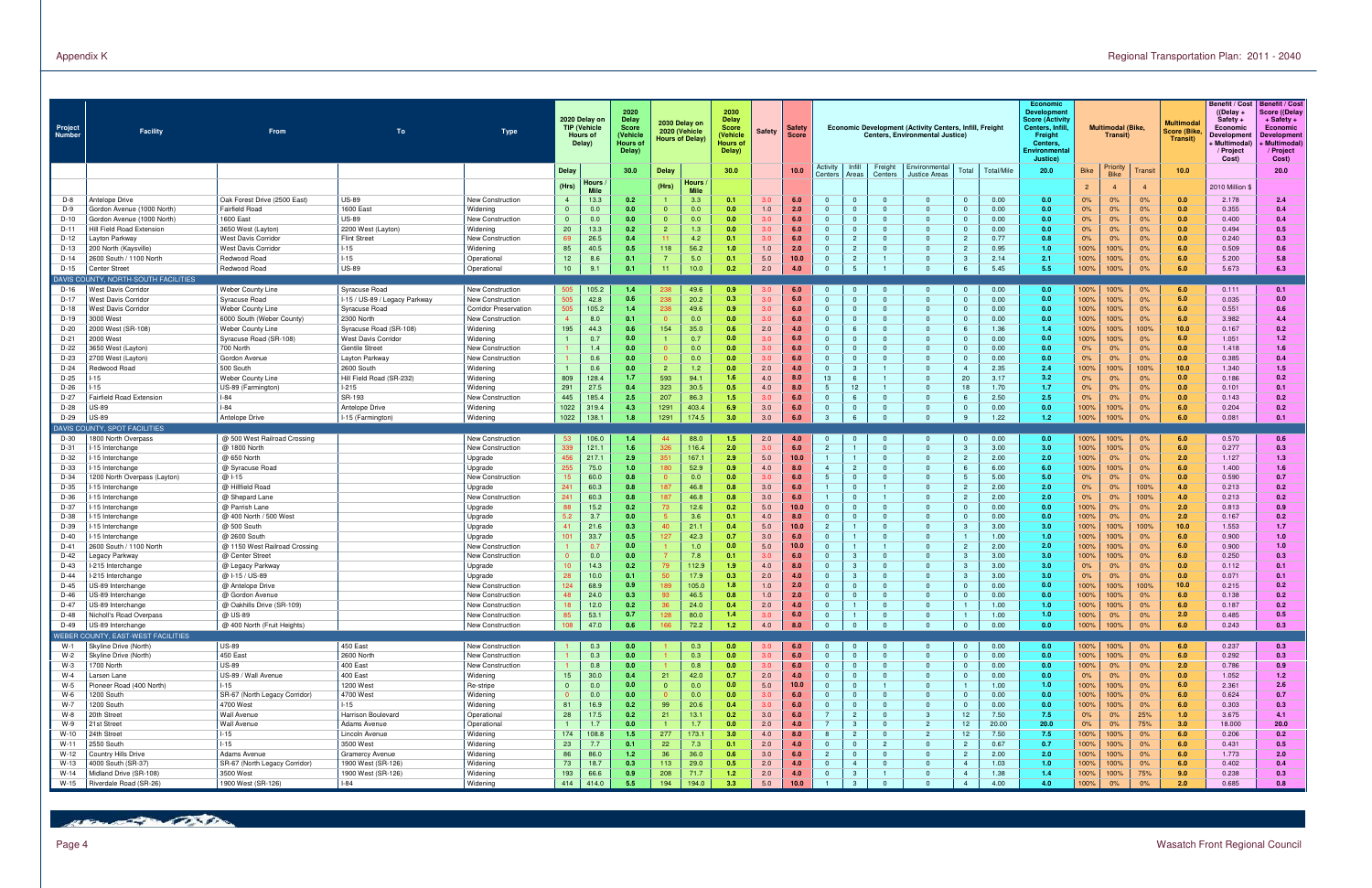| Project<br><b>Number</b> | Facility                                       | From                                             | To                                             | Type                                             |                | 2020 Delay on<br><b>TIP (Vehicle</b><br><b>Hours of</b><br>Delay) | 2020<br>Delay<br>Score<br>(Vehicle<br>Hours o<br>Delay) | 2030 Delay on<br>2020 (Vehicle<br><b>Hours of Delay)</b> | 2030<br><b>Delay</b><br><b>Score</b><br>(Vehicle<br>Hours o<br>Delay) | <b>Safety</b>                        | Safety<br><b>Score</b> |                                  |                                |                            | <b>Economic Development (Activity Centers, Infill, Freight</b><br>Centers, Environmental Justice) |                                      | Economic<br><b>Development</b><br><b>Score (Activity</b><br><b>Centers, Infill</b><br>Freight<br>Centers.<br>Environmenta<br>Justice) |                | <b>Multimodal (Bike</b><br>Transit) |                | <b>Multimoda</b><br><b>Score (Bike</b><br>Transit) | <b>Benefit / Cost</b><br>$($ (Delay +<br>Safety +<br>Economic<br>Developmer<br><b>Multimodal</b><br>/ Project<br>Cost) | Benefit / Cost<br><b>Score ((Delay</b><br>+ Safety +<br>Economic<br>Developmen<br><b>Multimodal</b><br>/ Project<br>Cost) |
|--------------------------|------------------------------------------------|--------------------------------------------------|------------------------------------------------|--------------------------------------------------|----------------|-------------------------------------------------------------------|---------------------------------------------------------|----------------------------------------------------------|-----------------------------------------------------------------------|--------------------------------------|------------------------|----------------------------------|--------------------------------|----------------------------|---------------------------------------------------------------------------------------------------|--------------------------------------|---------------------------------------------------------------------------------------------------------------------------------------|----------------|-------------------------------------|----------------|----------------------------------------------------|------------------------------------------------------------------------------------------------------------------------|---------------------------------------------------------------------------------------------------------------------------|
|                          |                                                |                                                  |                                                |                                                  | Delay          |                                                                   | 30.0                                                    | Delay                                                    | 30.0                                                                  |                                      | 10.0                   | Activity<br>Centers              | Infill<br>Areas                | Freight<br>Centers         | Environmental<br>Justice Areas                                                                    | Total<br>Total/Mile                  | 20.0                                                                                                                                  | <b>Bike</b>    | Priority<br><b>Bike</b>             | Transit        | 10.0                                               |                                                                                                                        | 20.0                                                                                                                      |
|                          |                                                |                                                  |                                                |                                                  | (Hrs)          | Hours<br><b>Mile</b>                                              |                                                         | Hours<br>(Hrs)<br><b>Mile</b>                            |                                                                       |                                      |                        |                                  |                                |                            |                                                                                                   |                                      |                                                                                                                                       | $\overline{c}$ | -4                                  | $\overline{4}$ |                                                    | 2010 Million \$                                                                                                        |                                                                                                                           |
| D-8                      | Antelope Drive                                 | Oak Forest Drive (2500 East)                     | <b>US-89</b>                                   | New Construction                                 | $\overline{4}$ | 13.3                                                              | 0.2                                                     | 3.3                                                      | 0.1                                                                   | 3.0                                  | 6.0                    | $\Omega$                         | $\mathbf{0}$                   | $\mathbf{0}$               | $\Omega$                                                                                          | 0.00<br>$\Omega$                     | 0.0                                                                                                                                   | 0%             | 0%                                  | 0%             | 0.0                                                | 2.178                                                                                                                  | 2.4                                                                                                                       |
| $D-9$                    | Gordon Avenue (1000 North)                     | <b>Fairfield Road</b>                            | 1600 East                                      | Widening                                         | $\mathbf{0}$   | 0.0                                                               | 0.0                                                     | 0.0<br>$\overline{0}$                                    | 0.0                                                                   | 1.0                                  | 2.0                    | $\mathbf{0}$                     | $\mathbf{0}$                   | $\mathbf 0$                |                                                                                                   | 0.00                                 | 0.0                                                                                                                                   | 0%             | $0\%$                               | 0%             | 0.0                                                | 0.355                                                                                                                  | 0.4                                                                                                                       |
| $D-10$                   | Gordon Avenue (1000 North)                     | 1600 East                                        | <b>US-89</b>                                   | New Construction                                 | $\mathbf{0}$   | 0.0                                                               | 0.0                                                     | 0.0<br>$\mathbf 0$                                       | 0.0                                                                   | 3.0                                  | 6.0                    |                                  | $\mathbf{0}$                   | $\mathbf{0}$               |                                                                                                   | 0.00                                 | 0.0                                                                                                                                   | 0%             | 0%                                  | 0%             | 0.0                                                | 0.400                                                                                                                  | 0.4                                                                                                                       |
| $D-11$<br>D-12           | Hill Field Road Extension<br>ayton Parkway     | 3650 West (Layton)<br><b>West Davis Corridor</b> | 2200 West (Layton)<br><b>Flint Street</b>      | Widening<br>New Construction                     | 20<br>69       | 13.3<br>26.5                                                      | 0.2<br>0.4                                              | 1.3<br>4.2                                               | 0.0<br>0.1                                                            | 3.0<br>3.0                           | 6.0<br>6.0             | $\mathbf{0}$<br>$\Omega$         | $\mathbf{0}$<br>$\overline{2}$ | $\Omega$<br>$\Omega$       | $\Omega$<br>$\Omega$                                                                              | 0.00<br>0.77<br>$\overline{2}$       | 0.0<br>0.8                                                                                                                            | 0%<br>0%       | 0%<br>0%                            | 0%<br>0%       | 0.0<br>0.0                                         | 0.494<br>0.240                                                                                                         | 0.5<br>0.3                                                                                                                |
| D-13                     | 200 North (Kaysville)                          | West Davis Corridor                              | l-15                                           | Widening                                         | 85             | 40.5                                                              | 0.5                                                     | 56.2<br>118                                              | 1.0                                                                   | 1.0                                  | 2.0                    | $\Omega$                         | $\overline{c}$                 | $\Omega$                   | $\Omega$                                                                                          | 0.95                                 | 1.0                                                                                                                                   | 100%           | 100%                                | 0%             | 6.0                                                | 0.509                                                                                                                  | 0.6                                                                                                                       |
| $D-14$                   | 2600 South / 1100 North                        | Redwood Road                                     | $I-15$                                         | Operational                                      | 12             | 8.6                                                               | 0.1                                                     | 5.0                                                      | 0.1                                                                   | 5.0                                  | 10.0                   | $\Omega$                         | $\overline{c}$                 | $\overline{1}$             | $\Omega$                                                                                          | 2.14                                 | 2.1                                                                                                                                   | 100%           | 100%                                | 0%             | 6.0                                                | 5.200                                                                                                                  | 5.8                                                                                                                       |
| $D-15$                   | Center Street                                  | Redwood Road                                     | <b>US-89</b>                                   | Operational                                      | 10             | 9 <sub>1</sub>                                                    | 0.1                                                     | 10.0<br>11                                               | 0.2                                                                   | 2.0                                  | 4.0                    |                                  | 5                              | $\mathbf{1}$               |                                                                                                   | 5.45                                 | 5.5                                                                                                                                   | 100%           | 100%                                | 0%             | 6.0                                                | 5.673                                                                                                                  | 6.3                                                                                                                       |
|                          | DAVIS COUNTY, NORTH-SOUTH FACILITIES           |                                                  |                                                |                                                  |                |                                                                   |                                                         |                                                          |                                                                       |                                      |                        |                                  |                                |                            |                                                                                                   |                                      |                                                                                                                                       |                |                                     |                |                                                    |                                                                                                                        |                                                                                                                           |
| D-16                     | Vest Davis Corridor                            | Weber County Line                                | Syracuse Road                                  | <b>New Construction</b>                          | 505<br>505     | 105.2                                                             | 1.4<br>0.6                                              | 49.6                                                     | 0.9                                                                   | 3.0 <sub>1</sub><br>3.0 <sub>2</sub> | 6.0                    |                                  | $\mathbf{0}$<br>$\Omega$       | $\Omega$<br>$\Omega$       | $\Omega$<br>$\Omega$                                                                              | 0.00                                 | 0.0                                                                                                                                   | 100%           | 100%                                | $0\%$          | 6.0                                                | 0.111                                                                                                                  | 0.1                                                                                                                       |
| $D-17$<br>D-18           | Nest Davis Corridor<br>Nest Davis Corridor     | Syracuse Road<br>Weber County Line               | l-15 / US-89 / Legacy Parkway<br>Syracuse Road | New Construction<br><b>Corridor Preservation</b> | 505            | 42.8<br>105.2                                                     | 1.4                                                     | 20.2<br>238<br>238<br>49.6                               | 0.3<br>0.9                                                            | 3.0                                  | 6.0<br>6.0             | $\Omega$                         | $\Omega$                       | $\Omega$                   | $\Omega$                                                                                          | 0.00<br>0.00                         | 0.0<br>0.0                                                                                                                            | 100%<br>100%   | 100%<br>100%                        | 0%<br>0%       | 6.0<br>6.0                                         | 0.035<br>0.551                                                                                                         | 0.0<br>0.6                                                                                                                |
| D-19                     | 3000 West                                      | 6000 South (Weber County)                        | 2300 North                                     | New Construction                                 | $\overline{4}$ | 8.0                                                               | 0.1                                                     | 0.0                                                      | 0.0                                                                   | 3.0                                  | 6.0                    | $\Omega$                         | $\Omega$                       | $\Omega$                   | $\Omega$                                                                                          | 0.00                                 | 0.0                                                                                                                                   | 100%           | 100%                                | 0%             | 6.0                                                | 3.982                                                                                                                  | 4.4                                                                                                                       |
| $D-20$                   | 2000 West (SR-108)                             | Weber County Line                                | Syracuse Road (SR-108)                         | Widening                                         | 195            | 44.3                                                              | 0.6                                                     | 154<br>35.0                                              | 0.6                                                                   | 2.0                                  | 4.0                    | $\Omega$                         | 6                              | $\overline{0}$             | $\Omega$                                                                                          | 1.36                                 | 1.4                                                                                                                                   | 100%           | 100%                                | 100%           | 10.0                                               | 0.167                                                                                                                  | 0.2                                                                                                                       |
| $D-21$                   | 2000 West                                      | Syracuse Road (SR-108)                           | <b>West Davis Corridor</b>                     | Widening                                         |                | 0.7                                                               | 0.0                                                     | 0.7                                                      | 0.0                                                                   | 3.0                                  | 6.0                    | $\Omega$                         | $\mathbf{0}$                   | $\Omega$                   | $\Omega$                                                                                          | 0.00                                 | 0.0                                                                                                                                   | 100%           | 100%                                | $0\%$          | 6.0                                                | 1.051                                                                                                                  | 1.2                                                                                                                       |
| D-22                     | 3650 West (Layton)                             | 700 North                                        | <b>Gentile Street</b>                          | <b>New Construction</b>                          |                | 1.4                                                               | 0.0                                                     | 0.0                                                      | 0.0                                                                   | 3.0                                  | 6.0                    | $\Omega$                         | $\Omega$                       | $\Omega$                   |                                                                                                   | 0.00                                 | 0.0                                                                                                                                   | 0%             | 0%                                  | 0%             | 0.0                                                | 1.418                                                                                                                  | 1.6                                                                                                                       |
| D-23<br>$D-24$           | 2700 West (Layton)<br>Redwood Road             | Gordon Avenue<br>500 South                       | Layton Parkway<br>2600 South                   | New Construction<br>Widening                     |                | 0.6<br>0.6                                                        | 0.0<br>0.0                                              | 0.0<br>1.2<br>$\overline{2}$                             | 0.0<br>0.0                                                            | 3.0<br>2.0                           | 6.0<br>4.0             | $\mathbf{0}$<br>$\Omega$         | $\Omega$<br>3                  | $\Omega$                   | $\Omega$                                                                                          | 0.00<br>2.35                         | 0.0<br>2.4                                                                                                                            | 0%<br>100%     | 0%<br>100%                          | 0%<br>100%     | 0.0<br>10.0                                        | 0.385<br>1.340                                                                                                         | 0.4<br>1.5                                                                                                                |
| D-25                     | -15                                            | <b>Weber County Line</b>                         | Hill Field Road (SR-232)                       | Widening                                         | 809            | 128.4                                                             | 1.7                                                     | 593<br>94.1                                              | 1.6                                                                   | 4.0                                  | 8.0                    | 13                               | 6                              |                            |                                                                                                   | 20<br>3.17                           | 3.2                                                                                                                                   | 0%             | 0%                                  | 0%             | 0.0                                                | 0.186                                                                                                                  | 0.2                                                                                                                       |
| D-26                     | 15                                             | US-89 (Farmington)                               | $1-215$                                        | Widening                                         | 291            | 27.5                                                              | 0.4                                                     | 323<br>30.5                                              | 0.5                                                                   | 4.0                                  | 8.0                    | -5                               | 12 <sup>7</sup>                |                            |                                                                                                   | 1.70<br>18                           | 1.7                                                                                                                                   | 0%             | $0\%$                               | 0%             | 0.0                                                | 0.101                                                                                                                  | 0.1                                                                                                                       |
| $D-27$                   | Fairfield Road Extension                       | $-84$                                            | SR-193                                         | New Construction                                 | 445            | 185.4                                                             | 2.5                                                     | 207<br>86.3                                              | 1.5                                                                   |                                      | 6.0                    | $\mathbf{0}$                     | 6                              | $\mathbf{0}$               |                                                                                                   | 2.50                                 | 2.5                                                                                                                                   | 0%             | 0%                                  | 0%             | 0.0                                                | 0.143                                                                                                                  | 0.2                                                                                                                       |
| D-28                     | JS-89                                          | $-84$                                            | Antelope Drive                                 | Widening                                         | 1022           | 319.4                                                             | 4.3                                                     | 1291<br>403.4                                            | 6.9                                                                   | 3.0                                  | 6.0                    | $\Omega$                         | $\mathbf{0}$                   | $\Omega$                   |                                                                                                   | 0.00<br>$\Omega$                     | 0.0                                                                                                                                   | 100%           | 100%                                | 0%             | 6.0                                                | 0.204                                                                                                                  | 0.2                                                                                                                       |
| D-29                     | <b>JS-89</b>                                   | Antelope Drive                                   | I-15 (Farmington)                              | Widening                                         | 1022           | 138.                                                              | 1.8                                                     | 1291<br>174.5                                            | 3.0                                                                   | 3.0                                  | 6.0                    |                                  |                                | $\Omega$                   |                                                                                                   | 1.22                                 | 1.2 <sub>1</sub>                                                                                                                      | 100%           | 100%                                | 0%             | 6.0                                                | 0.081                                                                                                                  | 0.1                                                                                                                       |
|                          | DAVIS COUNTY, SPOT FACILITIES                  |                                                  |                                                |                                                  |                |                                                                   | 1.4                                                     |                                                          |                                                                       |                                      |                        |                                  |                                |                            |                                                                                                   |                                      |                                                                                                                                       |                |                                     |                |                                                    |                                                                                                                        |                                                                                                                           |
| D-30<br>D-31             | 1800 North Overpass<br>-15 Interchange         | @ 500 West Railroad Crossing<br>@ 1800 North     |                                                | New Construction<br>New Construction             | 53<br>339      | 106.0<br>121.                                                     | 1.6                                                     | 88.0<br>44<br>116.4<br>326                               | 1.5<br>2.0                                                            | 2.0<br>3.0                           | 4.0<br>6.0             | $\overline{2}$                   | $\mathbf{0}$                   | - 0<br>$\Omega$            | - 0<br>$\Omega$                                                                                   | 0.00<br>3.00                         | 0.0<br>3.0                                                                                                                            | 100%<br>100%   | 100%<br>100%                        | 0%<br>0%       | 6.0<br>6.0                                         | 0.570<br>0.277                                                                                                         | 0.6<br>0.3                                                                                                                |
| D-32                     | 15 Interchange                                 | @ 650 North                                      |                                                | Upgrade                                          | 456            | 217.                                                              | 2.9                                                     | 167.7<br>351                                             | 2.9                                                                   | 5.0                                  | 10.0                   | $\blacksquare$                   |                                | $\mathbf{0}$               | $\Omega$                                                                                          | 2.00                                 | 2.0                                                                                                                                   | 100%           | $0\%$                               | 0%             | 2.0                                                | 1.127                                                                                                                  | 1.3                                                                                                                       |
| D-33                     | 15 Interchange                                 | @ Syracuse Road                                  |                                                | Upgrade                                          | 255            | 75.0                                                              | 1.0                                                     | 180<br>52.9                                              | 0.9                                                                   | 4.0                                  | 8.0                    | $\overline{4}$                   | $\overline{2}$                 | $\Omega$                   | $\Omega$                                                                                          | 6.00<br>-6                           | 6.0                                                                                                                                   | 100%           | 100%                                | 0%             | 6.0                                                | 1.400                                                                                                                  | 1.6                                                                                                                       |
| $D-34$                   | 1200 North Overpass (Layton)                   | $@1-15$                                          |                                                | New Construction                                 | 15             | 60.0                                                              | 0.8                                                     | 0.0                                                      | 0.0                                                                   | 3.0                                  | 6.0                    | $-5$                             | $\Omega$                       | $\Omega$                   | $\Omega$                                                                                          | 5.00                                 | 5.0                                                                                                                                   | 0%             | 0%                                  | 0%             | 0.0                                                | 0.590                                                                                                                  | 0.7                                                                                                                       |
| D-35                     | 15 Interchange                                 | @ Hillfield Road                                 |                                                | Upgrade                                          | 241            | 60.3                                                              | 0.8                                                     | 187<br>46.8                                              | 0.8                                                                   | 3.0                                  | 6.0                    |                                  | $\Omega$                       | $\mathbf{1}$               | $\Omega$                                                                                          | 2.00<br>$\overline{c}$               | 2.0                                                                                                                                   | 0%             | 0%                                  | 100%           | 4.0                                                | 0.213                                                                                                                  | 0.2                                                                                                                       |
| $D-36$                   | 15 Interchange                                 | @ Shepard Lane                                   |                                                | New Construction                                 | 241            | 60.3                                                              | 0.8                                                     | 187<br>46.8                                              | 0.8                                                                   | 3.0                                  | 6.0                    | $\Omega$                         | $\Omega$<br>$\mathbf{0}$       | $\overline{0}$             | $\Omega$                                                                                          | 2.00                                 | 2.0                                                                                                                                   | 0%             | 0%                                  | 100%           | 4.0                                                | 0.213                                                                                                                  | 0.2                                                                                                                       |
| D-37<br>D-38             | 15 Interchange<br>15 Interchange               | @ Parrish Lane<br>@ 400 North / 500 West         |                                                | Upgrade<br>Upgrade                               | 88<br>5.2      | 15.2<br>3.7                                                       | 0.2<br>0.0                                              | 12.6<br>3.6                                              | 0.2<br>0.1                                                            | 5.0<br>4.0                           | 10.0<br>8.0            | $\Omega$                         | $\mathbf{0}$                   | $\overline{0}$             | $\Omega$<br>$\Omega$                                                                              | 0.00<br>0.00                         | 0.0<br>0.0                                                                                                                            | 100%<br>100%   | 0%<br>0%                            | 0%<br>0%       | 2.0<br>2.0                                         | 0.813<br>0.167                                                                                                         | 0.9<br>0.2                                                                                                                |
| D-39                     | 15 Interchange                                 | @ 500 South                                      |                                                | Upgrade                                          | 41             | 21.6                                                              | 0.3                                                     | 21.1<br>4(                                               | 0.4                                                                   | 5.0                                  | 10.0                   | $\overline{2}$                   |                                | $\Omega$                   | $\Omega$                                                                                          | 3.00                                 | 3.0                                                                                                                                   | 100%           | 100%                                | 100%           | 10.0                                               | 1.553                                                                                                                  | 1.7                                                                                                                       |
| $D-40$                   | 15 Interchange                                 | @ 2600 South                                     |                                                | Upgrade                                          | 101            | 33.7                                                              | 0.5                                                     | 42.3<br>127                                              | 0.7                                                                   | 3.0                                  | 6.0                    | $\Omega$                         |                                | $\Omega$                   | $\Omega$                                                                                          | 1.00                                 | 1.0                                                                                                                                   | 100%           | 100%                                | 0%             | 6.0                                                | 0.900                                                                                                                  | 1.0                                                                                                                       |
| $D-41$                   | 2600 South / 1100 North                        | @ 1150 West Railroad Crossing                    |                                                | New Construction                                 |                | 0.7                                                               | 0.0                                                     | 1.0                                                      | 0.0                                                                   | 5.0                                  | 10.0                   | $\Omega$                         |                                |                            | $\Omega$                                                                                          | 2.00                                 | 2.0                                                                                                                                   | 100%           | 100%                                | 0%             | 6.0                                                | 0.900                                                                                                                  | 1.0                                                                                                                       |
| $D-42$                   | egacy Parkway.                                 | @ Center Street                                  |                                                | New Construction                                 | $\Omega$       | 0.0                                                               | 0.0                                                     | 7.8                                                      | 0.1                                                                   | 3.0                                  | 6.0                    | $\Omega$                         | 3                              | $\mathbf{0}$               |                                                                                                   | 3.00                                 | 3.0                                                                                                                                   | 100%           | 100%                                | 0%             | 6.0                                                | 0.250                                                                                                                  | 0.3                                                                                                                       |
| $D-43$                   | 215 Interchange                                | @ Legacy Parkway                                 |                                                | Upgrade                                          | 10             | 14.3                                                              | 0.2                                                     | 112.9                                                    | 1.9                                                                   | 4.0                                  | 8.0                    | $\Omega$                         |                                | $\mathbf 0$                |                                                                                                   | 3.00                                 | 3.0                                                                                                                                   | 0%             | 0%                                  | 0%             | 0.0                                                | 0.112                                                                                                                  | 0.1                                                                                                                       |
| $D-44$<br>D-45           | 215 Interchange<br>US-89 Interchange           | @ I-15 / US-89<br>@ Antelope Drive               |                                                | Upgrade<br>New Construction                      | 28<br>124      | 10.0<br>68.9                                                      | 0.1<br>0.9                                              | 17.9<br>105.0<br>189                                     | 0.3<br>1.8                                                            | 2.0<br>1.0                           | 4.0<br>2.0             | $\mathbf{0}$                     | 3<br>$\mathbf{0}$              | $\mathbf{0}$<br>$\Omega$   | റ                                                                                                 | 3.00<br>0.00                         | 3.0<br>0.0                                                                                                                            | 0%<br>100%     | $0\%$<br>100%                       | 0%<br>100%     | 0.0<br>10.0                                        | 0.071<br>0.215                                                                                                         | 0.1<br>0.2                                                                                                                |
| D-46                     | US-89 Interchange                              | @ Gordon Avenue                                  |                                                | New Construction                                 | 48             | 24.0                                                              | 0.3                                                     | 46.5                                                     | 0.8                                                                   | 1.0                                  | 2.0                    |                                  | $\Omega$                       |                            |                                                                                                   | 0.00                                 | 0.0                                                                                                                                   | 100%           | 100%                                | 0%             | 6.0                                                | 0.138                                                                                                                  | 0.2                                                                                                                       |
| D-47                     | US-89 Interchange                              | @ Oakhills Drive (SR-109)                        |                                                | New Construction                                 | 18             | 12.0                                                              | 0.2                                                     | 24.0                                                     | 0.4                                                                   | 2.0                                  | 4.0                    | $\Omega$                         |                                | $\Omega$                   | $\Omega$                                                                                          | 1.00                                 | 1.0 <sub>1</sub>                                                                                                                      | 100%           | 100%                                | 0%             | 6.0                                                | 0.187                                                                                                                  | 0.2                                                                                                                       |
| D-48                     | Nicholl's Road Overpass                        | @ US-89                                          |                                                | New Construction                                 | 85             | 53.1                                                              | 0.7                                                     | 128<br>80.0                                              | 1.4                                                                   | 3.0                                  | 6.0                    | $\overline{0}$                   | $\mathbf{1}$                   | $\overline{0}$             | $\mathbf{0}$                                                                                      | 1.00                                 | 1.0 <sub>1</sub>                                                                                                                      | 100%           | $0\%$                               | 0%             | 2.0                                                | 0.485                                                                                                                  | 0.5                                                                                                                       |
| D-49                     | US-89 Interchange                              | @ 400 North (Fruit Heights)                      |                                                | New Construction                                 | 108            | 47.0                                                              | 0.6                                                     | 166<br>72.2                                              | $1.2$                                                                 | 4.0                                  | 8.0                    | $\overline{0}$                   | $\mathbf{0}$                   | $\mathbf 0$                | $\mathbf{0}$                                                                                      | 0.00                                 | 0.0                                                                                                                                   | 100%           | 100%                                | 0%             | 6.0                                                | 0.243                                                                                                                  | 0.3                                                                                                                       |
|                          | WEBER COUNTY, EAST-WEST FACILITIES             |                                                  |                                                |                                                  |                |                                                                   |                                                         |                                                          |                                                                       |                                      |                        |                                  |                                |                            |                                                                                                   |                                      |                                                                                                                                       |                |                                     |                |                                                    |                                                                                                                        |                                                                                                                           |
| W-1<br>$W-2$             | Skyline Drive (North)<br>Skyline Drive (North) | <b>US-89</b><br>450 East                         | 450 East<br>2600 North                         | New Construction<br><b>New Construction</b>      |                | 0.3<br>0.3                                                        | 0.0<br>0.0                                              | 0.3<br>0.3                                               | 0.0<br>0.0                                                            | 3.0<br>3.0                           | 6.0<br>6.0             | $\mathbf{0}$<br>$\Omega$         | $\mathbf 0$<br>$\overline{0}$  | $\overline{0}$<br>$\Omega$ | $\Omega$<br>$\Omega$                                                                              | 0.00<br>$\Omega$<br>0.00<br>$\Omega$ | 0.0<br>0.0                                                                                                                            | 100%<br>100%   | 100%<br>100%                        | $0\%$<br>0%    | 6.0<br>6.0                                         | 0.237<br>0.292                                                                                                         | 0.3<br>0.3                                                                                                                |
| $W-3$                    | 1700 North                                     | <b>US-89</b>                                     | 400 East                                       | New Construction                                 |                | 0.8                                                               | 0.0                                                     | 0.8                                                      | 0.0                                                                   | 3.0                                  | 6.0                    | $\mathbf{0}$                     | $\overline{0}$                 | $\Omega$                   | $\Omega$                                                                                          | 0.00                                 | 0.0                                                                                                                                   | 100%           | 0%                                  | $0\%$          | 2.0                                                | 0.786                                                                                                                  | 0.9                                                                                                                       |
| $W-4$                    | Larsen Lane                                    | US-89 / Wall Avenue                              | 400 East                                       | Widening                                         | 15             | 30.0                                                              | 0.4                                                     | 21<br>42.0                                               | 0.7                                                                   | 2.0                                  | 4.0                    | $\Omega$                         | $\mathbf{0}$                   | $\Omega$                   | $\Omega$                                                                                          | 0.00                                 | 0.0                                                                                                                                   | 0%             | $0\%$                               | 0%             | 0.0                                                | 1.052                                                                                                                  | 1.2                                                                                                                       |
| W-5                      | Pioneer Road (400 North)                       | $1 - 15$                                         | 1200 West                                      | Re-stripe                                        | $\mathbf{0}$   | 0.0                                                               | 0.0                                                     | 0.0<br>$\mathbf{0}$                                      | 0.0                                                                   | 5.0                                  | 10.0                   | $\mathbf{0}$                     | $\mathbf{0}$                   | $\overline{1}$             | $\mathbf{0}$                                                                                      | 1.00                                 | 1.0 <sub>1</sub>                                                                                                                      | 100%           | 100%                                | 0%             | 6.0                                                | 2.361                                                                                                                  | 2.6                                                                                                                       |
| W-6                      | 1200 South                                     | SR-67 (North Legacy Corridor)                    | 4700 West                                      | Widening                                         | $\mathbf{0}$   | 0.0                                                               | 0.0                                                     | 0.0                                                      | 0.0                                                                   | 3.0                                  | 6.0                    | $\Omega$                         | $\mathbf{0}$                   | $\overline{0}$             | $\Omega$                                                                                          | 0.00                                 | 0.0                                                                                                                                   | 100%           | 100%                                | 0%             | 6.0                                                | 0.624                                                                                                                  | 0.7                                                                                                                       |
| $W-7$                    | 1200 South                                     | 4700 West                                        | $I-15$                                         | Widening                                         | 81             | 16.9                                                              | 0.2                                                     | 99<br>20.6                                               | 0.4                                                                   | 3.0                                  | 6.0                    | $\mathbf{0}$                     | $\mathbf{0}$                   | $\overline{0}$             | $\Omega$                                                                                          | 0.00                                 | 0.0                                                                                                                                   | 100%           | 100%                                | 0%             | 6.0                                                | 0.303                                                                                                                  | 0.3                                                                                                                       |
| W-8<br>$W-9$             | 20th Street<br>21st Street                     | Wall Avenue<br>Wall Avenue                       | Harrison Boulevard<br>Adams Avenue             | Operational<br>Operational                       | 28             | 17.5<br>1.7                                                       | 0.2<br>0.0                                              | 13.1<br>21<br>1.7                                        | 0.2<br>0.0                                                            | 3.0<br>2.0                           | 6.0<br>4.0             | $\overline{7}$<br>$\overline{7}$ | $\overline{2}$<br>3            | $\Omega$<br>$\Omega$       | $\mathbf{3}$<br>$\overline{2}$                                                                    | 7.50<br>12<br>12<br>20.00            | 7.5<br>20.0                                                                                                                           | 0%<br>0%       | $0\%$<br>$0\%$                      | 25%<br>75%     | 1.0<br>3.0                                         | 3.675<br>18.000                                                                                                        | 4.1<br>20.0                                                                                                               |
| $W-10$                   | 24th Street                                    | $-15$                                            | Lincoln Avenue                                 | Widening                                         | 174            | 108.8                                                             | 1.5                                                     | 277<br>173.1                                             | 3.0                                                                   | 4.0                                  | 8.0                    | 8                                | $\overline{2}$                 | $\overline{0}$             | $\overline{2}$                                                                                    | 12<br>7.50                           | 7.5                                                                                                                                   | 100%           | 100%                                | 0%             | 6.0                                                | 0.206                                                                                                                  | 0.2                                                                                                                       |
| $W-11$                   | 2550 South                                     | $-15$                                            | 3500 West                                      | Widening                                         | 23             | 7.7                                                               | 0.1                                                     | 22<br>7.3                                                | 0.1                                                                   | 2.0                                  | 4.0                    | $\Omega$                         | $\overline{0}$                 | 2                          |                                                                                                   | 0.67                                 | 0.7                                                                                                                                   | 100%           | 100%                                | 0%             | 6.0                                                | 0.431                                                                                                                  | 0.5                                                                                                                       |
| W-12                     | Country Hills Drive                            | Adams Avenue                                     | <b>Gramercy Avenue</b>                         | Widening                                         | 86             | 86.0                                                              | 1.2                                                     | 36<br>36.0                                               | 0.6                                                                   | 3.0                                  | 6.0                    | $\overline{2}$                   | $\overline{0}$                 | $\overline{0}$             | $\Omega$                                                                                          | 2.00                                 | 2.0                                                                                                                                   | 100%           | 100%                                | 0%             | 6.0                                                | 1.773                                                                                                                  | 2.0                                                                                                                       |
| W-13                     | 4000 South (SR-37)                             | SR-67 (North Legacy Corridor)                    | 1900 West (SR-126)                             | Widening                                         | 73             | 18.7                                                              | 0.3                                                     | 113<br>29.0                                              | 0.5                                                                   | 2.0                                  | 4.0                    | $\mathbf{0}$                     | $\overline{4}$                 | $\Omega$                   | $\Omega$                                                                                          | 1.03<br>$\overline{4}$               | 1.0 <sub>1</sub>                                                                                                                      | 100%           | 100%                                | 0%             | 6.0                                                | 0.402                                                                                                                  | 0.4                                                                                                                       |
| W-14                     | Midland Drive (SR-108)                         | 3500 West                                        | 1900 West (SR-126)                             | Widening                                         | 193            | 66.6                                                              | 0.9                                                     | 208<br>71.7                                              | 1.2                                                                   | 2.0                                  | 4.0                    | $\mathbf{0}$                     | $\mathbf{3}$                   |                            | $\Omega$                                                                                          | 1.38                                 | 1.4                                                                                                                                   | 100%           | 100%                                | 75%            | 9.0                                                | 0.238                                                                                                                  | 0.3                                                                                                                       |
| W-15                     | Riverdale Road (SR-26)                         | 1900 West (SR-126)                               | $I-84$                                         | Widening                                         | 414            | 414.0                                                             | 5.5                                                     | 194<br>194.0                                             | 3.3                                                                   | 5.0                                  | 10.0                   |                                  | $\mathcal{B}$                  | $\Omega$                   |                                                                                                   | 4.00                                 | 4.0                                                                                                                                   | 100%           | 0%                                  | 0%             | 2.0                                                | 0.685                                                                                                                  | 0.8                                                                                                                       |

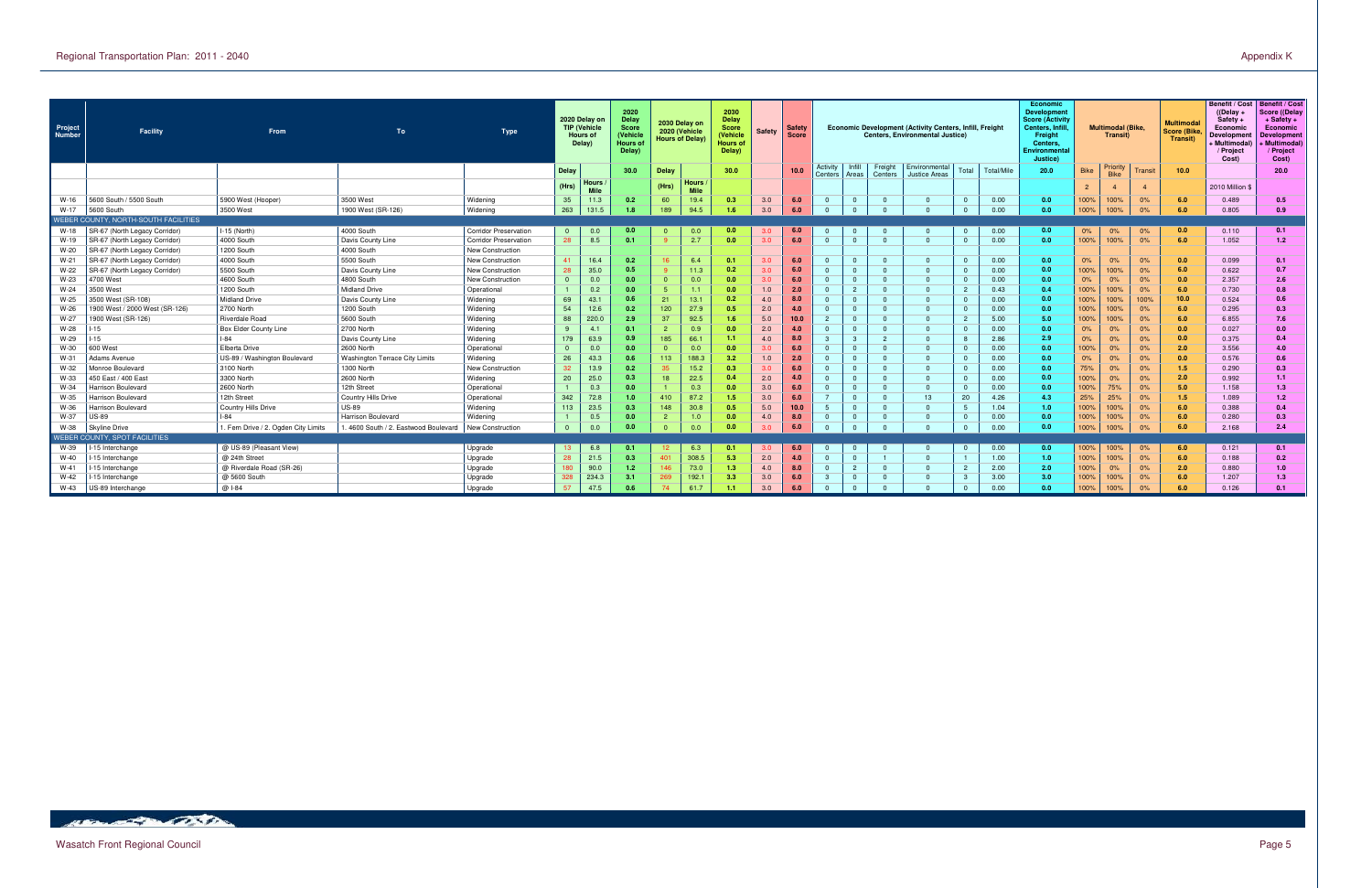| Project<br><b>Number</b> | Facility                             | From                                 | To                                   | <b>Type</b>                  |              | 2020 Delay on<br><b>TIP (Vehicle</b><br>Hours of<br>Delay) | 2020<br>Delay<br>Score<br>(Vehicle<br><b>Hours of</b><br>Delay) |              | 2030 Delay on<br>2020 (Vehicle<br><b>Hours of Delay)</b> | 2030<br><b>Delay</b><br><b>Score</b><br>(Vehicle<br><b>Hours of</b><br>Delay) | Safety | <b>Safety</b><br><b>Score</b> |                     |                 |                    | Economic Development (Activity Centers, Infill, Freight<br><b>Centers. Environmental Justice)</b> |                |            | Economic<br>Developmen<br><b>Score (Activity</b><br>Centers, Infi<br>Freight<br>Centers.<br>Environmental<br>Justice) |                | <b>Multimodal (Bike.</b><br>Transit) |         | <b>Multimodal</b><br><b>Score (Bike</b><br>Transit) | <b>Benefit / Cost</b><br>$($ (Delay +<br>Safety +<br>Economic<br>Developmen<br>+ Multimodal)<br>/ Project<br>Cost) | Benefit / Cost<br>Score ((Delay<br>$+$ Safety $+$<br>Economic<br><b>Development</b><br><b>Multimodal</b> )<br>/ Project<br>Cost) |
|--------------------------|--------------------------------------|--------------------------------------|--------------------------------------|------------------------------|--------------|------------------------------------------------------------|-----------------------------------------------------------------|--------------|----------------------------------------------------------|-------------------------------------------------------------------------------|--------|-------------------------------|---------------------|-----------------|--------------------|---------------------------------------------------------------------------------------------------|----------------|------------|-----------------------------------------------------------------------------------------------------------------------|----------------|--------------------------------------|---------|-----------------------------------------------------|--------------------------------------------------------------------------------------------------------------------|----------------------------------------------------------------------------------------------------------------------------------|
|                          |                                      |                                      |                                      |                              | Delay        |                                                            | 30.0                                                            | Delay        |                                                          | 30.0                                                                          |        | 10.0                          | Activity<br>Centers | Infill<br>Areas | Freight<br>Centers | Environmental<br>Justice Areas                                                                    | Total          | Total/Mile | 20.0                                                                                                                  | <b>Bike</b>    | Priority<br><b>Bike</b>              | Transit | 10.0                                                |                                                                                                                    | 20.0                                                                                                                             |
|                          |                                      |                                      |                                      |                              | (Hrs)        | Hours<br><b>Mile</b>                                       |                                                                 | (Hrs)        | Hours<br><b>Mile</b>                                     |                                                                               |        |                               |                     |                 |                    |                                                                                                   |                |            |                                                                                                                       | $\overline{2}$ |                                      | 4       |                                                     | 2010 Million \$                                                                                                    |                                                                                                                                  |
| $W-16$                   | 5600 South / 5500 South              | 5900 West (Hooper)                   | 3500 West                            | Widening                     | 35           | 11.3                                                       | 0.2                                                             | 60           | 19.4                                                     | 0.3                                                                           | 3.0    | 6.0                           | $\overline{0}$      |                 | റ                  | $\Omega$                                                                                          | $\Omega$       | 0.00       | 0.0                                                                                                                   | 00%            | 100%                                 | 0%      | 6.0                                                 | 0.489                                                                                                              | 0.5                                                                                                                              |
| $W-17$                   | 5600 South                           | 3500 West                            | 1900 West (SR-126)                   | Widening                     | 263          | 131.                                                       | 1.8                                                             | 189          | 94.5                                                     | 1.6                                                                           | 3.0    | 6.0                           | $\Omega$            |                 |                    | $\Omega$                                                                                          | $\Omega$       | 0.00       | 0.0                                                                                                                   | 00%            | 100%                                 | 0%      | 6.0                                                 | 0.805                                                                                                              | 0.9                                                                                                                              |
|                          | WEBER COUNTY, NORTH-SOUTH FACILITIES |                                      |                                      |                              |              |                                                            |                                                                 |              |                                                          |                                                                               |        |                               |                     |                 |                    |                                                                                                   |                |            |                                                                                                                       |                |                                      |         |                                                     |                                                                                                                    |                                                                                                                                  |
| W-18                     | SR-67 (North Legacy Corridor)        | $ I-15$ (North)                      | 4000 South                           | <b>Corridor Preservation</b> | $\Omega$     | 0.0                                                        | 0.0 <sub>1</sub>                                                |              | 0.0                                                      | 0.0                                                                           | 3.0    | 6.0                           | $\overline{0}$      |                 |                    | $\Omega$                                                                                          | $\overline{0}$ | 0.00       | 0.0                                                                                                                   | 0%             | 0%                                   | 0%      | 0.0                                                 | 0.110                                                                                                              | 0.1                                                                                                                              |
| W-19                     | SR-67 (North Legacy Corridor)        | 4000 South                           | Davis County Line                    | <b>Corridor Preservation</b> | 28           | 8.5                                                        | 0.1                                                             |              | 2.7                                                      | 0.0                                                                           | 3.0    | 6.0                           | $\Omega$            |                 | റ                  | $\overline{0}$                                                                                    | $\overline{0}$ | 0.00       | 0.0                                                                                                                   | 00%            | 100%                                 | 0%      | 6.0                                                 | 1.052                                                                                                              | 1.2 <sub>1</sub>                                                                                                                 |
| W-20                     | SR-67 (North Legacy Corridor)        | 1200 South                           | 4000 South                           | <b>New Construction</b>      |              |                                                            |                                                                 |              |                                                          |                                                                               |        |                               |                     |                 |                    |                                                                                                   |                |            |                                                                                                                       |                |                                      |         |                                                     |                                                                                                                    |                                                                                                                                  |
| $W-21$                   | SR-67 (North Legacy Corridor)        | 4000 South                           | 5500 South                           | New Construction             | 41           | 16.4                                                       | 0.2                                                             | 16           | 6.4                                                      | 0.1                                                                           | 3.0    | 6.0                           | $\overline{0}$      |                 | റ                  | $\Omega$                                                                                          | $\Omega$       | 0.00       | 0.0                                                                                                                   | 0%             | 0%                                   | 0%      | 0.0                                                 | 0.099                                                                                                              | 0.1                                                                                                                              |
| $W-22$                   | SR-67 (North Legacy Corridor)        | 5500 South                           | Davis County Line                    | New Construction             | 28           | 35.0                                                       | 0.5                                                             |              | 11.3                                                     | 0.2                                                                           | 3.0    |                               | $\overline{0}$      |                 | റ                  | $\Omega$                                                                                          | $\Omega$       | 0.00       | 0.0                                                                                                                   | 00%            | 100%                                 | 0%      | 6.0                                                 | 0.622                                                                                                              | 0.7                                                                                                                              |
| $W-23$                   | 4700 West                            | 4600 South                           | 4800 South                           | <b>New Construction</b>      | $\mathbf{0}$ | 0.0                                                        | 0.0 <sub>1</sub>                                                | $\Omega$     | 0.0                                                      | 0.0                                                                           | 3.0    | 6.0                           | $\overline{0}$      |                 | _റ                 | $\Omega$                                                                                          | $\overline{0}$ | 0.00       | 0.0                                                                                                                   | 0%             | 0%                                   | 0%      | 0.0                                                 | 2.357                                                                                                              | 2.6                                                                                                                              |
| W-24                     | 3500 West                            | 1200 South                           | <b>Midland Drive</b>                 | Operational                  |              | 0.2                                                        | 0.0                                                             | -5           | 1.1                                                      | 0.0                                                                           | 1.0    | 2.0                           | $\Omega$            |                 |                    | $\Omega$                                                                                          | $\overline{2}$ | 0.43       | 0.4                                                                                                                   | 00%            | 100%                                 | 0%      | 6.0                                                 | 0.730                                                                                                              | 0.8                                                                                                                              |
| W-25                     | 3500 West (SR-108)                   | <b>Midland Drive</b>                 | Davis County Line                    | Widening                     | 69           | 43.1                                                       | 0.6                                                             | 21           | 13.1                                                     | 0.2                                                                           | 4.0    | 8.0                           | $\Omega$            |                 |                    | $\Omega$                                                                                          | $\overline{0}$ | 0.00       | 0.0                                                                                                                   | 00%            | 100%                                 | 100%    | 10.0                                                | 0.524                                                                                                              | 0.6                                                                                                                              |
| $W-26$                   | 1900 West / 2000 West (SR-126)       | 2700 North                           | 1200 South                           | Widening                     | 54           | 12.6                                                       | 0.2                                                             | 120          | 27.9                                                     | 0.5                                                                           | 2.0    | 4.0                           | $\overline{0}$      | $\Omega$        | _റ                 | $\Omega$                                                                                          | $\Omega$       | 0.00       | 0.0                                                                                                                   | 00%            | 100%                                 | 0%      | 6.0                                                 | 0.295                                                                                                              | 0.3                                                                                                                              |
| $W-27$                   | 1900 West (SR-126)                   | Riverdale Road                       | 5600 South                           | Widening                     | 88           | 220.0                                                      | 2.9                                                             | 37           | 92.5                                                     | 1.6                                                                           | 5.0    | 10.0                          | $\overline{2}$      | $\Omega$        | റ                  | $\Omega$                                                                                          | $\overline{2}$ | 5.00       | 5.0                                                                                                                   | 00%            | 100%                                 | 0%      | 6.0                                                 | 6.855                                                                                                              | 7.6                                                                                                                              |
| W-28                     | $-15$                                | Box Elder County Line                | 2700 North                           | Widening                     |              | 4.1                                                        | 0.1                                                             |              | 0.9                                                      | 0.0                                                                           | 2.0    | 4.0                           | $\Omega$            |                 |                    | $\Omega$                                                                                          | $\overline{0}$ | 0.00       | 0.0                                                                                                                   | 0%             | 0%                                   | 0%      | 0.0                                                 | 0.027                                                                                                              | 0.0                                                                                                                              |
| W-29                     | $-15$                                | $ -84 $                              | Davis County Line                    | Widening                     | 179          | 63.9                                                       | 0.9                                                             | 185          | 66.1                                                     | 1.1                                                                           | 4.0    | 8.0                           | $\mathbf{3}$        |                 |                    | $\Omega$                                                                                          | 8              | 2.86       | 2.9                                                                                                                   | 0%             | 0%                                   | 0%      | 0.0                                                 | 0.375                                                                                                              | 0.4                                                                                                                              |
| W-30                     | 600 West                             | Elberta Drive                        | 2600 North                           | Operational                  | $\mathbf{0}$ | 0.0                                                        | 0.0                                                             | $\mathbf{0}$ | 0.0                                                      | 0.0                                                                           | 3.0    | 6.0                           | $\Omega$            |                 | _റ                 | $\Omega$                                                                                          | $\overline{0}$ | 0.00       | 0.0                                                                                                                   | 00%            | $0\%$                                | 0%      | 2.0                                                 | 3.556                                                                                                              | 4.0                                                                                                                              |
| W-31                     | Adams Avenue                         | US-89 / Washington Boulevard         | Washington Terrace City Limits       | Widening                     | 26           | 43.3                                                       | 0.6                                                             | 113          | 188.3                                                    | 3.2                                                                           | 1.0    | 2.0                           | $\overline{0}$      | $\Omega$        | _റ                 | $\Omega$                                                                                          | $\Omega$       | 0.00       | 0.0                                                                                                                   | 0%             | 0%                                   | 0%      | 0.0                                                 | 0.576                                                                                                              | 0.6                                                                                                                              |
| W-32                     | Monroe Boulevard                     | 3100 North                           | 1300 North                           | New Construction             | 32           | 13.9                                                       | 0.2                                                             | 35           | 15.2                                                     | 0.3                                                                           | 3.0    | 6.0                           | $\overline{0}$      | $\Omega$        | റ                  | $\Omega$                                                                                          | $\Omega$       | 0.00       | 0.0                                                                                                                   | 75%            | 0%                                   | 0%      | 1.5                                                 | 0.290                                                                                                              | 0.3                                                                                                                              |
| W-33                     | 450 East / 400 East                  | 3300 North                           | 2600 North                           | Widening                     | 20           | 25.0                                                       | 0.3                                                             | 18           | 22.5                                                     | 0.4                                                                           | 2.0    | 4.0                           | $\overline{0}$      |                 | _റ                 | $\Omega$                                                                                          | $\overline{0}$ | 0.00       | 0.0                                                                                                                   | 00%            | 0%                                   | 0%      | 2.0                                                 | 0.992                                                                                                              | 1.1 <sub>1</sub>                                                                                                                 |
| W-34                     | Harrison Boulevard                   | 2600 North                           | 12th Street                          | Operational                  |              | 0.3                                                        | 0.0                                                             |              | 0.3                                                      | 0.0                                                                           | 3.0    | 6.0                           | $\Omega$            |                 | - വ                | $\Omega$                                                                                          | $\overline{0}$ | 0.00       | 0.0                                                                                                                   | 00%            | 75%                                  | 0%      | 5.0                                                 | 1.158                                                                                                              | 1.3                                                                                                                              |
| W-35                     | Harrison Boulevard                   | 12th Street                          | <b>Country Hills Drive</b>           | Operational                  | 342          | 72.8                                                       | 1.0 <sub>1</sub>                                                | 410          | 87.2                                                     | 1.5                                                                           | 3.0    | 6.0                           | $\overline{7}$      |                 | റ                  | 13                                                                                                | 20             | 4.26       | 4.3                                                                                                                   | 25%            | 25%                                  | 0%      | 1.5                                                 | 1.089                                                                                                              | 1.2                                                                                                                              |
| W-36                     | Harrison Boulevard                   | <b>Country Hills Drive</b>           | <b>US-89</b>                         | Widening                     | 113          | 23.5                                                       | 0.3                                                             | 148          | 30.8                                                     | 0.5                                                                           | 5.0    | 10.0                          | 5                   | $\Omega$        | _റ                 | $\Omega$                                                                                          | 5              | 1.04       | 1.0                                                                                                                   | 00%            | 100%                                 | 0%      | 6.0                                                 | 0.388                                                                                                              | 0.4                                                                                                                              |
| W-37                     | <b>US-89</b>                         | $-84$                                | Harrison Boulevard                   | Widening                     |              | 0.5                                                        | 0.0                                                             |              | 1.0                                                      | 0.0                                                                           | 4.0    | 8.0                           | $\overline{0}$      |                 |                    | $\Omega$                                                                                          | $\Omega$       | 0.00       | 0.0                                                                                                                   | 00%            | 100%                                 | 0%      | 6.0                                                 | 0.280                                                                                                              | 0.3                                                                                                                              |
| W-38                     | Skyline Drive                        | 1. Fern Drive / 2. Ogden City Limits | . 4600 South / 2. Eastwood Boulevard | New Construction             | $\mathbf{0}$ | 0.0                                                        | 0.0                                                             |              | 0.0                                                      | 0.0                                                                           | 3.0    |                               | $\Omega$            |                 |                    | $\Omega$                                                                                          | $\Omega$       | 0.00       | 0.0                                                                                                                   | 00%            | 100%                                 | 0%      | 6.0                                                 | 2.168                                                                                                              | 2.4                                                                                                                              |
|                          | WEBER COUNTY, SPOT FACILITIES        |                                      |                                      |                              |              |                                                            |                                                                 |              |                                                          |                                                                               |        |                               |                     |                 |                    |                                                                                                   |                |            |                                                                                                                       |                |                                      |         |                                                     |                                                                                                                    |                                                                                                                                  |
| W-39                     | -15 Interchange                      | @ US-89 (Pleasant View)              |                                      | Upgrade                      | 13           | 6.8                                                        | 0.1                                                             |              | 6.3                                                      | 0.1                                                                           | 3.0    | 6.0                           | $\mathbf{0}$        |                 |                    | $\Omega$                                                                                          | $\overline{0}$ | 0.00       | 0.0                                                                                                                   | 00%            | 100%                                 | 0%      | 6.0                                                 | 0.121                                                                                                              | 0.1                                                                                                                              |
| W-40                     | -15 Interchange                      | @ 24th Street                        |                                      | Upgrade                      | 28           | 21.5                                                       | 0.3                                                             | 401          | 308.5                                                    | 5.3                                                                           | 2.0    | 4.0                           | $\Omega$            |                 |                    | $\Omega$                                                                                          |                | 1.00       | 1.0                                                                                                                   | 00%            | 100%                                 | 0%      | 6.0                                                 | 0.188                                                                                                              | 0.2                                                                                                                              |
| W-41                     | -15 Interchange                      | @ Riverdale Road (SR-26)             |                                      | Upgrade                      | 180          | 90.0                                                       | 1.2                                                             | 146          | 73.0                                                     | 1.3                                                                           | 4.0    | 8.0                           | $\overline{0}$      |                 | _റ                 | $\Omega$                                                                                          | $\overline{2}$ | 2.00       | 2.0                                                                                                                   | 00%            | 0%                                   | 0%      | 2.0                                                 | 0.880                                                                                                              | 1.0                                                                                                                              |
| W-42                     | -15 Interchange                      | @ 5600 South                         |                                      | Upgrade                      | 328          | 234.3                                                      | 3.1                                                             | 269          | 192.1                                                    | 3.3                                                                           | 3.0    | 6.0                           | 3                   | $\Omega$        | _റ                 | $\Omega$                                                                                          | -3             | 3.00       | 3.0                                                                                                                   | 00%            | 100%                                 | 0%      | 6.0                                                 | 1.207                                                                                                              | 1.3                                                                                                                              |
| W-43                     | US-89 Interchange                    | @ 1-84                               |                                      | Upgrade                      | 57           | 47.5                                                       | 0.6                                                             |              | 61.7                                                     | 1.1                                                                           | 3.0    | 6.0                           | $\Omega$            | $\Omega$        |                    | $\Omega$                                                                                          | $\Omega$       | 0.00       | 0.0                                                                                                                   | 100%           | 100%                                 | 0%      | 6.0                                                 | 0.126                                                                                                              | 0.1                                                                                                                              |

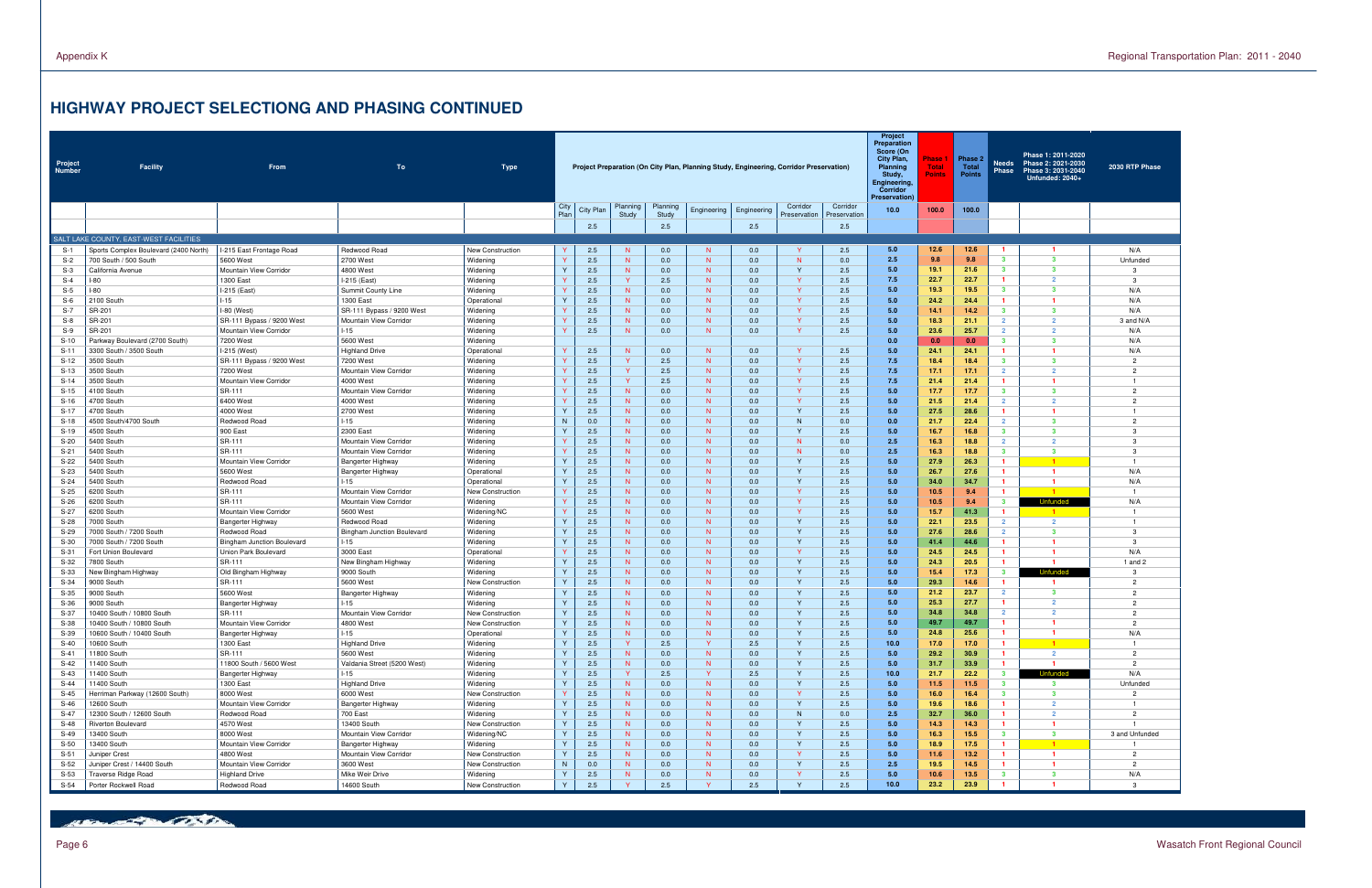Page 6 Wasatch Front Regional Council

## **HIGHWAY PROJECT SELECTIONG AND PHASING CONTINUED**

| Project<br>Number | <b>Facility</b>                                           | <b>From</b>                                     | To                                  | <b>Type</b>                  |              |            |                   |                   |              | Project Preparation (On City Plan, Planning Study, Engineering, Corridor Preservation) |                          |                          | Project<br>Preparation<br>Score (On<br>City Plan,<br>Planning<br>Study,<br>Engineering,<br>Corridor<br><b>Preservation</b> ) | Phase<br><b>Total</b><br><b>Points</b> | Phase 2<br><b>Total</b><br><b>Points</b> | <b>Needs</b><br><b>Phase</b>   | Phase 1: 2011-2020<br>Phase 2: 2021-2030<br>Phase 3: 2031-2040<br>Unfunded: 2040+ | 2030 RTP Phase                   |
|-------------------|-----------------------------------------------------------|-------------------------------------------------|-------------------------------------|------------------------------|--------------|------------|-------------------|-------------------|--------------|----------------------------------------------------------------------------------------|--------------------------|--------------------------|------------------------------------------------------------------------------------------------------------------------------|----------------------------------------|------------------------------------------|--------------------------------|-----------------------------------------------------------------------------------|----------------------------------|
|                   |                                                           |                                                 |                                     |                              | City<br>Plan | City Plan  | Planning<br>Study | Planning<br>Study | Engineering  | Engineering                                                                            | Corridor<br>Preservation | Corridor<br>Preservation | 10.0                                                                                                                         | 100.0                                  | 100.0                                    |                                |                                                                                   |                                  |
|                   |                                                           |                                                 |                                     |                              |              | 2.5        |                   | 2.5               |              | 2.5                                                                                    |                          | 2.5                      |                                                                                                                              |                                        |                                          |                                |                                                                                   |                                  |
|                   | SALT LAKE COUNTY, EAST-WEST FACILITIES                    |                                                 |                                     |                              |              |            |                   |                   |              |                                                                                        |                          |                          |                                                                                                                              |                                        |                                          |                                |                                                                                   |                                  |
| $S-1$             | Sports Complex Boulevard (2400 North)                     | I-215 East Frontage Road                        | Redwood Road                        | New Construction             |              | 2.5        | N                 | 0.0               | N            | 0.0                                                                                    | -Y                       | 2.5                      | 5.0                                                                                                                          | 12.6                                   | 12.6                                     |                                | $\mathbf{1}$                                                                      | N/A                              |
| S-2               | 700 South / 500 South                                     | 5600 West                                       | 2700 West                           | Widening                     |              | 2.5        | N                 | 0.0               | N            | 0.0                                                                                    | N                        | 0.0                      | 2.5                                                                                                                          | 9.8                                    | 9.8                                      | $3^{\circ}$                    | $\mathbf{3}$                                                                      | Unfunded                         |
| $S-3$             | California Avenue                                         | Mountain View Corridor                          | 4800 West                           | Widening                     |              | 2.5        | N.                | 0.0               | N            | 0.0                                                                                    | Y                        | 2.5                      | 5.0                                                                                                                          | 19.1                                   | 21.6                                     | $3^{\circ}$                    | $\mathbf{3}$                                                                      | 3                                |
| $S-4$             | -80                                                       | 1300 East                                       | I-215 (East)                        | Widening                     |              | 2.5        | Y                 | 2.5               | N            | 0.0                                                                                    | $\mathsf{Y}$             | 2.5                      | 7.5                                                                                                                          | 22.7                                   | 22.7                                     |                                | $\overline{2}$                                                                    | $\mathbf{3}$                     |
| $S-5$             | -80                                                       | I-215 (East)                                    | Summit County Line                  | Widening                     |              | 2.5        | N.                | 0.0               | N            | 0.0                                                                                    | $\mathsf{Y}$             | 2.5                      | 5.0                                                                                                                          | 19.3                                   | 19.5                                     | 3                              | $\mathbf{3}$                                                                      | N/A                              |
| $S-6$             | 2100 South                                                | $1 - 15$                                        | 1300 East                           | Operationa                   |              | 2.5        | N.                | 0.0               | N            | 0.0                                                                                    | $\mathsf{Y}$             | 2.5                      | 5.0                                                                                                                          | 24.2                                   | 24.4                                     |                                |                                                                                   | N/A                              |
| $S-7$             | SR-201                                                    | $I-80$ (West)                                   | SR-111 Bypass / 9200 West           | Widening                     |              | 2.5        | N.                | 0.0               | N            | 0.0                                                                                    | $\mathsf{Y}$             | 2.5                      | 5.0                                                                                                                          | 14.1                                   | 14.2                                     | $\mathbf{3}$                   | $\mathbf{3}$                                                                      | N/A                              |
| $S-8$             | SR-201                                                    | SR-111 Bypass / 9200 West                       | Mountain View Corridor              | Widening                     |              | 2.5        | N.                | 0.0               | N            | 0.0                                                                                    | $\mathsf{Y}$             | 2.5                      | 5.0                                                                                                                          | 18.3                                   | 21.1                                     | $\overline{2}$                 | $\overline{2}$                                                                    | 3 and N/A                        |
| $S-9$             | SR-201                                                    | Mountain View Corridor                          | $1 - 15$                            | Widening                     |              | 2.5        | N.                | 0.0               | N            | 0.0                                                                                    | <b>Y</b>                 | 2.5                      | 5.0<br>0.0                                                                                                                   | 23.6                                   | 25.7                                     | $\overline{2}$<br>$\mathbf{3}$ | $\overline{2}$<br>$\mathbf{3}$                                                    | N/A                              |
| $S-10$            | Parkway Boulevard (2700 South)                            | 7200 West                                       | 5600 West                           | Widening                     |              |            |                   |                   | N            |                                                                                        | <b>V</b>                 |                          | 5.0                                                                                                                          | 0.0<br>24.1                            | 0.0                                      | -1                             |                                                                                   | N/A                              |
| $S-11$            | 3300 South / 3500 South                                   | I-215 (West)                                    | <b>Highland Drive</b>               | Operational                  |              | 2.5        | N.<br>Y           | 0.0               | N            | 0.0                                                                                    | <b>Y</b>                 | 2.5                      | 7.5                                                                                                                          | 18.4                                   | 24.1                                     | $\mathbf{3}$                   | $\mathbf{3}$                                                                      | N/A<br>$\overline{c}$            |
| $S-12$<br>$S-13$  | 3500 South<br>3500 South                                  | SR-111 Bypass / 9200 West<br>7200 West          | 7200 West<br>Mountain View Corridor | Widening                     |              | 2.5<br>2.5 | Y                 | 2.5<br>2.5        | N            | 0.0<br>0.0                                                                             | <b>Y</b>                 | 2.5<br>2.5               | 7.5                                                                                                                          | 17.1                                   | 18.4<br>17.1                             | $\overline{2}$                 | $\overline{2}$                                                                    | $\overline{2}$                   |
| $S-14$            | 3500 South                                                | Mountain View Corridor                          | 4000 West                           | Widening<br>Widening         |              | 2.5        | Y                 | 2.5               | N            | 0.0                                                                                    | $\mathsf{Y}$             | 2.5                      | 7.5                                                                                                                          | 21.4                                   | 21.4                                     |                                |                                                                                   | $\mathbf{1}$                     |
| $S-15$            | 4100 South                                                | SR-111                                          | Mountain View Corridor              | Widening                     |              | 2.5        | N                 | 0.0               | N            | 0.0                                                                                    | $\mathsf{Y}$             | 2.5                      | 5.0                                                                                                                          | 17.7                                   | 17.7                                     | $3^{\circ}$                    | $\mathbf{3}$                                                                      | $\overline{c}$                   |
| $S-16$            | 4700 South                                                | 6400 West                                       | 4000 West                           | Widening                     |              | 2.5        | N.                | 0.0               | N            | 0.0                                                                                    | $\mathsf{Y}$             | 2.5                      | 5.0                                                                                                                          | 21.5                                   | 21.4                                     | $\overline{2}$                 | $\overline{2}$                                                                    | $\overline{2}$                   |
| $S-17$            | 4700 South                                                | 4000 West                                       | 2700 West                           | Widening                     |              | 2.5        | N.                | 0.0               | N            | 0.0                                                                                    | Y                        | 2.5                      | 5.0                                                                                                                          | 27.5                                   | 28.6                                     | $\mathbf{1}$                   | $\mathbf{1}$                                                                      | $\mathbf{1}$                     |
| $S-18$            | 4500 South/4700 South                                     | Redwood Road                                    | $1 - 15$                            | Widening                     | N            | 0.0        | N                 | 0.0               | N            | 0.0                                                                                    | N <sub>1</sub>           | 0.0                      | 0.0                                                                                                                          | 21.7                                   | 22.4                                     | $\overline{2}$                 | $\mathbf{3}$                                                                      | $\overline{2}$                   |
| $S-19$            | 4500 South                                                | 900 East                                        | 2300 East                           | Widening                     |              | 2.5        | N.                | 0.0               | N            | 0.0                                                                                    | $\mathsf{Y}$             | 2.5                      | 5.0                                                                                                                          | 16.7                                   | 16.8                                     | $3^{\circ}$                    | $\mathbf{3}$                                                                      | 3                                |
| $S-20$            | 5400 South                                                | SR-111                                          | Mountain View Corridor              | Widening                     |              | 2.5        | N.                | 0.0               | N            | 0.0                                                                                    | N.                       | 0.0                      | 2.5                                                                                                                          | 16.3                                   | 18.8                                     | $\overline{2}$                 | $\overline{2}$                                                                    | 3                                |
| $S-21$            | 5400 South                                                | SR-111                                          | Mountain View Corridor              | Widening                     |              | 2.5        | N.                | 0.0               | N            | 0.0                                                                                    | N.                       | 0.0                      | 2.5                                                                                                                          | 16.3                                   | 18.8                                     | $3^{\circ}$                    | $\mathbf{3}$                                                                      | 3                                |
| $S-22$            | 5400 South                                                | Mountain View Corridor                          | Bangerter Highway                   | Widening                     |              | 2.5        | N.                | 0.0               | N            | 0.0                                                                                    | $\mathsf{Y}$             | 2.5                      | 5.0                                                                                                                          | 27.9                                   | 26.3                                     |                                | $-1$                                                                              | $\mathbf{1}$                     |
| $S-23$            | 5400 South                                                | 5600 West                                       | Bangerter Highway                   | Operational                  |              | 2.5        | N.                | 0.0               | N            | 0.0                                                                                    | $\mathsf{Y}$             | 2.5                      | 5.0                                                                                                                          | 26.7                                   | 27.6                                     | $\mathbf{1}$                   | $\blacksquare$                                                                    | N/A                              |
| $S-24$            | 5400 South                                                | Redwood Road                                    | $1 - 15$                            | Operational                  |              | 2.5        | N.                | 0.0               | N            | 0.0                                                                                    | Y                        | 2.5                      | 5.0                                                                                                                          | 34.0                                   | 34.7                                     |                                | $\blacksquare$                                                                    | N/A                              |
| $S-25$            | 6200 South                                                | SR-111                                          | Mountain View Corridor              | New Construction             |              | 2.5        | N.                | 0.0               | N            | 0.0                                                                                    | <b>V</b>                 | 2.5                      | 5.0                                                                                                                          | 10.5                                   | 9.4                                      |                                | $\blacksquare$                                                                    | $\overline{1}$                   |
| $S-26$            | 6200 South                                                | SR-111                                          | Mountain View Corridor              | Widening                     |              | 2.5        | N                 | 0.0               | N            | 0.0                                                                                    | $\mathsf{Y}$             | 2.5                      | 5.0                                                                                                                          | 10.5                                   | 9.4                                      | $3^{\circ}$                    | Unfunded                                                                          | N/A                              |
| $S-27$            | 6200 South                                                | Mountain View Corridor                          | 5600 West                           | Widening/NC                  |              | 2.5        | N.                | 0.0               | N            | 0.0                                                                                    | $\mathsf{Y}$             | 2.5                      | 5.0                                                                                                                          | 15.7                                   | 41.3                                     | $\mathbf{1}$                   | $\blacksquare$ 1                                                                  | $\overline{1}$                   |
| $S-28$            | 7000 South                                                | Bangerter Highway                               | Redwood Road                        | Widening                     |              | 2.5        | N.                | 0.0               | N            | 0.0                                                                                    | Y                        | 2.5                      | 5.0                                                                                                                          | 22.1                                   | 23.5                                     | $\overline{2}$                 | $\overline{2}$                                                                    | $\overline{1}$                   |
| $S-29$            | 7000 South / 7200 South                                   | Redwood Road                                    | Bingham Junction Boulevard          | Widening                     |              | 2.5        | N.                | 0.0               | N            | 0.0                                                                                    | Y                        | 2.5                      | 5.0                                                                                                                          | 27.6                                   | 28.6                                     | $\overline{2}$                 | $\mathbf{3}$                                                                      | 3                                |
| $S-30$            | 7000 South / 7200 South                                   | <b>Bingham Junction Boulevard</b>               | $1 - 15$                            | Widening                     |              | 2.5        | N.                | 0.0               | N            | 0.0                                                                                    | Y                        | 2.5                      | 5.0                                                                                                                          | 41.4                                   | 44.6                                     |                                |                                                                                   | -3                               |
| $S-31$            | Fort Union Boulevard                                      | Union Park Boulevard                            | 3000 East                           | Operational                  |              | 2.5        | N.                | 0.0               | N            | 0.0                                                                                    | <b>V</b>                 | 2.5                      | 5.0                                                                                                                          | 24.5                                   | 24.5                                     | -1                             |                                                                                   | N/A                              |
| $S-32$            | 7800 South                                                | SR-111                                          | New Bingham Highway                 | Widening                     |              | 2.5        | N.                | 0.0               | N            | 0.0                                                                                    | Y<br>Y                   | 2.5                      | 5.0                                                                                                                          | 24.3                                   | 20.5                                     | $\mathbf{3}$                   | Unfunded                                                                          | 1 and 2                          |
| $S-33$            | New Bingham Highway                                       | Old Bingham Highway                             | 9000 South                          | Widening                     |              | 2.5        | N.                | 0.0               | N<br>N       | 0.0                                                                                    | $\mathsf{Y}$             | 2.5                      | 5.0<br>5.0                                                                                                                   | 15.4<br>29.3                           | 17.3                                     | $\mathbf{1}$                   |                                                                                   | 3<br>$\overline{2}$              |
| $S-34$<br>$S-35$  | 9000 South<br>9000 South                                  | SR-111<br>5600 West                             | 5600 West<br>Bangerter Highway      | New Construction<br>Widening |              | 2.5<br>2.5 | N.<br>N.          | 0.0<br>0.0        | N            | 0.0<br>0.0                                                                             | Y                        | 2.5<br>2.5               | 5.0                                                                                                                          | 21.2                                   | 14.6<br>23.7                             | $\overline{2}$                 | $\mathbf{3}$                                                                      | $\overline{2}$                   |
| $S-36$            | 9000 South                                                | Bangerter Highway                               | $1 - 15$                            | Widening                     |              | 2.5        | N.                | 0.0               | N            | 0.0                                                                                    |                          | 2.5                      | 5.0                                                                                                                          | 25.3                                   | 27.7                                     |                                | $\overline{2}$                                                                    | $\overline{2}$                   |
| $S-37$            | 10400 South / 10800 South                                 | SR-111                                          | Mountain View Corrido               | New Construction             |              | 2.5        | $\mathbf N$       | 0.0               | N            | 0.0                                                                                    |                          | 2.5                      | 5.0                                                                                                                          | 34.8                                   | 34.8                                     | $\overline{2}$                 | $\overline{2}$                                                                    | $\overline{c}$                   |
| $S-38$            | 10400 South / 10800 South                                 | Mountain View Corridor                          | 4800 West                           | New Construction             |              | 2.5        | N.                | 0.0               | N            | 0.0                                                                                    |                          | 2.5                      | 5.0                                                                                                                          | 49.7                                   | 49.7                                     |                                |                                                                                   | $\overline{2}$                   |
| $S-39$            | 10600 South / 10400 South                                 | Bangerter Highway                               | $I-15$                              | Operational                  |              | 2.5        | N                 | 0.0               | N            | 0.0                                                                                    |                          | 2.5                      | 5.0                                                                                                                          | 24.8                                   | 25.6                                     |                                |                                                                                   | N/A                              |
| $S-40$            | 10600 South                                               | 1300 East                                       | <b>Highland Drive</b>               | Widening                     |              | 2.5        | $\mathsf{Y}$      | 2.5               | $\mathbf{Y}$ | 2.5                                                                                    | Y                        | 2.5                      | 10.0                                                                                                                         | 17.0                                   | 17.0                                     |                                | $-1$                                                                              | $\overline{1}$                   |
| $S-41$            | 11800 South                                               | SR-111                                          | 5600 West                           | Widening                     |              | 2.5        | N                 | 0.0               | N            | 0.0                                                                                    | $\mathsf{Y}$             | 2.5                      | 5.0                                                                                                                          | 29.2                                   | 30.9                                     | $\mathbf{1}$                   | $\overline{2}$                                                                    | $\overline{2}$                   |
| $S-42$            | 11400 South                                               | 11800 South / 5600 West                         | Valdania Street (5200 West)         | Widening                     |              | 2.5        | N                 | 0.0               | N            | 0.0                                                                                    | Y                        | 2.5                      | 5.0                                                                                                                          | 31.7                                   | 33.9                                     | $\mathbf{1}$                   |                                                                                   | $\overline{2}$                   |
| $S-43$            | 11400 South                                               | Bangerter Highway                               | $I-15$                              | Widening                     |              | 2.5        | Y                 | 2.5               | $\mathbf{Y}$ | 2.5                                                                                    | Y                        | 2.5                      | 10.0                                                                                                                         | 21.7                                   | 22.2                                     | $\mathbf{3}$                   | Unfunded                                                                          | N/A                              |
| $S-44$            | 11400 South                                               | 1300 East                                       | <b>Highland Drive</b>               | Widening                     |              | 2.5        | N                 | 0.0               | N            | 0.0                                                                                    | Y                        | 2.5                      | 5.0                                                                                                                          | 11.5                                   | 11.5                                     | 3 <sup>1</sup>                 | $\mathbf{3}$                                                                      | Unfunded                         |
| $S-45$            | Herriman Parkway (12600 South)                            | 8000 West                                       | 6000 West                           | New Construction             |              | 2.5        | N                 | 0.0               | N            | 0.0                                                                                    | <b>Y</b>                 | 2.5                      | 5.0                                                                                                                          | 16.0                                   | 16.4                                     | $3^{\circ}$                    | $\mathbf{3}$                                                                      | $\overline{2}$                   |
| $S-46$            | 12600 South                                               | Mountain View Corridor                          | Bangerter Highway                   | Widening                     |              | 2.5        | N                 | 0.0               | N            | 0.0                                                                                    | Y                        | 2.5                      | 5.0                                                                                                                          | 19.6                                   | 18.6                                     | $\mathbf{1}$                   | $\overline{2}$                                                                    | $\overline{1}$                   |
| $S-47$            | 12300 South / 12600 South                                 | Redwood Road                                    | 700 East                            | Widening                     |              | 2.5        | N                 | 0.0               | N            | 0.0                                                                                    | N                        | 0.0                      | 2.5                                                                                                                          | 32.7                                   | 36.0                                     |                                | $\overline{2}$                                                                    | $\overline{2}$                   |
| $S-48$            | Riverton Boulevard                                        | 4570 West                                       | 13400 South                         | New Construction             |              | 2.5        | N                 | 0.0               | N            | 0.0                                                                                    | Y                        | 2.5                      | 5.0                                                                                                                          | 14.3                                   | 14.3                                     | $\mathbf{1}$                   | $\overline{1}$                                                                    | $\overline{1}$                   |
| $S-49$            | 13400 South                                               | 8000 West                                       | Mountain View Corridor              | Widening/NC                  |              | 2.5        | N                 | 0.0               | N            | 0.0                                                                                    | Y                        | 2.5                      | 5.0                                                                                                                          | 16.3                                   | 15.5                                     | $3^{\circ}$                    | $\mathbf{3}$                                                                      | 3 and Unfunded                   |
| $S-50$            | 13400 South                                               | Mountain View Corridor                          | Bangerter Highway                   | Widening                     |              | 2.5        | N                 | 0.0               | N            | 0.0                                                                                    | Y                        | 2.5                      | 5.0                                                                                                                          | 18.9                                   | 17.5                                     | $\mathbf{1}$                   | $\blacksquare$                                                                    | $\mathbf{1}$                     |
| $S-51$            | Juniper Crest                                             | 4800 West                                       | Mountain View Corridor              | New Construction             | N            | 2.5        | N                 | 0.0               | N<br>N       | 0.0                                                                                    | <b>Y</b><br>Y            | 2.5                      | 5.0<br>2.5                                                                                                                   | 11.6                                   | 13.2                                     | $\mathbf{1}$                   | $\blacksquare$<br>$\overline{1}$                                                  | $\overline{2}$<br>$\overline{2}$ |
| $S-52$<br>$S-53$  | Juniper Crest / 14400 South<br><b>Traverse Ridge Road</b> | Mountain View Corridor<br><b>Highland Drive</b> | 3600 West<br>Mike Weir Drive        | New Construction<br>Widening |              | 0.0<br>2.5 | N<br>N            | 0.0<br>0.0        | N            | 0.0<br>0.0                                                                             | <b>Y</b>                 | 2.5<br>2.5               | 5.0                                                                                                                          | 19.5<br>10.6                           | 14.5<br>13.5                             | $3^{\circ}$                    | $\mathbf{3}$                                                                      | N/A                              |
| $S-54$            | Porter Rockwell Road                                      | Redwood Road                                    | 14600 South                         | New Construction             |              | 2.5        |                   | 2.5               | $\mathbf{Y}$ | 2.5                                                                                    | Y                        | 2.5                      | 10.0                                                                                                                         | 23.2                                   | 23.9                                     |                                |                                                                                   | 3                                |
|                   |                                                           |                                                 |                                     |                              |              |            |                   |                   |              |                                                                                        |                          |                          |                                                                                                                              |                                        |                                          |                                |                                                                                   |                                  |

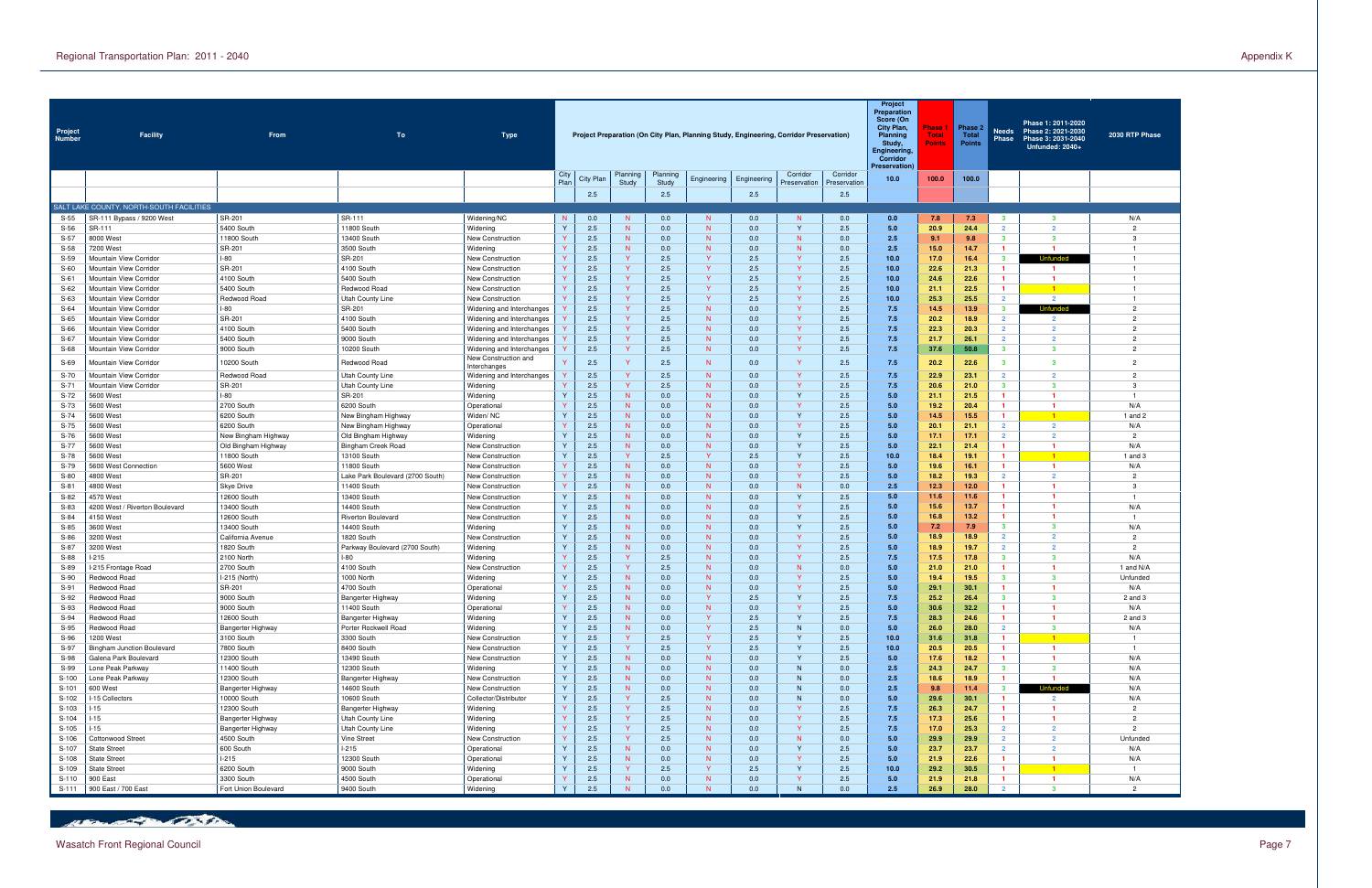| Project<br>Number | <b>Facility</b>                                  | From                                       | To                                        | <b>Type</b>                                            |                              |            |                              |                   | Project Preparation (On City Plan, Planning Study, Engineering, Corridor Preservation) |             |                              |                          | Project<br><b>Preparation</b><br>Score (On<br>City Plan,<br><b>Planning</b><br>Study,<br>Engineering,<br>Corridor<br><b>Preservation)</b> | Phase<br><b>Total</b><br>Points | Phase 2<br>Total<br><b>Points</b> | <b>Needs</b><br><b>Phase</b>     | Phase 1: 2011-2020<br>Phase 2: 2021-2030<br>Phase 3: 2031-2040<br>Unfunded: 2040+ | 2030 RTP Phase                   |
|-------------------|--------------------------------------------------|--------------------------------------------|-------------------------------------------|--------------------------------------------------------|------------------------------|------------|------------------------------|-------------------|----------------------------------------------------------------------------------------|-------------|------------------------------|--------------------------|-------------------------------------------------------------------------------------------------------------------------------------------|---------------------------------|-----------------------------------|----------------------------------|-----------------------------------------------------------------------------------|----------------------------------|
|                   |                                                  |                                            |                                           |                                                        | City<br>Plan                 | City Plan  | Planning<br>Study            | Planning<br>Study | Engineering                                                                            | Engineering | Corridor<br>Preservation     | Corridor<br>Preservation | 10.0                                                                                                                                      | 100.0                           | 100.0                             |                                  |                                                                                   |                                  |
|                   |                                                  |                                            |                                           |                                                        |                              | 2.5        |                              | 2.5               |                                                                                        | 2.5         |                              | 2.5                      |                                                                                                                                           |                                 |                                   |                                  |                                                                                   |                                  |
|                   | SALT LAKE COUNTY, NORTH-SOUTH FACILITIES         |                                            |                                           |                                                        |                              |            |                              |                   |                                                                                        |             |                              |                          |                                                                                                                                           |                                 |                                   |                                  |                                                                                   |                                  |
| $S-55$            | SR-111 Bypass / 9200 West                        | SR-201                                     | SR-111                                    | Widening/NC                                            | N                            | 0.0        | N                            | 0.0               | N                                                                                      | 0.0         | N                            | 0.0                      | 0.0                                                                                                                                       | 7.8                             | 7.3                               | $\mathbf{3}$                     | -3                                                                                | N/A                              |
| $S-56$            | SR-111                                           | 5400 South                                 | 11800 South                               | Widening                                               | $\vee$                       | 2.5        | N                            | 0.0               | N                                                                                      | 0.0         | $\mathsf{Y}$                 | 2.5                      | 5.0                                                                                                                                       | 20.9                            | 24.4                              | $\overline{2}$                   | $\overline{2}$                                                                    | $\overline{2}$                   |
| $S-57$            | 8000 West                                        | 11800 South                                | 13400 South                               | New Construction                                       |                              | 2.5        | N.                           | 0.0               | N<br>N                                                                                 | 0.0         | N<br>N                       | 0.0                      | 2.5                                                                                                                                       | 9.1                             | 9.8                               | $\mathbf{3}$<br>$\blacksquare$   | 3<br>-1                                                                           | -3<br>$\overline{1}$             |
| $S-58$<br>$S-59$  | 7200 West<br>Mountain View Corridor              | SR-201<br><b>I-80</b>                      | 3500 South<br>SR-201                      | Widening<br>New Construction                           |                              | 2.5<br>2.5 | N.<br><b>Y</b>               | 0.0<br>2.5        | $\mathbf{v}$                                                                           | 0.0<br>2.5  | <b>V</b>                     | 0.0<br>2.5               | 2.5<br>10.0                                                                                                                               | 15.0<br>17.0                    | 14.7<br>16.4                      | $\mathbf{3}$                     | Unfunded                                                                          | $\overline{1}$                   |
| $S-60$            | Mountain View Corridor                           | SR-201                                     | 4100 South                                | New Construction                                       |                              | 2.5        | $\mathsf{Y}$                 | 2.5               | $\mathbf{v}$                                                                           | 2.5         | <b>V</b>                     | 2.5                      | 10.0                                                                                                                                      | 22.6                            | 21.3                              | $\blacksquare$                   | $\blacksquare$                                                                    | - 1                              |
| $S-61$            | Mountain View Corridor                           | 4100 South                                 | 5400 South                                | New Construction                                       |                              | 2.5        | $\mathsf{Y}$                 | 2.5               | $\mathbf{v}$                                                                           | 2.5         | <b>V</b>                     | 2.5                      | 10.0                                                                                                                                      | 24.6                            | 22.6                              | $\blacksquare$                   | $\mathbf{1}$                                                                      | -1                               |
| $S-62$            | Mountain View Corridor                           | 5400 South                                 | Redwood Road                              | New Construction                                       |                              | 2.5        | $\mathsf{Y}$                 | 2.5               | $\mathbf{v}$                                                                           | 2.5         | <b>V</b>                     | 2.5                      | 10.0                                                                                                                                      | 21.1                            | 22.5                              | $\blacksquare$                   | $\blacksquare$                                                                    | $\overline{1}$                   |
| $S-63$            | Mountain View Corridor                           | Redwood Road                               | Utah County Line                          | New Construction                                       |                              | 2.5        | $\mathsf{Y}$                 | 2.5               | $\mathbf{v}$                                                                           | 2.5         | <b>V</b>                     | 2.5                      | 10.0                                                                                                                                      | 25.3                            | 25.5                              | $\overline{2}$                   | $\overline{2}$                                                                    | -1                               |
| $S-64$            | Mountain View Corridor                           | $-80$<br>SR-201                            | SR-201                                    | Widening and Interchanges                              |                              | 2.5<br>2.5 | $\mathsf{Y}$<br>$\mathsf{Y}$ | 2.5               | N<br>N                                                                                 | 0.0         | <b>V</b><br><b>V</b>         | 2.5                      | 7.5                                                                                                                                       | 14.5                            | 13.9                              | $\mathbf{3}$<br>$\overline{2}$   | Unfunded<br>$\overline{2}$                                                        | $\overline{2}$<br>$\overline{2}$ |
| $S-65$<br>$S-66$  | Mountain View Corridor<br>Mountain View Corridor | 4100 South                                 | 4100 South<br>5400 South                  | Widening and Interchanges<br>Widening and Interchanges |                              | 2.5        | $\mathsf{Y}$                 | 2.5<br>2.5        | N                                                                                      | 0.0<br>0.0  | <b>V</b>                     | 2.5<br>2.5               | 7.5<br>7.5                                                                                                                                | 20.2<br>22.3                    | 18.9<br>20.3                      | $\overline{2}$                   | $\overline{2}$                                                                    | $\overline{2}$                   |
| $S-67$            | Mountain View Corridor                           | 5400 South                                 | 9000 South                                | Widening and Interchanges                              |                              | 2.5        | Y.                           | 2.5               | N                                                                                      | 0.0         | <b>V</b>                     | 2.5                      | 7.5                                                                                                                                       | 21.7                            | 26.1                              | $\overline{2}$                   | $\overline{2}$                                                                    | $\overline{2}$                   |
| $S-68$            | Mountain View Corridor                           | 9000 South                                 | 10200 South                               | Widening and Interchanges                              |                              | 2.5        | Y.                           | 2.5               | N                                                                                      | 0.0         | <b>Y</b>                     | 2.5                      | 7.5                                                                                                                                       | 37.6                            | 50.8                              | $\mathbf{3}$                     | 3                                                                                 | $\overline{2}$                   |
| $S-69$            | Mountain View Corridor                           | 10200 South                                | Redwood Road                              | New Construction and                                   |                              | 2.5        | $\mathbf{Y}$                 | 2.5               | N                                                                                      | 0.0         | $\mathbf{v}$                 | 2.5                      | 7.5                                                                                                                                       | 20.2                            | 22.6                              | $\mathbf{3}$                     | $\overline{\mathbf{3}}$                                                           | $\overline{2}$                   |
| S-70              | Mountain View Corridor                           | Redwood Road                               | Utah County Line                          | Interchanges<br>Widening and Interchanges              |                              | 2.5        | Y.                           | 2.5               | N                                                                                      | 0.0         | <b>Y</b>                     | 2.5                      | 7.5                                                                                                                                       | 22.9                            | 23.1                              | $\overline{2}$                   | $\overline{2}$                                                                    | $\overline{2}$                   |
| $S-71$            | Mountain View Corridor                           | SR-201                                     | Utah County Line                          | Widening                                               |                              | 2.5        | $\mathsf{Y}$                 | 2.5               | N                                                                                      | 0.0         | <b>Y</b>                     | 2.5                      | 7.5                                                                                                                                       | 20.6                            | 21.0                              | $\mathbf{3}$                     | 3                                                                                 | -3                               |
| S-72              | 5600 West                                        | $-80$                                      | SR-201                                    | Widening                                               | $\mathbf{v}$                 | 2.5        | N                            | 0.0               | N                                                                                      | 0.0         | <b>Y</b>                     | 2.5                      | 5.0                                                                                                                                       | 21.1                            | 21.5                              | $\mathbf{1}$                     | -1                                                                                |                                  |
| S-73              | 5600 West                                        | 2700 South                                 | 6200 South                                | Operational                                            |                              | 2.5        | N                            | 0.0               | N                                                                                      | 0.0         | <b>Y</b>                     | 2.5                      | 5.0                                                                                                                                       | 19.2                            | 20.4                              | $\mathbf{1}$                     | -1                                                                                | N/A                              |
| $S-74$            | 5600 West                                        | 6200 South                                 | New Bingham Highway                       | Widen/NC                                               |                              | 2.5        | N                            | 0.0               | N                                                                                      | 0.0         | <b>Y</b>                     | 2.5                      | 5.0                                                                                                                                       | 14.5                            | 15.5                              | $\mathbf{1}$                     | $\overline{1}$                                                                    | 1 and 2                          |
| $S-75$            | 5600 West                                        | 6200 South                                 | New Bingham Highway                       | Operational                                            | $\mathbf{v}$                 | 2.5        | N                            | 0.0               | N                                                                                      | 0.0         | <b>V</b>                     | 2.5                      | 5.0                                                                                                                                       | 20.1                            | 21.1                              | $\overline{2}$                   | $\overline{2}$                                                                    | N/A                              |
| $S-76$<br>S-77    | 5600 West<br>5600 West                           | New Bingham Highway<br>Old Bingham Highway | Old Bingham Highway<br>Bingham Creek Road | Widening<br>New Construction                           |                              | 2.5<br>2.5 | N<br>N                       | 0.0<br>0.0        | N<br>N                                                                                 | 0.0<br>0.0  | <b>Y</b><br><b>Y</b>         | 2.5<br>2.5               | 5.0<br>5.0                                                                                                                                | 17.1<br>22.1                    | 17.1<br>21.4                      | $\overline{2}$<br>$\mathbf{1}$   | $\overline{2}$<br>-1                                                              | $\overline{2}$<br>N/A            |
| $S-78$            | 5600 West                                        | 11800 South                                | 13100 South                               | New Construction                                       |                              | 2.5        | $\mathsf{Y}$                 | 2.5               | $\mathbf{v}$                                                                           | 2.5         | <b>Y</b>                     | 2.5                      | 10.0                                                                                                                                      | 18.4                            | 19.1                              | $\mathbf{1}$                     | $\blacksquare$ 1                                                                  | 1 and $3$                        |
| S-79              | 5600 West Connection                             | 5600 West                                  | 11800 South                               | New Construction                                       |                              | 2.5        | N                            | 0.0               | N                                                                                      | 0.0         | <b>Y</b>                     | 2.5                      | 5.0                                                                                                                                       | 19.6                            | 16.1                              | $\mathbf{1}$                     | $\blacksquare$                                                                    | N/A                              |
| $S-80$            | 4800 West                                        | SR-201                                     | Lake Park Boulevard (2700 South           | New Construction                                       |                              | 2.5        | N                            | 0.0               | N                                                                                      | 0.0         | <b>V</b>                     | 2.5                      | 5.0                                                                                                                                       | 18.2                            | 19.3                              | $\overline{2}$                   | $\overline{2}$                                                                    | $\overline{2}$                   |
| $S-81$            | 4800 West                                        | <b>Skye Drive</b>                          | 11400 South                               | New Construction                                       |                              | 2.5        | N                            | 0.0               | N                                                                                      | 0.0         | N                            | 0.0                      | 2.5                                                                                                                                       | 12.3                            | 12.0                              | $\mathbf{1}$                     | -1                                                                                | 3                                |
| $S-82$            | 4570 West                                        | 12600 South                                | 13400 South                               | New Construction                                       |                              | 2.5        | N                            | 0.0               | N                                                                                      | 0.0         | $\mathsf{Y}$                 | 2.5                      | 5.0                                                                                                                                       | 11.6                            | 11.6                              | $\mathbf{1}$                     | $\mathbf{1}$                                                                      | -1                               |
| $S-83$<br>$S-84$  | 4200 West / Riverton Boulevard<br>4150 West      | 13400 South                                | 14400 South                               | New Construction                                       |                              | 2.5<br>2.5 | N<br>N                       | 0.0               | N<br>N                                                                                 | 0.0<br>0.0  | <b>Y</b><br><b>Y</b>         | 2.5<br>2.5               | 5.0<br>5.0                                                                                                                                | 15.6                            | 13.7                              | $\mathbf{1}$<br>$\mathbf{1}$     | -1<br>-1                                                                          | N/A<br>-1                        |
| $S-85$            | 3600 West                                        | 12600 South<br>13400 South                 | Riverton Boulevard<br>14400 South         | New Construction<br>Widening                           |                              | 2.5        | N                            | 0.0<br>0.0        | N                                                                                      | 0.0         | <b>Y</b>                     | 2.5                      | 5.0                                                                                                                                       | 16.8<br>7.2                     | 13.2<br>7.9                       | $\mathbf{3}$                     | 3                                                                                 | N/A                              |
| $S-86$            | 3200 West                                        | California Avenue                          | 1820 South                                | New Construction                                       |                              | 2.5        | N                            | 0.0               | N                                                                                      | 0.0         | <b>V</b>                     | 2.5                      | 5.0                                                                                                                                       | 18.9                            | 18.9                              | $\overline{2}$                   | $\overline{2}$                                                                    | $\overline{2}$                   |
| $S-87$            | 3200 West                                        | 1820 South                                 | Parkway Boulevard (2700 South)            | Widening                                               |                              | 2.5        | N                            | 0.0               | N                                                                                      | 0.0         | <b>Y</b>                     | 2.5                      | 5.0                                                                                                                                       | 18.9                            | 19.7                              | $\overline{2}$                   | $\overline{2}$                                                                    | $\overline{2}$                   |
| S-88              | $-215$                                           | 2100 North                                 | $1-80$                                    | Widening                                               |                              | 2.5        | $\mathsf{Y}$                 | 2.5               | N                                                                                      | 0.0         | <b>V</b>                     | 2.5                      | 7.5                                                                                                                                       | 17.5                            | 17.8                              | $\mathbf{3}$                     | 3                                                                                 | N/A                              |
| $S-89$            | -215 Frontage Road                               | 2700 South                                 | 4100 South                                | New Construction                                       |                              | 2.5        | $\mathsf{Y}$                 | 2.5               | N                                                                                      | 0.0         | N                            | 0.0                      | 5.0                                                                                                                                       | 21.0                            | 21.0                              | -1                               | -1                                                                                | 1 and N/A                        |
| $S-90$            | Redwood Road                                     | I-215 (North)                              | 1000 North                                | Widening                                               |                              | 2.5        | N                            | 0.0               | N                                                                                      | 0.0         |                              | 2.5                      | 5.0                                                                                                                                       | 19.4                            | 19.5                              | -3                               | 3                                                                                 | Unfunded                         |
| $S-91$<br>S-92    | Redwood Road<br>Redwood Road                     | SR-201<br>9000 South                       | 4700 South<br>Bangerter Highway           | Operational<br>Widening                                |                              | 2.5<br>2.5 | N<br>N                       | 0.0<br>0.0        | N                                                                                      | 0.0<br>2.5  | <b>V</b><br>Y                | 2.5<br>$2.5\,$           | 5.0                                                                                                                                       | 29.1<br>25.2                    | 30.1<br>26.4                      | -1                               | -1<br>з                                                                           | N/A<br>$2$ and $3$               |
| S-93              | Redwood Road                                     | 9000 South                                 | 11400 South                               | Operational                                            |                              | 2.5        | N                            | 0.0               | N                                                                                      | 0.0         | <b>V</b>                     | 2.5                      | 5.0                                                                                                                                       | 30.6                            | 32.2                              | $\mathbf{1}$                     | -1                                                                                | N/A                              |
| S-94              | Redwood Road                                     | 12600 South                                | Bangerter Highway                         | Widening                                               | $\mathsf{Y}$                 | 2.5        | N                            | 0.0               | $\mathbf{Y}$                                                                           | 2.5         | $\mathsf{Y}$                 | 2.5                      | 7.5                                                                                                                                       | 28.3                            | 24.6                              | $\mathbf{1}$                     | $\mathbf{1}$                                                                      | 2 and 3                          |
| S-95              | Redwood Road                                     | Bangerter Highway                          | Porter Rockwell Road                      | Widening                                               | $\mathsf{Y}$                 | 2.5        | N                            | 0.0               | <b>Y</b>                                                                               | 2.5         | N                            | 0.0                      | 5.0                                                                                                                                       | 26.0                            | 28.0                              | $\overline{2}$                   | $\mathbf{3}$                                                                      | N/A                              |
| S-96              | 1200 West                                        | 3100 South                                 | 3300 South                                | New Construction                                       | $\mathbf{v}$                 | 2.5        | Y.                           | 2.5               | <b>Y</b>                                                                               | 2.5         | <b>Y</b>                     | 2.5                      | 10.0                                                                                                                                      | 31.6                            | 31.8                              | $\mathbf{1}$                     | $\blacksquare$ 1                                                                  |                                  |
| S-97              | <b>Bingham Junction Boulevard</b>                | 7800 South                                 | 8400 South                                | New Construction                                       | $\mathsf{Y}$<br>$\mathsf{Y}$ | 2.5        | Y.                           | 2.5               | $\mathbf{Y}$                                                                           | 2.5         | $\mathsf{Y}$<br>$\mathsf{Y}$ | 2.5                      | 10.0                                                                                                                                      | 20.5                            | 20.5                              | $\mathbf{1}$                     | $\blacksquare$                                                                    | -1                               |
| S-98<br>S-99      | Galena Park Boulevard<br>Lone Peak Parkway       | 12300 South<br>11400 South                 | 13490 South<br>12300 South                | New Construction<br>Widening                           | $\mathbf{v}$                 | 2.5<br>2.5 | N<br>N                       | 0.0<br>0.0        | N<br>N                                                                                 | 0.0<br>0.0  | N                            | 2.5<br>0.0               | 5.0<br>2.5                                                                                                                                | 17.6<br>24.3                    | 18.2<br>24.7                      | $\mathbf{1}$<br>$\mathbf{3}$     | -1<br>3                                                                           | N/A<br>N/A                       |
| S-100             | Lone Peak Parkway                                | 12300 South                                | Bangerter Highway                         | New Construction                                       | $\mathsf{Y}$                 | 2.5        | N                            | 0.0               | N                                                                                      | 0.0         | N                            | 0.0                      | 2.5                                                                                                                                       | 18.6                            | 18.9                              | $\mathbf{1}$                     | -1                                                                                | N/A                              |
| $S-101$           | 600 West                                         | Bangerter Highway                          | 14600 South                               | New Construction                                       | $\mathsf{Y}$                 | 2.5        | N                            | 0.0               | N                                                                                      | 0.0         | N                            | 0.0                      | 2.5                                                                                                                                       | 9.8                             | 11.4                              | $3^{\circ}$                      | Unfunded                                                                          | N/A                              |
| S-102             | -15 Collectors                                   | 10000 South                                | 10600 South                               | Collector/Distributor                                  | $\mathbf{v}$                 | 2.5        | Y.                           | 2.5               | N                                                                                      | 0.0         | N                            | 0.0                      | 5.0                                                                                                                                       | 29.6                            | 30.1                              | $\mathbf{1}$                     | $\overline{2}$                                                                    | N/A                              |
| S-103             | $-15$                                            | 12300 South                                | Bangerter Highway                         | Widening                                               |                              | 2.5        | Y.                           | 2.5               | N                                                                                      | 0.0         | <b>Y</b>                     | 2.5                      | 7.5                                                                                                                                       | 26.3                            | 24.7                              | $\mathbf{1}$                     | $\mathbf{1}$                                                                      | $\overline{2}$                   |
| S-104             | $-15$                                            | Bangerter Highway                          | Utah County Line                          | Widening                                               |                              | 2.5        | Y.                           | 2.5               | N                                                                                      | 0.0         | <b>Y</b>                     | 2.5                      | 7.5                                                                                                                                       | 17.3                            | 25.6                              | $\mathbf{1}$                     | $\mathbf{1}$                                                                      | $\overline{2}$                   |
| $S-105$           | $-15$                                            | Bangerter Highway                          | Utah County Line<br>Vine Street           | Widening                                               |                              | 2.5<br>2.5 | Y.<br>Y.                     | 2.5<br>2.5        | N<br>N                                                                                 | 0.0<br>0.0  | <b>Y</b><br>N                | 2.5<br>0.0               | 7.5                                                                                                                                       | 17.0<br>29.9                    | 25.3                              | $\overline{2}$<br>$\overline{2}$ | $\overline{2}$<br>$\overline{2}$                                                  | $\overline{2}$                   |
| S-106<br>S-107    | Cottonwood Street<br><b>State Street</b>         | 4500 South<br>600 South                    | $1-215$                                   | New Construction<br>Operational                        | $\mathsf{Y}$                 | 2.5        | N                            | 0.0               | N                                                                                      | 0.0         | $\mathsf{Y}$                 | 2.5                      | 5.0<br>5.0                                                                                                                                | 23.7                            | 29.9<br>23.7                      | $\overline{2}$                   | $\overline{2}$                                                                    | Unfunded<br>N/A                  |
| S-108             | <b>State Street</b>                              | $1-215$                                    | 12300 South                               | Operational                                            | $\mathbf{v}$                 | 2.5        | N                            | 0.0               | N                                                                                      | 0.0         | <b>Y</b>                     | 2.5                      | 5.0                                                                                                                                       | 21.9                            | 22.6                              | $\mathbf{1}$                     | $\mathbf{1}$                                                                      | N/A                              |
| S-109             | <b>State Street</b>                              | 6200 South                                 | 9000 South                                | Widening                                               | $\mathsf{v}$                 | 2.5        | Y.                           | 2.5               | <b>Y</b>                                                                               | 2.5         | $\mathsf{Y}$                 | 2.5                      | 10.0                                                                                                                                      | 29.2                            | 30.5                              | $\mathbf{1}$                     | $\blacksquare$ 1                                                                  |                                  |
| S-110             | 900 East                                         | 3300 South                                 | 4500 South                                | Operational                                            |                              | 2.5        | N                            | 0.0               | N                                                                                      | 0.0         | <b>Y</b>                     | 2.5                      | 5.0                                                                                                                                       | 21.9                            | 21.8                              | $\mathbf{1}$                     | $\blacksquare$                                                                    | N/A                              |
| $S-111$           | 900 East / 700 East                              | Fort Union Boulevard                       | 9400 South                                | Widening                                               | $\mathbf{v}$                 | 2.5        | <b>N</b>                     | 0.0               | N                                                                                      | 0.0         | N                            | 0.0                      | 2.5                                                                                                                                       | 26.9                            | 28.0                              | $\overline{2}$                   | $\overline{\mathbf{3}}$                                                           | $\overline{2}$                   |

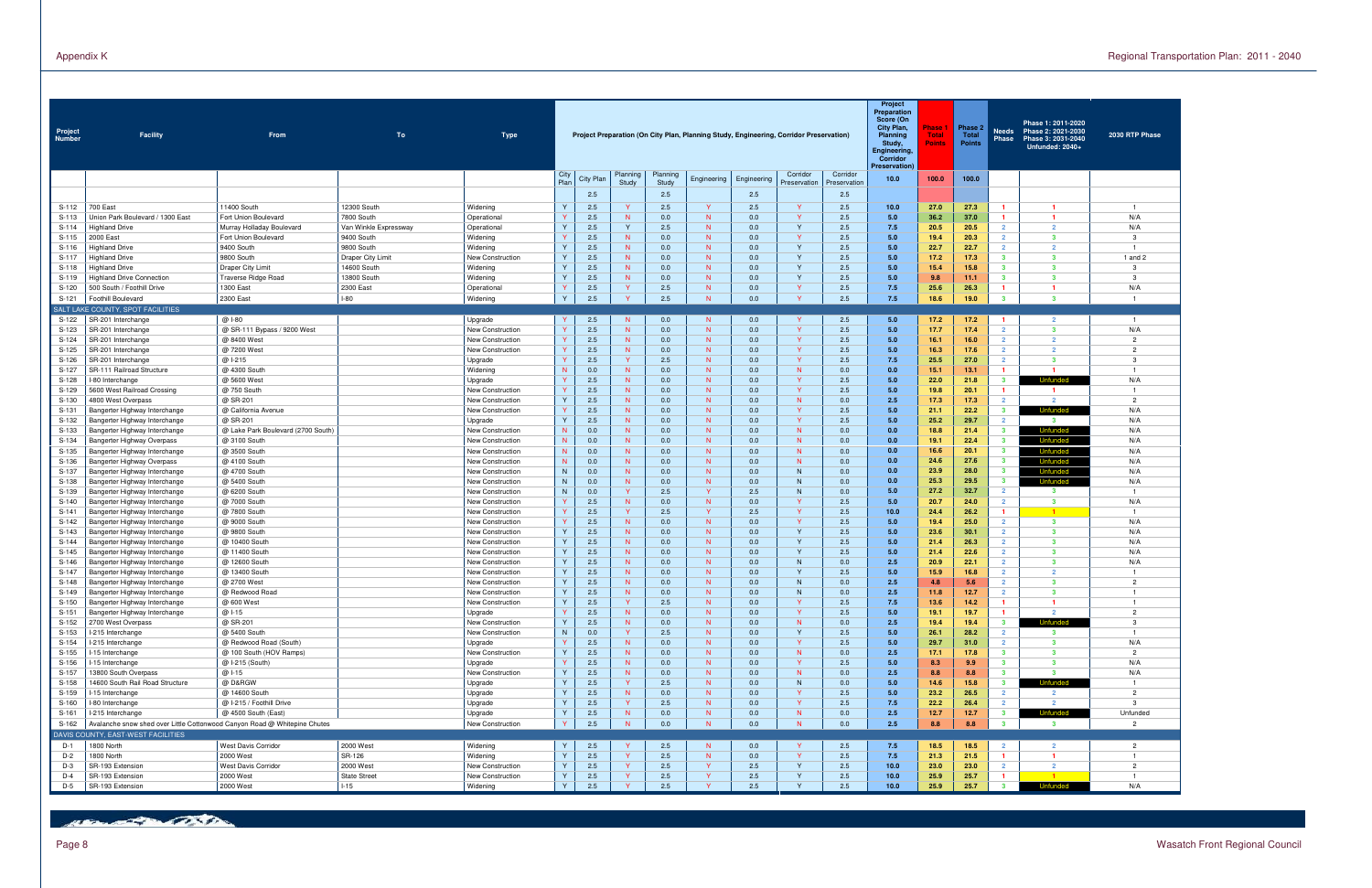| Project<br>Number | <b>Facility</b>                                                           | From                                   | To                       | <b>Type</b>                                 |                              |            |                              |                   | Project Preparation (On City Plan, Planning Study, Engineering, Corridor Preservation) |             |                          |                          | Project<br><b>Preparation</b><br>Score (On<br>City Plan,<br>Planning<br>Study,<br>Engineering,<br>Corridor<br>Preservation) | Phase<br><b>Total</b><br>Points | Phase 2<br>Total<br><b>Points</b> | Needs<br>Phase                            | Phase 1: 2011-2020<br>Phase 2: 2021-2030<br>Phase 3: 2031-2040<br>Unfunded: 2040+ | 2030 RTP Phase        |
|-------------------|---------------------------------------------------------------------------|----------------------------------------|--------------------------|---------------------------------------------|------------------------------|------------|------------------------------|-------------------|----------------------------------------------------------------------------------------|-------------|--------------------------|--------------------------|-----------------------------------------------------------------------------------------------------------------------------|---------------------------------|-----------------------------------|-------------------------------------------|-----------------------------------------------------------------------------------|-----------------------|
|                   |                                                                           |                                        |                          |                                             | City<br>Plan                 | City Plan  | Planning<br>Study            | Planning<br>Study | Engineering                                                                            | Engineering | Corridor<br>Preservation | Corridor<br>Preservation | 10.0                                                                                                                        | 100.0                           | 100.0                             |                                           |                                                                                   |                       |
|                   |                                                                           |                                        |                          |                                             |                              | 2.5        |                              | 2.5               |                                                                                        | 2.5         |                          | 2.5                      |                                                                                                                             |                                 |                                   |                                           |                                                                                   |                       |
| S-112             | 700 East                                                                  | 11400 South                            | 12300 South              | Widening                                    | $\mathsf{Y}$                 | 2.5        | <b>Y</b>                     | 2.5               |                                                                                        | 2.5         | <b>V</b>                 | 2.5                      | 10.0                                                                                                                        | 27.0                            | 27.3                              | $\blacksquare$                            | -1                                                                                | - 1                   |
| $S-113$           | Union Park Boulevard / 1300 East                                          | Fort Union Boulevard                   | 7800 South               | Operationa                                  | $\vee$                       | 2.5        | N                            | 0.0               | N                                                                                      | 0.0         | - Y                      | 2.5                      | 5.0                                                                                                                         | 36.2                            | 37.0                              | $\blacksquare$                            | $\blacktriangleleft$                                                              | N/A                   |
| S-114             | <b>Highland Drive</b>                                                     | Murray Holladay Boulevard              | Van Winkle Expressway    | Operational                                 | $\mathsf{Y}$                 | 2.5        | Y                            | 2.5               | N                                                                                      | 0.0         | <b>Y</b>                 | 2.5                      | 7.5                                                                                                                         | 20.5                            | 20.5                              | $\overline{2}$                            | $\overline{2}$                                                                    | N/A                   |
| $S-115$<br>S-116  | 2000 East<br><b>Highland Drive</b>                                        | Fort Union Boulevard<br>9400 South     | 9400 South<br>9800 South | Widening<br>Widening                        | $\mathsf{v}$                 | 2.5<br>2.5 | N<br>N                       | 0.0<br>0.0        | $\mathsf{N}$<br>N                                                                      | 0.0<br>0.0  | <b>V</b><br>Y            | 2.5<br>2.5               | 5.0<br>5.0                                                                                                                  | 19.4<br>22.7                    | 20.3<br>22.7                      | $\overline{2}$<br>$\overline{2}$          | $\mathbf{3}$<br>$\overline{2}$                                                    | -3<br>- 1             |
| S-117             | <b>Highland Drive</b>                                                     | 9800 South                             | Draper City Limit        | <b>New Construction</b>                     | $\mathsf{Y}$                 | 2.5        | N                            | 0.0               | N                                                                                      | 0.0         | <b>Y</b>                 | 2.5                      | 5.0                                                                                                                         | 17.2                            | 17.3                              | $\mathbf{3}$                              | $\mathbf{3}$                                                                      | 1 and $2$             |
| S-118             | Highland Drive                                                            | Draper City Limit                      | 14600 South              | Widening                                    | $\vee$                       | 2.5        | N                            | 0.0               | $\mathsf{N}$                                                                           | 0.0         | $\mathbf{v}$             | 2.5                      | 5.0                                                                                                                         | 15.4                            | 15.8                              | $\mathbf{3}$                              | $\mathbf{3}$                                                                      | $\mathcal{R}$         |
| S-119             | <b>Highland Drive Connection</b>                                          | <b>Traverse Ridge Road</b>             | 13800 South              | Widening                                    | $\mathsf{Y}$                 | 2.5        | N                            | 0.0               | $\mathsf{N}$                                                                           | 0.0         | $\mathsf{v}$             | 2.5                      | 5.0                                                                                                                         | 9.8                             | 11.1                              | $\overline{\mathbf{3}}$                   | $\mathbf{3}$                                                                      | $\mathcal{R}$         |
| S-120<br>S-121    | 500 South / Foothill Drive<br>Foothill Boulevard                          | 1300 East<br>2300 East                 | 2300 East<br>l-80        | Operationa<br>Widening                      | $\vee$<br>$\mathsf{Y}$       | 2.5<br>2.5 | $\mathsf{Y}$<br>$\mathbf{v}$ | 2.5<br>2.5        | $\mathsf{N}$<br>$\mathsf{N}$                                                           | 0.0<br>0.0  | <b>V</b><br>Y            | 2.5<br>2.5               | 7.5<br>7.5                                                                                                                  | 25.6<br>18.6                    | 26.3<br>19.0                      | $\blacksquare$<br>$\overline{\mathbf{3}}$ | -1<br>$\overline{\mathbf{3}}$                                                     | N/A<br>$\overline{1}$ |
|                   | SALT LAKE COUNTY, SPOT FACILITIES                                         |                                        |                          |                                             |                              |            |                              |                   |                                                                                        |             |                          |                          |                                                                                                                             |                                 |                                   |                                           |                                                                                   |                       |
| S-122             | SR-201 Interchange                                                        | @ I-80                                 |                          | Upgrade                                     |                              | 2.5        | N                            | 0.0               | -N                                                                                     | 0.0         |                          | 2.5                      | 5.0                                                                                                                         | 17.2                            | 17.2                              |                                           | $\overline{2}$                                                                    | $\overline{1}$        |
| S-123             | SR-201 Interchange                                                        | @ SR-111 Bypass / 9200 West            |                          | <b>New Construction</b>                     |                              | 2.5        | N                            | 0.0               | N                                                                                      | 0.0         | Y                        | 2.5                      | 5.0                                                                                                                         | 17.7                            | 17.4                              | $\overline{2}$                            | $\overline{\mathbf{3}}$                                                           | N/A                   |
| S-124<br>S-125    | SR-201 Interchange<br>SR-201 Interchange                                  | @ 8400 West<br>@ 7200 West             |                          | <b>New Construction</b><br>New Construction |                              | 2.5<br>2.5 | N<br>N                       | 0.0<br>0.0        | N<br>N                                                                                 | 0.0<br>0.0  | <b>Y</b><br><b>Y</b>     | 2.5<br>2.5               | 5.0<br>5.0                                                                                                                  | 16.1<br>16.3                    | 16.0<br>17.6                      | $\overline{2}$<br>$\overline{2}$          | $\overline{2}$<br>$\overline{2}$                                                  | $\mathcal{P}$         |
| S-126             | SR-201 Interchange                                                        | @ I-215                                |                          | Upgrade                                     |                              | 2.5        | $\mathsf{Y}$                 | 2.5               | N                                                                                      | 0.0         | <b>Y</b>                 | 2.5                      | 7.5                                                                                                                         | 25.5                            | 27.0                              | $\overline{2}$                            | $\mathbf{3}$                                                                      | -3                    |
| S-127             | SR-111 Railroad Structure                                                 | @ 4300 South                           |                          | Widening                                    | N                            | 0.0        | N                            | 0.0               | N                                                                                      | 0.0         | N                        | 0.0                      | 0.0                                                                                                                         | 15.1                            | 13.1                              | $\mathbf{1}$                              | -1                                                                                |                       |
| S-128             | -80 Interchange                                                           | @ 5600 West                            |                          | Upgrade                                     |                              | 2.5        | N                            | 0.0               | N                                                                                      | 0.0         | Y                        | 2.5                      | 5.0                                                                                                                         | 22.0                            | 21.8                              | $\mathbf{3}$                              |                                                                                   | N/A                   |
| S-129<br>S-130    | 5600 West Railroad Crossing<br>4800 West Overpass                         | @ 750 South<br>@ SR-201                |                          | New Construction<br>New Construction        | Y                            | 2.5<br>2.5 | N<br>N                       | 0.0<br>0.0        | N<br>N                                                                                 | 0.0<br>0.0  | <b>Y</b><br>N            | 2.5<br>0.0               | 5.0<br>2.5                                                                                                                  | 19.8<br>17.3                    | 20.1<br>17.3                      | $\blacksquare$<br>$\overline{2}$          | -1<br>$\overline{2}$                                                              | $\overline{2}$        |
| S-131             | Bangerter Highway Interchange                                             | @ California Avenue                    |                          | New Construction                            |                              | 2.5        | N                            | 0.0               | N                                                                                      | 0.0         | <b>Y</b>                 | 2.5                      | 5.0                                                                                                                         | 21.1                            | 22.2                              | $3^{\circ}$                               | Unfundeo                                                                          | N/A                   |
| S-132             | Bangerter Highway Interchange                                             | @ SR-201                               |                          | Upgrade                                     | Y                            | 2.5        | N                            | 0.0               | N                                                                                      | 0.0         | <b>Y</b>                 | 2.5                      | 5.0                                                                                                                         | 25.2                            | 29.7                              | $\overline{2}$                            | -3                                                                                | N/A                   |
| S-133             | Bangerter Highway Interchange                                             | @ Lake Park Boulevard (2700 South)     |                          | New Construction                            | N                            | 0.0        | N                            | 0.0               | N                                                                                      | 0.0         | N                        | 0.0                      | 0.0                                                                                                                         | 18.8                            | 21.4                              | $\mathbf{3}$                              |                                                                                   | N/A                   |
| S-134<br>S-135    | Bangerter Highway Overpass<br>Bangerter Highway Interchange               | @ 3100 South<br>@ 3500 South           |                          | New Construction<br>New Construction        | N<br>N                       | 0.0<br>0.0 | N<br>N                       | 0.0<br>0.0        | N<br>N                                                                                 | 0.0<br>0.0  | N<br>N                   | 0.0<br>0.0               | 0.0<br>0.0                                                                                                                  | 19.1<br>16.6                    | 22.4<br>20.1                      | $\mathbf{3}$<br>$\mathbf{3}$              |                                                                                   | N/A<br>N/A            |
| S-136             | Bangerter Highway Overpass                                                | @ 4100 South                           |                          | New Construction                            | N                            | 0.0        | N                            | 0.0               | N                                                                                      | 0.0         | - N                      | 0.0                      | 0.0                                                                                                                         | 24.6                            | 27.6                              | $\mathbf{3}$                              |                                                                                   | N/A                   |
| S-137             | Bangerter Highway Interchange                                             | @ 4700 South                           |                          | New Construction                            | $\mathsf{N}$                 | 0.0        | N                            | 0.0               | N                                                                                      | 0.0         | N                        | 0.0                      | 0.0                                                                                                                         | 23.9                            | 28.0                              | $\mathbf{3}$                              |                                                                                   | N/A                   |
| S-138             | Bangerter Highway Interchange                                             | @ 5400 South                           |                          | <b>New Construction</b>                     | N                            | 0.0        | N                            | 0.0               | N                                                                                      | 0.0         | N                        | 0.0                      | 0.0                                                                                                                         | 25.3                            | 29.5                              | $\mathbf{3}$                              |                                                                                   | N/A                   |
| S-139<br>S-140    | Bangerter Highway Interchange<br>Bangerter Highway Interchange            | @ 6200 South<br>@ 7000 South           |                          | New Construction<br>New Construction        | $\mathsf{N}$<br>Y            | 0.0<br>2.5 | <b>Y</b><br>N                | 2.5<br>0.0        | Y<br>N                                                                                 | 2.5<br>0.0  | $\mathsf{N}$             | 0.0<br>2.5               | 5.0<br>5.0                                                                                                                  | 27.2<br>20.7                    | 32.7<br>24.0                      | $\overline{2}$<br>$\overline{2}$          | -3<br>$\overline{\mathbf{3}}$                                                     | N/A                   |
| S-141             | Bangerter Highway Interchange                                             | @ 7800 South                           |                          | New Construction                            |                              | 2.5        | <b>Y</b>                     | 2.5               | <b>Y</b>                                                                               | 2.5         | <b>Y</b>                 | 2.5                      | 10.0                                                                                                                        | 24.4                            | 26.2                              | $\mathbf{1}$                              | $-1$                                                                              |                       |
| S-142             | Bangerter Highway Interchange                                             | @ 9000 South                           |                          | <b>New Construction</b>                     |                              | 2.5        | N                            | 0.0               | N                                                                                      | 0.0         | <b>Y</b>                 | 2.5                      | 5.0                                                                                                                         | 19.4                            | 25.0                              | $2^{\circ}$                               | $\mathbf{3}$                                                                      | N/A                   |
| S-143             | Bangerter Highway Interchange                                             | @ 9800 South                           |                          | New Construction                            | Y<br>$\mathsf{Y}$            | 2.5        | N<br>N                       | 0.0               | N                                                                                      | 0.0         | $\mathsf{Y}$<br>Y        | 2.5                      | 5.0                                                                                                                         | 23.6                            | 30.1                              | $\overline{2}$                            | 3                                                                                 | N/A                   |
| S-144<br>S-145    | Bangerter Highway Interchange<br>Bangerter Highway Interchange            | @ 10400 South<br>@ 11400 South         |                          | New Construction<br>New Construction        | Y                            | 2.5<br>2.5 | N                            | 0.0<br>0.0        | N<br>N                                                                                 | 0.0<br>0.0  | $\mathsf{Y}$             | 2.5<br>2.5               | 5.0<br>5.0                                                                                                                  | 21.4<br>21.4                    | 26.3<br>22.6                      | $\overline{2}$<br>$2^{\circ}$             | 3<br>3                                                                            | N/A<br>N/A            |
| S-146             | Bangerter Highway Interchange                                             | @ 12600 South                          |                          | <b>New Construction</b>                     | Y                            | 2.5        | N                            | 0.0               | N                                                                                      | 0.0         | N                        | 0.0                      | 2.5                                                                                                                         | 20.9                            | 22.1                              | $\overline{2}$                            | 3                                                                                 | N/A                   |
| S-147             | Bangerter Highway Interchange                                             | @ 13400 South                          |                          | New Construction                            |                              | 2.5        | N                            | 0.0               | - N                                                                                    | 0.0         | $\mathsf{Y}$             | 2.5                      | 5.0                                                                                                                         | 15.9                            | 16.8                              | $2^{\circ}$                               | $\overline{2}$                                                                    |                       |
| S-148<br>S-149    | Bangerter Highway Interchange                                             | @ 2700 West                            |                          | <b>New Construction</b>                     | $\mathsf{Y}$<br>$\mathbf{v}$ | 2.5<br>2.5 | N<br>N                       | 0.0<br>0.0        | $\mathsf{N}$<br>$\mathbf N$                                                            | 0.0<br>0.0  | N<br>N                   | 0.0<br>0.0               | 2.5<br>2.5                                                                                                                  | 4.8<br>11.8                     | 5.6<br>12.7                       | $\overline{2}$<br>$\overline{2}$          | 3<br>з                                                                            | $\overline{2}$        |
| S-150             | Bangerter Highway Interchange<br>Bangerter Highway Interchange            | @ Redwood Road<br>@ 600 West           |                          | New Construction<br>New Construction        | Y                            | 2.5        | <b>Y</b>                     | 2.5               | $\mathsf{N}$                                                                           | 0.0         |                          | 2.5                      | 7.5                                                                                                                         | 13.6                            | 14.2                              |                                           |                                                                                   |                       |
| S-151             | Bangerter Highway Interchange                                             | @ 1-15                                 |                          | Upgrade                                     |                              | 2.5        | N                            | 0.0               | N                                                                                      | 0.0         | $\mathbf{Y}$             | 2.5                      | 5.0                                                                                                                         | 19.1                            | 19.7                              | $\mathbf{1}$                              | $\overline{2}$                                                                    | $\overline{2}$        |
| S-152             | 2700 West Overpass                                                        | @ SR-201                               |                          | New Construction                            | Y                            | 2.5        | N                            | 0.0               | N                                                                                      | 0.0         | N                        | 0.0                      | 2.5                                                                                                                         | 19.4                            | 19.4                              | $\mathbf{3}$                              |                                                                                   | $\mathbf{3}$          |
| S-153<br>S-154    | I-215 Interchange<br>-215 Interchange                                     | @ 5400 South<br>@ Redwood Road (South) |                          | New Construction<br>Upgrade                 | N<br>Y                       | 0.0<br>2.5 | $\mathsf{Y}$<br>N            | 2.5<br>0.0        | N<br>N                                                                                 | 0.0<br>0.0  | Y<br><b>Y</b>            | 2.5<br>2.5               | 5.0<br>5.0                                                                                                                  | 26.1<br>29.7                    | 28.2<br>31.0                      | $2^{\circ}$<br>$\overline{2}$             | $\mathbf{3}$<br>$\overline{\mathbf{3}}$                                           | N/A                   |
| $S-155$           | I-15 Interchange                                                          | @ 100 South (HOV Ramps)                |                          | New Construction                            | Y                            | 2.5        | N                            | 0.0               | N                                                                                      | 0.0         | N                        | 0.0                      | 2.5                                                                                                                         | 17.1                            | 17.8                              | 3 <sup>1</sup>                            | $\overline{\mathbf{3}}$                                                           | $\overline{2}$        |
| S-156             | I-15 Interchange                                                          | @ I-215 (South)                        |                          | Upgrade                                     |                              | 2.5        | N                            | 0.0               | N                                                                                      | 0.0         | <b>Y</b>                 | 2.5                      | 5.0                                                                                                                         | 8.3                             | 9.9                               | $\mathbf{3}$                              | $\overline{\mathbf{3}}$                                                           | N/A                   |
| S-157             | 13800 South Overpass                                                      | @ 1-15                                 |                          | New Construction                            | Y                            | 2.5        | N                            | 0.0               | N                                                                                      | 0.0         | N                        | 0.0                      | 2.5                                                                                                                         | 8.8                             | 8.8                               | 3 <sup>1</sup>                            | $\overline{\mathbf{3}}$                                                           | N/A                   |
| S-158<br>S-159    | 14600 South Rail Road Structure<br>I-15 Interchange                       | @ D&RGW<br>@ 14600 South               |                          | Upgrade<br>Upgrade                          | Y<br>$\mathsf{Y}$            | 2.5<br>2.5 | $\mathbf{Y}$<br>N            | 2.5<br>0.0        | N<br>N,                                                                                | 0.0<br>0.0  | N<br><b>Y</b>            | 0.0<br>2.5               | 5.0<br>5.0                                                                                                                  | 14.6<br>23.2                    | 15.8<br>26.5                      | 3 <sup>1</sup><br>$2^{\circ}$             | $\mathbf{2}$                                                                      | $\overline{2}$        |
| S-160             | I-80 Interchange                                                          | @ I-215 / Foothill Drive               |                          | Upgrade                                     | Y                            | 2.5        | $\mathsf{Y}$                 | 2.5               | N                                                                                      | 0.0         | $\mathbf{Y}$             | 2.5                      | 7.5                                                                                                                         | 22.2                            | 26.4                              | $\overline{2}$                            | $\overline{2}$                                                                    | $\mathbf{3}$          |
| S-161             | I-215 Interchange                                                         | @ 4500 South (East)                    |                          | Upgrade                                     | Y                            | 2.5        | N                            | 0.0               | N                                                                                      | 0.0         | N                        | 0.0                      | 2.5                                                                                                                         | 12.7                            | 12.7                              | 3 <sup>1</sup>                            | <b>Unfunded</b>                                                                   | Unfunded              |
| S-162             | Avalanche snow shed over Little Cottonwood Canyon Road @ Whitepine Chutes |                                        |                          | New Construction                            |                              | 2.5        | N                            | 0.0               | N                                                                                      | 0.0         | N                        | 0.0                      | 2.5                                                                                                                         | 8.8                             | 8.8                               | $\mathbf{3}$                              | $\mathbf{3}$                                                                      | $\overline{2}$        |
| $D-1$             | DAVIS COUNTY, EAST-WEST FACILITIES<br>1800 North                          | West Davis Corridor                    | 2000 West                | Widening                                    | Y                            | 2.5        | <b>Y</b>                     | 2.5               | $\mathsf{N}$                                                                           |             |                          | 2.5                      | 7.5                                                                                                                         | 18.5                            |                                   | $\overline{2}$                            | $\overline{2}$                                                                    | $\overline{2}$        |
| $D-2$             | 1800 North                                                                | 2000 West                              | SR-126                   | Widening                                    | Y                            | 2.5        | Y                            | 2.5               | N                                                                                      | 0.0<br>0.0  | $\mathbf{Y}$             | 2.5                      | 7.5                                                                                                                         | 21.3                            | 18.5<br>21.5                      | $\blacksquare$                            | $\mathbf{1}$                                                                      | $\overline{1}$        |
| $D-3$             | SR-193 Extension                                                          | West Davis Corridor                    | 2000 West                | New Construction                            | Y                            | 2.5        | $\mathsf{Y}$                 | 2.5               | $\mathbf{Y}$                                                                           | 2.5         | Y                        | 2.5                      | 10.0                                                                                                                        | 23.0                            | 23.0                              | $\overline{2}$                            | $\overline{2}$                                                                    | $\overline{2}$        |
| $D-4$             | SR-193 Extension                                                          | 2000 West                              | <b>State Street</b>      | New Construction                            | Y                            | 2.5        | <b>Y</b>                     | 2.5               | Y                                                                                      | 2.5         | Y                        | 2.5                      | 10.0                                                                                                                        | 25.9                            | 25.7                              | $\blacksquare$                            | $\blacksquare$                                                                    | $\overline{1}$        |
| D-5               | SR-193 Extension                                                          | 2000 West                              | $I-15$                   | Widening                                    | Y                            | 2.5        | $\mathbf{V}$                 | 2.5               | $\mathbf{v}$                                                                           | 2.5         | $\mathsf{Y}$             | 2.5                      | 10.0                                                                                                                        | 25.9                            | 25.7                              | $\mathbf{3}$                              | <b>Unfunded</b>                                                                   | N/A                   |



### Appendix K Regional Transportation Plan: 2011 - 2040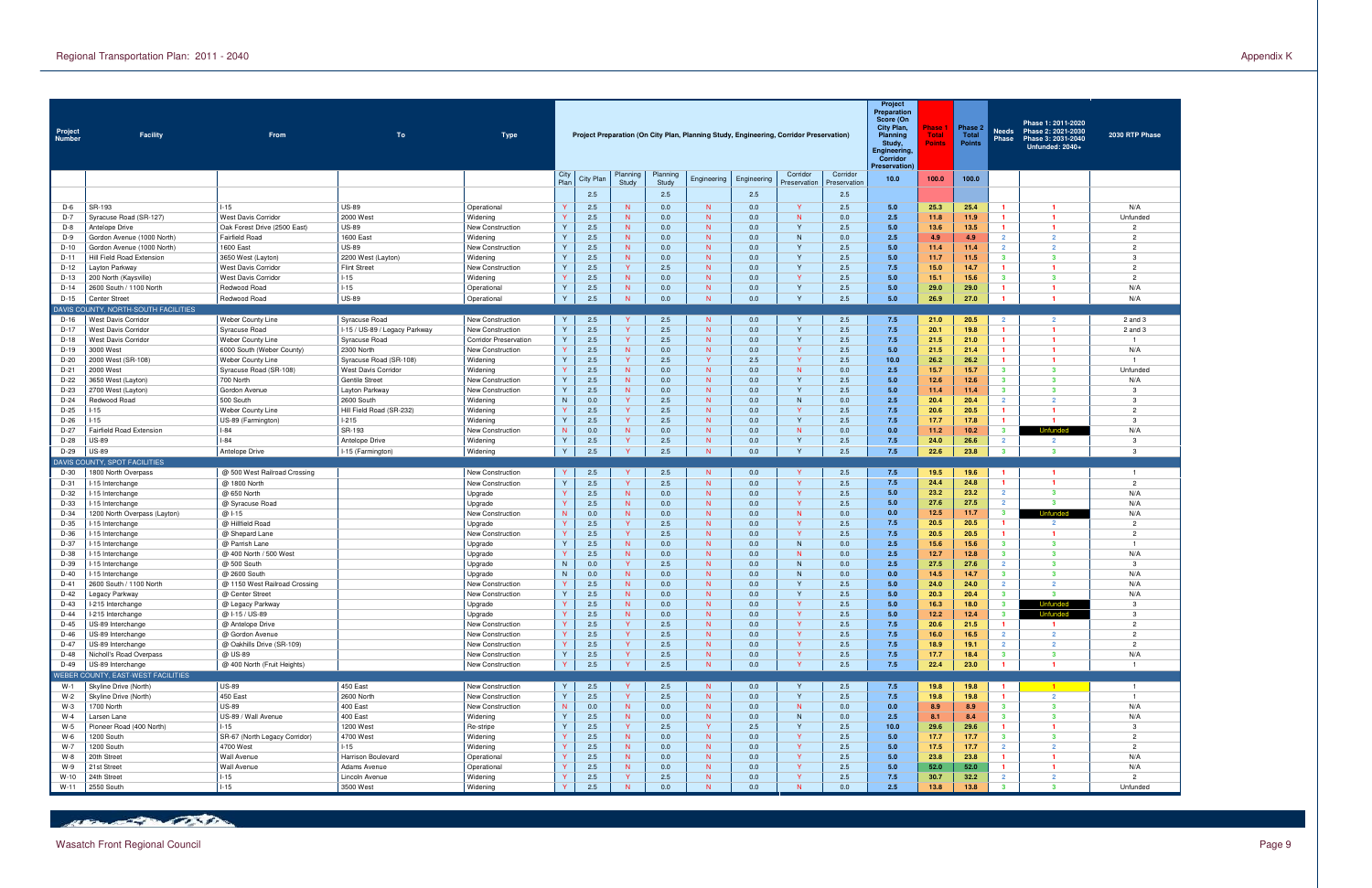| Project<br><b>Number</b> | <b>Facility</b>                                         | From                                         | To                                                  | <b>Type</b>                          |                     |                  |                   |                   | Project Preparation (On City Plan, Planning Study, Engineering, Corridor Preservation) |             |                              |                          | Project<br><b>Preparation</b><br>Score (On<br>City Plan,<br><b>Planning</b><br>Study,<br>Engineering,<br>Corridor<br>Preservation) | Phase<br><b>Total</b><br>Points | Phase 2<br>Total<br><b>Points</b> | Needs<br>Phase                   | Phase 1: 2011-2020<br>Phase 2: 2021-2030<br>Phase 3: 2031-2040<br>Unfunded: 2040+ | 2030 RTP Phase                   |
|--------------------------|---------------------------------------------------------|----------------------------------------------|-----------------------------------------------------|--------------------------------------|---------------------|------------------|-------------------|-------------------|----------------------------------------------------------------------------------------|-------------|------------------------------|--------------------------|------------------------------------------------------------------------------------------------------------------------------------|---------------------------------|-----------------------------------|----------------------------------|-----------------------------------------------------------------------------------|----------------------------------|
|                          |                                                         |                                              |                                                     |                                      | City<br>Plan        | <b>City Plan</b> | Planning<br>Study | Planning<br>Study | Engineering                                                                            | Engineering | Corridor<br>Preservation     | Corridor<br>Preservation | 10.0                                                                                                                               | 100.0                           | 100.0                             |                                  |                                                                                   |                                  |
|                          |                                                         |                                              |                                                     |                                      |                     | 2.5              |                   | 2.5               |                                                                                        | 2.5         |                              | 2.5                      |                                                                                                                                    |                                 |                                   |                                  |                                                                                   |                                  |
| $D-6$                    | SR-193                                                  | $I-15$                                       | <b>US-89</b>                                        | Operational                          |                     | 2.5              | N                 | 0.0               | N.                                                                                     | 0.0         | Y                            | 2.5                      | 5.0                                                                                                                                | 25.3                            | 25.4                              | $\mathbf{1}$                     | -1                                                                                | N/A                              |
| D-7                      | Syracuse Road (SR-127)                                  | <b>West Davis Corridor</b>                   | 2000 West                                           | Widening                             | $\vee$              | 2.5              | N                 | 0.0               | N.                                                                                     | 0.0         | N                            | 0.0                      | 2.5                                                                                                                                | 11.8                            | 11.9                              | $\mathbf{1}$                     | -1                                                                                | Unfunded                         |
| $D-8$                    | Antelope Drive                                          | Oak Forest Drive (2500 East)                 | <b>US-89</b>                                        | <b>New Construction</b>              | Y                   | 2.5              | N.                | 0.0               | N.                                                                                     | 0.0         | Y                            | 2.5                      | 5.0                                                                                                                                | 13.6                            | 13.5                              | $\mathbf{1}$                     | $\blacktriangleleft$                                                              |                                  |
| D-9<br>$D-10$            | Gordon Avenue (1000 North)                              | <b>Fairfield Road</b><br>1600 East           | 1600 East<br><b>US-89</b>                           | Widening<br>New Construction         | Y<br>Y              | 2.5<br>2.5       | N<br>N.           | 0.0<br>0.0        | N.<br>N.                                                                               | 0.0<br>0.0  | N<br>Y                       | 0.0<br>2.5               | 2.5<br>5.0                                                                                                                         | 4.9<br>11.4                     | 4.9<br>11.4                       | $\overline{2}$<br>$\overline{2}$ | $\overline{2}$<br>$\overline{2}$                                                  | $\overline{2}$<br>$\overline{2}$ |
| D-11                     | Gordon Avenue (1000 North)<br>Hill Field Road Extension | 3650 West (Layton)                           | 2200 West (Layton)                                  | Widening                             | Y                   | 2.5              | N                 | 0.0               | N.                                                                                     | 0.0         | Y                            | 2.5                      | 5.0                                                                                                                                | 11.7                            | 11.5                              | $\mathbf{3}$                     | $\overline{\mathbf{3}}$                                                           | -3                               |
| $D-12$                   | Layton Parkway                                          | <b>West Davis Corridor</b>                   | <b>Flint Street</b>                                 | New Construction                     | Y                   | 2.5              | Y                 | 2.5               | N.                                                                                     | 0.0         | $\mathsf{v}$                 | 2.5                      | 7.5                                                                                                                                | 15.0                            | 14.7                              | $\mathbf{1}$                     | -1                                                                                | $\overline{2}$                   |
| $D-13$                   | 200 North (Kaysville)                                   | <b>West Davis Corridor</b>                   | $-15$                                               | Widening                             | $\vee$              | 2.5              | N.                | 0.0               | N.                                                                                     | 0.0         | $\mathbf{v}$                 | 2.5                      | 5.0                                                                                                                                | 15.1                            | 15.6                              | $\mathbf{3}$                     | $\overline{\mathbf{3}}$                                                           | $\overline{2}$                   |
| $D-14$                   | 2600 South / 1100 North                                 | Redwood Road                                 | $1-15$                                              | Operational                          | Y<br>Y              | 2.5              | N.                | 0.0               | N.                                                                                     | 0.0         | $\mathsf{v}$                 | 2.5                      | 5.0                                                                                                                                | 29.0                            | 29.0                              | $\mathbf{1}$                     | -1                                                                                | N/A                              |
| $D-15$                   | Center Street<br>DAVIS COUNTY, NORTH-SOUTH FACILITIES   | Redwood Road                                 | <b>US-89</b>                                        | Operational                          |                     | 2.5              | N                 | 0.0               | N                                                                                      | 0.0         | Y                            | 2.5                      | 5.0                                                                                                                                | 26.9                            | 27.0                              |                                  | -1                                                                                | N/A                              |
| $D-16$                   | West Davis Corridor                                     | Weber County Line                            | Syracuse Road                                       | New Construction                     | Y                   | 2.5              | Y                 | 2.5               | N                                                                                      | 0.0         | Y                            | 2.5                      | 7.5                                                                                                                                | 21.0                            | 20.5                              | $\overline{2}$                   | $\overline{2}$                                                                    | $2$ and $3$                      |
| $D-17$                   | <b>West Davis Corridor</b>                              | Syracuse Road                                | I-15 / US-89 / Legacy Parkway                       | New Construction                     | Y                   | 2.5              | Y                 | 2.5               | N                                                                                      | 0.0         | Y                            | 2.5                      | 7.5                                                                                                                                | 20.1                            | 19.8                              | $\blacksquare$                   | $\mathbf{1}$                                                                      | 2 and 3                          |
| $D-18$                   | <b>West Davis Corridor</b>                              | Weber County Line                            | Syracuse Road                                       | <b>Corridor Preservation</b>         | Y                   | 2.5              | Y                 | 2.5               | N                                                                                      | 0.0         | Y                            | 2.5                      | 7.5                                                                                                                                | 21.5                            | 21.0                              | $\mathbf{1}$                     | -1                                                                                | - 1                              |
| $D-19$                   | 3000 West                                               | 6000 South (Weber County)                    | 2300 North                                          | New Construction                     | Y                   | 2.5              | N                 | 0.0               | N                                                                                      | 0.0         | <b>Y</b>                     | 2.5                      | 5.0                                                                                                                                | 21.5                            | 21.4                              | $\mathbf{1}$                     | -1                                                                                | N/A                              |
| D-20                     | 2000 West (SR-108)                                      | Weber County Line                            | Syracuse Road (SR-108)                              | Widening                             | Y<br>Y              | 2.5              | $\mathsf{Y}$      | 2.5               | $\mathsf{Y}$                                                                           | 2.5         | $\mathbf{Y}$                 | 2.5                      | 10.0                                                                                                                               | 26.2                            | 26.2                              | $\mathbf{1}$                     | -1<br>$\overline{\mathbf{3}}$                                                     | - 1                              |
| $D-21$<br>D-22           | 2000 West<br>3650 West (Layton)                         | Syracuse Road (SR-108)<br>700 North          | <b>West Davis Corridor</b><br><b>Gentile Street</b> | Widening<br><b>New Construction</b>  | Y                   | 2.5<br>2.5       | N<br>N            | 0.0<br>0.0        | N<br>N                                                                                 | 0.0<br>0.0  | N<br>Y                       | 0.0<br>2.5               | 2.5<br>5.0                                                                                                                         | 15.7<br>12.6                    | 15.7<br>12.6                      | $\mathbf{3}$<br>$\mathbf{3}$     | $\mathbf{3}$                                                                      | Unfunded<br>N/A                  |
| D-23                     | 2700 West (Layton)                                      | Gordon Avenue                                | Layton Parkway                                      | New Construction                     | Y                   | 2.5              | N                 | 0.0               | N                                                                                      | 0.0         | $\mathsf{Y}$                 | 2.5                      | 5.0                                                                                                                                | 11.4                            | 11.4                              | 3 <sup>1</sup>                   | $\overline{\mathbf{3}}$                                                           | -3                               |
| D-24                     | Redwood Road                                            | 500 South                                    | 2600 South                                          | Widening                             | N.                  | 0.0              | $\mathsf{Y}$      | 2.5               | N                                                                                      | 0.0         | N                            | 0.0                      | 2.5                                                                                                                                | 20.4                            | 20.4                              | $\overline{2}$                   | $\overline{2}$                                                                    | $\mathbf{3}$                     |
| D-25                     | $-15$                                                   | Weber County Line                            | Hill Field Road (SR-232)                            | Widening                             | Y                   | 2.5              | $\mathsf{Y}$      | 2.5               | N                                                                                      | 0.0         | Y                            | 2.5                      | 7.5                                                                                                                                | 20.6                            | 20.5                              | $\mathbf{1}$                     | -1                                                                                | $\overline{2}$                   |
| D-26                     | $-15$                                                   | US-89 (Farmington)                           | $1-215$                                             | Widening                             | Y                   | 2.5              | $\mathsf{Y}$      | 2.5               | N                                                                                      | 0.0         | Y                            | 2.5                      | 7.5                                                                                                                                | 17.7                            | 17.8                              | $\mathbf{1}$                     |                                                                                   | $\mathbf{3}$                     |
| D-27<br>D-28             | Fairfield Road Extension<br><b>US-89</b>                | $I-84$<br>$I-84$                             | SR-193<br>Antelope Drive                            | New Construction<br>Widening         | N.<br>Y             | 0.0<br>2.5       | N<br>Y            | 0.0<br>2.5        | N<br>N                                                                                 | 0.0<br>0.0  | N<br>Y                       | 0.0<br>2.5               | 0.0<br>7.5                                                                                                                         | 11.2<br>24.0                    | 10.2<br>26.6                      | $\mathbf{3}$<br>$\overline{2}$   | Unfunded<br>$\overline{2}$                                                        | N/A<br>-3                        |
| D-29                     | <b>US-89</b>                                            | Antelope Drive                               | I-15 (Farmington)                                   | Widening                             | Y                   | 2.5              | Y                 | 2.5               | N                                                                                      | 0.0         | $\mathsf{Y}$                 | 2.5                      | 7.5                                                                                                                                | 22.6                            | 23.8                              | $\overline{\mathbf{3}}$          | $\overline{\mathbf{3}}$                                                           | -3                               |
|                          | DAVIS COUNTY, SPOT FACILITIES                           |                                              |                                                     |                                      |                     |                  |                   |                   |                                                                                        |             |                              |                          |                                                                                                                                    |                                 |                                   |                                  |                                                                                   |                                  |
| D-30                     | 1800 North Overpass                                     | @ 500 West Railroad Crossing                 |                                                     | <b>New Construction</b>              |                     | 2.5              |                   | 2.5               | N                                                                                      | 0.0         | Y                            | 2.5                      | 7.5                                                                                                                                | 19.5                            | 19.6                              |                                  | -1                                                                                | $\overline{1}$                   |
| D-31                     | -15 Interchange                                         | @ 1800 North                                 |                                                     | New Construction                     | Y                   | 2.5              | Y                 | 2.5               | N                                                                                      | 0.0         | <b>Y</b>                     | 2.5                      | 7.5                                                                                                                                | 24.4                            | 24.8                              | $\mathbf{1}$                     | -1                                                                                | $\overline{2}$                   |
| D-32                     | -15 Interchange                                         | @ 650 North                                  |                                                     | Upgrade                              | $\vee$              | 2.5              | N                 | 0.0               | N                                                                                      | 0.0         | <b>Y</b><br><b>Y</b>         | 2.5                      | 5.0<br>5.0                                                                                                                         | 23.2                            | 23.2                              | $\overline{2}$<br>$\overline{2}$ | $\overline{\mathbf{3}}$<br>$\overline{\mathbf{3}}$                                | N/A                              |
| D-33<br>D-34             | -15 Interchange<br>1200 North Overpass (Layton)         | @ Syracuse Road<br>@ 1-15                    |                                                     | Upgrade<br>New Construction          | N.                  | 2.5<br>0.0       | N.<br>N           | 0.0<br>0.0        | N.<br>N.                                                                               | 0.0<br>0.0  | N                            | 2.5<br>0.0               | 0.0                                                                                                                                | 27.6<br>12.5                    | 27.5<br>11.7                      | $\mathbf{3}$                     |                                                                                   | N/A<br>N/A                       |
| D-35                     | -15 Interchange                                         | @ Hillfield Road                             |                                                     | Upgrade                              |                     | 2.5              | Y                 | 2.5               | N.                                                                                     | 0.0         | <b>Y</b>                     | 2.5                      | 7.5                                                                                                                                | 20.5                            | 20.5                              | $\mathbf{1}$                     | $\overline{2}$                                                                    | $\overline{2}$                   |
| D-36                     | -15 Interchange                                         | @ Shepard Lane                               |                                                     | New Construction                     | $\vee$              | 2.5              | Y                 | 2.5               | N                                                                                      | 0.0         | <b>Y</b>                     | 2.5                      | 7.5                                                                                                                                | 20.5                            | 20.5                              | $\mathbf{1}$                     | $\mathbf{1}$                                                                      | $\overline{2}$                   |
| D-37                     | -15 Interchange                                         | @ Parrish Lane                               |                                                     | Upgrade                              | Y                   | 2.5              | N.                | 0.0               | N.                                                                                     | 0.0         | N                            | 0.0                      | 2.5                                                                                                                                | 15.6                            | 15.6                              | $\mathbf{3}$                     | 3                                                                                 |                                  |
| D-38                     | -15 Interchange                                         | @ 400 North / 500 West                       |                                                     | Upgrade                              |                     | 2.5              | N                 | 0.0               | N.                                                                                     | 0.0         | N                            | 0.0                      | 2.5                                                                                                                                | 12.7                            | 12.8                              | $\mathbf{3}$                     | $\overline{\mathbf{3}}$                                                           | N/A                              |
| D-39<br>$D-40$           | -15 Interchange<br>-15 Interchange                      | @ 500 South<br>@ 2600 South                  |                                                     | Upgrade                              | N.<br>N.            | 0.0<br>0.0       | Y<br>N.           | 2.5<br>0.0        | N.<br>N.                                                                               | 0.0<br>0.0  | <sup>N</sup><br><sup>N</sup> | 0.0<br>0.0               | 2.5<br>0.0                                                                                                                         | 27.5<br>14.5                    | 27.6<br>14.7                      | $\overline{2}$<br>$\mathbf{3}$   | 3<br>3                                                                            | -3<br>N/A                        |
| D-41                     | 2600 South / 1100 North                                 | @ 1150 West Railroad Crossing                |                                                     | Upgrade<br>New Construction          |                     | 2.5              | N.                | 0.0               | N.                                                                                     | 0.0         |                              | 2.5                      | 5.0                                                                                                                                | 24.0                            | 24.0                              | $\overline{2}$                   | $\overline{2}$                                                                    | N/A                              |
| D-42                     | Legacy Parkway                                          | @ Center Street                              |                                                     | New Construction                     | Y                   | 2.5              | N                 | 0.0               | N                                                                                      | 0.0         |                              | 2.5                      | 5.0                                                                                                                                | 20.3                            | 20.4                              | $\mathbf{3}$                     | $\mathbf{3}$                                                                      | N/A                              |
| D-43                     | I-215 Interchange                                       | @ Legacy Parkway                             |                                                     | Upgrade                              |                     | 2.5              | N                 | 0.0               | N.                                                                                     | 0.0         |                              | 2.5                      | 5.0                                                                                                                                | 16.3                            | 18.0                              | -3                               | <b>Untunded</b>                                                                   | -3                               |
| $D-44$                   | I-215 Interchange                                       | @ I-15 / US-89                               |                                                     | Upgrade                              | Y                   | 2.5              | N                 | 0.0               | N                                                                                      | 0.0         | $\mathbf{Y}$                 | 2.5                      | 5.0                                                                                                                                | 12.2                            | 12.4                              | 3 <sup>1</sup>                   |                                                                                   | $\mathbf{3}$                     |
| $D-45$<br>D-46           | US-89 Interchange<br>US-89 Interchange                  | @ Antelope Drive                             |                                                     | New Construction<br>New Construction | $\vee$<br>Y         | 2.5<br>2.5       | Y<br>Y            | 2.5<br>2.5        | N<br>N                                                                                 | 0.0<br>0.0  | $\mathbf{Y}$<br>$\mathbf{Y}$ | 2.5<br>2.5               | 7.5<br>7.5                                                                                                                         | 20.6<br>16.0                    | 21.5<br>16.5                      | $\mathbf{1}$<br>$\overline{2}$   | $\mathbf{1}$<br>$\overline{2}$                                                    | $\overline{2}$<br>$\overline{2}$ |
| D-47                     | US-89 Interchange                                       | @ Gordon Avenue<br>@ Oakhills Drive (SR-109) |                                                     | New Construction                     | $\vee$              | 2.5              | Y                 | 2.5               | N                                                                                      | 0.0         | <b>Y</b>                     | 2.5                      | 7.5                                                                                                                                | 18.9                            | 19.1                              | $\overline{2}$                   | $\overline{2}$                                                                    | $\overline{2}$                   |
| D-48                     | Nicholl's Road Overpass                                 | @ US-89                                      |                                                     | New Construction                     | Y                   | 2.5              | Y.                | 2.5               | N                                                                                      | 0.0         | $\mathbf{Y}$                 | 2.5                      | 7.5                                                                                                                                | 17.7                            | 18.4                              | $\mathbf{3}$                     | $\overline{\mathbf{3}}$                                                           | N/A                              |
| D-49                     | US-89 Interchange                                       | @ 400 North (Fruit Heights)                  |                                                     | New Construction                     | Y                   | 2.5              | $\mathbf{v}$      | 2.5               | N                                                                                      | 0.0         | $\mathbf{Y}$                 | 2.5                      | 7.5                                                                                                                                | 22.4                            | 23.0                              | $\mathbf{1}$                     | $\mathbf{1}$                                                                      | $\overline{1}$                   |
|                          | WEBER COUNTY, EAST-WEST FACILITIES                      |                                              |                                                     |                                      |                     |                  |                   |                   |                                                                                        |             |                              |                          |                                                                                                                                    |                                 |                                   |                                  |                                                                                   |                                  |
| $W-1$<br>$W-2$           | Skyline Drive (North)                                   | <b>US-89</b><br>450 East                     | 450 East<br>2600 North                              | New Construction                     | Y<br>$\overline{Y}$ | 2.5<br>2.5       | Y<br>Y            | 2.5<br>2.5        | N<br>N                                                                                 | 0.0<br>0.0  | Y<br>Y                       | 2.5                      | 7.5<br>7.5                                                                                                                         | 19.8                            | 19.8<br>19.8                      | $\mathbf{1}$                     | $-1$<br>$\overline{2}$                                                            | $\overline{1}$<br>$\overline{1}$ |
|                          |                                                         |                                              |                                                     | New Construction                     | N.                  | 0.0              | N                 | 0.0               | N                                                                                      | 0.0         | N                            | 2.5<br>0.0               | 0.0                                                                                                                                | 19.8<br>8.9                     | 8.9                               | $\overline{1}$<br>3 <sup>1</sup> | $\mathbf{3}$                                                                      | N/A                              |
|                          | Skyline Drive (North)                                   |                                              |                                                     |                                      |                     |                  |                   |                   |                                                                                        |             |                              |                          |                                                                                                                                    |                                 |                                   |                                  |                                                                                   |                                  |
| $W-3$<br>$W-4$           | 1700 North<br>Larsen Lane                               | <b>US-89</b><br>US-89 / Wall Avenue          | 400 East<br>400 East                                | New Construction<br>Widening         | Y                   | 2.5              | N                 | 0.0               | N                                                                                      | 0.0         | N                            | 0.0                      | 2.5                                                                                                                                | 8.1                             | 8.4                               | $3^{\circ}$                      | $\mathbf{3}$                                                                      | N/A                              |
| W-5                      | Pioneer Road (400 North)                                | $I-15$                                       | 1200 West                                           | Re-stripe                            | Y                   | 2.5              | Y                 | 2.5               | Y                                                                                      | 2.5         | Y                            | 2.5                      | 10.0                                                                                                                               | 29.6                            | 29.6                              | $\blacksquare$                   | $\mathbf{1}$                                                                      | $\mathbf{3}$                     |
| $W-6$                    | 1200 South                                              | SR-67 (North Legacy Corridor)                | 4700 West                                           | Widening                             | Y                   | 2.5              | N                 | 0.0               | N                                                                                      | 0.0         | $\mathsf{Y}$                 | 2.5                      | 5.0                                                                                                                                | 17.7                            | 17.7                              | $3^{\circ}$                      | $\mathbf{3}$                                                                      | 2                                |
| $W-7$                    | 1200 South                                              | 4700 West                                    | $-15$                                               | Widening                             | Y                   | 2.5              | N                 | 0.0               | N                                                                                      | 0.0         | $\mathbf{Y}$                 | 2.5                      | 5.0                                                                                                                                | 17.5                            | 17.7                              | $\overline{2}$                   | $\overline{2}$                                                                    | 2                                |
| W-8                      | 20th Street                                             | Wall Avenue                                  | Harrison Boulevard                                  | Operational                          | Y                   | 2.5              | N                 | 0.0               | N                                                                                      | 0.0         | $\mathsf{Y}$                 | 2.5                      | 5.0                                                                                                                                | 23.8                            | 23.8                              | $\mathbf{1}$                     | $\mathbf{1}$                                                                      | N/A                              |
| W-9<br>$W-10$            | 21st Street<br>24th Street                              | Wall Avenue<br>$1 - 15$                      | Adams Avenue<br>Lincoln Avenue                      | Operational<br>Widening              | Y<br>Y              | 2.5<br>2.5       | N<br>Y.           | 0.0<br>2.5        | N<br>N                                                                                 | 0.0<br>0.0  | $\mathbf{Y}$<br>$\mathsf{Y}$ | 2.5<br>2.5               | 5.0<br>7.5                                                                                                                         | 52.0<br>30.7                    | 52.0<br>32.2                      | $\mathbf{1}$<br>$\overline{2}$   | $\mathbf{1}$<br>$\overline{2}$                                                    | N/A<br>$\overline{2}$            |

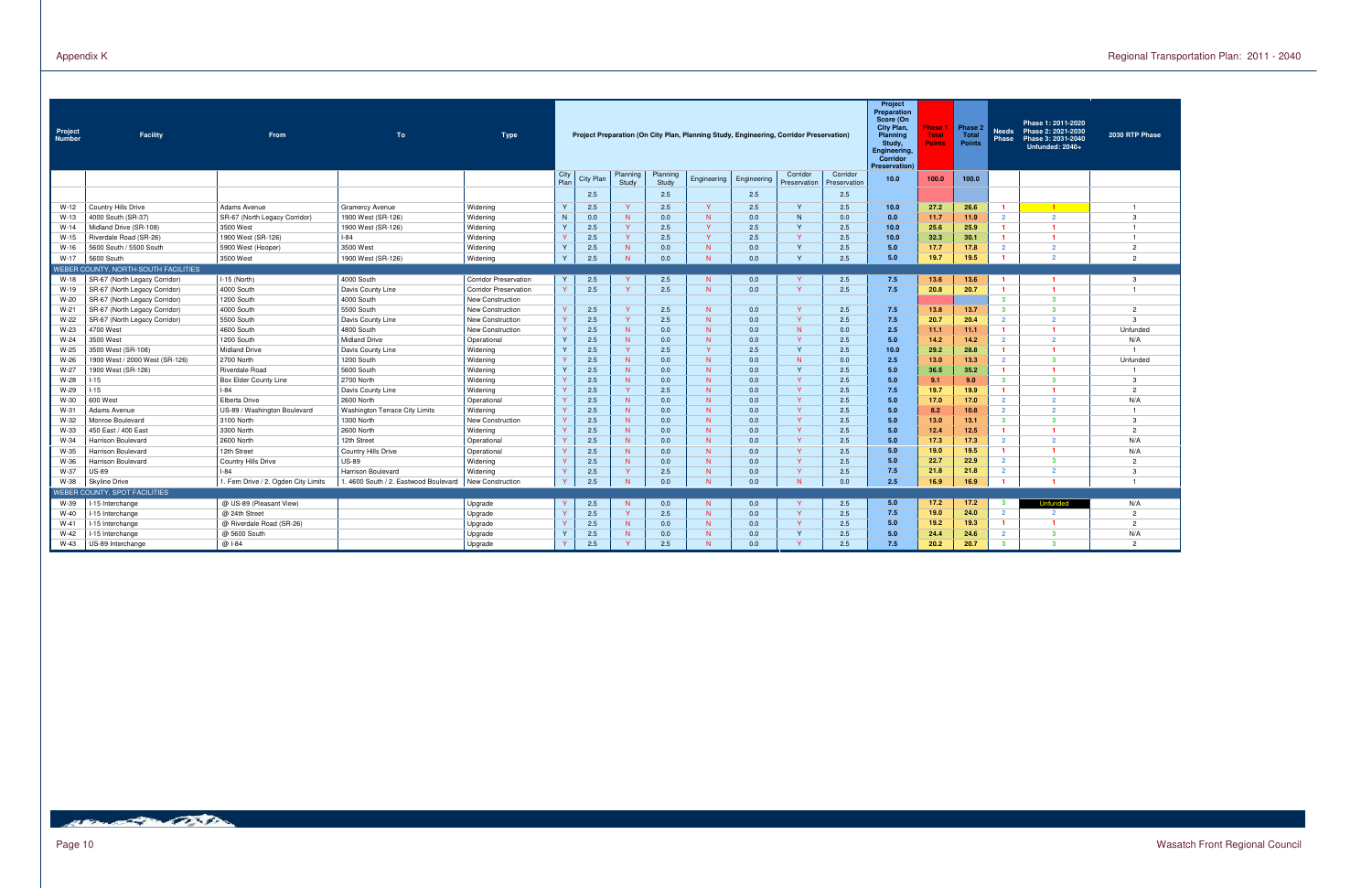| Project<br><b>Number</b> | <b>Facility</b>                      | From                                 | To                                   | Type                         |              |           |                   |                   |              |             | Project Preparation (On City Plan, Planning Study, Engineering, Corridor Preservation) |                          | Project<br>Preparation<br>Score (On<br>City Plan,<br><b>Planning</b><br>Study,<br>Engineering,<br>Corridor<br>Preservation) | Phase<br><b>Total</b><br>Points | Phase 2<br>Total<br><b>Points</b> | <b>Needs</b><br><b>Phase</b> | Phase 1: 2011-2020<br>Phase 2: 2021-2030<br>Phase 3: 2031-2040<br>Unfunded: 2040+ | 2030 RTP Phase |
|--------------------------|--------------------------------------|--------------------------------------|--------------------------------------|------------------------------|--------------|-----------|-------------------|-------------------|--------------|-------------|----------------------------------------------------------------------------------------|--------------------------|-----------------------------------------------------------------------------------------------------------------------------|---------------------------------|-----------------------------------|------------------------------|-----------------------------------------------------------------------------------|----------------|
|                          |                                      |                                      |                                      |                              | City<br>Plan | City Plan | Planning<br>Study | Planning<br>Study | Engineering  | Engineering | Corridor<br>Preservation                                                               | Corridor<br>Preservation | 10.0                                                                                                                        | 100.0                           | 100.0                             |                              |                                                                                   |                |
|                          |                                      |                                      |                                      |                              |              | 2.5       |                   | 2.5               |              | 2.5         |                                                                                        | 2.5                      |                                                                                                                             |                                 |                                   |                              |                                                                                   |                |
| W-12                     | Country Hills Drive                  | Adams Avenue                         | <b>Gramercy Avenue</b>               | Widening                     |              | 2.5       | $\mathbf{Y}$      | 2.5               | <b>V</b>     | 2.5         | <b>Y</b>                                                                               | 2.5                      | 10.0                                                                                                                        | 27.2                            | 26.6                              | $\blacksquare$               | $-1$                                                                              | -1             |
| $W-13$                   | 4000 South (SR-37)                   | SR-67 (North Legacy Corridor)        | 1900 West (SR-126)                   | Widening                     | N            | 0.0       | N                 | 0.0               | N            | 0.0         | N                                                                                      | 0.0                      | 0.0                                                                                                                         | 11.7                            | 11.9                              | $2^{\circ}$                  | $\overline{2}$                                                                    | $\mathbf{3}$   |
| $W-14$                   | Midland Drive (SR-108)               | 3500 West                            | 1900 West (SR-126)                   | Widening                     |              | 2.5       | Y.                | 2.5               | $\mathbf{Y}$ | 2.5         | $\mathbf{v}$                                                                           | 2.5                      | 10.0                                                                                                                        | 25.6                            | 25.9                              |                              | $\mathbf{1}$                                                                      | $\overline{1}$ |
| W-15                     | Riverdale Road (SR-26)               | 1900 West (SR-126)                   | $-84$                                | Widening                     |              | 2.5       | $\mathbf{Y}$      | 2.5               | $\mathbf{v}$ | 2.5         |                                                                                        | 2.5                      | 10.0                                                                                                                        | 32.3                            | 30.1                              |                              | $\blacksquare$                                                                    | $\overline{1}$ |
| $W-16$                   | 5600 South / 5500 South              | 5900 West (Hooper)                   | 3500 West                            | Widening                     |              | 2.5       | N                 | 0.0               | N            | 0.0         | $\mathbf{v}$                                                                           | 2.5                      | 5.0                                                                                                                         | 17.7                            | 17.8                              | $\overline{2}$               | $\overline{2}$                                                                    | $\overline{2}$ |
| W-17                     | 5600 South                           | 3500 West                            | 1900 West (SR-126)                   | Widening                     |              | 2.5       | <b>N</b>          | 0.0               | N            | 0.0         | $\vee$                                                                                 | 2.5                      | 5.0                                                                                                                         | 19.7                            | 19.5                              |                              | $\overline{2}$                                                                    | $\overline{2}$ |
|                          | WEBER COUNTY, NORTH-SOUTH FACILITIES |                                      |                                      |                              |              |           |                   |                   |              |             |                                                                                        |                          |                                                                                                                             |                                 |                                   |                              |                                                                                   |                |
| $W-18$                   | SR-67 (North Legacy Corridor)        | I-15 (North)                         | 4000 South                           | <b>Corridor Preservation</b> |              | 2.5       | Y                 | 2.5               | N            | 0.0         |                                                                                        | 2.5                      | 7.5                                                                                                                         | 13.6                            | 13.6                              |                              | -1                                                                                | $\mathbf{3}$   |
| W-19                     | SR-67 (North Legacy Corridor)        | 4000 South                           | Davis County Line                    | <b>Corridor Preservation</b> |              | 2.5       | $\mathbf{Y}$      | 2.5               | N            | 0.0         | Y                                                                                      | 2.5                      | 7.5                                                                                                                         | 20.8                            | 20.7                              | $\mathbf{1}$                 | $\overline{1}$                                                                    | $\overline{1}$ |
| $W-20$                   | SR-67 (North Legacy Corridor)        | 1200 South                           | 4000 South                           | New Construction             |              |           |                   |                   |              |             |                                                                                        |                          |                                                                                                                             |                                 |                                   | $\mathbf{3}$                 | $\mathbf{3}$                                                                      |                |
| $W-21$                   | SR-67 (North Legacy Corridor)        | 4000 South                           | 5500 South                           | New Construction             |              | 2.5       | Y.                | 2.5               | N            | 0.0         | <b>V</b>                                                                               | 2.5                      | 7.5                                                                                                                         | 13.8                            | 13.7                              | 3 <sup>1</sup>               | $\overline{\mathbf{3}}$                                                           | $\overline{2}$ |
| W-22                     | SR-67 (North Legacy Corridor)        | 5500 South                           | Davis County Line                    | New Construction             |              | 2.5       | Y.                | 2.5               | N            | 0.0         | $\mathbf{Y}$                                                                           | 2.5                      | 7.5                                                                                                                         | 20.7                            | 20.4                              | $\mathcal{P}$                | $\overline{2}$                                                                    | 3              |
| W-23                     | 4700 West                            | 4600 South                           | 4800 South                           | New Construction             |              | 2.5       | N                 | 0.0               | N            | 0.0         | N                                                                                      | 0.0                      | 2.5                                                                                                                         | 11.1                            | 11.1                              | $\mathbf{1}$                 | $\overline{1}$                                                                    | Unfunded       |
| $W-24$                   | 3500 West                            | 1200 South                           | <b>Midland Drive</b>                 | Operational                  |              | 2.5       | N                 | 0.0               | N            | 0.0         | $\mathbf{v}$                                                                           | 2.5                      | 5.0                                                                                                                         | 14.2                            | 14.2                              | $\overline{2}$               | $\overline{2}$                                                                    | N/A            |
| W-25                     | 3500 West (SR-108)                   | <b>Midland Drive</b>                 | Davis County Line                    | Widening                     |              | 2.5       | $\mathsf{Y}$      | 2.5               | $\mathbf{Y}$ | 2.5         | $\mathsf{Y}$                                                                           | 2.5                      | 10.0 <sub>1</sub>                                                                                                           | 29.2                            | 28.8                              |                              | $\mathbf{1}$                                                                      | $\overline{1}$ |
| W-26                     | 1900 West / 2000 West (SR-126)       | 2700 North                           | 1200 South                           | Widening                     |              | 2.5       | N                 | 0.0               | N            | 0.0         | N                                                                                      | 0.0                      | 2.5                                                                                                                         | 13.0                            | 13.3                              | $\overline{2}$               | $\mathbf{3}$                                                                      | Unfunded       |
| W-27                     | 1900 West (SR-126)                   | Riverdale Road                       | 5600 South                           | Widening                     |              | 2.5       | N                 | 0.0               | N            | 0.0         | $\mathsf{Y}$                                                                           | 2.5                      | 5.0                                                                                                                         | 36.5                            | 35.2                              |                              | -1                                                                                | -1             |
| W-28                     | $-15$                                | Box Elder County Line                | 2700 North                           | Widening                     |              | 2.5       | N                 | 0.0               | N            | 0.0         | $\mathbf v$                                                                            | 2.5                      | 5.0                                                                                                                         | 9.1                             | 9.0                               | 3 <sup>1</sup>               | 3                                                                                 | -3             |
| W-29                     | $-15$                                | $I-84$                               | Davis County Line                    | Widening                     |              | 2.5       | $\mathsf{Y}$      | 2.5               | N            | 0.0         | $\mathbf{v}$                                                                           | 2.5                      | 7.5                                                                                                                         | 19.7                            | 19.9                              | $\mathbf{1}$                 | -1                                                                                | $\overline{2}$ |
| W-30                     | 600 West                             | Elberta Drive                        | 2600 North                           | Operationa                   |              | 2.5       | N                 | 0.0               | N            | 0.0         | Y                                                                                      | 2.5                      | 5.0                                                                                                                         | 17.0                            | 17.0                              | $\overline{2}$               | $\overline{2}$                                                                    | N/A            |
| W-31                     | Adams Avenue                         | US-89 / Washington Boulevard         | Washington Terrace City Limits       | Widening                     |              | 2.5       | N                 | 0.0               | N            | 0.0         | $\mathbf{v}$                                                                           | 2.5                      | 5.0                                                                                                                         | 8.2                             | 10.8                              | $\overline{2}$               | $\overline{2}$                                                                    | $\overline{1}$ |
| W-32                     | Monroe Boulevard                     | 3100 North                           | 1300 North                           | New Construction             |              | 2.5       | N                 | 0.0               | N            | 0.0         | $\mathbf{v}$                                                                           | 2.5                      | 5.0                                                                                                                         | 13.0                            | 13.1                              | 3 <sup>1</sup>               | $\mathbf{3}$                                                                      | $\mathbf{3}$   |
| W-33                     | 450 East / 400 East                  | 3300 North                           | 2600 North                           | Widening                     |              | 2.5       | N                 | 0.0               | N            | 0.0         | $\mathbf{Y}$                                                                           | 2.5                      | 5.0                                                                                                                         | 12.4                            | 12.5                              |                              | $\mathbf{1}$                                                                      | $\overline{2}$ |
| W-34                     | Harrison Boulevard                   | 2600 North                           | 12th Street                          | Operationa                   |              | 2.5       | N                 | 0.0               | N            | 0.0         | $\mathbf{Y}$                                                                           | 2.5                      | 5.0                                                                                                                         | 17.3                            | 17.3                              | $\overline{2}$               | $\overline{2}$                                                                    | N/A            |
| W-35                     | Harrison Boulevard                   | 12th Street                          | <b>Country Hills Drive</b>           | Operational                  |              | 2.5       | N                 | 0.0               | N            | 0.0         | $\mathbf{v}$                                                                           | 2.5                      | 5.0                                                                                                                         | 19.0                            | 19.5                              |                              | -1                                                                                | N/A            |
| W-36                     | <b>Harrison Boulevard</b>            | <b>Country Hills Drive</b>           | <b>US-89</b>                         | Widening                     |              | 2.5       | N                 | 0.0               | N            | 0.0         |                                                                                        | 2.5                      | 5.0                                                                                                                         | 22.7                            | 22.9                              | $\overline{2}$               | $\mathbf{3}$                                                                      | $\overline{2}$ |
| W-37                     | US-89                                | $-84$                                | Harrison Boulevard                   | Widening                     |              | 2.5       | $\mathsf{Y}$      | 2.5               | N            | 0.0         | <b>V</b>                                                                               | 2.5                      | 7.5                                                                                                                         | 21.8                            | 21.8                              | $\overline{2}$               | $\overline{2}$                                                                    | -3             |
| W-38                     | Skyline Drive                        | 1. Fern Drive / 2. Ogden City Limits | 1.4600 South / 2. Eastwood Boulevard | New Construction             |              | 2.5       | N                 | 0.0               | N            | 0.0         | N                                                                                      | 0.0                      | 2.5                                                                                                                         | 16.9                            | 16.9                              |                              |                                                                                   | $\overline{1}$ |
|                          | WEBER COUNTY, SPOT FACILITIES        |                                      |                                      |                              |              |           |                   |                   |              |             |                                                                                        |                          |                                                                                                                             |                                 |                                   |                              |                                                                                   |                |
| W-39                     | 15 Interchange                       | @ US-89 (Pleasant View)              |                                      | Upgrade                      |              | 2.5       | N                 | 0.0               | N            | 0.0         | <b>V</b>                                                                               | 2.5                      | 5.0                                                                                                                         | 17.2                            | 17.2                              | $\mathbf{3}$                 | Unfundec                                                                          | N/A            |
| $W-40$                   | 15 Interchange                       | @ 24th Street                        |                                      | Upgrade                      |              | 2.5       | $\mathbf{Y}$      | 2.5               | N            | 0.0         | $\mathbf{v}$                                                                           | 2.5                      | 7.5                                                                                                                         | 19.0                            | 24.0                              | $\overline{2}$               | $\overline{2}$                                                                    | $\overline{2}$ |
| $W-41$                   | -15 Interchange                      | @ Riverdale Road (SR-26)             |                                      | Upgrade                      |              | 2.5       | N                 | 0.0               | N            | 0.0         | $\mathbf{v}$                                                                           | 2.5                      | 5.0                                                                                                                         | 19.2                            | 19.3                              |                              | $\blacksquare$                                                                    | $\overline{2}$ |
| $W-42$                   | -15 Interchange                      | @ 5600 South                         |                                      | Upgrade                      |              | 2.5       | N                 | 0.0               | N            | 0.0         | $\mathbf{v}$                                                                           | 2.5                      | 5.0                                                                                                                         | 24.4                            | 24.6                              | $\overline{2}$               | $\mathbf{3}$                                                                      | N/A            |
| W-43                     | US-89 Interchange                    | @ I-84                               |                                      | Upgrade                      |              | 2.5       | $\mathbf{v}$      | 2.5               | N            | 0.0         | $\mathbf{v}$                                                                           | 2.5                      | 7.5                                                                                                                         | 20.2                            | 20.7                              | $\mathbf{3}$                 | $\overline{a}$                                                                    | 2              |



### Appendix K Regional Transportation Plan: 2011 - 2040